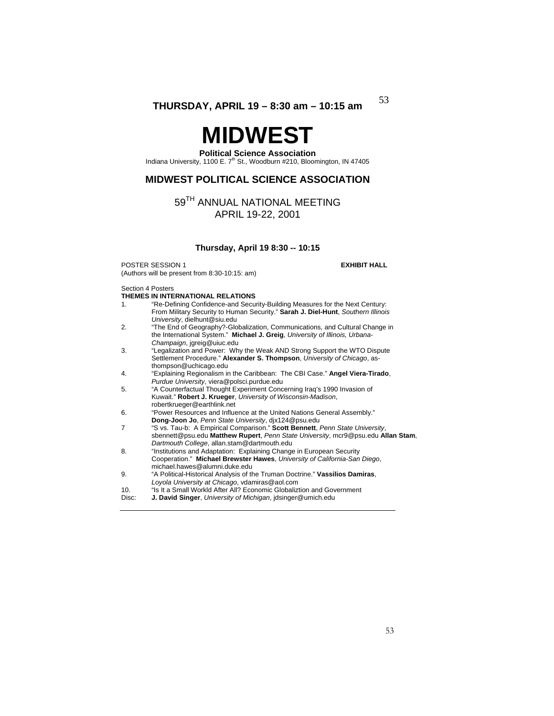# **MIDWEST**

## **Political Science Association**

Indiana University, 1100 E. 7<sup>th</sup> St., Woodburn #210, Bloomington, IN 47405

## **MIDWEST POLITICAL SCIENCE ASSOCIATION**

## 59TH ANNUAL NATIONAL MEETING APRIL 19-22, 2001

## **Thursday, April 19 8:30 -- 10:15**

**POSTER SESSION 1 EXHIBIT HALL** (Authors will be present from 8:30-10:15: am)

## Section 4 Posters

|                | THEMES IN INTERNATIONAL RELATIONS                                                |
|----------------|----------------------------------------------------------------------------------|
| $\mathbf{1}$ . | "Re-Defining Confidence-and Security-Building Measures for the Next Century:     |
|                | From Military Security to Human Security." Sarah J. Diel-Hunt, Southern Illinois |
|                | University, dielhunt@siu.edu                                                     |
| 2.             | "The End of Geography?-Globalization, Communications, and Cultural Change in     |
|                | the International System." Michael J. Greig, University of Illinois, Urbana-     |
|                | Champaign, jgreig@uiuc.edu                                                       |
| 3.             | "Legalization and Power: Why the Weak AND Strong Support the WTO Dispute         |
|                | Settlement Procedure." Alexander S. Thompson, University of Chicago, as-         |
|                | thompson@uchicago.edu                                                            |
| 4.             | "Explaining Regionalism in the Caribbean: The CBI Case." Angel Viera-Tirado,     |
|                | Purdue University, viera@polsci.purdue.edu                                       |
| 5.             | "A Counterfactual Thought Experiment Concerning Irag's 1990 Invasion of          |
|                | Kuwait." Robert J. Krueger, University of Wisconsin-Madison,                     |
|                | robertkrueger@earthlink.net                                                      |
| 6.             | "Power Resources and Influence at the United Nations General Assembly."          |
|                | Dong-Joon Jo, Penn State University, dix124@psu.edu                              |
| $\overline{7}$ | "S vs. Tau-b: A Empirical Comparison." Scott Bennett, Penn State University,     |
|                | sbennett@psu.edu Matthew Rupert, Penn State University, mcr9@psu.edu Allan Stam, |
|                | Dartmouth College, allan.stam@dartmouth.edu                                      |
| 8.             | "Institutions and Adaptation: Explaining Change in European Security             |
|                | Cooperation." Michael Brewster Hawes, University of California-San Diego,        |
|                | michael.hawes@alumni.duke.edu                                                    |
| 9.             | "A Political-Historical Analysis of the Truman Doctrine." Vassilios Damiras,     |
|                | Loyola University at Chicago, vdamiras@aol.com                                   |
| 10.            | "Is It a Small Workld After All? Economic Globaliztion and Government            |
| Disc:          | J. David Singer, University of Michigan, idsinger@umich.edu                      |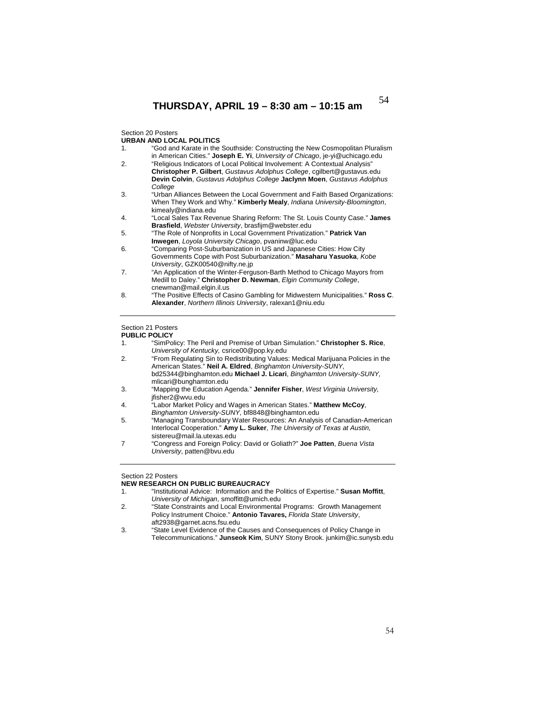Section 20 Posters

## **URBAN AND LOCAL POLITICS**

| 1. | "God and Karate in the Southside: Constructing the New Cosmopolitan Pluralism<br>in American Cities." Joseph E. Yi, University of Chicago, je-yi@uchicago.edu |
|----|---------------------------------------------------------------------------------------------------------------------------------------------------------------|
| 2. | "Religious Indicators of Local Political Involvement: A Contextual Analysis"                                                                                  |
|    | Christopher P. Gilbert, Gustavus Adolphus College, cgilbert@gustavus.edu                                                                                      |
|    | Devin Colvin, Gustavus Adolphus College Jaclynn Moen, Gustavus Adolphus                                                                                       |
|    | College                                                                                                                                                       |
| 3. | "Urban Alliances Between the Local Government and Faith Based Organizations:                                                                                  |
|    | When They Work and Why." Kimberly Mealy, Indiana University-Bloomington,                                                                                      |
|    | kimealy@indiana.edu                                                                                                                                           |
| 4. | "Local Sales Tax Revenue Sharing Reform: The St. Louis County Case." James                                                                                    |
|    | Brasfield, Webster University, brasfijm@webster.edu                                                                                                           |
| 5. | "The Role of Nonprofits in Local Government Privatization." Patrick Van                                                                                       |
|    | <b>Inwegen, Loyola University Chicago, pyaninw@luc.edu</b>                                                                                                    |
| 6. | "Comparing Post-Suburbanization in US and Japanese Cities: How City                                                                                           |
|    | Governments Cope with Post Suburbanization." Masaharu Yasuoka, Kobe                                                                                           |
|    | University, GZK00540@nifty.ne.jp                                                                                                                              |
| 7. | "An Application of the Winter-Ferguson-Barth Method to Chicago Mayors from                                                                                    |
|    | Medill to Daley." Christopher D. Newman, Elgin Community College,                                                                                             |
|    | cnewman@mail.elgin.il.us                                                                                                                                      |

8. "The Positive Effects of Casino Gambling for Midwestern Municipalities." **Ross C**. **Alexander**, *Northern Illinois University*, ralexan1@niu.edu

## Section 21 Posters

## **PUBLIC POLICY**

1. "SimPolicy: The Peril and Premise of Urban Simulation." **Christopher S. Rice**, *University of Kentucky,* csrice00@pop.ky.edu

| 2.  | "From Regulating Sin to Redistributing Values: Medical Marijuana Policies in the |
|-----|----------------------------------------------------------------------------------|
|     | American States." Neil A. Eldred, Binghamton University-SUNY,                    |
|     | bd25344@binghamton.edu Michael J. Licari. Binghamton University-SUNY.            |
|     | mlicari@bunghamton.edu                                                           |
| -3. | "Mapping the Education Agenda." Jennifer Fisher, West Virginia University,       |

- jfisher2@wvu.edu
- 4. "Labor Market Policy and Wages in American States." **Matthew McCoy**, *Binghamton University-SUNY,* bf8848@binghamton.edu
- 5. "Managing Transboundary Water Resources: An Analysis of Canadian-American Interlocal Cooperation." **Amy L. Suker**, *The University of Texas at Austin,*  sistereu@mail.la.utexas.edu
- 7 "Congress and Foreign Policy: David or Goliath?" **Joe Patten**, *Buena Vista University*, patten@bvu.edu

## Section 22 Posters

## **NEW RESEARCH ON PUBLIC BUREAUCRACY**<br>1. Tinstitutional Advice: Information and the

- "Institutional Advice: Information and the Politics of Expertise." Susan Moffitt, *University of Michigan*, smoffitt@umich.edu
- 2. "State Constraints and Local Environmental Programs: Growth Management Policy Instrument Choice." **Antonio Tavares,** *Florida State University*, aft2938@garnet.acns.fsu.edu
- 3. "State Level Evidence of the Causes and Consequences of Policy Change in Telecommunications." **Junseok Kim**, SUNY Stony Brook. junkim@ic.sunysb.edu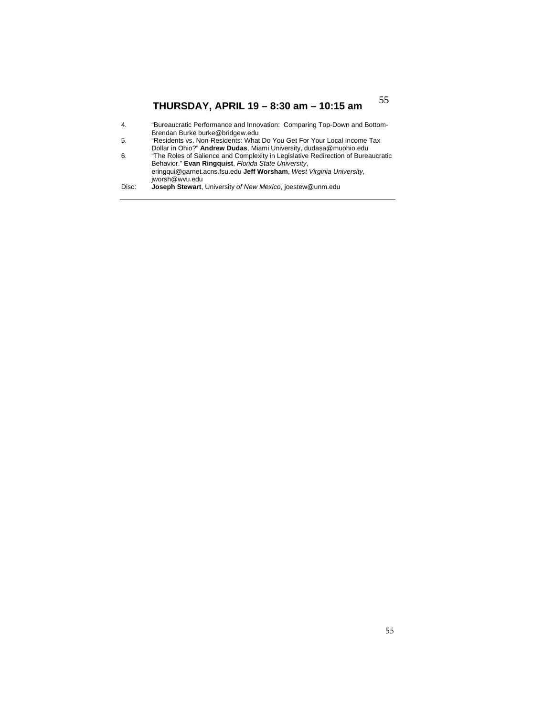| 4.    | "Bureaucratic Performance and Innovation: Comparing Top-Down and Bottom-         |
|-------|----------------------------------------------------------------------------------|
|       | Brendan Burke burke@bridgew.edu                                                  |
| -5.   | "Residents vs. Non-Residents: What Do You Get For Your Local Income Tax          |
|       | Dollar in Ohio?" Andrew Dudas, Miami University, dudasa@muohio.edu               |
| 6.    | "The Roles of Salience and Complexity in Legislative Redirection of Bureaucratic |
|       | Behavior." Evan Ringquist, Florida State University,                             |
|       | eringqui@garnet.acns.fsu.edu Jeff Worsham, West Virginia University.             |
|       | jworsh@wvu.edu                                                                   |
| Disc: | <b>Joseph Stewart</b> , University of New Mexico, joestew@unm.edu                |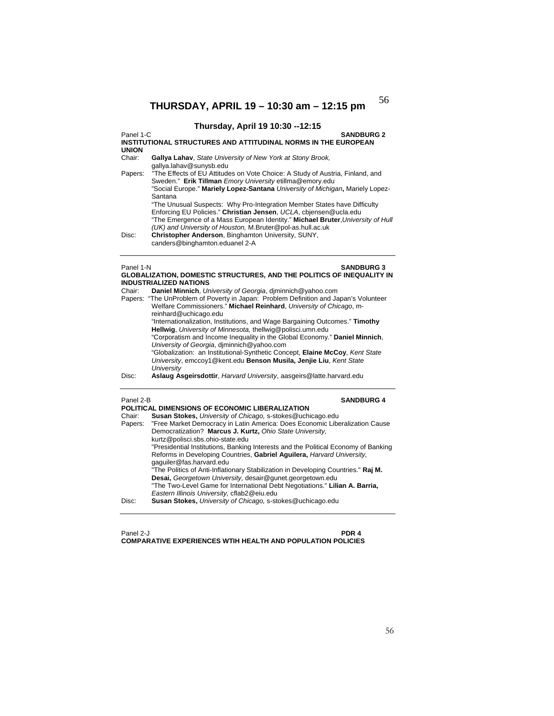## **Thursday, April 19 10:30 --12:15**

Panel 1-C **SANDBURG 2 INSTITUTIONAL STRUCTURES AND ATTITUDINAL NORMS IN THE EUROPEAN UNION**  Gallya Lahav, *State University of New York at Stony Brook*, gallya.lahav@sunysb.edu Papers: "The Effects of EU Attitudes on Vote Choice: A Study of Austria, Finland, and Sweden." **Erik Tillman** *Emory University* etillma@emory.edu "Social Europe." **Mariely Lopez-Santana** *University of Michigan***,** Mariely Lopez-Santana "The Unusual Suspects: Why Pro-Integration Member States have Difficulty Enforcing EU Policies." **Christian Jensen**, *UCLA*, cbjensen@ucla.edu "The Emergence of a Mass European Identity." **Michael Bruter**,*University of Hull (UK) and University of Houston,* M.Bruter@pol-as.hull.ac.uk Disc: **Christopher Anderson**, Binghamton University, SUNY, canders@binghamton.eduanel 2-A

## Panel 1-N **SANDBURG 3**

|        | <b>GLOBALIZATION, DOMESTIC STRUCTURES, AND THE POLITICS OF INEQUALITY IN</b>                                                                                                         |
|--------|--------------------------------------------------------------------------------------------------------------------------------------------------------------------------------------|
|        | <b>INDUSTRIALIZED NATIONS</b>                                                                                                                                                        |
| Chair: | Daniel Minnich, University of Georgia, diminnich@yahoo.com                                                                                                                           |
|        | Papers: "The UnProblem of Poverty in Japan: Problem Definition and Japan's Volunteer<br>Welfare Commissioners." Michael Reinhard, University of Chicago, m-<br>reinhard@uchicago.edu |
|        | "Internationalization, Institutions, and Wage Bargaining Outcomes." Timothy<br>Hellwig, University of Minnesota, thellwig@polisci.umn.edu                                            |
|        | "Corporatism and Income Inequality in the Global Economy." Daniel Minnich,<br>University of Georgia, diminnich@yahoo.com                                                             |
|        | "Globalization: an Institutional-Synthetic Concept, Elaine McCoy, Kent State<br>University, emccoy1@kent.edu Benson Musila, Jenjie Liu, Kent State<br>University                     |
| Disc:  | Aslaug Asgeirsdottir, Harvard University, aasgeirs@latte.harvard.edu                                                                                                                 |

### Panel 2-B **SANDBURG 4**

|         | POLITICAL DIMENSIONS OF ECONOMIC LIBERALIZATION                                    |
|---------|------------------------------------------------------------------------------------|
| Chair:  | <b>Susan Stokes, University of Chicago, s-stokes@uchicago.edu</b>                  |
| Papers: | "Free Market Democracy in Latin America: Does Economic Liberalization Cause        |
|         | Democratization? Marcus J. Kurtz, Ohio State University,                           |
|         | kurtz@polisci.sbs.ohio-state.edu                                                   |
|         | "Presidential Institutions, Banking Interests and the Political Economy of Banking |
|         | Reforms in Developing Countries, Gabriel Aquilera, Harvard University.             |
|         | gaguiler@fas.harvard.edu                                                           |
|         | "The Politics of Anti-Inflationary Stabilization in Developing Countries." Raj M.  |
|         | Desai, Georgetown University, desair@gunet.georgetown.edu                          |
|         | "The Two-Level Game for International Debt Negotiations." Lilian A. Barria,        |
|         | Eastern Illinois University, cflab2@eiu.edu                                        |
| Disc:   | <b>Susan Stokes, University of Chicago, s-stokes@uchicago.edu</b>                  |
|         |                                                                                    |

## Panel 2-J **PDR 4 COMPARATIVE EXPERIENCES WTIH HEALTH AND POPULATION POLICIES**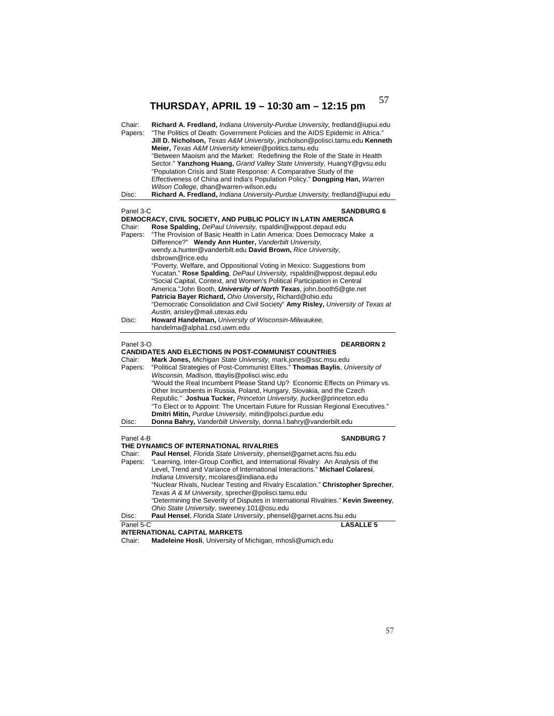| Richard A. Fredland, Indiana University-Purdue University, fredland@iupui.edu<br>Chair:<br>"The Politics of Death: Government Policies and the AIDS Epidemic in Africa."<br>Papers:<br>Jill D. Nicholson, Texas A&M University, jnicholson@polisci.tamu.edu Kenneth<br>Meier, Texas A&M University kmeier@politics.tamu.edu<br>"Between Maoism and the Market: Redefining the Role of the State in Health<br>Sector." Yanzhong Huang, Grand Valley State University, HuangY@gysu.edu<br>"Population Crisis and State Response: A Comparative Study of the<br>Effectiveness of China and India's Population Policy." Dongping Han, Warren<br>Wilson College, dhan@warren-wilson.edu<br>Richard A. Fredland, Indiana University-Purdue University, fredland@iupui.edu<br>Disc: |                   |
|------------------------------------------------------------------------------------------------------------------------------------------------------------------------------------------------------------------------------------------------------------------------------------------------------------------------------------------------------------------------------------------------------------------------------------------------------------------------------------------------------------------------------------------------------------------------------------------------------------------------------------------------------------------------------------------------------------------------------------------------------------------------------|-------------------|
| Panel 3-C                                                                                                                                                                                                                                                                                                                                                                                                                                                                                                                                                                                                                                                                                                                                                                    | <b>SANDBURG 6</b> |
| DEMOCRACY, CIVIL SOCIETY, AND PUBLIC POLICY IN LATIN AMERICA<br>Rose Spalding, DePaul University, rspaldin@wppost.depaul.edu<br>Chair:<br>"The Provision of Basic Health in Latin America: Does Democracy Make a<br>Papers:<br>Difference?" Wendy Ann Hunter, Vanderbilt University,<br>wendy.a.hunter@vanderbilt.edu David Brown, Rice University,<br>dsbrown@rice.edu                                                                                                                                                                                                                                                                                                                                                                                                      |                   |
| "Poverty, Welfare, and Oppositional Voting in Mexico: Suggestions from<br>Yucatan." Rose Spalding, DePaul University, rspaldin@wppost.depaul.edu<br>"Social Capital, Context, and Women's Political Participation in Central<br>America."John Booth, <i>University of North Texas</i> , john.booth5@gte.net<br>Patricia Bayer Richard, Ohio University, Richard@ohio.edu<br>"Democratic Consolidation and Civil Society" Amy Risley, University of Texas at<br>Austin, arisley@mail.utexas.edu                                                                                                                                                                                                                                                                               |                   |
| Howard Handelman, University of Wisconsin-Milwaukee,<br>Disc:<br>handelma@alpha1.csd.uwm.edu                                                                                                                                                                                                                                                                                                                                                                                                                                                                                                                                                                                                                                                                                 |                   |
| Panel 3-O<br><b>CANDIDATES AND ELECTIONS IN POST-COMMUNIST COUNTRIES</b><br>Mark Jones, Michigan State University, mark.jones@ssc.msu.edu<br>Chair:<br>"Political Strategies of Post-Communist Elites." Thomas Baylis, University of<br>Papers:<br>Wisconsin, Madison, tbaylis@polisci.wisc.edu<br>"Would the Real Incumbent Please Stand Up? Economic Effects on Primary vs.<br>Other Incumbents in Russia, Poland, Hungary, Slovakia, and the Czech<br>Republic." Joshua Tucker, Princeton University, jtucker@princeton.edu                                                                                                                                                                                                                                               | <b>DEARBORN 2</b> |
| "To Elect or to Appoint: The Uncertain Future for Russian Regional Executives."<br>Dmitri Mitin, Purdue University, mitin@polsci.purdue.edu                                                                                                                                                                                                                                                                                                                                                                                                                                                                                                                                                                                                                                  |                   |
| Donna Bahry, Vanderbilt University, donna.I.bahry@vanderbilt.edu<br>Disc:                                                                                                                                                                                                                                                                                                                                                                                                                                                                                                                                                                                                                                                                                                    |                   |
| Panel 4-B<br>THE DYNAMICS OF INTERNATIONAL RIVALRIES                                                                                                                                                                                                                                                                                                                                                                                                                                                                                                                                                                                                                                                                                                                         | <b>SANDBURG 7</b> |
| Chair:<br>Paul Hensel, Florida State University, phensel@garnet.acns.fsu.edu                                                                                                                                                                                                                                                                                                                                                                                                                                                                                                                                                                                                                                                                                                 |                   |
| "Learning, Inter-Group Conflict, and International Rivalry: An Analysis of the<br>Papers:<br>Level, Trend and Variance of International Interactions." Michael Colaresi,<br>Indiana University, mcolares@indiana.edu<br>"Nuclear Rivals, Nuclear Testing and Rivalry Escalation." Christopher Sprecher,<br>Texas A & M University, sprecher@polisci.tamu.edu                                                                                                                                                                                                                                                                                                                                                                                                                 |                   |
| "Determining the Severity of Disputes in International Rivalries." Kevin Sweeney,<br>Ohio State University, sweeney.101@osu.edu                                                                                                                                                                                                                                                                                                                                                                                                                                                                                                                                                                                                                                              |                   |
| Paul Hensel, Florida State University, phensel@garnet.acns.fsu.edu<br>Disc:                                                                                                                                                                                                                                                                                                                                                                                                                                                                                                                                                                                                                                                                                                  |                   |
|                                                                                                                                                                                                                                                                                                                                                                                                                                                                                                                                                                                                                                                                                                                                                                              |                   |

Chair: **Madeleine Hosli**, University of Michigan, mhosli@umich.edu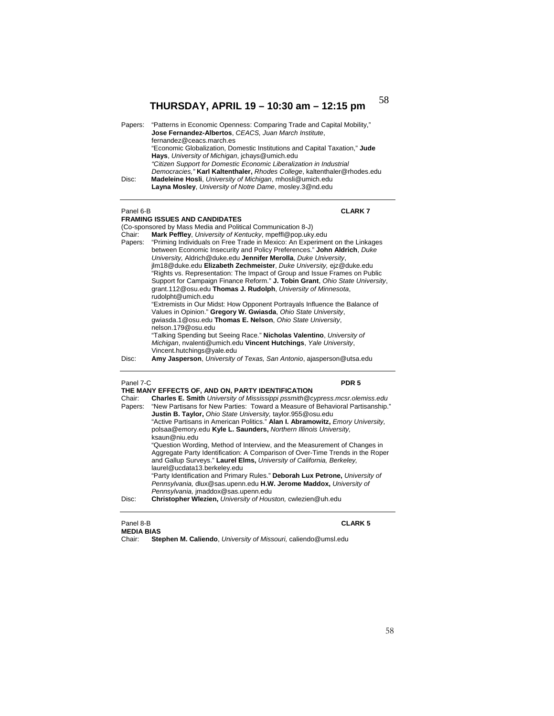| Papers: | "Patterns in Economic Openness: Comparing Trade and Capital Mobility,"<br>Jose Fernandez-Albertos, CEACS, Juan March Institute, |
|---------|---------------------------------------------------------------------------------------------------------------------------------|
|         | fernandez@ceacs.march.es                                                                                                        |
|         | "Economic Globalization, Domestic Institutions and Capital Taxation," Jude                                                      |
|         | Hays, University of Michigan, jchays@umich.edu                                                                                  |
|         | "Citizen Support for Domestic Economic Liberalization in Industrial                                                             |
|         | Democracies," Karl Kaltenthaler, Rhodes College, kaltenthaler@rhodes.edu                                                        |
| Disc:   | Madeleine Hosli, University of Michigan, mhosli@umich.edu                                                                       |
|         | Layna Mosley, University of Notre Dame, mosley.3@nd.edu                                                                         |

## Panel 6-B

|         | <b>FRAMING ISSUES AND CANDIDATES</b>                                                             |
|---------|--------------------------------------------------------------------------------------------------|
|         | (Co-sponsored by Mass Media and Political Communication 8-J)                                     |
| Chair:  | Mark Peffley, University of Kentucky, mpeffl@pop.uky.edu                                         |
| Papers: | "Priming Individuals on Free Trade in Mexico: An Experiment on the Linkages                      |
|         | between Economic Insecurity and Policy Preferences." John Aldrich, Duke                          |
|         | University, Aldrich@duke.edu Jennifer Merolla, Duke University,                                  |
|         | jlm18@duke.edu Elizabeth Zechmeister, Duke University, eiz@duke.edu                              |
|         | "Rights vs. Representation: The Impact of Group and Issue Frames on Public                       |
|         | Support for Campaign Finance Reform." J. Tobin Grant, Ohio State University,                     |
|         | grant.112@osu.edu Thomas J. Rudolph, University of Minnesota,                                    |
|         | rudolpht@umich.edu                                                                               |
|         | "Extremists in Our Midst: How Opponent Portrayals Influence the Balance of                       |
|         | Values in Opinion." Gregory W. Gwiasda, Ohio State University,                                   |
|         | gwiasda.1@osu.edu Thomas E. Nelson, Ohio State University,                                       |
|         | nelson.179@osu.edu                                                                               |
|         | "Talking Spending but Seeing Race." Nicholas Valentino, University of                            |
|         | Michigan, nyalenti@umich.edu Vincent Hutchings, Yale University,                                 |
|         | Vincent.hutchings@yale.edu                                                                       |
|         | Issuesses and the beautiful of $\boldsymbol{\tau}$ Once Automate and several Quaternal Quaternal |

Disc: **Amy Jasperson**, *University of Texas, San Antonio*, ajasperson@utsa.edu

### Panel 7-C **PDR 5**

**CLARK 7** 

|         | THE MANY EFFECTS OF, AND ON, PARTY IDENTIFICATION                                                                                                                                                                                                                   |  |  |
|---------|---------------------------------------------------------------------------------------------------------------------------------------------------------------------------------------------------------------------------------------------------------------------|--|--|
| Chair:  | <b>Charles E. Smith University of Mississippi pssmith @cypress.mcsr.olemiss.edu</b>                                                                                                                                                                                 |  |  |
| Papers: | "New Partisans for New Parties: Toward a Measure of Behavioral Partisanship."<br><b>Justin B. Taylor, Ohio State University, taylor.955@osu.edu</b>                                                                                                                 |  |  |
|         | "Active Partisans in American Politics." Alan I. Abramowitz, Emory University.<br>polsaa@emory.edu Kyle L. Saunders, Northern Illinois University.                                                                                                                  |  |  |
|         | ksaun@niu.edu                                                                                                                                                                                                                                                       |  |  |
|         | "Question Wording, Method of Interview, and the Measurement of Changes in<br>Aggregate Party Identification: A Comparison of Over-Time Trends in the Roper<br>and Gallup Surveys." Laurel Elms, University of California, Berkeley,<br>laurel@ucdata13.berkeley.edu |  |  |
|         | "Party Identification and Primary Rules." Deborah Lux Petrone, University of<br>Pennsylvania, dlux@sas.upenn.edu H.W. Jerome Maddox, University of<br>Pennsylvania, jmaddox@sas.upenn.edu                                                                           |  |  |
| Disc:   | Christopher Wlezien, University of Houston, cwlezien@uh.edu                                                                                                                                                                                                         |  |  |

### Panel 8-B **CLARK 5 MEDIA BIAS**

Chair: **Stephen M. Caliendo**, *University of Missouri,* caliendo@umsl.edu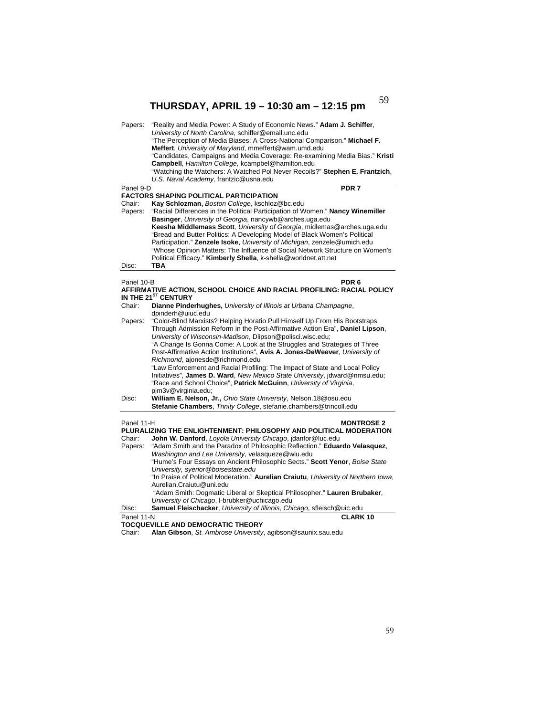| Papers:                                                                                                                                    | "Reality and Media Power: A Study of Economic News." Adam J. Schiffer,<br>University of North Carolina, schiffer@email.unc.edu<br>"The Perception of Media Biases: A Cross-National Comparison." Michael F.<br>Meffert, University of Maryland, mmeffert@wam.umd.edu<br>"Candidates, Campaigns and Media Coverage: Re-examining Media Bias." Kristi<br>Campbell, Hamilton College, kcampbel@hamilton.edu<br>"Watching the Watchers: A Watched Pol Never Recoils?" Stephen E. Frantzich,<br>U.S. Naval Academy, frantzic@usna.edu |  |
|--------------------------------------------------------------------------------------------------------------------------------------------|----------------------------------------------------------------------------------------------------------------------------------------------------------------------------------------------------------------------------------------------------------------------------------------------------------------------------------------------------------------------------------------------------------------------------------------------------------------------------------------------------------------------------------|--|
| Panel 9-D                                                                                                                                  | PDR <sub>7</sub>                                                                                                                                                                                                                                                                                                                                                                                                                                                                                                                 |  |
|                                                                                                                                            | <b>FACTORS SHAPING POLITICAL PARTICIPATION</b>                                                                                                                                                                                                                                                                                                                                                                                                                                                                                   |  |
| Chair:                                                                                                                                     | Kay Schlozman, Boston College, kschloz@bc.edu                                                                                                                                                                                                                                                                                                                                                                                                                                                                                    |  |
| Papers:                                                                                                                                    | "Racial Differences in the Political Participation of Women." Nancy Winemiller<br>Basinger, University of Georgia, nancywb@arches.uga.edu<br>Keesha Middlemass Scott, University of Georgia, midlemas@arches.uga.edu<br>"Bread and Butter Politics: A Developing Model of Black Women's Political<br>Participation." Zenzele Isoke, University of Michigan, zenzele@umich.edu<br>"Whose Opinion Matters: The Influence of Social Network Structure on Women's<br>Political Efficacy." Kimberly Shella, k-shella@worldnet.att.net |  |
| Disc:                                                                                                                                      | <b>TBA</b>                                                                                                                                                                                                                                                                                                                                                                                                                                                                                                                       |  |
| Panel 10-B<br>PDR <sub>6</sub><br>AFFIRMATIVE ACTION, SCHOOL CHOICE AND RACIAL PROFILING: RACIAL POLICY<br>IN THE 21 <sup>ST</sup> CENTURY |                                                                                                                                                                                                                                                                                                                                                                                                                                                                                                                                  |  |
| Chair:                                                                                                                                     | Dianne Pinderhughes, University of Illinois at Urbana Champagne,                                                                                                                                                                                                                                                                                                                                                                                                                                                                 |  |
|                                                                                                                                            | dpinderh@uiuc.edu                                                                                                                                                                                                                                                                                                                                                                                                                                                                                                                |  |
| Papers:                                                                                                                                    | "Color-Blind Marxists? Helping Horatio Pull Himself Up From His Bootstraps<br>Through Admission Reform in the Post-Affirmative Action Era", Daniel Lipson,<br>University of Wisconsin-Madison, Dlipson@polisci.wisc.edu;<br>"A Change Is Gonna Come: A Look at the Struggles and Strategies of Three<br>Post-Affirmative Action Institutions", Avis A. Jones-DeWeever, University of<br>Richmond, ajonesde@richmond.edu<br>"Law Enforcement and Racial Profiling: The Impact of State and Local Policy                           |  |
|                                                                                                                                            | Initiatives", James D. Ward, New Mexico State University, jdward@nmsu.edu;                                                                                                                                                                                                                                                                                                                                                                                                                                                       |  |
|                                                                                                                                            | "Race and School Choice", Patrick McGuinn, University of Virginia,<br>pim3v@virginia.edu;                                                                                                                                                                                                                                                                                                                                                                                                                                        |  |
| Disc:                                                                                                                                      | William E. Nelson, Jr., Ohio State University, Nelson.18@osu.edu<br>Stefanie Chambers, Trinity College, stefanie.chambers@trincoll.edu                                                                                                                                                                                                                                                                                                                                                                                           |  |
| Panel 11-H<br>Chair:<br>Papers:                                                                                                            | <b>MONTROSE 2</b><br>PLURALIZING THE ENLIGHTENMENT: PHILOSOPHY AND POLITICAL MODERATION<br>John W. Danford, Loyola University Chicago, idanfor@luc.edu<br>"Adam Smith and the Paradox of Philosophic Reflection." Eduardo Velasquez,<br>Washington and Lee University, velasqueze@wlu.edu<br>"Hume's Four Essays on Ancient Philosophic Sects." Scott Yenor, Boise State<br>University, syenor@boisestate.edu<br>"In Praise of Political Moderation." Aurelian Craiutu, University of Northern Iowa,                             |  |
|                                                                                                                                            | Aurelian.Craiutu@uni.edu<br>"Adam Smith: Dogmatic Liberal or Skeptical Philosopher." Lauren Brubaker,                                                                                                                                                                                                                                                                                                                                                                                                                            |  |
| Disc:                                                                                                                                      | University of Chicago, I-brubker@uchicago.edu<br>Samuel Fleischacker, University of Illinois, Chicago, sfleisch@uic.edu                                                                                                                                                                                                                                                                                                                                                                                                          |  |
|                                                                                                                                            | <b>CLARK10</b>                                                                                                                                                                                                                                                                                                                                                                                                                                                                                                                   |  |
| Panel 11-N                                                                                                                                 | TOCQUEVILLE AND DEMOCRATIC THEORY                                                                                                                                                                                                                                                                                                                                                                                                                                                                                                |  |
|                                                                                                                                            | aan Ot Andersaa Habrardte<br>$A$ lan $A$ ik<br>والمحاورهم والمستحجاها والمحالة                                                                                                                                                                                                                                                                                                                                                                                                                                                   |  |

Chair: **Alan Gibson**, *St. Ambrose University*, agibson@saunix.sau.edu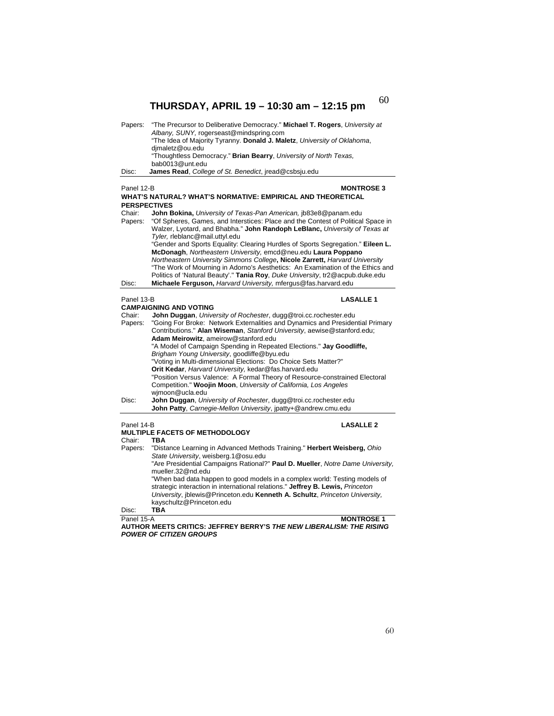| Papers:                        | "The Precursor to Deliberative Democracy." Michael T. Rogers, University at<br>Albany, SUNY, rogerseast@mindspring.com                                                                           |  |
|--------------------------------|--------------------------------------------------------------------------------------------------------------------------------------------------------------------------------------------------|--|
|                                | "The Idea of Majority Tyranny. Donald J. Maletz, University of Oklahoma,<br>dimaletz@ou.edu                                                                                                      |  |
|                                | "Thoughtless Democracy." Brian Bearry, University of North Texas,<br>bab0013@unt.edu                                                                                                             |  |
| Disc:                          | James Read, College of St. Benedict, jread@csbsju.edu                                                                                                                                            |  |
| Panel 12-B                     | <b>MONTROSE 3</b>                                                                                                                                                                                |  |
|                                | WHAT'S NATURAL? WHAT'S NORMATIVE: EMPIRICAL AND THEORETICAL                                                                                                                                      |  |
| <b>PERSPECTIVES</b>            |                                                                                                                                                                                                  |  |
| Chair:                         | John Bokina, University of Texas-Pan American, jb83e8@panam.edu                                                                                                                                  |  |
| Papers:                        | "Of Spheres, Games, and Interstices: Place and the Contest of Political Space in<br>Walzer, Lyotard, and Bhabha." John Randoph LeBlanc, University of Texas at<br>Tyler, rleblanc@mail.uttyl.edu |  |
|                                | "Gender and Sports Equality: Clearing Hurdles of Sports Segregation." Eileen L.                                                                                                                  |  |
|                                | McDonagh, Northeastern University, emcd@neu.edu Laura Poppano                                                                                                                                    |  |
|                                | Northeastern University Simmons College, Nicole Zarrett, Harvard University<br>"The Work of Mourning in Adorno's Aesthetics: An Examination of the Ethics and                                    |  |
|                                | Politics of 'Natural Beauty'." Tania Roy, Duke University, tr2@acpub.duke.edu                                                                                                                    |  |
| Disc:                          | Michaele Ferguson, Harvard University, mfergus@fas.harvard.edu                                                                                                                                   |  |
| Panel 13-B<br><b>LASALLE 1</b> |                                                                                                                                                                                                  |  |
|                                | <b>CAMPAIGNING AND VOTING</b>                                                                                                                                                                    |  |
| Chair:                         | John Duggan, University of Rochester, dugg@troi.cc.rochester.edu                                                                                                                                 |  |
| Papers:                        | "Going For Broke: Network Externalities and Dynamics and Presidential Primary<br>Contributions." Alan Wiseman, Stanford University, aewise@stanford.edu;<br>Adam Meirowitz, ameirow@stanford.edu |  |
|                                | "A Model of Campaign Spending in Repeated Elections." Jay Goodliffe,<br>Brigham Young University, goodliffe@byu.edu                                                                              |  |
|                                | "Voting in Multi-dimensional Elections: Do Choice Sets Matter?"                                                                                                                                  |  |
|                                | Orit Kedar, Harvard University, kedar@fas.harvard.edu<br>"Position Versus Valence: A Formal Theory of Resource-constrained Electoral                                                             |  |
|                                | Competition." Woojin Moon, University of California, Los Angeles<br>wimoon@ucla.edu                                                                                                              |  |
| Disc:                          | John Duggan, University of Rochester, dugg@troi.cc.rochester.edu                                                                                                                                 |  |
|                                | John Patty, Carnegie-Mellon University, jpatty+@andrew.cmu.edu                                                                                                                                   |  |
| Panel 14-B                     | <b>LASALLE 2</b>                                                                                                                                                                                 |  |
|                                | <b>MULTIPLE FACETS OF METHODOLOGY</b>                                                                                                                                                            |  |
| Chair:<br>Papers:              | <b>TBA</b><br>"Distance Learning in Advanced Methods Training." Herbert Weisberg, Ohio                                                                                                           |  |
|                                | State University, weisberg.1@osu.edu                                                                                                                                                             |  |
|                                | "Are Presidential Campaigns Rational?" Paul D. Mueller, Notre Dame University,<br>mueller.32@nd.edu                                                                                              |  |
|                                | "When bad data happen to good models in a complex world: Testing models of                                                                                                                       |  |
|                                | strategic interaction in international relations." Jeffrey B. Lewis, Princeton                                                                                                                   |  |
|                                | University, jblewis@Princeton.edu Kenneth A. Schultz, Princeton University,<br>kayschultz@Princeton.edu                                                                                          |  |
| Disc:                          | <b>TBA</b>                                                                                                                                                                                       |  |
| Panel 15-A                     | <b>MONTROSE 1</b>                                                                                                                                                                                |  |

**AUTHOR MEETS CRITICS: JEFFREY BERRY'S** *THE NEW LIBERALISM: THE RISING POWER OF CITIZEN GROUPS*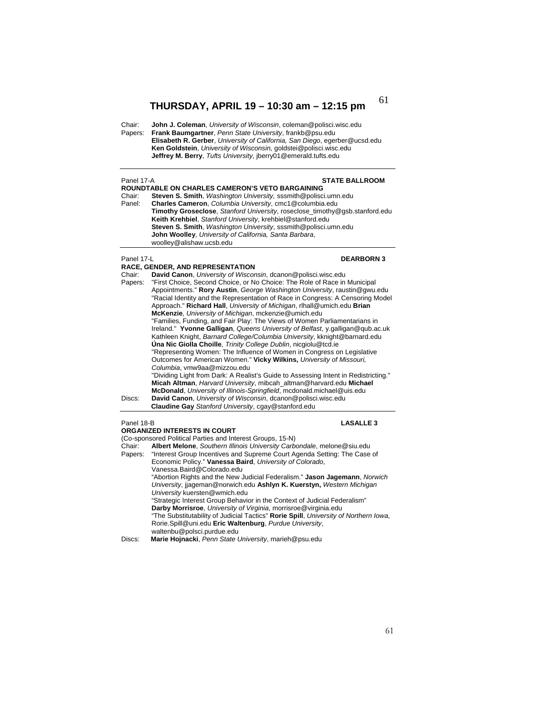Chair: **John J. Coleman**, *University of Wisconsin*, coleman@polisci.wisc.edu Papers: **Frank Baumgartner**, *Penn State University*, frankb@psu.edu **Elisabeth R. Gerber**, *University of California, San Diego*, egerber@ucsd.edu  **Ken Goldstein**, *University of Wisconsin,* goldstei@polisci.wisc.edu  **Jeffrey M. Berry**, *Tufts University*, jberry01@emerald.tufts.edu

### Panel 17-A **STATE BALLROOM**

- **ROUNDTABLE ON CHARLES CAMERON'S VETO BARGAINING**  Chair: **Steven S. Smith**, *Washington University,* sssmith@polisci.umn.edu Panel: **Charles Cameron**, *Columbia University*, cmc1@columbia.edu
- **Timothy Groseclose**, *Stanford University*, roseclose\_timothy@gsb.stanford.edu **Keith Krehbiel**, *Stanford University*, krehbiel@stanford.edu **Steven S. Smith**, *Washington University*, sssmith@polisci.umn.edu  **John Woolley**, *University of California, Santa Barbara*, woolley@alishaw.ucsb.edu

## Panel 17-L **DEARBORN 3**

**RACE, GENDER, AND REPRESENTATION**  Chair: **David Canon**, *University of Wisconsin*, dcanon@polisci.wisc.edu Papers: "First Choice, Second Choice, or No Choice: The Role of Race in Municipal Appointments." **Rory Austin**, *George Washington University*, raustin@gwu.edu "Racial Identity and the Representation of Race in Congress: A Censoring Model Approach." **Richard Hall**, *University of Michigan*, rlhall@umich.edu **Brian McKenzie***, University of Michigan*, mckenzie@umich.edu "Families, Funding, and Fair Play: The Views of Women Parliamentarians in Ireland." **Yvonne Galligan**, *Queens University of Belfast*, y.galligan@qub.ac.uk Kathleen Knight, *Barnard College/Columbia University*, kknight@barnard.edu **Úna Nic Giolla Choille**, *Trinity College Dublin*, nicgiolu@tcd.ie "Representing Women: The Influence of Women in Congress on Legislative Outcomes for American Women." **Vicky Wilkins,** *University of Missouri, Columbia*, vmw9aa@mizzou.edu "Dividing Light from Dark: A Realist's Guide to Assessing Intent in Redistricting." **Micah Altman**, *Harvard University*, mibcah\_altman@harvard.edu **Michael McDonald**, *University of Illinois-Springfield*, mcdonald.michael@uis.edu Discs: **David Canon**, *University of Wisconsin*, dcanon@polisci.wisc.edu  **Claudine Gay** *Stanford University*, cgay@stanford.edu

## Panel 18-B **LASALLE 3**

**ORGANIZED INTERESTS IN COURT** (Co-sponsored Political Parties and Interest Groups, 15-N)<br>Chair: **Albert Melone**, Southern Illinois University Carb Chair: **Albert Melone**, *Southern Illinois University Carbondale*, melone@siu.edu Papers: "Interest Group Incentives and Supreme Court Agenda Setting: The Case of Economic Policy." **Vanessa Baird**, *University of Colorado*, Vanessa.Baird@Colorado.edu "Abortion Rights and the New Judicial Federalism." **Jason Jagemann**, *Norwich University*, jjageman@norwich.edu **Ashlyn K. Kuerstyn,** *Western Michigan University* kuersten@wmich.edu "Strategic Interest Group Behavior in the Context of Judicial Federalism" **Darby Morrisroe**, *University of Virginia*, morrisroe@virginia.edu "The Substitutability of Judicial Tactics" **Rorie Spill**, *University of Northern Iowa*, Rorie.Spill@uni.edu **Eric Waltenburg**, *Purdue University*, waltenbu@polsci.purdue.edu Discs: **Marie Hojnacki**, *Penn State University*, marieh@psu.edu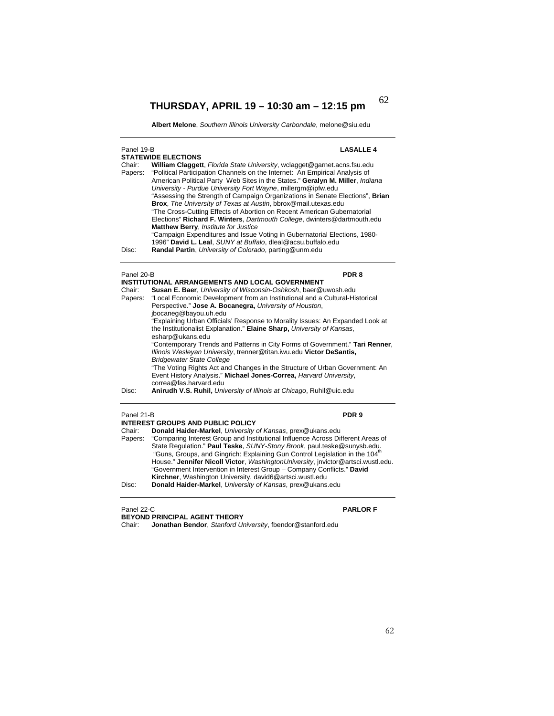**Albert Melone**, *Southern Illinois University Carbondale*, melone@siu.edu

| Panel 19-B<br><b>STATEWIDE ELECTIONS</b> |                                                                                                                                                                                                                                                                                                                                                                                                                                                                                                                                                                                                                                                                                                                                                                                                         | <b>LASALLE 4</b> |  |
|------------------------------------------|---------------------------------------------------------------------------------------------------------------------------------------------------------------------------------------------------------------------------------------------------------------------------------------------------------------------------------------------------------------------------------------------------------------------------------------------------------------------------------------------------------------------------------------------------------------------------------------------------------------------------------------------------------------------------------------------------------------------------------------------------------------------------------------------------------|------------------|--|
| Chair:<br>Papers:                        | William Claggett, Florida State University, wclagget@garnet.acns.fsu.edu<br>"Political Participation Channels on the Internet: An Empirical Analysis of<br>American Political Party Web Sites in the States." Geralyn M. Miller, Indiana<br>University - Purdue University Fort Wayne, millergm@ipfw.edu<br>"Assessing the Strength of Campaign Organizations in Senate Elections", Brian<br>Brox, The University of Texas at Austin, bbrox@mail.utexas.edu<br>"The Cross-Cutting Effects of Abortion on Recent American Gubernatorial<br>Elections" Richard F. Winters, Dartmouth College, dwinters@dartmouth.edu<br>Matthew Berry, Institute for Justice<br>"Campaign Expenditures and Issue Voting in Gubernatorial Elections, 1980-<br>1996" David L. Leal, SUNY at Buffalo, dleal@acsu.buffalo.edu |                  |  |
| Disc:                                    | Randal Partin, University of Colorado, parting@unm.edu                                                                                                                                                                                                                                                                                                                                                                                                                                                                                                                                                                                                                                                                                                                                                  |                  |  |
| Panel 20-B                               |                                                                                                                                                                                                                                                                                                                                                                                                                                                                                                                                                                                                                                                                                                                                                                                                         | PDR 8            |  |
|                                          | <b>INSTITUTIONAL ARRANGEMENTS AND LOCAL GOVERNMENT</b>                                                                                                                                                                                                                                                                                                                                                                                                                                                                                                                                                                                                                                                                                                                                                  |                  |  |
| Chair:                                   | Susan E. Baer, University of Wisconsin-Oshkosh, baer@uwosh.edu                                                                                                                                                                                                                                                                                                                                                                                                                                                                                                                                                                                                                                                                                                                                          |                  |  |
| Papers:                                  | "Local Economic Development from an Institutional and a Cultural-Historical                                                                                                                                                                                                                                                                                                                                                                                                                                                                                                                                                                                                                                                                                                                             |                  |  |
|                                          | Perspective." Jose A. Bocanegra, University of Houston,                                                                                                                                                                                                                                                                                                                                                                                                                                                                                                                                                                                                                                                                                                                                                 |                  |  |
|                                          | jbocaneg@bayou.uh.edu                                                                                                                                                                                                                                                                                                                                                                                                                                                                                                                                                                                                                                                                                                                                                                                   |                  |  |
|                                          | "Explaining Urban Officials' Response to Morality Issues: An Expanded Look at<br>the Institutionalist Explanation." Elaine Sharp, University of Kansas,<br>esharp@ukans.edu                                                                                                                                                                                                                                                                                                                                                                                                                                                                                                                                                                                                                             |                  |  |
|                                          | "Contemporary Trends and Patterns in City Forms of Government." Tari Renner,<br>Illinois Wesleyan University, trenner@titan.iwu.edu Victor DeSantis,                                                                                                                                                                                                                                                                                                                                                                                                                                                                                                                                                                                                                                                    |                  |  |
|                                          | <b>Bridgewater State College</b><br>"The Voting Rights Act and Changes in the Structure of Urban Government: An<br>Event History Analysis." Michael Jones-Correa, Harvard University.                                                                                                                                                                                                                                                                                                                                                                                                                                                                                                                                                                                                                   |                  |  |
| Disc:                                    | correa@fas.harvard.edu<br>Anirudh V.S. Ruhil, University of Illinois at Chicago, Ruhil@uic.edu                                                                                                                                                                                                                                                                                                                                                                                                                                                                                                                                                                                                                                                                                                          |                  |  |
|                                          |                                                                                                                                                                                                                                                                                                                                                                                                                                                                                                                                                                                                                                                                                                                                                                                                         |                  |  |
| Panel 21-B                               |                                                                                                                                                                                                                                                                                                                                                                                                                                                                                                                                                                                                                                                                                                                                                                                                         | PDR <sub>9</sub> |  |
|                                          | <b>INTEREST GROUPS AND PUBLIC POLICY</b>                                                                                                                                                                                                                                                                                                                                                                                                                                                                                                                                                                                                                                                                                                                                                                |                  |  |
| Chair:                                   | Donald Haider-Markel, University of Kansas, prex@ukans.edu                                                                                                                                                                                                                                                                                                                                                                                                                                                                                                                                                                                                                                                                                                                                              |                  |  |
| Papers:                                  | "Comparing Interest Group and Institutional Influence Across Different Areas of<br>State Regulation." Paul Teske, SUNY-Stony Brook, paul.teske@sunysb.edu.<br>"Guns, Groups, and Gingrich: Explaining Gun Control Legislation in the 104 <sup>th</sup><br>House." Jennifer Nicoll Victor, WashingtonUniversity, invictor@artsci.wustl.edu.                                                                                                                                                                                                                                                                                                                                                                                                                                                              |                  |  |
|                                          | "Government Intervention in Interest Group - Company Conflicts." David                                                                                                                                                                                                                                                                                                                                                                                                                                                                                                                                                                                                                                                                                                                                  |                  |  |
| Disc:                                    | Kirchner, Washington University, david6@artsci.wustl.edu<br>Donald Haider-Markel, University of Kansas, prex@ukans.edu                                                                                                                                                                                                                                                                                                                                                                                                                                                                                                                                                                                                                                                                                  |                  |  |
|                                          |                                                                                                                                                                                                                                                                                                                                                                                                                                                                                                                                                                                                                                                                                                                                                                                                         |                  |  |

Panel 22-C **PARLOR F BEYOND PRINCIPAL AGENT THEORY** 

Chair: **Jonathan Bendor**, *Stanford University*, fbendor@stanford.edu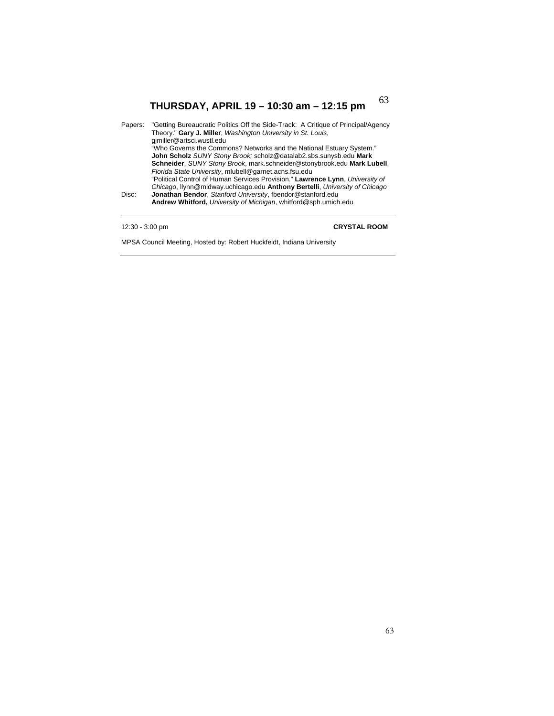| Papers: | "Getting Bureaucratic Politics Off the Side-Track: A Critique of Principal/Agency<br>Theory." Gary J. Miller, Washington University in St. Louis,<br>gimiller@artsci.wustl.edu |
|---------|--------------------------------------------------------------------------------------------------------------------------------------------------------------------------------|
|         | "Who Governs the Commons? Networks and the National Estuary System."                                                                                                           |
|         | John Scholz SUNY Stony Brook; scholz@datalab2.sbs.sunysb.edu Mark                                                                                                              |
|         | Schneider, SUNY Stony Brook, mark.schneider@stonybrook.edu Mark Lubell,                                                                                                        |
|         | Florida State University, mlubell@garnet.acns.fsu.edu                                                                                                                          |
|         | "Political Control of Human Services Provision." Lawrence Lynn, University of                                                                                                  |
|         | Chicago, Ilynn@midway.uchicago.edu Anthony Bertelli, University of Chicago                                                                                                     |
| Disc:   | Jonathan Bendor, Stanford University, fbendor@stanford.edu                                                                                                                     |
|         | Andrew Whitford, University of Michigan, whitford@sph.umich.edu                                                                                                                |
|         |                                                                                                                                                                                |
|         |                                                                                                                                                                                |

## 12:30 - 3:00 pm **CRYSTAL ROOM**

MPSA Council Meeting, Hosted by: Robert Huckfeldt, Indiana University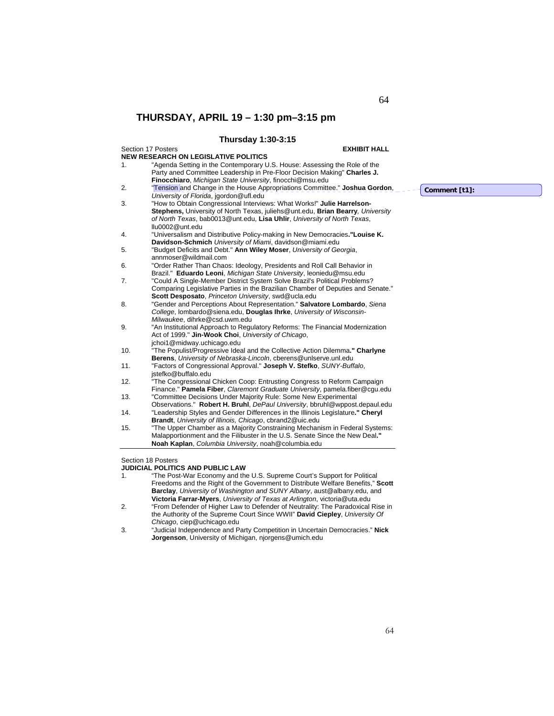## **Thursday 1:30-3:15**

## Section 17 Posters **EXHIBIT HALL NEW RESEARCH ON LEGISLATIVE POLITICS**  1. "Agenda Setting in the Contemporary U.S. House: Assessing the Role of the Party aned Committee Leadership in Pre-Floor Decision Making" **Charles J. Finocchiaro**, *Michigan State University*, finocchi@msu.edu 2. "Tension and Change in the House Appropriations Committee." **Joshua Gordon**, *University of Florida*, jgordon@ufl.edu 3. "How to Obtain Congressional Interviews: What Works!" **Julie Harrelson-Stephens,** University of North Texas, juliehs@unt.edu, **Brian Bearry***, University of North Texas*, bab0013@unt.edu, **Lisa Uhlir**, *University of North Texas*, llu0002@unt.edu 4. "Universalism and Distributive Policy-making in New Democracies**."Louise K. Davidson-Schmich** *University of Miami*, davidson@miami.edu 5. "Budget Deficits and Debt." **Ann Wiley Moser**, *University of Georgia*, annmoser@wildmail.com 6. "Order Rather Than Chaos: Ideology, Presidents and Roll Call Behavior in Brazil." **Eduardo Leoni**, *Michigan State University*, leoniedu@msu.edu 7. "Could A Single-Member District System Solve Brazil's Political Problems? Comparing Legislative Parties in the Brazilian Chamber of Deputies and Senate." **Scott Desposato**, *Princeton University*, swd@ucla.edu 8. "Gender and Perceptions About Representation." **Salvatore Lombardo**, *Siena College*, lombardo@siena.edu, **Douglas Ihrke**, *University of Wisconsin-Milwaukee*, dihrke@csd.uwm.edu 9. "An Institutional Approach to Regulatory Reforms: The Financial Modernization Act of 1999." **Jin-Wook Choi**, *University of Chicago*, jchoi1@midway.uchicago.edu 10. "The Populist/Progressive Ideal and the Collective Action Dilemma**." Charlyne Berens**, *University of Nebraska-Lincoln*, cberens@unlserve.unl.edu 11. "Factors of Congressional Approval." **Joseph V. Stefko**, *SUNY-Buffalo*, jstefko@buffalo.edu 12. "The Congressional Chicken Coop: Entrusting Congress to Reform Campaign Finance." **Pamela Fiber**, *Claremont Graduate University*, pamela.fiber@cgu.edu 13. "Committee Decisions Under Majority Rule: Some New Experimental Observations." **Robert H. Bruhl**, *DePaul University*, bbruhl@wppost.depaul.edu 14. "Leadership Styles and Gender Differences in the Illinois Legislature**." Cheryl Brandt**, *University of Illinois, Chicago*, cbrand2@uic.edu 15. "The Upper Chamber as a Majority Constraining Mechanism in Federal Systems: Malapportionment and the Filibuster in the U.S. Senate Since the New Deal**." Noah Kaplan**, *Columbia University*, noah@columbia.edu

Section 18 Posters

## **JUDICIAL POLITICS AND PUBLIC LAW**

- 1. "The Post-War Economy and the U.S. Supreme Court's Support for Political Freedoms and the Right of the Government to Distribute Welfare Benefits," **Scott Barclay**, *University of Washington and SUNY Albany*, aust@albany.edu, and **Victoria Farrar-Myers**, *University of Texas at Arlington*, victoria@uta.edu
- 2. "From Defender of Higher Law to Defender of Neutrality: The Paradoxical Rise in the Authority of the Supreme Court Since WWII" **David Ciepley**, *University Of Chicago*, ciep@uchicago.edu
- 3. "Judicial Independence and Party Competition in Uncertain Democracies." **Nick Jorgenson**, University of Michigan, njorgens@umich.edu

**Comment [t1]:** 

64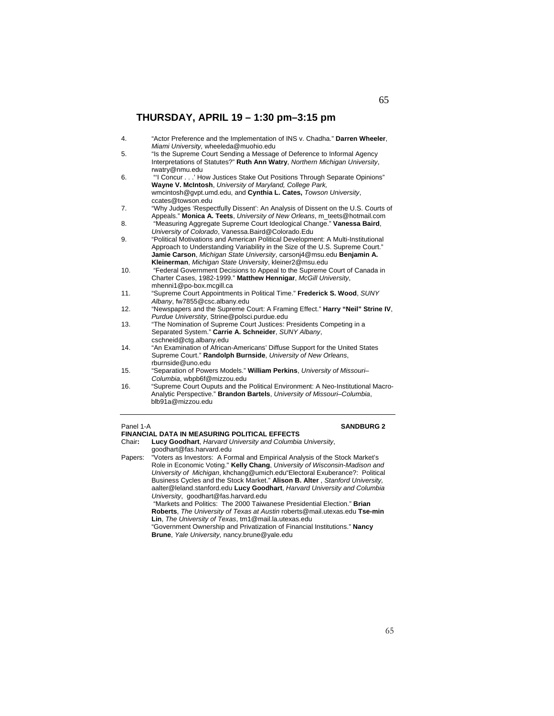| 4.  | "Actor Preference and the Implementation of INS v. Chadha." Darren Wheeler,<br>Miami University, wheeleda@muohio.edu                                                                                                                                                                                  |
|-----|-------------------------------------------------------------------------------------------------------------------------------------------------------------------------------------------------------------------------------------------------------------------------------------------------------|
| 5.  | "Is the Supreme Court Sending a Message of Deference to Informal Agency<br>Interpretations of Statutes?" Ruth Ann Watry, Northern Michigan University,<br>rwatry@nmu.edu                                                                                                                              |
| 6.  | "I Concur' How Justices Stake Out Positions Through Separate Opinions"<br>Wayne V. McIntosh, University of Maryland, College Park,<br>wmcintosh@qvpt.umd.edu, and Cynthia L. Cates, Towson University,<br>ccates@towson.edu                                                                           |
| 7.  | "Why Judges 'Respectfully Dissent': An Analysis of Dissent on the U.S. Courts of<br>Appeals." Monica A. Teets, University of New Orleans, m_teets@hotmail.com                                                                                                                                         |
| 8.  | "Measuring Aggregate Supreme Court Ideological Change." Vanessa Baird,<br>University of Colorado, Vanessa.Baird@Colorado.Edu                                                                                                                                                                          |
| 9.  | "Political Motivations and American Political Development: A Multi-Institutional<br>Approach to Understanding Variability in the Size of the U.S. Supreme Court."<br>Jamie Carson, Michigan State University, carsonj4@msu.edu Benjamin A.<br>Kleinerman, Michigan State University, kleiner2@msu.edu |
| 10. | "Federal Government Decisions to Appeal to the Supreme Court of Canada in<br>Charter Cases, 1982-1999." Matthew Hennigar, McGill University,<br>mhenni1@po-box.mcgill.ca                                                                                                                              |
| 11. | "Supreme Court Appointments in Political Time." Frederick S. Wood, SUNY<br>Albany, fw7855@csc.albany.edu                                                                                                                                                                                              |
| 12. | "Newspapers and the Supreme Court: A Framing Effect." Harry "Neil" Strine IV,<br>Purdue Universtity, Strine@polsci.purdue.edu                                                                                                                                                                         |
| 13. | "The Nomination of Supreme Court Justices: Presidents Competing in a<br>Separated System." Carrie A. Schneider, SUNY Albany,<br>cschneid@ctg.albany.edu                                                                                                                                               |
| 14. | "An Examination of African-Americans' Diffuse Support for the United States<br>Supreme Court." Randolph Burnside, University of New Orleans,<br>rburnside@uno.edu                                                                                                                                     |
| 15. | "Separation of Powers Models." William Perkins, University of Missouri-<br>Columbia, wbpb6f@mizzou.edu                                                                                                                                                                                                |
| 16. | "Supreme Court Ouputs and the Political Environment: A Neo-Institutional Macro-<br>Analytic Perspective." Brandon Bartels, University of Missouri-Columbia,<br>blb91a@mizzou.edu                                                                                                                      |

## **Panel 1-A SANDBURG 2**

**FINANCIAL DATA IN MEASURING POLITICAL EFFECTS**  Lucy Goodhart, *Harvard University and Columbia University*, goodhart@fas.harvard.edu

Papers: "Voters as Investors: A Formal and Empirical Analysis of the Stock Market's Role in Economic Voting." **Kelly Chang**, *University of Wisconsin-Madison and University of Michigan*, khchang@umich.edu"Electoral Exuberance?: Political Business Cycles and the Stock Market." **Alison B. Alter** , *Stanford University,* aalter@leland.stanford.edu **Lucy Goodhart**, *Harvard University and Columbia University*, goodhart@fas.harvard.edu

 "Markets and Politics: The 2000 Taiwanese Presidential Election." **Brian Roberts**, *The University of Texas at Austin* roberts@mail.utexas.edu **Tse-min Lin**, *The University of Texas*, tm1@mail.la.utexas.edu

"Government Ownership and Privatization of Financial Institutions." **Nancy Brune**, *Yale University,* nancy.brune@yale.edu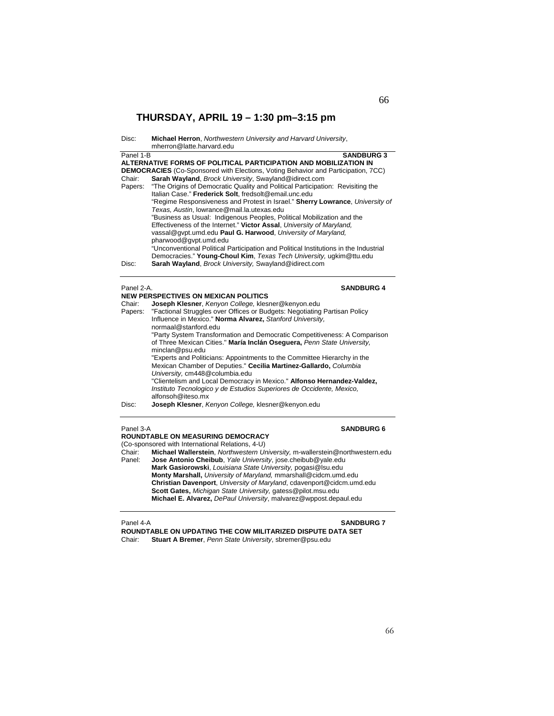| Disc: | <b>Michael Herron, Northwestern University and Harvard University,</b> |
|-------|------------------------------------------------------------------------|
|       | mherron@latte.harvard.edu                                              |

| Panel 2-A.                                                                    | <b>SANDBURG 4</b>                                                                                                                                           |  |  |
|-------------------------------------------------------------------------------|-------------------------------------------------------------------------------------------------------------------------------------------------------------|--|--|
| Disc:                                                                         | Sarah Wayland, Brock University, Swayland@idirect.com                                                                                                       |  |  |
|                                                                               | "Unconventional Political Participation and Political Institutions in the Industrial<br>Democracies." Young-Choul Kim, Texas Tech University, ugkim@ttu.edu |  |  |
|                                                                               | pharwood@gvpt.umd.edu                                                                                                                                       |  |  |
|                                                                               | vassal@qvpt.umd.edu Paul G. Harwood, University of Maryland,                                                                                                |  |  |
|                                                                               | Effectiveness of the Internet." Victor Assal, University of Maryland.                                                                                       |  |  |
|                                                                               | Texas, Austin, lowrance@mail.la.utexas.edu<br>"Business as Usual: Indigenous Peoples, Political Mobilization and the                                        |  |  |
| "Regime Responsiveness and Protest in Israel." Sherry Lowrance, University of |                                                                                                                                                             |  |  |
|                                                                               | Italian Case." Frederick Solt. fredsolt@email.unc.edu                                                                                                       |  |  |
| Papers:                                                                       | "The Origins of Democratic Quality and Political Participation: Revisiting the                                                                              |  |  |
| Chair:                                                                        | Sarah Wayland, Brock University, Swayland@idirect.com                                                                                                       |  |  |
|                                                                               | <b>DEMOCRACIES</b> (Co-Sponsored with Elections, Voting Behavior and Participation, 7CC)                                                                    |  |  |
|                                                                               | ALTERNATIVE FORMS OF POLITICAL PARTICIPATION AND MOBILIZATION IN                                                                                            |  |  |
| Panel 1-B                                                                     | <b>SANDBURG 3</b>                                                                                                                                           |  |  |

|                                                                                      | <b>NEW PERSPECTIVES ON MEXICAN POLITICS</b>                               |  |
|--------------------------------------------------------------------------------------|---------------------------------------------------------------------------|--|
| Chair:                                                                               | Joseph Klesner, Kenyon College, klesner@kenyon.edu                        |  |
| "Factional Struggles over Offices or Budgets: Negotiating Partisan Policy<br>Papers: |                                                                           |  |
|                                                                                      | Influence in Mexico." Norma Alvarez, Stanford University.                 |  |
|                                                                                      | normaal@stanford.edu                                                      |  |
|                                                                                      | "Party System Transformation and Democratic Competitiveness: A Comparison |  |
|                                                                                      | of Three Mexican Cities." María Inclán Osequera, Penn State University.   |  |
|                                                                                      | minclan@psu.edu                                                           |  |
|                                                                                      | "Experts and Politicians: Appointments to the Committee Hierarchy in the  |  |
|                                                                                      | Mexican Chamber of Deputies." Cecilia Martinez-Gallardo, Columbia         |  |
|                                                                                      | University, cm448@columbia.edu                                            |  |
|                                                                                      | "Clientelism and Local Democracy in Mexico." Alfonso Hernandez-Valdez,    |  |
|                                                                                      | Instituto Tecnologico y de Estudios Superiores de Occidente, Mexico,      |  |
|                                                                                      | alfonsoh@iteso.mx                                                         |  |
| Disc:                                                                                | Joseph Klesner, Kenyon College, klesner@kenyon.edu                        |  |
|                                                                                      |                                                                           |  |

## Panel 3-A **SANDBURG 6**

## **ROUNDTABLE ON MEASURING DEMOCRACY**

(Co-sponsored with International Relations, 4-U)<br>Chair: Michael Wallerstein, Northwestern Ur Michael Wallerstein, Northwestern University, m-wallerstein@northwestern.edu Panel: **Jose Antonio Cheibub**, *Yale University*, jose.cheibub@yale.edu **Mark Gasiorowski**, *Louisiana State University,* pogasi@lsu.edu **Monty Marshall,** *University of Maryland,* mmarshall@cidcm.umd.edu **Christian Davenport**, *University of Maryland*, cdavenport@cidcm.umd.edu **Scott Gates,** *Michigan State University,* gatess@pilot.msu.edu **Michael E. Alvarez,** *DePaul University*, malvarez@wppost.depaul.edu

## **Panel 4-A SANDBURG 7**

**ROUNDTABLE ON UPDATING THE COW MILITARIZED DISPUTE DATA SET Stuart A Bremer**, *Penn State University*, sbremer@psu.edu

## 66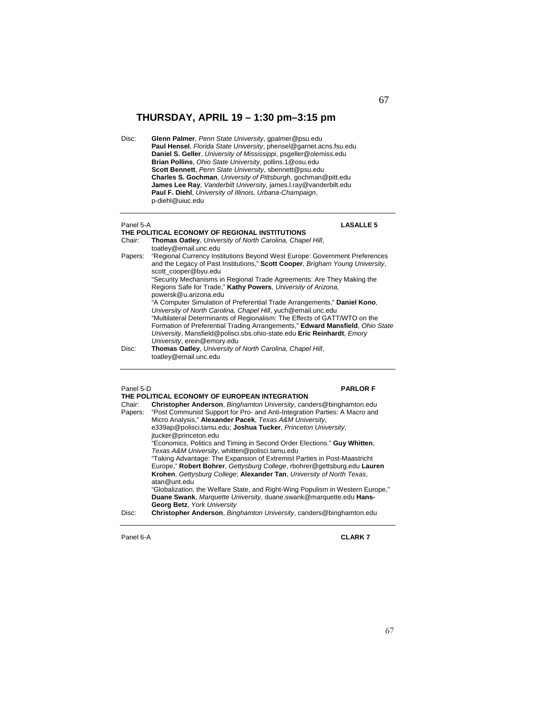Disc: **Glenn Palmer**, *Penn State University*, gpalmer@psu.edu **Paul Hensel**, *Florida State University*, phensel@garnet.acns.fsu.edu **Daniel S. Geller**, *University of Mississippi*, psgeller@olemiss.edu **Brian Pollins**, *Ohio State University*, pollins.1@osu.edu **Scott Bennett**, *Penn State University*, sbennett@psu.edu **Charles S. Gochman**, *University of Pittsburgh*, gochman@pitt.edu **James Lee Ray**, *Vanderbilt University*, james.l.ray@vanderbilt.edu **Paul F. Diehl**, *University of Illinois, Urbana-Champaign*, p-diehl@uiuc.edu

### Panel 5-A **LASALLE 5**

## **THE POLITICAL ECONOMY OF REGIONAL INSTITUTIONS**

- Chair: **Thomas Oatley**, *University of North Carolina, Chapel Hill*, toatley@email.unc.edu Papers: "Regional Currency Institutions Beyond West Europe: Government Preferences and the Legacy of Past Institutions," **Scott Cooper**, *Brigham Young University*, scott\_cooper@byu.edu "Security Mechanisms in Regional Trade Agreements: Are They Making the Regions Safe for Trade," **Kathy Powers**, *University of Arizona*, powersk@u.arizona.edu "A Computer Simulation of Preferential Trade Arrangements," **Daniel Kono**, *University of North Carolina, Chapel Hill*, yuch@email.unc.edu "Multilateral Determinants of Regionalism: The Effects of GATT/WTO on the Formation of Preferential Trading Arrangements," **Edward Mansfield**, *Ohio State University*, Mansfield@polisci.sbs.ohio-state.edu **Eric Reinhardt**, *Emory University*, erein@emory.edu
- Disc: **Thomas Oatley**, *University of North Carolina, Chapel Hill*, toatley@email.unc.edu

## Panel 5-D **PARLOR F THE POLITICAL ECONOMY OF EUROPEAN INTEGRATION**  Chair: **Christopher Anderson**, *Binghamton University*, canders@binghamton.edu Papers: "Post Communist Support for Pro- and Anti-Integration Parties: A Macro and Micro Analysis," **Alexander Pacek**, *Texas A&M University*, e339ap@polisci.tamu.edu; **Joshua Tucker**, *Princeton University*, jtucker@princeton.edu "Economics, Politics and Timing in Second Order Elections." **Guy Whitten**, *Texas A&M University*, whitten@polisci.tamu.edu "Taking Advantage: The Expansion of Extremist Parties in Post-Maastricht Europe," **Robert Bohrer**, *Gettysburg College*, rbohrer@gettsburg.edu **Lauren Krohen**, *Gettysburg College*; **Alexander Tan**, *University of North Texas*, atan@unt.edu "Globalization, the Welfare State, and Right-Wing Populism in Western Europe," **Duane Swank**, *Marquette University*, duane.swank@marquette.edu **Hans-Georg Betz**, *York University* Disc: **Christopher Anderson**, *Binghamton University*, canders@binghamton.edu

Panel 6-A **CLARK 7**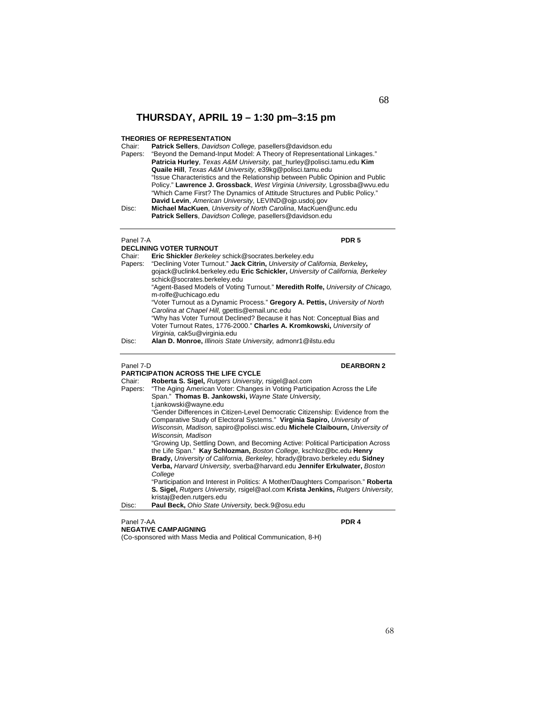## **THEORIES OF REPRESENTATION**<br>Chair: **Patrick Sellers** Davidson

Patrick Sellers, *Davidson College*, pasellers@davidson.edu

| .       | <b>I allier dellers</b> , <i>Davidson</i> College, pasellers @uavidson.edu    |  |
|---------|-------------------------------------------------------------------------------|--|
| Papers: | "Bevond the Demand-Input Model: A Theory of Representational Linkages."       |  |
|         | <b>Patricia Hurley.</b> Texas A&M University, pat hurley@polisci.tamu.edu Kim |  |
|         | Quaile Hill, Texas A&M University, e39kg@polisci.tamu.edu                     |  |
|         | "Issue Characteristics and the Relationship between Public Opinion and Public |  |
|         | Policy." Lawrence J. Grossback, West Virginia University, Larossba@wvu.edu    |  |
|         | "Which Came First? The Dynamics of Attitude Structures and Public Policy."    |  |
|         | David Levin, American University, LEVIND@oip.usdoj.gov                        |  |
| Disc:   | Michael MacKuen, University of North Carolina, MacKuen@unc.edu                |  |
|         |                                                                               |  |

**Patrick Sellers**, *Davidson College,* pasellers@davidson.edu

## Panel 7-A **PDR 5**

## **DECLINING VOTER TURNOUT**

| Chair:  | Eric Shickler Berkeley schick@socrates.berkeley.edu                                                    |
|---------|--------------------------------------------------------------------------------------------------------|
| Papers: | "Declining Voter Turnout." Jack Citrin, University of California, Berkeley,                            |
|         | gojack@uclink4.berkeley.edu Eric Schickler, University of California, Berkeley                         |
|         | schick@socrates.berkeley.edu                                                                           |
|         | "Agent-Based Models of Voting Turnout." Meredith Rolfe, University of Chicago,<br>m-rolfe@uchicago.edu |
|         | "Voter Turnout as a Dynamic Process." Gregory A. Pettis, University of North                           |
|         | Carolina at Chapel Hill, gpettis@email.unc.edu                                                         |
|         | "Why has Voter Turnout Declined? Because it has Not: Conceptual Bias and                               |
|         | Voter Turnout Rates, 1776-2000." Charles A. Kromkowski, University of                                  |
|         | Virginia, cak5u@virginia.edu                                                                           |
| Disc:   | Alan D. Monroe, Illinois State University, admonr1@ilstu.edu                                           |

## Panel 7-D **DEARBORN 2**

**PARTICIPATION ACROSS THE LIFE CYCLE**<br>Chair: **Roberta S. Sigel, Rutgers University** Chair: **Roberta S. Sigel,** *Rutgers University,* rsigel@aol.com Papers: "The Aging American Voter: Changes in Voting Participation Across the Life Span." **Thomas B. Jankowski,** *Wayne State University,*  t.jankowski@wayne.edu "Gender Differences in Citizen-Level Democratic Citizenship: Evidence from the Comparative Study of Electoral Systems." **Virginia Sapiro,** *University of Wisconsin, Madison,* sapiro@polisci.wisc.edu **Michele Claibourn,** *University of Wisconsin, Madison*  "Growing Up, Settling Down, and Becoming Active: Political Participation Across the Life Span." **Kay Schlozman,** *Boston College,* kschloz@bc.edu **Henry Brady,** *University of California, Berkeley,* hbrady@bravo.berkeley.edu **Sidney Verba,** *Harvard University,* sverba@harvard.edu **Jennifer Erkulwater,** *Boston College* "Participation and Interest in Politics: A Mother/Daughters Comparison." **Roberta S. Sigel,** *Rutgers University,* rsigel@aol.com **Krista Jenkins,** *Rutgers University,*  kristaj@eden.rutgers.edu Disc: **Paul Beck,** *Ohio State University,* beck.9@osu.edu

## Panel 7-AA **PDR 4 NEGATIVE CAMPAIGNING**

(Co-sponsored with Mass Media and Political Communication, 8-H)

68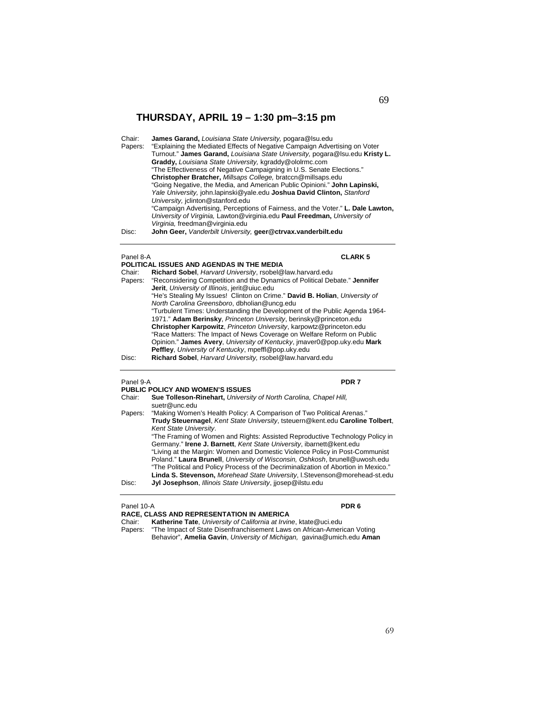Chair: **James Garand,** *Louisiana State University,* pogara@lsu.edu **Particular Lines, Economic Campaign Advertising on Voter** "Explaining the Mediated Effects of Negative Campaign Advertising on Voter Turnout." **James Garand,** *Louisiana State University,* pogara@lsu.edu **Kristy L. Graddy,** *Louisiana State University,* kgraddy@ololrmc.com "The Effectiveness of Negative Campaigning in U.S. Senate Elections." **Christopher Bratcher,** *Millsaps College,* bratccn@millsaps.edu "Going Negative, the Media, and American Public Opinioni." **John Lapinski,**  *Yale University,* john.lapinski@yale.edu **Joshua David Clinton,** *Stanford University,* jclinton@stanford.edu "Campaign Advertising, Perceptions of Fairness, and the Voter." **L. Dale Lawton,**  *University of Virginia,* Lawton@virginia.edu **Paul Freedman,** *University of Virginia,* freedman@virginia.edu Disc: **John Geer,** *Vanderbilt University,* **geer@ctrvax.vanderbilt.edu**

### Panel 8-A **CLARK 5**

|         | POLITICAL ISSUES AND AGENDAS IN THE MEDIA                                   |  |
|---------|-----------------------------------------------------------------------------|--|
| Chair:  | Richard Sobel, Harvard University, rsobel@law.harvard.edu                   |  |
| Papers: | "Reconsidering Competition and the Dynamics of Political Debate." Jennifer  |  |
|         | <b>Jerit</b> , University of Illinois, jerit@uiuc.edu                       |  |
|         | "He's Stealing My Issues! Clinton on Crime." David B. Holian, University of |  |
|         | North Carolina Greensboro, dbholian@uncq.edu                                |  |
|         | "Turbulent Times: Understanding the Development of the Public Agenda 1964-  |  |
|         | 1971." Adam Berinsky, Princeton University, berinsky@princeton.edu          |  |
|         | Christopher Karpowitz, Princeton University, karpowtz@princeton.edu         |  |
|         | "Race Matters: The Impact of News Coverage on Welfare Reform on Public      |  |
|         | Opinion." James Avery, University of Kentucky, jmaver0@pop.uky.edu Mark     |  |
|         | Peffley, University of Kentucky, mpeffl@pop.uky.edu                         |  |
| Disc:   | Richard Sobel, Harvard University, rsobel@law.harvard.edu                   |  |

## Panel 9-A **PDR 7 PUBLIC POLICY AND WOMEN'S ISSUES**

| Chair:  | Sue Tolleson-Rinehart, University of North Carolina, Chapel Hill,                  |
|---------|------------------------------------------------------------------------------------|
|         | suetr@unc.edu                                                                      |
| Papers: | "Making Women's Health Policy: A Comparison of Two Political Arenas."              |
|         | Trudy Steuernagel, Kent State University, tsteuern@kent.edu Caroline Tolbert,      |
|         | Kent State University.                                                             |
|         | "The Framing of Women and Rights: Assisted Reproductive Technology Policy in       |
|         | Germany." Irene J. Barnett, Kent State University, ibarnett@kent.edu               |
|         | "Living at the Margin: Women and Domestic Violence Policy in Post-Communist        |
|         | Poland." Laura Brunell, University of Wisconsin, Oshkosh, brunell@uwosh.edu        |
|         | "The Political and Policy Process of the Decriminalization of Abortion in Mexico." |
|         | Linda S. Stevenson, Morehead State University, I. Stevenson@morehead-st.edu        |
| Disc:   | Jyl Josephson, Illinois State University, jiosep@ilstu.edu                         |

## Panel 10-A **PDR 6**

| <b>RACE, CLASS AND REPRESENTATION IN AMERICA</b> |                                                                                 |  |
|--------------------------------------------------|---------------------------------------------------------------------------------|--|
| Chair:                                           | Katherine Tate, University of California at Irvine, ktate@uci.edu               |  |
|                                                  | Papers: "The Impact of State Disenfranchisement Laws on African-American Voting |  |

Behavior", **Amelia Gavin**, *University of Michigan,* gavina@umich.edu **Aman**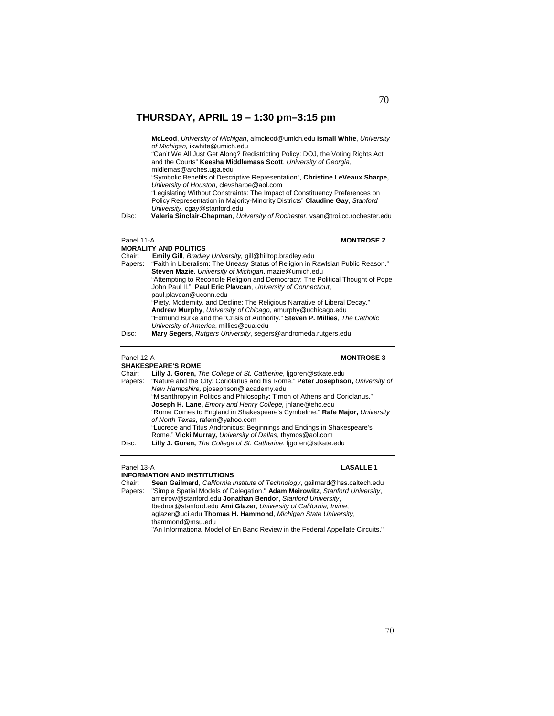**McLeod**, *University of Michigan*, almcleod@umich.edu **Ismail White**, *University of Michigan,* ikwhite@umich.edu

"Can't We All Just Get Along? Redistricting Policy: DOJ, the Voting Rights Act and the Courts" **Keesha Middlemass Scott**, *University of Georgia*, midlemas@arches.uga.edu

"Symbolic Benefits of Descriptive Representation", **Christine LeVeaux Sharpe,**  *University of Houston*, clevsharpe@aol.com

"Legislating Without Constraints: The Impact of Constituency Preferences on Policy Representation in Majority-Minority Districts" **Claudine Gay**, *Stanford University*, cgay@stanford.edu

Disc: **Valeria Sinclair-Chapman**, *University of Rochester*, vsan@troi.cc.rochester.edu

### **MORALITY AND POLITICS**

## **Panel 11-A MONTROSE 2**

Chair: **Emily Gill**, *Bradley University,* gill@hilltop.bradley.edu Papers: "Faith in Liberalism: The Uneasy Status of Religion in Rawlsian Public Reason." **Steven Mazie**, *University of Michigan*, mazie@umich.edu "Attempting to Reconcile Religion and Democracy: The Political Thought of Pope John Paul II." **Paul Eric Plavcan**, *University of Connecticut*, paul.plavcan@uconn.edu "Piety, Modernity, and Decline: The Religious Narrative of Liberal Decay." **Andrew Murphy**, *University of Chicago*, amurphy@uchicago.edu "Edmund Burke and the 'Crisis of Authority." **Steven P. Millies**, *The Catholic University of America*, millies@cua.edu Disc: **Mary Segers**, *Rutgers University*, segers@andromeda.rutgers.edu

### Panel 12-A **MONTROSE 3**

**SHAKESPEARE'S ROME**  Chair: **Lilly J. Goren,** *The College of St. Catherine*, ljgoren@stkate.edu Papers: "Nature and the City: Coriolanus and his Rome." **Peter Josephson,** *University of New Hampshire,* pjosephson@lacademy.edu "Misanthropy in Politics and Philosophy: Timon of Athens and Coriolanus." **Joseph H. Lane,** *Emory and Henry College,* jhlane@ehc.edu "Rome Comes to England in Shakespeare's Cymbeline." **Rafe Major,** *University of North Texas*, rafem@yahoo.com

"Lucrece and Titus Andronicus: Beginnings and Endings in Shakespeare's Rome." **Vicki Murray***, University of Dallas*, thymos@aol.com Disc: **Lilly J. Goren,** *The College of St. Catherine*, ljgoren@stkate.edu

### Panel 13-A **LASALLE 1**

**INFORMATION AND INSTITUTIONS**

Chair: **Sean Gailmard**, *California Institute of Technology*, gailmard@hss.caltech.edu Papers: "Simple Spatial Models of Delegation." **Adam Meirowitz**, *Stanford University*, ameirow@stanford.edu **Jonathan Bendor**, *Stanford University*, fbednor@stanford.edu **Ami Glazer**, *University of California, Irvine*, aglazer@uci.edu **Thomas H. Hammond**, *Michigan State University*, thammond@msu.edu "An Informational Model of En Banc Review in the Federal Appellate Circuits."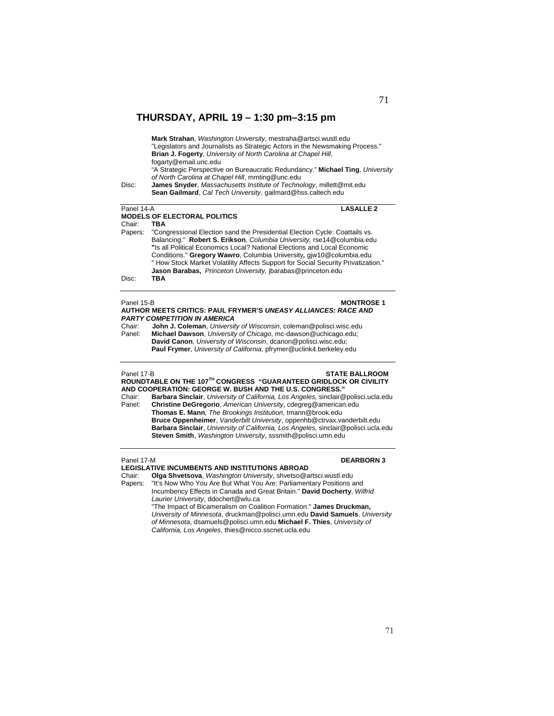| Disc:                                                                                                                                                            | Mark Strahan, Washington University, mestraha@artsci.wustl.edu<br>"Legislators and Journalists as Strategic Actors in the Newsmaking Process."<br><b>Brian J. Fogerty, University of North Carolina at Chapel Hill,</b><br>fogarty@email.unc.edu<br>"A Strategic Perspective on Bureaucratic Redundancy." Michael Ting, University<br>of North Carolina at Chapel Hill, mmting@unc.edu<br><b>James Snyder, Massachusetts Institute of Technology, millett@mit.edu</b><br>Sean Gailmard, Cal Tech University, gailmard@hss.caltech.edu |  |  |
|------------------------------------------------------------------------------------------------------------------------------------------------------------------|---------------------------------------------------------------------------------------------------------------------------------------------------------------------------------------------------------------------------------------------------------------------------------------------------------------------------------------------------------------------------------------------------------------------------------------------------------------------------------------------------------------------------------------|--|--|
| <b>LASALLE 2</b><br>Panel 14-A                                                                                                                                   |                                                                                                                                                                                                                                                                                                                                                                                                                                                                                                                                       |  |  |
|                                                                                                                                                                  | <b>MODELS OF ELECTORAL POLITICS</b>                                                                                                                                                                                                                                                                                                                                                                                                                                                                                                   |  |  |
| Chair:                                                                                                                                                           | TBA                                                                                                                                                                                                                                                                                                                                                                                                                                                                                                                                   |  |  |
| "Congressional Election sand the Presidential Election Cycle: Coattails vs.<br>Papers:<br>Balancing." Robert S. Erikson, Columbia University, rse14@columbia.edu |                                                                                                                                                                                                                                                                                                                                                                                                                                                                                                                                       |  |  |
|                                                                                                                                                                  |                                                                                                                                                                                                                                                                                                                                                                                                                                                                                                                                       |  |  |
|                                                                                                                                                                  | "Is all Political Economics Local? National Elections and Local Economic                                                                                                                                                                                                                                                                                                                                                                                                                                                              |  |  |
|                                                                                                                                                                  |                                                                                                                                                                                                                                                                                                                                                                                                                                                                                                                                       |  |  |

Conditions." **Gregory Wawro**, Columbia University*,* gjw10@columbia.edu " How Stock Market Volatility Affects Support for Social Security Privatization." **Jason Barabas,** *Princeton University,* jbarabas@princeton.edu

Disc: **TBA**

## Panel 15-B **MONTROSE 1 AUTHOR MEETS CRITICS: PAUL FRYMER'S** *UNEASY ALLIANCES: RACE AND*

*PARTY COMPETITION IN AMERICA* Chair: **John J. Coleman**, *University of Wisconsin*, coleman@polisci.wisc.edu Panel: **Michael Dawson**, *University of Chicago*, mc-dawson@uchicago.edu; **David Canon**, *University of Wisconsin*, dcanon@polisci.wisc.edu;  **Paul Frymer**, *University of California*, pfrymer@uclink4.berkeley.edu

Panel 17-B **STATE BALLROOM ROUNDTABLE ON THE 107TH CONGRESS "GUARANTEED GRIDLOCK OR CIVILITY AND COOPERATION: GEORGE W. BUSH AND THE U.S. CONGRESS."**  Chair: **Barbara Sinclair**, *University of California, Los Angeles,* sinclair@polisci.ucla.edu Panel: **Christine DeGregorio**, *American University*, cdegreg@american.edu **Thomas E. Mann***, The Brookings Institution*, tmann@brook.edu **Bruce Oppenheimer**, *Vanderbilt University*, oppenhb@ctrvax.vanderbilt.edu

**Barbara Sinclair**, *University of California, Los Angeles,* sinclair@polisci.ucla.edu **Steven Smith**, *Washington University*, sssmith@polisci.umn.edu

## Panel 17-M **DEARBORN 3**

**LEGISLATIVE INCUMBENTS AND INSTITUTIONS ABROAD**  Chair: **Olga Shvetsova**, *Washington University*, shvetso@artsci.wustl.edu Papers: "It's Now Who You Are But What You Are: Parliamentary Positions and Incumbency Effects in Canada and Great Britain." **David Docherty**, *Wilfrid Laurier University*, ddochert@wlu.ca "The Impact of Bicameralism on Coalition Formation." **James Druckman,**

*University of Minnesota*, druckman@polisci.umn.edu **David Samuels**, *University of Minnesota*, dsamuels@polisci.umn.edu **Michael F. Thies**, *University of California, Los Angeles*, thies@nicco.sscnet.ucla.edu

## 71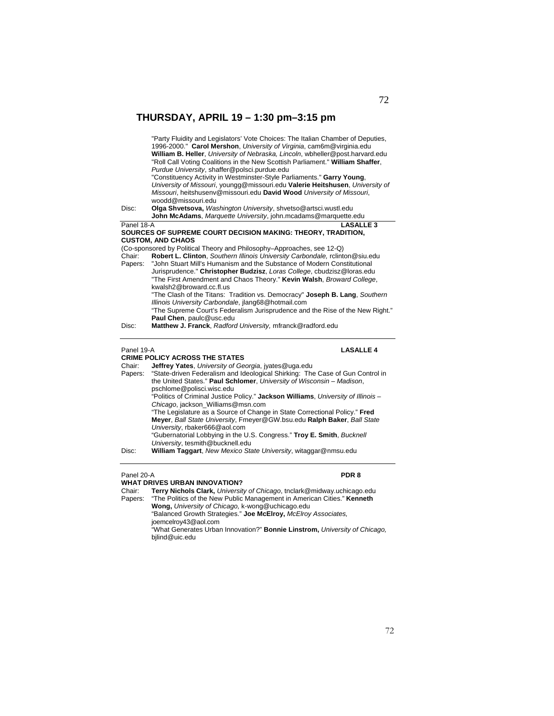| Disc:      | "Party Fluidity and Legislators' Vote Choices: The Italian Chamber of Deputies,<br>1996-2000." Carol Mershon, University of Virginia, cam6m@virginia.edu<br>William B. Heller, University of Nebraska, Lincoln, wbheller@post.harvard.edu<br>"Roll Call Voting Coalitions in the New Scottish Parliament." William Shaffer,<br>Purdue University, shaffer@polsci.purdue.edu<br>"Constituency Activity in Westminster-Style Parliaments." Garry Young,<br>University of Missouri, youngg@missouri.edu Valerie Heitshusen, University of<br>Missouri, heitshusenv@missouri.edu David Wood University of Missouri,<br>woodd@missouri.edu<br>Olga Shvetsova, Washington University, shvetso@artsci.wustl.edu |
|------------|----------------------------------------------------------------------------------------------------------------------------------------------------------------------------------------------------------------------------------------------------------------------------------------------------------------------------------------------------------------------------------------------------------------------------------------------------------------------------------------------------------------------------------------------------------------------------------------------------------------------------------------------------------------------------------------------------------|
|            | John McAdams, Marquette University, john.mcadams@marquette.edu                                                                                                                                                                                                                                                                                                                                                                                                                                                                                                                                                                                                                                           |
| Panel 18-A | <b>LASALLE 3</b>                                                                                                                                                                                                                                                                                                                                                                                                                                                                                                                                                                                                                                                                                         |
|            | SOURCES OF SUPREME COURT DECISION MAKING: THEORY, TRADITION,<br><b>CUSTOM. AND CHAOS</b>                                                                                                                                                                                                                                                                                                                                                                                                                                                                                                                                                                                                                 |
|            | (Co-sponsored by Political Theory and Philosophy–Approaches, see 12-Q)                                                                                                                                                                                                                                                                                                                                                                                                                                                                                                                                                                                                                                   |
| Chair:     | Robert L. Clinton, Southern Illinois University Carbondale, rclinton@siu.edu                                                                                                                                                                                                                                                                                                                                                                                                                                                                                                                                                                                                                             |
|            | Papers: "John Stuart Mill's Humanism and the Substance of Modern Constitutional                                                                                                                                                                                                                                                                                                                                                                                                                                                                                                                                                                                                                          |
|            | Jurisprudence." Christopher Budzisz, Loras College, cbudzisz@loras.edu                                                                                                                                                                                                                                                                                                                                                                                                                                                                                                                                                                                                                                   |
|            | "The First Amendment and Chaos Theory." Kevin Walsh, Broward College,                                                                                                                                                                                                                                                                                                                                                                                                                                                                                                                                                                                                                                    |
|            | kwalsh2@broward.cc.fl.us                                                                                                                                                                                                                                                                                                                                                                                                                                                                                                                                                                                                                                                                                 |
|            | "The Clash of the Titans: Tradition vs. Democracy" Joseph B. Lang, Southern<br>Illinois University Carbondale, jlang68@hotmail.com                                                                                                                                                                                                                                                                                                                                                                                                                                                                                                                                                                       |
|            | "The Supreme Court's Federalism Jurisprudence and the Rise of the New Right."                                                                                                                                                                                                                                                                                                                                                                                                                                                                                                                                                                                                                            |
|            | Paul Chen, paulc@usc.edu                                                                                                                                                                                                                                                                                                                                                                                                                                                                                                                                                                                                                                                                                 |
| Disc:      | Matthew J. Franck, Radford University, mfranck@radford.edu                                                                                                                                                                                                                                                                                                                                                                                                                                                                                                                                                                                                                                               |
|            |                                                                                                                                                                                                                                                                                                                                                                                                                                                                                                                                                                                                                                                                                                          |
| Panel 19-A | <b>LASALLE4</b>                                                                                                                                                                                                                                                                                                                                                                                                                                                                                                                                                                                                                                                                                          |

|         | <b>CRIME POLICY ACROSS THE STATES</b>                                             |
|---------|-----------------------------------------------------------------------------------|
| Chair:  | <b>Jeffrey Yates</b> , University of Georgia, iyates@uga.edu                      |
| Papers: | "State-driven Federalism and Ideological Shirking: The Case of Gun Control in     |
|         | the United States." Paul Schlomer, University of Wisconsin - Madison,             |
|         | pschlome@polisci.wisc.edu                                                         |
|         | "Politics of Criminal Justice Policy." Jackson Williams, University of Illinois - |
|         | Chicago, jackson Williams@msn.com                                                 |
|         | "The Legislature as a Source of Change in State Correctional Policy." Fred        |
|         | Meyer, Ball State University, Fmeyer@GW.bsu.edu Ralph Baker, Ball State           |
|         | University, rbaker666@aol.com                                                     |
|         | "Gubernatorial Lobbying in the U.S. Congress." Troy E. Smith, Bucknell            |
|         | University, tesmith@bucknell.edu                                                  |
| Disc:   | William Taggart, New Mexico State University, witaggar@nmsu.edu                   |

### Panel 20-A **PDR 8**

### **WHAT DRIVES URBAN INNOVATION?**

Chair: **Terry Nichols Clark,** *University of Chicago*, tnclark@midway.uchicago.edu

Papers: "The Politics of the New Public Management in American Cities." **Kenneth Wong,** *University of Chicago,* k-wong@uchicago.edu "Balanced Growth Strategies." **Joe McElroy,** *McElroy Associates,* joemcelroy43@aol.com "What Generates Urban Innovation?" **Bonnie Linstrom,** *University of Chicago,*  bjlind@uic.edu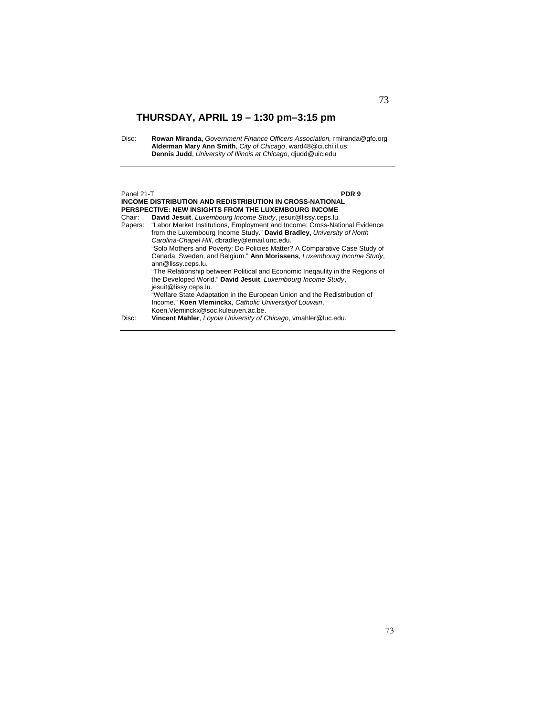Disc: **Rowan Miranda,** *Government Finance Officers Association,* rmiranda@gfo.org **Alderman Mary Ann Smith**, C*ity of Chicago*, ward48@ci.chi.il.us; **Dennis Judd**, *University of Illinois at Chicago*, djudd@uic.edu

## Panel 21-T **PDR 9**

**INCOME DISTRIBUTION AND REDISTRIBUTION IN CROSS-NATIONAL PERSPECTIVE: NEW INSIGHTS FROM THE LUXEMBOURG INCOME**<br>Chair: David Jesuit, *Luxembourg Income Study*, jesuit@lissy.ceps.lu. Chair: **David Jesuit**, *Luxembourg Income Study*, jesuit@lissy.ceps.lu. "Labor Market Institutions, Employment and Income: Cross-National Evidence from the Luxembourg Income Study." **David Bradley,** *University of North Carolina-Chapel Hill*, dbradley@email.unc.edu. "Solo Mothers and Poverty: Do Policies Matter? A Comparative Case Study of Canada, Sweden, and Belgium." **Ann Morissens**, *Luxembourg Income Study*, ann@lissy.ceps.lu. "The Relationship between Political and Economic Ineqaulity in the Regions of the Developed World." **David Jesuit**, *Luxembourg Income Study*, jesuit@lissy.ceps.lu. "Welfare State Adaptation in the European Union and the Redistribution of Income." **Koen Vleminckx**, *Catholic Universityof Louvain*, Koen.Vleminckx@soc.kuleuven.ac.be. Disc: **Vincent Mahler**, *Loyola University of Chicago*, vmahler@luc.edu.

## 73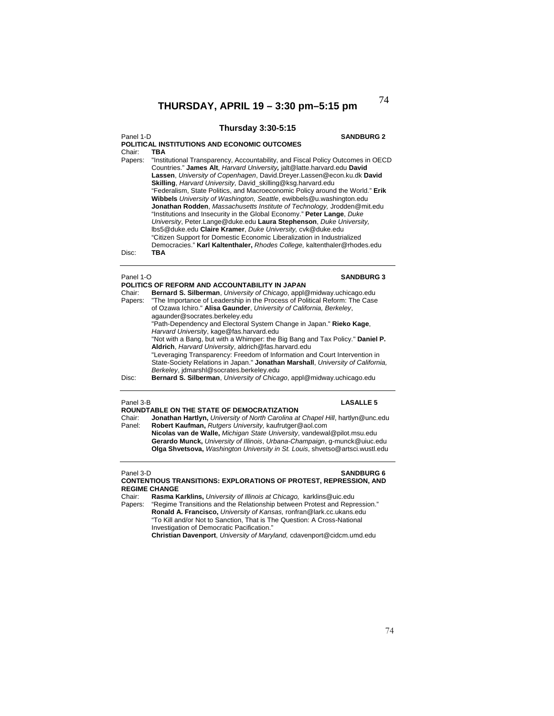## **Thursday 3:30-5:15**

### Panel 1-D **SANDBURG 2**

**POLITICAL INSTITUTIONS AND ECONOMIC OUTCOMES**  Chair: **TBA** Papers: "Institutional Transparency, Accountability, and Fiscal Policy Outcomes in OECD Countries." **James Alt**, *Harvard University,* jalt@latte.harvard.edu **David Lassen**, *University of Copenhagen*, David.Dreyer.Lassen@econ.ku.dk **David Skilling**, *Harvard University,* David\_skilling@ksg.harvard.edu "Federalism, State Politics, and Macroeconomic Policy around the World." **Erik Wibbels** *University of Washington, Seattle*, ewibbels@u.washington.edu **Jonathan Rodden**, *Massachusetts Institute of Technology,* Jrodden@mit.edu "Institutions and Insecurity in the Global Economy." **Peter Lange**, *Duke University*, Peter.Lange@duke.edu **Laura Stephenson**, *Duke University,* lbs5@duke.edu **Claire Kramer**, *Duke University,* cvk@duke.edu "Citizen Support for Domestic Economic Liberalization in Industrialized Democracies." **Karl Kaltenthaler,** *Rhodes College,* kaltenthaler@rhodes.edu Disc: **TBA**

## Panel 1-O **SANDBURG 3**

| Chair:  | POLITICS OF REFORM AND ACCOUNTABILITY IN JAPAN<br>Bernard S. Silberman, University of Chicago, appl@midway.uchicago.edu                                                                                   |
|---------|-----------------------------------------------------------------------------------------------------------------------------------------------------------------------------------------------------------|
| Papers: | "The Importance of Leadership in the Process of Political Reform: The Case<br>of Ozawa Ichiro." Alisa Gaunder, University of California, Berkeley,<br>agaunder@socrates.berkeley.edu                      |
|         | "Path-Dependency and Electoral System Change in Japan." Rieko Kage,<br>Harvard University, kage@fas.harvard.edu                                                                                           |
|         | "Not with a Bang, but with a Whimper: the Big Bang and Tax Policy." Daniel P.<br>Aldrich, Harvard University, aldrich@fas.harvard.edu                                                                     |
|         | "Leveraging Transparency: Freedom of Information and Court Intervention in<br>State-Society Relations in Japan." Jonathan Marshall, University of California,<br>Berkeley, jdmarshl@socrates.berkeley.edu |
| Disc:   | Bernard S. Silberman, University of Chicago, appl@midway.uchicago.edu                                                                                                                                     |

## Panel 3-B **LASALLE 5**

**ROUNDTABLE ON THE STATE OF DEMOCRATIZATION**  Jonathan Hartlyn, University of North Carolina at Chapel Hill, hartlyn@unc.edu Panel: **Robert Kaufman,** *Rutgers University,* kaufrutger@aol.com **Nicolas van de Walle,** *Michigan State University*, vandewal@pilot.msu.edu

**Gerardo Munck,** *University of Illinois*, *Urbana-Champaign*, g-munck@uiuc.edu **Olga Shvetsova,** *Washington University in St. Louis*, shvetso@artsci.wustl.edu

## Panel 3-D **SANDBURG 6 CONTENTIOUS TRANSITIONS: EXPLORATIONS OF PROTEST, REPRESSION, AND REGIME CHANGE**<br>Chair: **Rasma K**

Chair: **Rasma Karklins,** *University of Illinois at Chicago,* karklins@uic.edu

"Regime Transitions and the Relationship between Protest and Repression." **Ronald A. Francisco,** *University of Kansas,* ronfran@lark.cc.ukans.edu "To Kill and/or Not to Sanction, That is The Question: A Cross-National Investigation of Democratic Pacification."

**Christian Davenport**, *University of Maryland,* cdavenport@cidcm.umd.edu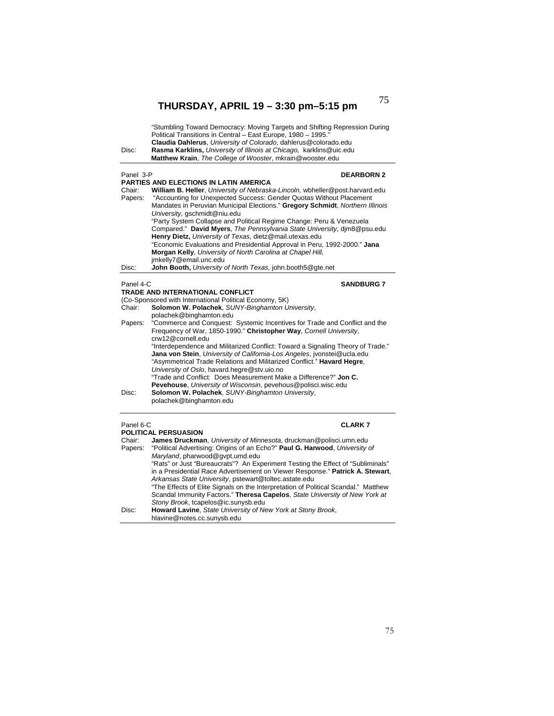|           | Rasma Karklins, University of Illinois at Chicago, karklins@uic.edu<br>Matthew Krain, The College of Wooster, mkrain@wooster.edu                    |
|-----------|-----------------------------------------------------------------------------------------------------------------------------------------------------|
| Panel 3-P | <b>DEARBORN 2</b>                                                                                                                                   |
|           | <b>PARTIES AND ELECTIONS IN LATIN AMERICA</b>                                                                                                       |
| Chair:    | William B. Heller, University of Nebraska-Lincoln, wbheller@post.harvard.edu<br>"Accounting for Unexpected Success: Gender Quotas Without Placement |
| Papers:   | Mandates in Peruvian Municipal Elections." Gregory Schmidt, Northern Illinois                                                                       |
|           | University, gschmidt@niu.edu                                                                                                                        |
|           | "Party System Collapse and Political Regime Change: Peru & Venezuela                                                                                |
|           | Compared." David Myers, The Pennsylvania State University, djm8@psu.edu                                                                             |
|           | Henry Dietz, University of Texas, dietz@mail.utexas.edu                                                                                             |
|           | "Economic Evaluations and Presidential Approval in Peru, 1992-2000." Jana                                                                           |
|           | Morgan Kelly, University of North Carolina at Chapel Hill,                                                                                          |
|           | imkelly7@email.unc.edu                                                                                                                              |
| Disc:     | John Booth, University of North Texas, john.booth5@gte.net                                                                                          |
| Panel 4-C | <b>SANDBURG 7</b>                                                                                                                                   |
|           | TRADE AND INTERNATIONAL CONFLICT                                                                                                                    |
|           | (Co-Sponsored with International Political Economy, 5K)                                                                                             |
| Chair:    | Solomon W. Polachek, SUNY-Binghamton University,                                                                                                    |
|           | polachek@binghamton.edu                                                                                                                             |
| Papers:   | "Commerce and Conquest: Systemic Incentives for Trade and Conflict and the                                                                          |
|           | Frequency of War, 1850-1990." Christopher Way, Cornell University,                                                                                  |
|           | crw12@cornell.edu                                                                                                                                   |
|           | "Interdependence and Militarized Conflict: Toward a Signaling Theory of Trade."                                                                     |
|           |                                                                                                                                                     |
|           | Jana von Stein, University of California-Los Angeles, jvonstei@ucla.edu                                                                             |
|           | "Asymmetrical Trade Relations and Militarized Conflict." Havard Hegre,                                                                              |
|           | University of Oslo, havard.hegre@stv.uio.no                                                                                                         |
|           | "Trade and Conflict: Does Measurement Make a Difference?" Jon C.                                                                                    |
|           | Pevehouse, University of Wisconsin, pevehous@polisci.wisc.edu                                                                                       |
| Disc:     | Solomon W. Polachek, SUNY-Binghamton University,<br>polachek@binghamton.edu                                                                         |

| Chair:  | James Druckman, University of Minnesota, druckman@polisci.umn.edu                  |
|---------|------------------------------------------------------------------------------------|
| Papers: | "Political Advertising: Origins of an Echo?" Paul G. Harwood, University of        |
|         | Maryland, pharwood@qvpt.umd.edu                                                    |
|         | "Rats" or Just "Bureaucrats"? An Experiment Testing the Effect of "Subliminals"    |
|         | in a Presidential Race Advertisement on Viewer Response." Patrick A. Stewart,      |
|         | Arkansas State University, pstewart@toltec.astate.edu                              |
|         | "The Effects of Elite Signals on the Interpretation of Political Scandal." Matthew |
|         | Scandal Immunity Factors." Theresa Capelos, State University of New York at        |
|         | Stony Brook, tcapelos@ic.sunysb.edu                                                |
| Disc:   | Howard Lavine, State University of New York at Stony Brook,                        |
|         | hlavine@notes.cc.sunysb.edu                                                        |
|         |                                                                                    |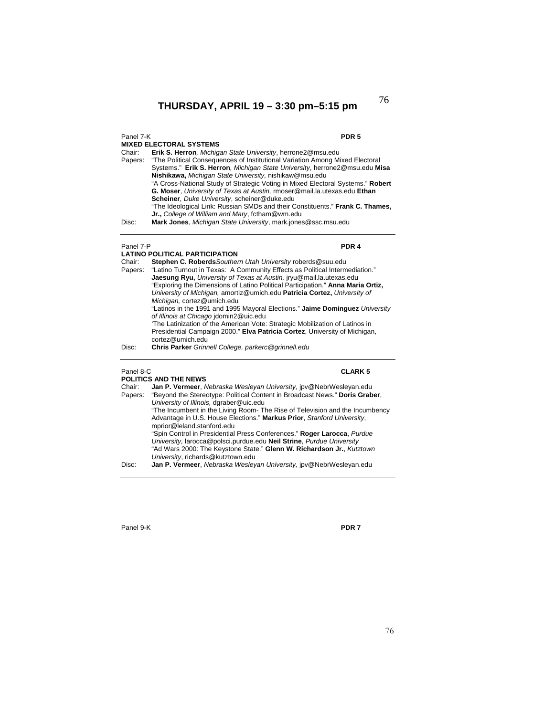## Panel 7-K **PDR 5**

## **MIXED ELECTORAL SYSTEMS**

Chair: **Erik S. Herron***, Michigan State University*, herrone2@msu.edu Papers: "The Political Consequences of Institutional Variation Among Mixed Electoral Systems." **Erik S. Herron***, Michigan State University*, herrone2@msu.edu **Misa Nishikawa,** *Michigan State University,* nishikaw@msu.edu "A Cross-National Study of Strategic Voting in Mixed Electoral Systems." **Robert G. Moser**, *University of Texas at Austin,* rmoser@mail.la.utexas.edu **Ethan Scheiner***, Duke University*, scheiner@duke.edu "The Ideological Link: Russian SMDs and their Constituents." **Frank C. Thames, Jr.,** *College of William and Mary*, fctham@wm.edu Disc: **Mark Jones**, *Michigan State University*, mark.jones@ssc.msu.edu

## Panel 7-P **PDR 4**

|         | <b>LATINO POLITICAL PARTICIPATION</b>                                           |
|---------|---------------------------------------------------------------------------------|
| Chair:  | Stephen C. Roberds Southern Utah University roberds@suu.edu                     |
| Papers: | "Latino Turnout in Texas: A Community Effects as Political Intermediation."     |
|         | <b>Jaesung Ryu, University of Texas at Austin, iryu@mail.la.utexas.edu</b>      |
|         | "Exploring the Dimensions of Latino Political Participation." Anna Maria Ortiz, |
|         | University of Michigan, amortiz@umich.edu Patricia Cortez, University of        |
|         | Michigan, cortez@umich.edu                                                      |
|         | "Latinos in the 1991 and 1995 Mayoral Elections." Jaime Dominguez University    |
|         | of Illinois at Chicago idomin2@uic.edu                                          |
|         | 'The Latinization of the American Vote: Strategic Mobilization of Latinos in    |
|         | Presidential Campaign 2000." Elva Patricia Cortez, University of Michigan,      |
|         | cortez@umich.edu                                                                |
| Disc:   | Chris Parker Grinnell College, parkerc@grinnell.edu                             |

## Panel 8-C **CLARK 5**

**POLITICS AND THE NEWS**<br>Chair: **Jan P. Vermeer**, *N* Chair: **Jan P. Vermeer**, *Nebraska Wesleyan University*, jpv@NebrWesleyan.edu "Beyond the Stereotype: Political Content in Broadcast News." Doris Graber, *University of Illinois,* dgraber@uic.edu "The Incumbent in the Living Room- The Rise of Television and the Incumbency Advantage in U.S. House Elections." **Markus Prior**, *Stanford University*, mprior@leland.stanford.edu "Spin Control in Presidential Press Conferences." **Roger Larocca**, *Purdue University,* larocca@polsci.purdue.edu **Neil Strine**, *Purdue University* "Ad Wars 2000: The Keystone State." **Glenn W. Richardson Jr.**, *Kutztown University*, richards@kutztown.edu Disc: **Jan P. Vermeer**, *Nebraska Wesleyan University,* jpv@NebrWesleyan.edu

Panel 9-K **PDR 7**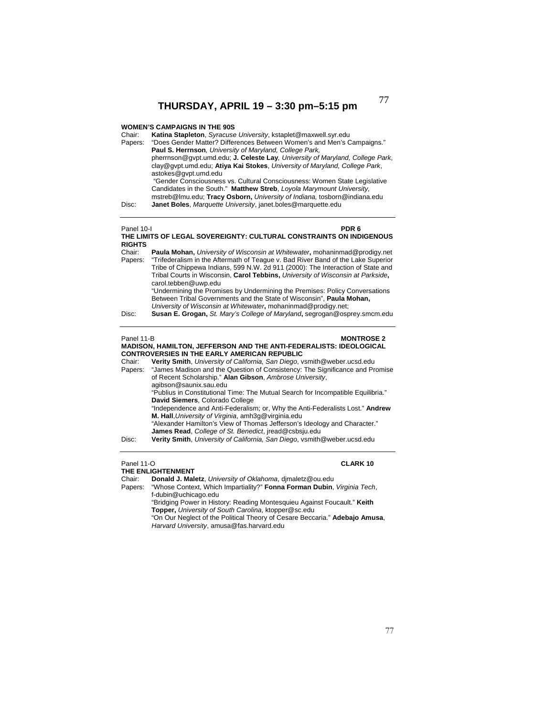## **WOMEN'S CAMPAIGNS IN THE 90S**

| Chair:<br>Papers:               | Katina Stapleton, Syracuse University, kstaplet@maxwell.syr.edu<br>"Does Gender Matter? Differences Between Women's and Men's Campaigns."<br>Paul S. Herrnson, University of Maryland, College Park,<br>pherrnson@gypt.umd.edu; J. Celeste Lay, University of Maryland, College Park,<br>clay@gvpt.umd.edu; Atiya Kai Stokes, University of Maryland, College Park,<br>astokes@qvpt.umd.edu<br>"Gender Consciousness vs. Cultural Consciousness: Women State Legislative<br>Candidates in the South." Matthew Streb, Loyola Marymount University,<br>mstreb@lmu.edu; Tracy Osborn, University of Indiana, tosborn@indiana.edu |
|---------------------------------|-------------------------------------------------------------------------------------------------------------------------------------------------------------------------------------------------------------------------------------------------------------------------------------------------------------------------------------------------------------------------------------------------------------------------------------------------------------------------------------------------------------------------------------------------------------------------------------------------------------------------------|
| Disc:                           | Janet Boles, Marquette University, janet.boles@marquette.edu                                                                                                                                                                                                                                                                                                                                                                                                                                                                                                                                                                  |
| Panel 10-I<br><b>RIGHTS</b>     | PDR 6<br>THE LIMITS OF LEGAL SOVEREIGNTY: CULTURAL CONSTRAINTS ON INDIGENOUS                                                                                                                                                                                                                                                                                                                                                                                                                                                                                                                                                  |
| Chair:<br>Papers:               | Paula Mohan, University of Wisconsin at Whitewater, mohaninmad@prodigy.net<br>"Trifederalism in the Aftermath of Teague v. Bad River Band of the Lake Superior<br>Tribe of Chippewa Indians, 599 N.W. 2d 911 (2000): The Interaction of State and<br>Tribal Courts in Wisconsin, Carol Tebbins, University of Wisconsin at Parkside,<br>carol.tebben@uwp.edu<br>"Undermining the Promises by Undermining the Premises: Policy Conversations<br>Between Tribal Governments and the State of Wisconsin", Paula Mohan,<br>University of Wisconsin at Whitewater, mohaninmad@prodigy.net;                                         |
| Disc:                           | Susan E. Grogan, St. Mary's College of Maryland, segrogan@osprey.smcm.edu                                                                                                                                                                                                                                                                                                                                                                                                                                                                                                                                                     |
| Panel 11-B<br>Chair:<br>Papers: | <b>MONTROSE 2</b><br>MADISON, HAMILTON, JEFFERSON AND THE ANTI-FEDERALISTS: IDEOLOGICAL<br><b>CONTROVERSIES IN THE EARLY AMERICAN REPUBLIC</b><br>Verity Smith, University of California, San Diego, vsmith@weber.ucsd.edu<br>"James Madison and the Question of Consistency: The Significance and Promise<br>of Recent Scholarship." Alan Gibson, Ambrose University,<br>agibson@saunix.sau.edu                                                                                                                                                                                                                              |
|                                 | "Publius in Constitutional Time: The Mutual Search for Incompatible Equilibria."<br>David Siemers, Colorado College<br>"Independence and Anti-Federalism; or, Why the Anti-Federalists Lost." Andrew<br>M. Hall, University of Virginia, amh3g@virginia.edu<br>"Alexander Hamilton's View of Thomas Jefferson's Ideology and Character."<br>James Read, College of St. Benedict, iread@csbsju.edu                                                                                                                                                                                                                             |
| Disc:                           | Verity Smith, University of California, San Diego, vsmith@weber.ucsd.edu                                                                                                                                                                                                                                                                                                                                                                                                                                                                                                                                                      |
| Panel 11-O                      | <b>CLARK10</b><br>THE ENLIGHTENMENT<br>Chair: <b>Donald L Maletz</b> University of Oklahoma dimaletz@ou.edu                                                                                                                                                                                                                                                                                                                                                                                                                                                                                                                   |

Chair: **Donald J. Maletz**, *University of Oklahoma*, djmaletz@ou.edu

Papers: "Whose Context, Which Impartiality?" **Fonna Forman Dubin**, *Virginia Tech*, f-dubin@uchicago.edu

"Bridging Power in History: Reading Montesquieu Against Foucault." **Keith Topper,** *University of South Carolina*, ktopper@sc.edu

"On Our Neglect of the Political Theory of Cesare Beccaria." **Adebajo Amusa**, *Harvard University*, amusa@fas.harvard.edu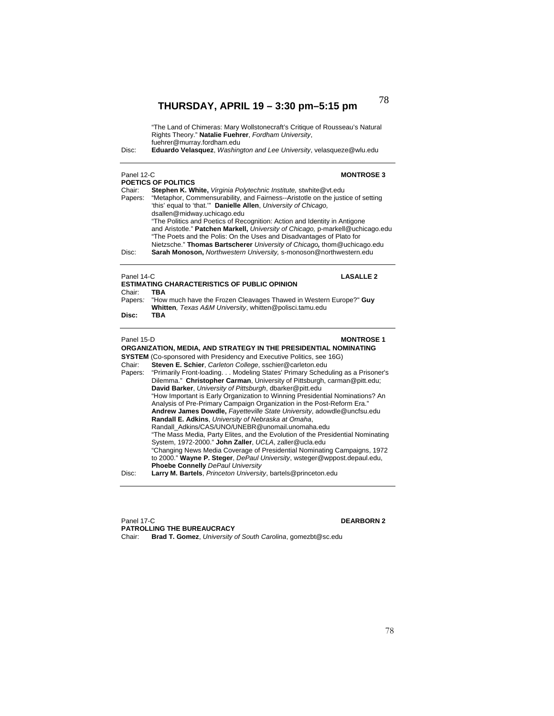| Disc:                | "The Land of Chimeras: Mary Wollstonecraft's Critique of Rousseau's Natural<br>Rights Theory." Natalie Fuehrer, Fordham University,<br>fuehrer@murray.fordham.edu<br>Eduardo Velasquez, Washington and Lee University, velasqueze@wlu.edu                                                                                                                                                                                                                                                                                                                                                                                                                    |  |
|----------------------|--------------------------------------------------------------------------------------------------------------------------------------------------------------------------------------------------------------------------------------------------------------------------------------------------------------------------------------------------------------------------------------------------------------------------------------------------------------------------------------------------------------------------------------------------------------------------------------------------------------------------------------------------------------|--|
| Panel 12-C           | <b>MONTROSE 3</b>                                                                                                                                                                                                                                                                                                                                                                                                                                                                                                                                                                                                                                            |  |
| Chair:<br>Papers:    | <b>POETICS OF POLITICS</b><br>Stephen K. White, Virginia Polytechnic Institute, stwhite@vt.edu<br>"Metaphor, Commensurability, and Fairness--Aristotle on the justice of setting<br>'this' equal to 'that."" Danielle Allen, University of Chicago,                                                                                                                                                                                                                                                                                                                                                                                                          |  |
| Disc:                | dsallen@midway.uchicago.edu<br>"The Politics and Poetics of Recognition: Action and Identity in Antigone<br>and Aristotle." Patchen Markell, University of Chicago, p-markell@uchicago.edu<br>"The Poets and the Polis: On the Uses and Disadvantages of Plato for<br>Nietzsche." Thomas Bartscherer University of Chicago, thom@uchicago.edu<br>Sarah Monoson, Northwestern University, s-monoson@northwestern.edu                                                                                                                                                                                                                                          |  |
| Panel 14-C<br>Chair: | <b>LASALLE 2</b><br><b>ESTIMATING CHARACTERISTICS OF PUBLIC OPINION</b><br><b>TBA</b>                                                                                                                                                                                                                                                                                                                                                                                                                                                                                                                                                                        |  |
| Papers:<br>Disc:     | "How much have the Frozen Cleavages Thawed in Western Europe?" Guy<br>Whitten, Texas A&M University, whitten@polisci.tamu.edu<br>TBA                                                                                                                                                                                                                                                                                                                                                                                                                                                                                                                         |  |
|                      |                                                                                                                                                                                                                                                                                                                                                                                                                                                                                                                                                                                                                                                              |  |
| Panel 15-D           | <b>MONTROSE 1</b>                                                                                                                                                                                                                                                                                                                                                                                                                                                                                                                                                                                                                                            |  |
|                      | ORGANIZATION, MEDIA, AND STRATEGY IN THE PRESIDENTIAL NOMINATING                                                                                                                                                                                                                                                                                                                                                                                                                                                                                                                                                                                             |  |
| Chair:<br>Papers:    | <b>SYSTEM</b> (Co-sponsored with Presidency and Executive Politics, see 16G)<br>Steven E. Schier, Carleton College, sschier@carleton.edu<br>"Primarily Front-loading. Modeling States' Primary Scheduling as a Prisoner's<br>Dilemma." Christopher Carman, University of Pittsburgh, carman@pitt.edu;<br>David Barker, University of Pittsburgh, dbarker@pitt.edu<br>"How Important is Early Organization to Winning Presidential Nominations? An<br>Analysis of Pre-Primary Campaign Organization in the Post-Reform Era."<br>Andrew James Dowdle, Fayetteville State University, adowdle@uncfsu.edu<br>Randall E. Adkins, University of Nebraska at Omaha, |  |

Panel 17-C **DEARBORN 2 PATROLLING THE BUREAUCRACY**  Chair: **Brad T. Gomez**, *University of South Carolina*, gomezbt@sc.edu

78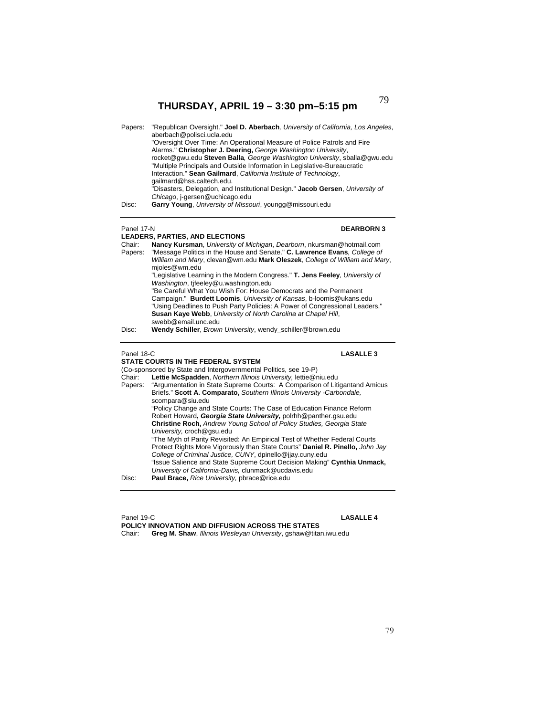| Papers:           | "Republican Oversight." Joel D. Aberbach, University of California, Los Angeles,<br>aberbach@polisci.ucla.edu<br>"Oversight Over Time: An Operational Measure of Police Patrols and Fire<br>Alarms." Christopher J. Deering, George Washington University,<br>rocket@gwu.edu Steven Balla, George Washington University, sballa@gwu.edu<br>"Multiple Principals and Outside Information in Legislative-Bureaucratic<br>Interaction." Sean Gailmard, California Institute of Technology,<br>gailmard@hss.caltech.edu.<br>"Disasters, Delegation, and Institutional Design." Jacob Gersen, University of<br>Chicago, j-gersen@uchicago.edu |
|-------------------|------------------------------------------------------------------------------------------------------------------------------------------------------------------------------------------------------------------------------------------------------------------------------------------------------------------------------------------------------------------------------------------------------------------------------------------------------------------------------------------------------------------------------------------------------------------------------------------------------------------------------------------|
| Disc:             | Garry Young, University of Missouri, youngg@missouri.edu                                                                                                                                                                                                                                                                                                                                                                                                                                                                                                                                                                                 |
| Panel 17-N        | <b>DEARBORN3</b><br><b>LEADERS, PARTIES, AND ELECTIONS</b>                                                                                                                                                                                                                                                                                                                                                                                                                                                                                                                                                                               |
| Chair:<br>Papers: | Nancy Kursman, University of Michigan, Dearborn, nkursman@hotmail.com<br>"Message Politics in the House and Senate." C. Lawrence Evans, College of<br>William and Mary, clevan@wm.edu Mark Oleszek, College of William and Mary,<br>mjoles@wm.edu<br>"Legislative Learning in the Modern Congress." T. Jens Feeley, University of<br>Washington, tifeeley@u.washington.edu                                                                                                                                                                                                                                                               |
|                   | "Be Careful What You Wish For: House Democrats and the Permanent<br>Campaign." Burdett Loomis, University of Kansas, b-loomis@ukans.edu<br>"Using Deadlines to Push Party Policies: A Power of Congressional Leaders."<br>Susan Kaye Webb, University of North Carolina at Chapel Hill,<br>swebb@email.unc.edu                                                                                                                                                                                                                                                                                                                           |
| Dioo:             | Wandy Cabillar, Drown University woody, ochiller@brown.cdu                                                                                                                                                                                                                                                                                                                                                                                                                                                                                                                                                                               |

Disc: **Wendy Schiller**, *Brown University*, wendy\_schiller@brown.edu

## Panel 18-C **LASALLE 3**

## **STATE COURTS IN THE FEDERAL SYSTEM**

(Co-sponsored by State and Intergovernmental Politics, see 19-P)<br>Chair: Lettie McSpadden, Northern Illinois University, lettie@n

Chair: **Lettie McSpadden**, *Northern Illinois University,* lettie@niu.edu "Argumentation in State Supreme Courts: A Comparison of Litigantand Amicus Briefs." **Scott A. Comparato,** *Southern Illinois University -Carbondale,*  scompara@siu.edu "Policy Change and State Courts: The Case of Education Finance Reform Robert Howard**,** *Georgia State University,* polrhh@panther.gsu.edu **Christine Roch,** *Andrew Young School of Policy Studies, Georgia State University,* croch@gsu.edu "The Myth of Parity Revisited: An Empirical Test of Whether Federal Courts Protect Rights More Vigorously than State Courts" **Daniel R. Pinello,** *John Jay College of Criminal Justice, CUNY*, dpinello@jjay.cuny.edu "Issue Salience and State Supreme Court Decision Making" **Cynthia Unmack,**  *University of California-Davis,* clunmack@ucdavis.edu Disc: **Paul Brace,** *Rice University,* pbrace@rice.edu

Panel 19-C **LASALLE 4 POLICY INNOVATION AND DIFFUSION ACROSS THE STATES**  Chair: **Greg M. Shaw**, *Illinois Wesleyan University*, gshaw@titan.iwu.edu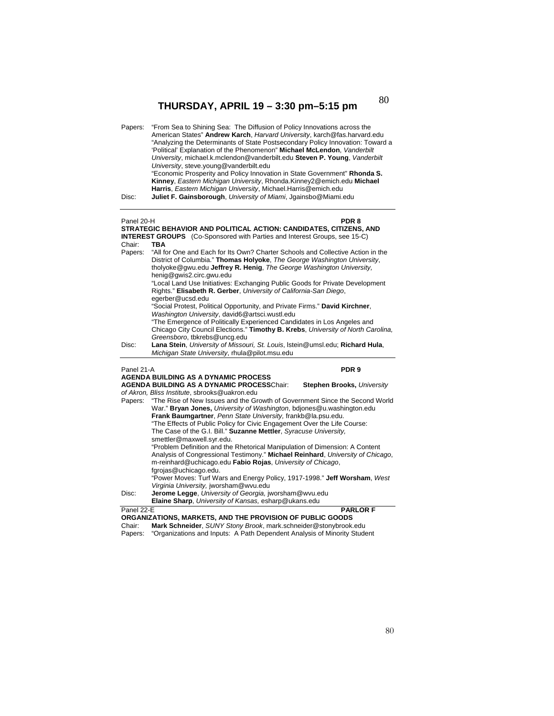| Papers: | "From Sea to Shining Sea: The Diffusion of Policy Innovations across the<br>American States" Andrew Karch, Harvard University, karch@fas.harvard.edu |
|---------|------------------------------------------------------------------------------------------------------------------------------------------------------|
|         |                                                                                                                                                      |
|         | "Analyzing the Determinants of State Postsecondary Policy Innovation: Toward a                                                                       |
|         | 'Political' Explanation of the Phenomenon" Michael McLendon, Vanderbilt                                                                              |
|         | University, michael.k.mclendon@vanderbilt.edu Steven P. Young, Vanderbilt                                                                            |
|         | University, steve.young@vanderbilt.edu                                                                                                               |
|         | "Economic Prosperity and Policy Innovation in State Government" Rhonda S.                                                                            |
|         | Kinney, Eastern Michigan University, Rhonda.Kinney2@emich.edu Michael                                                                                |
|         | Harris, Eastern Michigan University, Michael. Harris@emich.edu                                                                                       |
| Disc:   | Juliet F. Gainsborough, University of Miami, Jgainsbo@Miami.edu                                                                                      |

## Panel 20-H **PDR 8 STRATEGIC BEHAVIOR AND POLITICAL ACTION: CANDIDATES, CITIZENS, AND INTEREST GROUPS** (Co-Sponsored with Parties and Interest Groups, see 15-C) Chair: **TBA** Papers: "All for One and Each for Its Own? Charter Schools and Collective Action in the District of Columbia." **Thomas Holyoke**, *The George Washington University*, tholyoke@gwu.edu **Jeffrey R. Henig**, *The George Washington University,*  henig@gwis2.circ.gwu.edu "Local Land Use Initiatives: Exchanging Public Goods for Private Development Rights." **Elisabeth R. Gerber**, *University of California-San Diego*, egerber@ucsd.edu "Social Protest, Political Opportunity, and Private Firms." **David Kirchner**, *Washington University*, david6@artsci.wustl.edu "The Emergence of Politically Experienced Candidates in Los Angeles and Chicago City Council Elections." **Timothy B. Krebs**, *University of North Carolina, Greensboro*, tbkrebs@uncg.edu Disc: **Lana Stein**, *University of Missouri, St. Louis*, lstein@umsl.edu; **Richard Hula**, *Michigan State University*, rhula@pilot.msu.edu Panel 21-A **PDR 9 AGENDA BUILDING AS A DYNAMIC PROCESS AGENDA BUILDING AS A DYNAMIC PROCESS**Chair: **Stephen Brooks,** *University of Akron, Bliss Institute*, sbrooks@uakron.edu Papers: "The Rise of New Issues and the Growth of Government Since the Second World War." **Bryan Jones,** *University of Washington*, bdjones@u.washington.edu **Frank Baumgartner**, *Penn State University,* frankb@la.psu.edu. "The Effects of Public Policy for Civic Engagement Over the Life Course: The Case of the G.I. Bill." **Suzanne Mettler**, *Syracuse University,*  smettler@maxwell.syr.edu. "Problem Definition and the Rhetorical Manipulation of Dimension: A Content Analysis of Congressional Testimony." **Michael Reinhard**, *University of Chicago*, m-reinhard@uchicago.edu **Fabio Rojas**, *University of Chicago*, fgrojas@uchicago.edu. "Power Moves: Turf Wars and Energy Policy, 1917-1998." **Jeff Worsham**, *West Virginia University,* jworsham@wvu.edu Disc: **Jerome Legge**, *University of Georgia,* jworsham@wvu.edu  **Elaine Sharp**, *University of Kansas,* esharp@ukans.edu Panel 22-E **PARLOR F ORGANIZATIONS, MARKETS, AND THE PROVISION OF PUBLIC GOODS**  Chair: **Mark Schneider**, *SUNY Stony Brook*, mark.schneider@stonybrook.edu

Papers: "Organizations and Inputs: A Path Dependent Analysis of Minority Student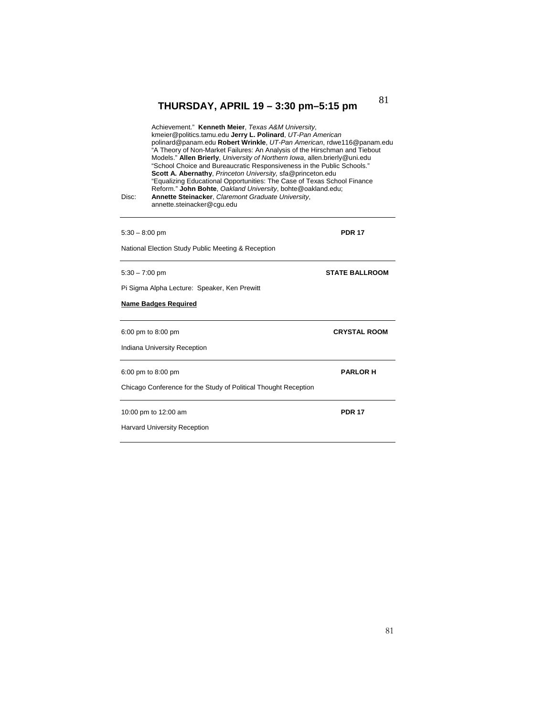| Disc: | Achievement." Kenneth Meier, Texas A&M University,<br>kmeier@politics.tamu.edu Jerry L. Polinard, UT-Pan American<br>polinard@panam.edu Robert Wrinkle, UT-Pan American, rdwe116@panam.edu<br>"A Theory of Non-Market Failures: An Analysis of the Hirschman and Tiebout<br>Models." Allen Brierly, University of Northern Iowa, allen.brierly@uni.edu<br>"School Choice and Bureaucratic Responsiveness in the Public Schools."<br>Scott A. Abernathy, Princeton University, sfa@princeton.edu<br>"Equalizing Educational Opportunities: The Case of Texas School Finance<br>Reform." John Bohte, Oakland University, bohte@oakland.edu;<br>Annette Steinacker, Claremont Graduate University,<br>annette.steinacker@cgu.edu |                       |
|-------|-------------------------------------------------------------------------------------------------------------------------------------------------------------------------------------------------------------------------------------------------------------------------------------------------------------------------------------------------------------------------------------------------------------------------------------------------------------------------------------------------------------------------------------------------------------------------------------------------------------------------------------------------------------------------------------------------------------------------------|-----------------------|
|       | $5:30 - 8:00$ pm                                                                                                                                                                                                                                                                                                                                                                                                                                                                                                                                                                                                                                                                                                              | <b>PDR 17</b>         |
|       | National Election Study Public Meeting & Reception                                                                                                                                                                                                                                                                                                                                                                                                                                                                                                                                                                                                                                                                            |                       |
|       | $5:30 - 7:00$ pm                                                                                                                                                                                                                                                                                                                                                                                                                                                                                                                                                                                                                                                                                                              | <b>STATE BALLROOM</b> |
|       | Pi Sigma Alpha Lecture: Speaker, Ken Prewitt                                                                                                                                                                                                                                                                                                                                                                                                                                                                                                                                                                                                                                                                                  |                       |
|       | <b>Name Badges Required</b>                                                                                                                                                                                                                                                                                                                                                                                                                                                                                                                                                                                                                                                                                                   |                       |
|       | 6:00 pm to 8:00 pm                                                                                                                                                                                                                                                                                                                                                                                                                                                                                                                                                                                                                                                                                                            | <b>CRYSTAL ROOM</b>   |
|       | Indiana University Reception                                                                                                                                                                                                                                                                                                                                                                                                                                                                                                                                                                                                                                                                                                  |                       |
|       | 6:00 pm to 8:00 pm                                                                                                                                                                                                                                                                                                                                                                                                                                                                                                                                                                                                                                                                                                            | <b>PARLOR H</b>       |
|       | Chicago Conference for the Study of Political Thought Reception                                                                                                                                                                                                                                                                                                                                                                                                                                                                                                                                                                                                                                                               |                       |
|       | 10:00 pm to 12:00 am                                                                                                                                                                                                                                                                                                                                                                                                                                                                                                                                                                                                                                                                                                          | <b>PDR 17</b>         |
|       |                                                                                                                                                                                                                                                                                                                                                                                                                                                                                                                                                                                                                                                                                                                               |                       |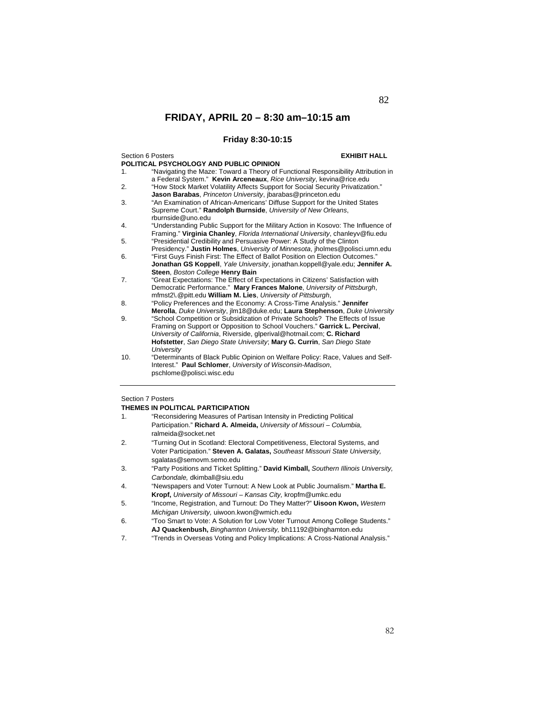## **Friday 8:30-10:15**

| Section 6 Posters |                                                                                                                                                                     | <b>EXHIBIT HALL</b> |
|-------------------|---------------------------------------------------------------------------------------------------------------------------------------------------------------------|---------------------|
|                   | POLITICAL PSYCHOLOGY AND PUBLIC OPINION                                                                                                                             |                     |
| $\mathbf{1}$ .    | "Navigating the Maze: Toward a Theory of Functional Responsibility Attribution in<br>a Federal System." Kevin Arceneaux, Rice University, kevina@rice.edu           |                     |
| 2.                | "How Stock Market Volatility Affects Support for Social Security Privatization."<br>Jason Barabas, Princeton University, jbarabas@princeton.edu                     |                     |
| 3.                | "An Examination of African-Americans' Diffuse Support for the United States<br>Supreme Court." Randolph Burnside, University of New Orleans,<br>rburnside@uno.edu   |                     |
| 4.                | "Understanding Public Support for the Military Action in Kosovo: The Influence of<br>Framing." Virginia Chanley, Florida International University, chanleyv@fiu.edu |                     |
| 5.                | "Presidential Credibility and Persuasive Power: A Study of the Clinton<br>Presidency." Justin Holmes, University of Minnesota, jholmes@polisci.umn.edu              |                     |
| 6.                | "First Guys Finish First: The Effect of Ballot Position on Election Outcomes."<br>Jonathan GS Koppell, Yale University, jonathan.koppell@yale.edu; Jennifer A.      |                     |
|                   | Steen, Boston College Henry Bain                                                                                                                                    |                     |
| 7.                | "Great Expectations: The Effect of Expectations in Citizens' Satisfaction with<br>Democratic Performance." Mary Frances Malone, University of Pittsburgh,           |                     |
|                   | mfmst2\.@pitt.edu William M. Lies, University of Pittsburgh,                                                                                                        |                     |
| 8.                | "Policy Preferences and the Economy: A Cross-Time Analysis." Jennifer                                                                                               |                     |
|                   | Merolla, Duke University, jlm18@duke.edu; Laura Stephenson, Duke University                                                                                         |                     |
| 9.                | "School Competition or Subsidization of Private Schools? The Effects of Issue<br>Framing on Support or Opposition to School Vouchers." Garrick L. Percival,         |                     |
|                   | University of California, Riverside, glperival@hotmail.com; C. Richard                                                                                              |                     |
|                   | Hofstetter, San Diego State University; Mary G. Currin, San Diego State                                                                                             |                     |
|                   | University                                                                                                                                                          |                     |
| 10.               | "Determinants of Black Public Opinion on Welfare Policy: Race, Values and Self-                                                                                     |                     |
|                   | Interest." Paul Schlomer, University of Wisconsin-Madison,                                                                                                          |                     |
|                   | pschlome@polisci.wisc.edu                                                                                                                                           |                     |
|                   |                                                                                                                                                                     |                     |

## Section 7 Posters

## **THEMES IN POLITICAL PARTICIPATION**

| 1.             | "Reconsidering Measures of Partisan Intensity in Predicting Political                |
|----------------|--------------------------------------------------------------------------------------|
|                | Participation." Richard A. Almeida, University of Missouri - Columbia,               |
|                | ralmeida@socket.net                                                                  |
| 2.             | "Turning Out in Scotland: Electoral Competitiveness, Electoral Systems, and          |
|                | Voter Participation." Steven A. Galatas, Southeast Missouri State University.        |
|                | sgalatas@semovm.semo.edu                                                             |
| 3.             | "Party Positions and Ticket Splitting." David Kimball, Southern Illinois University, |
|                | Carbondale, dkimball@siu.edu                                                         |
| 4.             | "Newspapers and Voter Turnout: A New Look at Public Journalism." Martha E.           |
|                | Kropf, University of Missouri - Kansas City, kropfm@umkc.edu                         |
| 5.             | "Income, Registration, and Turnout: Do They Matter?" Uisoon Kwon, Western            |
|                | Michigan University, uiwoon.kwon@wmich.edu                                           |
| 6.             | "Too Smart to Vote: A Solution for Low Voter Turnout Among College Students."        |
|                | AJ Quackenbush, Binghamton University, bh11192@binghamton.edu                        |
| $\overline{ }$ | "Trande in Overasse Veting and Delioy Implications: A Cross Netional Anglysis "      |

7. "Trends in Overseas Voting and Policy Implications: A Cross-National Analysis."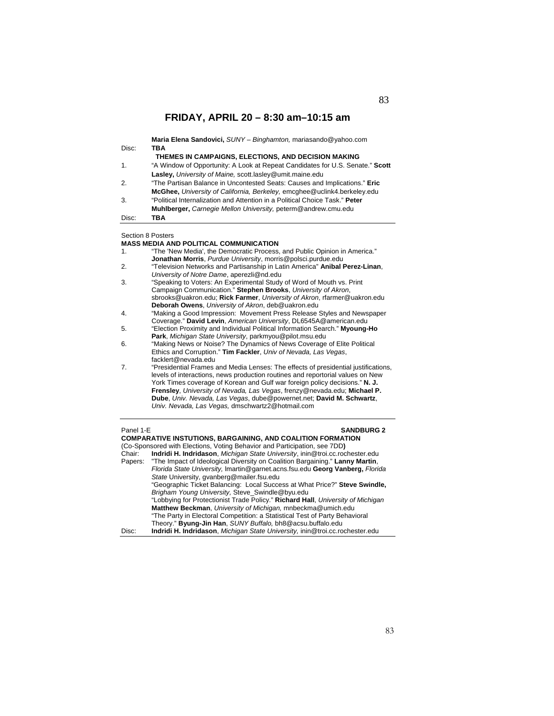|       | Maria Elena Sandovici, SUNY - Binghamton, mariasando@yahoo.com                |
|-------|-------------------------------------------------------------------------------|
| Disc: | <b>TBA</b>                                                                    |
|       | THEMES IN CAMPAIGNS, ELECTIONS, AND DECISION MAKING                           |
| 1.    | "A Window of Opportunity: A Look at Repeat Candidates for U.S. Senate." Scott |
|       | Lasley, University of Maine, scott.lasley@umit.maine.edu                      |
| 2.    | "The Partisan Balance in Uncontested Seats: Causes and Implications." Eric    |
|       | McGhee, University of California, Berkeley, emcghee@uclink4.berkeley.edu      |
| 3.    | "Political Internalization and Attention in a Political Choice Task." Peter   |
|       | Muhlberger, Carnegie Mellon University, peterm@andrew.cmu.edu                 |
| Disc: | TBA                                                                           |

Section 8 Posters

### **MASS MEDIA AND POLITICAL COMMUNICATION**

| 1. | "The 'New Media', the Democratic Process, and Public Opinion in America."          |
|----|------------------------------------------------------------------------------------|
|    | Jonathan Morris, Purdue University, morris@polsci.purdue.edu                       |
| 2. | "Television Networks and Partisanship in Latin America" Anibal Perez-Linan,        |
|    | University of Notre Dame, aperezli@nd.edu                                          |
| 3. | "Speaking to Voters: An Experimental Study of Word of Mouth vs. Print              |
|    | Campaign Communication." Stephen Brooks, University of Akron,                      |
|    | sbrooks@uakron.edu; Rick Farmer, University of Akron, rfarmer@uakron.edu           |
|    | Deborah Owens, University of Akron, deb@uakron.edu                                 |
| 4. | "Making a Good Impression: Movement Press Release Styles and Newspaper             |
|    | Coverage." David Levin, American University, DL6545A@american.edu                  |
| 5. | "Election Proximity and Individual Political Information Search." Myoung-Ho        |
|    | Park, Michigan State University, parkmyou@pilot.msu.edu                            |
| 6. | "Making News or Noise? The Dynamics of News Coverage of Elite Political            |
|    | Ethics and Corruption." Tim Fackler, Univ of Nevada, Las Vegas,                    |
|    | facklert@nevada.edu                                                                |
| 7. | "Presidential Frames and Media Lenses: The effects of presidential justifications, |
|    | levels of interactions, news production routines and reportorial values on New     |
|    | York Times coverage of Korean and Gulf war foreign policy decisions." N. J.        |
|    | Frensley, University of Nevada, Las Vegas, frenzy@nevada.edu; Michael P.           |
|    | Dube, Univ. Nevada, Las Vegas, dube@powernet.net; David M. Schwartz,               |
|    | Univ. Nevada, Las Vegas, dmschwartz2@hotmail.com                                   |
|    |                                                                                    |

## Panel 1-E **SANDBURG 2**

|        | <b>COMPARATIVE INSTUTIONS, BARGAINING, AND COALITION FORMATION</b>                   |
|--------|--------------------------------------------------------------------------------------|
|        | (Co-Sponsored with Elections, Voting Behavior and Participation, see 7DD)            |
| Chair: | Indridi H. Indridason, Michigan State University, inin@troi.cc.rochester.edu         |
|        | Papers: "The Impact of Ideological Diversity on Coalition Bargaining." Lanny Martin, |
|        | Florida State University, Imartin@garnet.acns.fsu.edu Georg Vanberg, Florida         |
|        | State University, gvanberg@mailer.fsu.edu                                            |
|        | "Geographic Ticket Balancing: Local Success at What Price?" Steve Swindle,           |
|        | Brigham Young University, Steve_Swindle@byu.edu                                      |
|        | "Lobbying for Protectionist Trade Policy." Richard Hall, University of Michigan      |
|        | Matthew Beckman, University of Michigan, mnbeckma@umich.edu                          |
|        | "The Party in Electoral Competition: a Statistical Test of Party Behavioral          |
|        | Theory." Byung-Jin Han, SUNY Buffalo, bh8@acsu.buffalo.edu                           |
| Disc:  | Indridi H. Indridason, Michigan State University, inin@troi.cc.rochester.edu         |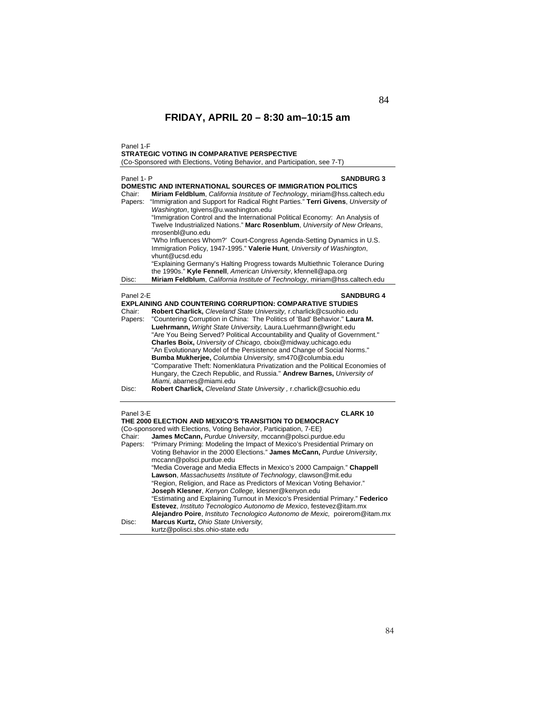Panel 1-F

### **STRATEGIC VOTING IN COMPARATIVE PERSPECTIVE**

(Co-Sponsored with Elections, Voting Behavior, and Participation, see 7-T)

| Panel 1- P | <b>SANDBURG 3</b>                                                                |
|------------|----------------------------------------------------------------------------------|
|            | DOMESTIC AND INTERNATIONAL SOURCES OF IMMIGRATION POLITICS                       |
| Chair:     | Miriam Feldblum, California Institute of Technology, miriam@hss.caltech.edu      |
| Papers:    | "Immigration and Support for Radical Right Parties." Terri Givens, University of |
|            | Washington, tgivens@u.washington.edu                                             |
|            | "Immigration Control and the International Political Economy: An Analysis of     |
|            | Twelve Industrialized Nations." Marc Rosenblum, University of New Orleans,       |
|            | mrosenbl@uno.edu                                                                 |
|            | "Who Influences Whom?' Court-Congress Agenda-Setting Dynamics in U.S.            |
|            | Immigration Policy, 1947-1995." Valerie Hunt, University of Washington,          |
|            | vhunt@ucsd.edu                                                                   |
|            | "Explaining Germany's Halting Progress towards Multiethnic Tolerance During      |
|            | the 1990s." Kyle Fennell, American University, kfennell@apa.org                  |
| Disc:      | Miriam Feldblum, California Institute of Technology, miriam@hss.caltech.edu      |
|            |                                                                                  |
| Panel 2-E  | <b>SANDBURG 4</b>                                                                |
|            | <b>EXPLAINING AND COUNTERING CORRUPTION: COMPARATIVE STUDIES</b>                 |
| Chair:     | Robert Charlick, Cleveland State University, r.charlick@csuohio.edu              |
| Papers:    | "Countering Corruption in China: The Politics of 'Bad' Behavior." Laura M.       |
|            | Luehrmann, Wright State University, Laura.Luehrmann@wright.edu                   |
|            | "Are You Being Served? Political Accountability and Quality of Government."      |
|            | Charles Boix, University of Chicago, cboix@midway.uchicago.edu                   |
|            | "An Evolutionary Model of the Persistence and Change of Social Norms."           |
|            | Bumba Mukherjee, Columbia University, sm470@columbia.edu                         |
|            | "Comparative Theft: Nomenklatura Privatization and the Political Economies of    |
|            | Hungary, the Czech Republic, and Russia." Andrew Barnes, University of           |
|            | Miami, abarnes@miami.edu                                                         |
| Disc:      | Robert Charlick, Cleveland State University, r.charlick@csuohio.edu              |
|            |                                                                                  |
|            |                                                                                  |
| Panel 3-E  | <b>CLARK 10</b><br>THE 2000 ELECTION AND MEXICO'S TRANSITION TO DEMOCRACY        |
|            | (Co-sponsored with Elections, Voting Behavior, Participation, 7-EE)              |
|            |                                                                                  |
| Chair:     | James McCann, Purdue University, mccann@polsci.purdue.edu                        |
| Papers:    | "Primary Priming: Modeling the Impact of Mexico's Presidential Primary on        |
|            | Voting Behavior in the 2000 Elections." James McCann, Purdue University,         |
|            | mccann@polsci.purdue.edu                                                         |
|            | "Media Coverage and Media Effects in Mexico's 2000 Campaign." Chappell           |
|            | Lawson, Massachusetts Institute of Technology, clawson@mit.edu                   |
|            | "Region, Religion, and Race as Predictors of Mexican Voting Behavior."           |
|            | Joseph Klesner, Kenyon College, klesner@kenyon.edu                               |
|            | "Estimating and Explaining Turnout in Mexico's Presidential Primary." Federico   |
|            | Estevez, Instituto Tecnologico Autonomo de Mexico, festevez@itam.mx              |
|            | Alejandro Poire, Instituto Tecnologico Autonomo de Mexic, poirerom@itam.mx       |
| Disc:      | Marcus Kurtz, Ohio State University,                                             |
|            | kurtz@polisci.sbs.ohio-state.edu                                                 |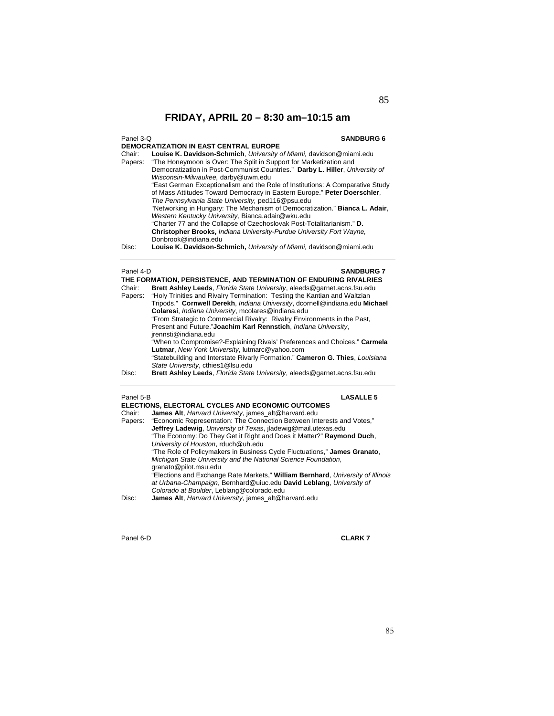## Panel 3-Q **SANDBURG 6**

**DEMOCRATIZATION IN EAST CENTRAL EUROPE**  Chair: **Louise K. Davidson-Schmich**, *University of Miami,* davidson@miami.edu Papers: "The Honeymoon is Over: The Split in Support for Marketization and Democratization in Post-Communist Countries." **Darby L. Hiller**, *University of Wisconsin-Milwaukee,* darby@uwm.edu "East German Exceptionalism and the Role of Institutions: A Comparative Study of Mass Attitudes Toward Democracy in Eastern Europe." **Peter Doerschler**, *The Pennsylvania State University,* ped116@psu.edu "Networking in Hungary: The Mechanism of Democratization." **Bianca L. Adair**, *Western Kentucky University,* Bianca.adair@wku.edu "Charter 77 and the Collapse of Czechoslovak Post-Totalitarianism." **D. Christopher Brooks,** *Indiana University-Purdue University Fort Wayne,* Donbrook@indiana.edu Disc: **Louise K. Davidson-Schmich,** *University of Miami,* davidson@miami.edu

## Panel 4-D **SANDBURG 7**

**THE FORMATION, PERSISTENCE, AND TERMINATION OF ENDURING RIVALRIES**  Chair: **Brett Ashley Leeds**, *Florida State University*, aleeds@garnet.acns.fsu.edu Papers: "Holy Trinities and Rivalry Termination: Testing the Kantian and Waltzian Tripods." **Cornwell Derekh**, *Indiana University*, dcornell@indiana.edu **Michael Colaresi**, *Indiana University*, mcolares@indiana.edu "From Strategic to Commercial Rivalry: Rivalry Environments in the Past, Present and Future."**Joachim Karl Rennstich**, *Indiana University*, jrennsti@indiana.edu "When to Compromise?-Explaining Rivals' Preferences and Choices." **Carmela Lutmar**, *New York University*, lutmarc@yahoo.com "Statebuilding and Interstate Rivarly Formation." **Cameron G. Thies**, *Louisiana State University*, cthies1@lsu.edu Disc: **Brett Ashley Leeds**, *Florida State University*, aleeds@garnet.acns.fsu.edu

### Panel 5-B **LASALLE 5**

|         | <b>ELECTIONS, ELECTORAL CYCLES AND ECONOMIC OUTCOMES</b>                        |
|---------|---------------------------------------------------------------------------------|
| Chair:  | James Alt, Harvard University, james alt@harvard.edu                            |
| Papers: | "Economic Representation: The Connection Between Interests and Votes,"          |
|         | <b>Jeffrey Ladewig.</b> University of Texas, iladewig@mail.utexas.edu           |
|         | "The Economy: Do They Get it Right and Does it Matter?" <b>Raymond Duch</b> ,   |
|         | University of Houston, rduch@uh.edu                                             |
|         | "The Role of Policymakers in Business Cycle Fluctuations," James Granato,       |
|         | Michigan State University and the National Science Foundation,                  |
|         | granato@pilot.msu.edu                                                           |
|         | "Elections and Exchange Rate Markets," William Bernhard, University of Illinois |
|         | at Urbana-Champaign, Bernhard@uiuc.edu David Leblang, University of             |
|         | Colorado at Boulder, Leblang@colorado.edu                                       |
| Disc:   | James Alt. Harvard University, james_alt@harvard.edu                            |
|         |                                                                                 |

Panel 6-D **CLARK 7**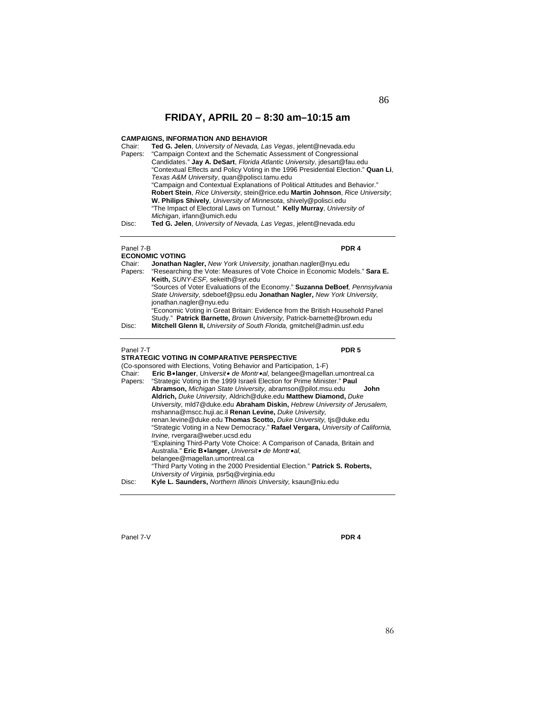## **CAMPAIGNS, INFORMATION AND BEHAVIOR**

| Chair:  | Ted G. Jelen, University of Nevada, Las Vegas, jelent@nevada.edu                   |
|---------|------------------------------------------------------------------------------------|
| Papers: | "Campaign Context and the Schematic Assessment of Congressional                    |
|         | Candidates." Jay A. DeSart, Florida Atlantic University, idesart@fau.edu           |
|         | "Contextual Effects and Policy Voting in the 1996 Presidential Election." Quan Li, |
|         | Texas A&M University, quan@polisci.tamu.edu                                        |
|         | "Campaign and Contextual Explanations of Political Attitudes and Behavior."        |
|         | Robert Stein, Rice University, stein@rice.edu Martin Johnson, Rice University;     |
|         | W. Philips Shively, University of Minnesota, shively@polisci.edu                   |
|         | "The Impact of Electoral Laws on Turnout." Kelly Murray, University of             |
|         | Michigan, irfann@umich.edu                                                         |
| Disc:   | Ted G. Jelen, University of Nevada, Las Vegas, jelent@nevada.edu                   |
|         |                                                                                    |

| Panel 7-B |                                                                                                                                                                                   | PDR <sub>4</sub> |
|-----------|-----------------------------------------------------------------------------------------------------------------------------------------------------------------------------------|------------------|
|           | <b>ECONOMIC VOTING</b>                                                                                                                                                            |                  |
| Chair:    | Jonathan Nagler, New York University, jonathan.nagler@nyu.edu                                                                                                                     |                  |
| Papers:   | "Researching the Vote: Measures of Vote Choice in Economic Models." Sara E.<br>Keith, SUNY-ESF, sekeith@syr.edu                                                                   |                  |
|           | "Sources of Voter Evaluations of the Economy." Suzanna DeBoef, Pennsylvania<br>State University, sdeboef@psu.edu Jonathan Nagler, New York University,<br>jonathan.nagler@nyu.edu |                  |
|           | "Economic Voting in Great Britain: Evidence from the British Household Panel                                                                                                      |                  |
|           | Study." Patrick Barnette, Brown University, Patrick-barnette@brown.edu                                                                                                            |                  |
| Disc:     | Mitchell Glenn II, University of South Florida, gmitchel@admin.usf.edu                                                                                                            |                  |
|           |                                                                                                                                                                                   |                  |
|           |                                                                                                                                                                                   |                  |
| Panel 7-T |                                                                                                                                                                                   | PDR <sub>5</sub> |
|           | STRATEGIC VOTING IN COMPARATIVE PERSPECTIVE                                                                                                                                       |                  |
|           | (Co-sponsored with Elections, Voting Behavior and Participation, 1-F)                                                                                                             |                  |
| Chair:    | Eric B•langer, Universit• de Montr•al, belangee@magellan.umontreal.ca                                                                                                             |                  |
|           | Papers: "Strategic Voting in the 1999 Israeli Election for Prime Minister." Paul                                                                                                  |                  |

|       | Abramson, Michigan State University, abramson@pilot.msu.edu<br>John                      |
|-------|------------------------------------------------------------------------------------------|
|       | Aldrich, Duke University, Aldrich@duke.edu Matthew Diamond, Duke                         |
|       | University, mld7@duke.edu Abraham Diskin, Hebrew University of Jerusalem,                |
|       | mshanna@mscc.huji.ac.il Renan Levine, Duke University,                                   |
|       | renan.levine@duke.edu Thomas Scotto, Duke University, tis@duke.edu                       |
|       | "Strategic Voting in a New Democracy." <b>Rafael Vergara, University of California</b> , |
|       | Irvine, rvergara@weber.ucsd.edu                                                          |
|       | "Explaining Third-Party Vote Choice: A Comparison of Canada, Britain and                 |
|       | Australia." Eric B.langer, Universit. de Montr.al.                                       |
|       | belangee@magellan.umontreal.ca                                                           |
|       | "Third Party Voting in the 2000 Presidential Election." Patrick S. Roberts,              |
|       | University of Virginia, psr5q@virginia.edu                                               |
| Disc: | Kyle L. Saunders, Northern Illinois University, ksaun@niu.edu                            |

Panel 7-V **PDR 4** 

i<br>L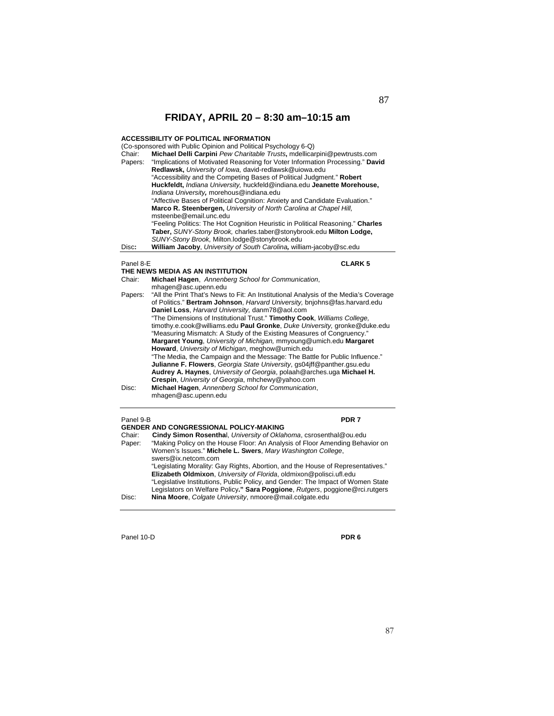## **ACCESSIBILITY OF POLITICAL INFORMATION**

| Chair:<br>Papers: | (Co-sponsored with Public Opinion and Political Psychology 6-Q)<br>Michael Delli Carpini Pew Charitable Trusts, mdellicarpini@pewtrusts.com<br>"Implications of Motivated Reasoning for Voter Information Processing." David<br>Redlawsk, University of Iowa, david-redlawsk@uiowa.edu<br>"Accessibility and the Competing Bases of Political Judgment." Robert<br>Huckfeldt, Indiana University, huckfeld@indiana.edu Jeanette Morehouse,<br>Indiana University, morehous@indiana.edu<br>"Affective Bases of Political Cognition: Anxiety and Candidate Evaluation." |
|-------------------|-----------------------------------------------------------------------------------------------------------------------------------------------------------------------------------------------------------------------------------------------------------------------------------------------------------------------------------------------------------------------------------------------------------------------------------------------------------------------------------------------------------------------------------------------------------------------|
|                   | Marco R. Steenbergen, University of North Carolina at Chapel Hill,                                                                                                                                                                                                                                                                                                                                                                                                                                                                                                    |
|                   | msteenbe@email.unc.edu<br>"Feeling Politics: The Hot Cognition Heuristic in Political Reasoning." Charles<br>Taber, SUNY-Stony Brook, charles.taber@stonybrook.edu Milton Lodge,<br>SUNY-Stony Brook, Milton.lodge@stonybrook.edu                                                                                                                                                                                                                                                                                                                                     |
| Disc:             | William Jacoby, University of South Carolina, william-jacoby@sc.edu                                                                                                                                                                                                                                                                                                                                                                                                                                                                                                   |
| Panel 8-E         | <b>CLARK 5</b><br>THE NEWS MEDIA AS AN INSTITUTION                                                                                                                                                                                                                                                                                                                                                                                                                                                                                                                    |
| Chair:            | Michael Hagen, Annenberg School for Communication,                                                                                                                                                                                                                                                                                                                                                                                                                                                                                                                    |
|                   | mhagen@asc.upenn.edu                                                                                                                                                                                                                                                                                                                                                                                                                                                                                                                                                  |
| Papers:           | "All the Print That's News to Fit: An Institutional Analysis of the Media's Coverage<br>of Politics." Bertram Johnson, Harvard University, bnjohns@fas.harvard.edu<br>Daniel Loss, Harvard University, danm78@aol.com                                                                                                                                                                                                                                                                                                                                                 |
|                   | "The Dimensions of Institutional Trust." Timothy Cook, Williams College,<br>timothy.e.cook@williams.edu Paul Gronke, Duke University, gronke@duke.edu<br>"Measuring Mismatch: A Study of the Existing Measures of Congruency."                                                                                                                                                                                                                                                                                                                                        |
|                   | Margaret Young, University of Michigan, mmyoung@umich.edu Margaret                                                                                                                                                                                                                                                                                                                                                                                                                                                                                                    |
|                   | Howard, University of Michigan, meghow@umich.edu                                                                                                                                                                                                                                                                                                                                                                                                                                                                                                                      |
|                   | "The Media, the Campaign and the Message: The Battle for Public Influence."                                                                                                                                                                                                                                                                                                                                                                                                                                                                                           |
|                   | Julianne F. Flowers, Georgia State University, gs04jff@panther.gsu.edu                                                                                                                                                                                                                                                                                                                                                                                                                                                                                                |
|                   | Audrey A. Haynes, University of Georgia, polaah@arches.uga Michael H.                                                                                                                                                                                                                                                                                                                                                                                                                                                                                                 |

|         | mnagen@asc.upenn.edu                                                                                                                                               |
|---------|--------------------------------------------------------------------------------------------------------------------------------------------------------------------|
| Papers: | "All the Print That's News to Fit: An Institutional Analysis of the Media's Coverage<br>of Politics." Bertram Johnson, Harvard University, bnjohns@fas.harvard.edu |
|         | Daniel Loss, Harvard University, danm78@aol.com                                                                                                                    |
|         | "The Dimensions of Institutional Trust." Timothy Cook, Williams College,                                                                                           |
|         | timothy.e.cook@williams.edu Paul Gronke, Duke University, gronke@duke.edu                                                                                          |
|         | "Measuring Mismatch: A Study of the Existing Measures of Congruency."                                                                                              |
|         | Margaret Young, University of Michigan, mmyoung@umich.edu Margaret                                                                                                 |
|         | Howard, University of Michigan, meghow@umich.edu                                                                                                                   |
|         | "The Media, the Campaign and the Message: The Battle for Public Influence."                                                                                        |
|         | Julianne F. Flowers, Georgia State University, gs04jff@panther.gsu.edu                                                                                             |
|         | Audrey A. Haynes, University of Georgia, polaah@arches.uga Michael H.                                                                                              |
|         | Crespin, University of Georgia, mhchewy@yahoo.com                                                                                                                  |
| Disc:   | Michael Hagen, Annenberg School for Communication,<br>mhagen@asc.upenn.edu                                                                                         |
|         |                                                                                                                                                                    |

### Panel 9-B **PDR 7**

|        | <b>GENDER AND CONGRESSIONAL POLICY-MAKING</b>                                   |
|--------|---------------------------------------------------------------------------------|
| Chair: | Cindy Simon Rosenthal, University of Oklahoma, csrosenthal@ou.edu               |
| Paper: | "Making Policy on the House Floor: An Analysis of Floor Amending Behavior on    |
|        | Women's Issues." Michele L. Swers, Mary Washington College,                     |
|        | swers@ix.netcom.com                                                             |
|        | "Legislating Morality: Gay Rights, Abortion, and the House of Representatives." |
|        | Elizabeth Oldmixon, University of Florida, oldmixon@polisci.ufl.edu             |
|        | "Legislative Institutions, Public Policy, and Gender: The Impact of Women State |
|        | Legislators on Welfare Policy." Sara Poggione, Rutgers, poggione@rci.rutgers    |
| Disc:  | Nina Moore. Colgate University, nmoore@mail.colgate.edu                         |

Panel 10-D **PDR 6**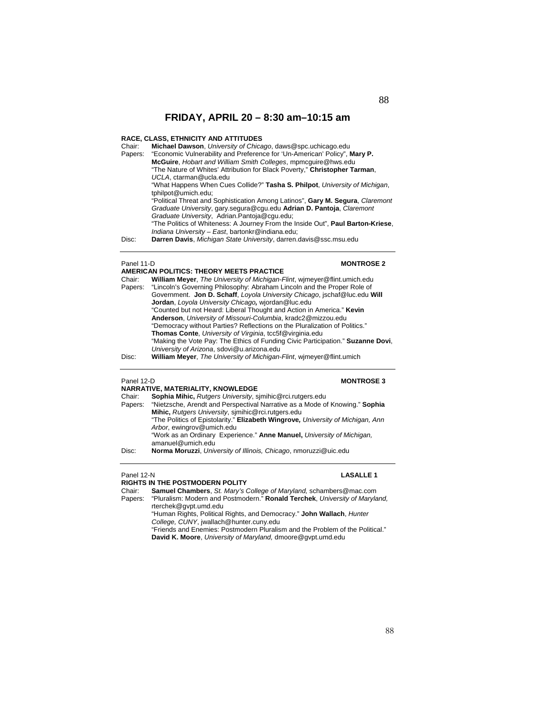## **RACE, CLASS, ETHNICITY AND ATTITUDES**

| Chair:  | Michael Dawson, University of Chicago, daws@spc.uchicago.edu                    |
|---------|---------------------------------------------------------------------------------|
| Papers: | "Economic Vulnerability and Preference for 'Un-American' Policy", Mary P.       |
|         | McGuire, Hobart and William Smith Colleges, mpmcquire@hws.edu                   |
|         | "The Nature of Whites' Attribution for Black Poverty," Christopher Tarman,      |
|         | UCLA, ctarman@ucla.edu                                                          |
|         | "What Happens When Cues Collide?" Tasha S. Philpot, University of Michigan,     |
|         | tphilpot@umich.edu:                                                             |
|         | "Political Threat and Sophistication Among Latinos", Gary M. Sequra, Claremont  |
|         | Graduate University, gary.segura@cgu.edu Adrian D. Pantoja, Claremont           |
|         | Graduate University, Adrian.Pantoja@cqu.edu;                                    |
|         | "The Politics of Whiteness: A Journey From the Inside Out", Paul Barton-Kriese, |
|         | Indiana University - East, bartonkr@indiana.edu;                                |
| Disc:   | Darren Davis, Michigan State University, darren.davis@ssc.msu.edu               |

## Panel 11-D<br> **MONTROSE 2**

|         | AMERICAN POLITICS: THEORY MEETS PRACTICE                                        |
|---------|---------------------------------------------------------------------------------|
| Chair:  | <b>William Meyer, The University of Michigan-Flint, wimeyer@flint.umich.edu</b> |
| Papers: | "Lincoln's Governing Philosophy: Abraham Lincoln and the Proper Role of         |
|         | Government. Jon D. Schaff, Loyola University Chicago, jschaf@luc.edu Will       |
|         | <b>Jordan</b> , Loyola University Chicago, wiordan@luc.edu                      |
|         | "Counted but not Heard: Liberal Thought and Action in America." Kevin           |
|         | Anderson, University of Missouri-Columbia, kradc2@mizzou.edu                    |
|         | "Democracy without Parties? Reflections on the Pluralization of Politics."      |
|         | Thomas Conte, University of Virginia, tcc5f@virginia.edu                        |
|         | "Making the Vote Pay: The Ethics of Funding Civic Participation." Suzanne Dovi, |
|         | University of Arizona, sdovi@u.arizona.edu                                      |
| Disc:   | <b>William Mever.</b> The University of Michigan-Flint, wimever@flint.umich     |

### Disc: **William Meyer**, *The University of Michigan-Flint*, wjmeyer@flint.umich

## Panel 12-D **MONTROSE 3**

| NARRATIVE, MATERIALITY, KNOWLEDGE |                                                                                 |  |
|-----------------------------------|---------------------------------------------------------------------------------|--|
| Chair:                            | Sophia Mihic, Rutgers University, simihic@rci.rutgers.edu                       |  |
| Papers:                           | "Nietzsche, Arendt and Perspectival Narrative as a Mode of Knowing." Sophia     |  |
|                                   | Mihic, Rutgers University, simihic@rci.rutgers.edu                              |  |
|                                   | "The Politics of Epistolarity." Elizabeth Wingrove, University of Michigan, Ann |  |
|                                   | Arbor, ewingrov@umich.edu                                                       |  |
|                                   | "Work as an Ordinary Experience." Anne Manuel, University of Michigan,          |  |
|                                   | amanuel@umich.edu                                                               |  |
| Disc:                             | Norma Moruzzi, University of Illinois, Chicago, nmoruzzi@uic.edu                |  |

Panel 12-N **LASALLE 1** 

**RIGHTS IN THE POSTMODERN POLITY**<br>Chair: **Samuel Chambers**, St. Mary's C Chair: **Samuel Chambers**, *St. Mary's College of Maryland,* schambers@mac.com

Papers: "Pluralism: Modern and Postmodern." **Ronald Terchek**, *University of Maryland,* rterchek@gvpt.umd.edu

"Human Rights, Political Rights, and Democracy." **John Wallach**, *Hunter College, CUNY*, jwallach@hunter.cuny.edu

<sup>&</sup>quot;Friends and Enemies: Postmodern Pluralism and the Problem of the Political." **David K. Moore**, *University of Maryland,* dmoore@gvpt.umd.edu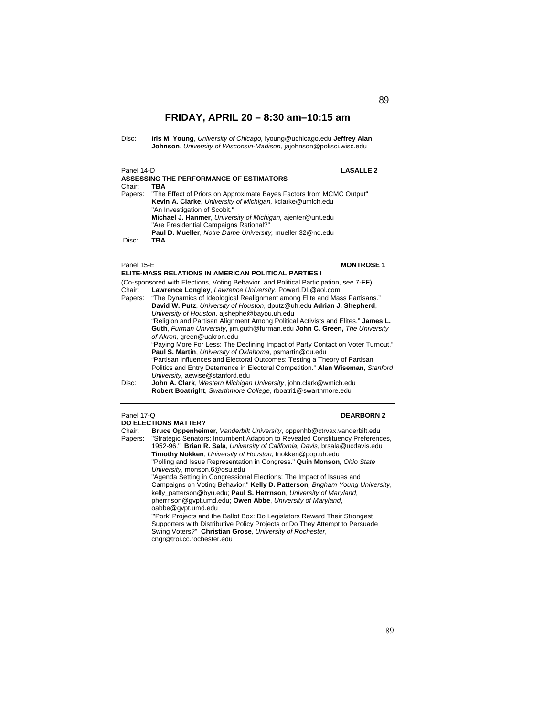Disc: **Iris M. Young**, *University of Chicago,* iyoung@uchicago.edu **Jeffrey Alan Johnson**, *University of Wisconsin-Madison,* jajohnson@polisci.wisc.edu

| Panel 14-D | <b>LASALLE 2</b>                                                             |  |
|------------|------------------------------------------------------------------------------|--|
|            | ASSESSING THE PERFORMANCE OF ESTIMATORS                                      |  |
| Chair:     | TBA                                                                          |  |
|            | Papers: "The Effect of Priors on Approximate Bayes Factors from MCMC Output" |  |
|            | Kevin A. Clarke, University of Michigan, kclarke@umich.edu                   |  |
|            | "An Investigation of Scobit."                                                |  |
|            | Michael J. Hanmer, University of Michigan, ajenter@unt.edu                   |  |
|            | "Are Presidential Campaigns Rational?"                                       |  |
|            | Paul D. Mueller, Notre Dame University, mueller.32@nd.edu                    |  |
| Disc:      | TBA                                                                          |  |

### Panel 15-E **MONTROSE 1**

|         | ELITE-MASS RELATIONS IN AMERICAN POLITICAL PARTIES I                                                                                                                                                                                                                                    |  |  |
|---------|-----------------------------------------------------------------------------------------------------------------------------------------------------------------------------------------------------------------------------------------------------------------------------------------|--|--|
| Chair:  | (Co-sponsored with Elections, Voting Behavior, and Political Participation, see 7-FF)<br>Lawrence Longley, Lawrence University, PowerLDL@aol.com                                                                                                                                        |  |  |
| Papers: | "The Dynamics of Ideological Realignment among Elite and Mass Partisans."<br>David W. Putz, University of Houston, dputz@uh.edu Adrian J. Shepherd,<br>University of Houston, ajshephe@bayou.uh.edu<br>"Religion and Partisan Alignment Among Political Activists and Elites." James L. |  |  |
|         | Guth, Furman University, jim.quth@furman.edu John C. Green, The University<br>of Akron, green@uakron.edu                                                                                                                                                                                |  |  |
|         | "Paying More For Less: The Declining Impact of Party Contact on Voter Turnout."<br>Paul S. Martin, University of Oklahoma, psmartin@ou.edu                                                                                                                                              |  |  |
|         | "Partisan Influences and Electoral Outcomes: Testing a Theory of Partisan<br>Politics and Entry Deterrence in Electoral Competition." Alan Wiseman, Stanford<br>University, aewise@stanford.edu                                                                                         |  |  |
| Disc:   | John A. Clark, Western Michigan University, john.clark@wmich.edu<br>Robert Boatright, Swarthmore College, rboatri1@swarthmore.edu                                                                                                                                                       |  |  |
|         | Panel 17-Q<br><b>DEARBORN 2</b><br><b>DO ELECTIONS MATTER?</b>                                                                                                                                                                                                                          |  |  |

Chair: **Bruce Oppenheimer***, Vanderbilt University*, oppenhb@ctrvax.vanderbilt.edu Papers: "Strategic Senators: Incumbent Adaption to Revealed Constituency Preferences, 1952-96." **Brian R. Sala**, *University of California, Davis*, brsala@ucdavis.edu **Timothy Nokken**, *University of Houston*, tnokken@pop.uh.edu "Polling and Issue Representation in Congress." **Quin Monson***, Ohio State University*, monson.6@osu.edu "Agenda Setting in Congressional Elections: The Impact of Issues and Campaigns on Voting Behavior." **Kelly D. Patterson***, Brigham Young University*, kelly\_patterson@byu.edu; **Paul S. Herrnson**, *University of Maryland*, pherrnson@gvpt.umd.edu; **Owen Abbe**, *University of Maryland*, oabbe@gvpt.umd.edu "'Pork' Projects and the Ballot Box: Do Legislators Reward Their Strongest Supporters with Distributive Policy Projects or Do They Attempt to Persuade Swing Voters?" **Christian Grose***, University of Rochester*,

cngr@troi.cc.rochester.edu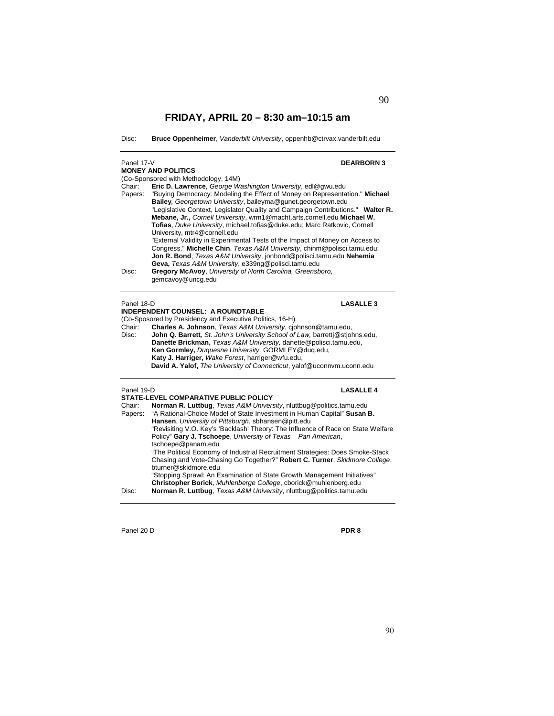Disc: **Bruce Oppenheimer**, *Vanderbilt University*, oppenhb@ctrvax.vanderbilt.edu

| Panel 17-V        | <b>DEARBORN3</b><br><b>MONEY AND POLITICS</b>                                                                                                                                                                                                                                                                                                                                                                                                                                                                                                                                                                                                                                                                                                                                 |  |  |
|-------------------|-------------------------------------------------------------------------------------------------------------------------------------------------------------------------------------------------------------------------------------------------------------------------------------------------------------------------------------------------------------------------------------------------------------------------------------------------------------------------------------------------------------------------------------------------------------------------------------------------------------------------------------------------------------------------------------------------------------------------------------------------------------------------------|--|--|
|                   | (Co-Sponsored with Methodology, 14M)                                                                                                                                                                                                                                                                                                                                                                                                                                                                                                                                                                                                                                                                                                                                          |  |  |
| Chair:<br>Papers: | Eric D. Lawrence, George Washington University, edl@gwu.edu<br>"Buying Democracy: Modeling the Effect of Money on Representation." Michael<br>Bailey, Georgetown University, baileyma@gunet.georgetown.edu<br>"Legislative Context, Legislator Quality and Campaign Contributions." Walter R.<br>Mebane, Jr., Cornell University, wrm1@macht.arts.cornell.edu Michael W.<br>Tofias, Duke University, michael.tofias@duke.edu; Marc Ratkovic, Cornell<br>University, mtr4@cornell.edu<br>"External Validity in Experimental Tests of the Impact of Money on Access to<br>Congress." Michelle Chin, Texas A&M University, chinm@polisci.tamu.edu;<br>Jon R. Bond, Texas A&M University, jonbond@polisci.tamu.edu Nehemia<br>Geva, Texas A&M University, e339ng@polisci.tamu.edu |  |  |
| Disc:             | Gregory McAvoy, University of North Carolina, Greensboro,<br>gemcavoy@uncg.edu                                                                                                                                                                                                                                                                                                                                                                                                                                                                                                                                                                                                                                                                                                |  |  |
| Panel 18-D        | <b>LASALLE 3</b>                                                                                                                                                                                                                                                                                                                                                                                                                                                                                                                                                                                                                                                                                                                                                              |  |  |
|                   | <b>INDEPENDENT COUNSEL: A ROUNDTABLE</b>                                                                                                                                                                                                                                                                                                                                                                                                                                                                                                                                                                                                                                                                                                                                      |  |  |
|                   | (Co-Sposored by Presidency and Executive Politics, 16-H)                                                                                                                                                                                                                                                                                                                                                                                                                                                                                                                                                                                                                                                                                                                      |  |  |
| Chair:<br>Disc:   | Charles A. Johnson, Texas A&M University, cjohnson@tamu.edu,<br>John Q. Barrett, St. John's University School of Law, barrettj@stjohns.edu,<br>Danette Brickman, Texas A&M University, danette@polisci.tamu.edu,<br>Ken Gormley, Duquesne University, GORMLEY@duq.edu,<br>Katy J. Harriger, Wake Forest, harriger@wfu.edu,<br>David A. Yalof, The University of Connecticut, yalof@uconnym.uconn.edu                                                                                                                                                                                                                                                                                                                                                                          |  |  |
| Panel 19-D        | <b>LASALLE 4</b>                                                                                                                                                                                                                                                                                                                                                                                                                                                                                                                                                                                                                                                                                                                                                              |  |  |
|                   | STATE-LEVEL COMPARATIVE PUBLIC POLICY                                                                                                                                                                                                                                                                                                                                                                                                                                                                                                                                                                                                                                                                                                                                         |  |  |
| Chair:<br>Papers: | Norman R. Luttbug, Texas A&M University, nluttbug@politics.tamu.edu<br>"A Rational-Choice Model of State Investment in Human Capital" Susan B.<br>Hansen, University of Pittsburgh, sbhansen@pitt.edu<br>"Revisiting V.O. Key's 'Backlash' Theory: The Influence of Race on State Welfare                                                                                                                                                                                                                                                                                                                                                                                                                                                                                     |  |  |

Policy" **Gary J. Tschoepe**, *University of Texas – Pan American*,

Panel 20 D **PDR 8**

"The Political Economy of Industrial Recruitment Strategies: Does Smoke-Stack Chasing and Vote-Chasing Go Together?" **Robert C. Turner**, *Skidmore College*,

"Stopping Sprawl: An Examination of State Growth Management Initiatives" **Christopher Borick**, *Muhlenberge College*, cborick@muhlenberg.edu Disc: **Norman R. Luttbug**, *Texas A&M University*, nluttbug@politics.tamu.edu

tschoepe@panam.edu

bturner@skidmore.edu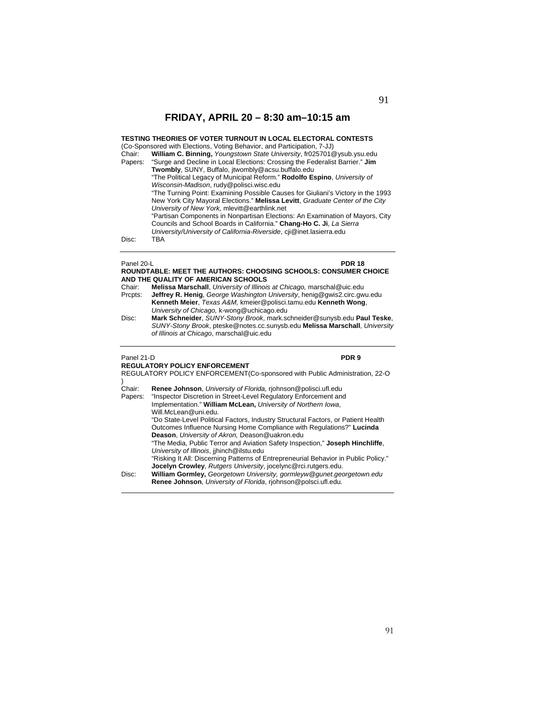**TESTING THEORIES OF VOTER TURNOUT IN LOCAL ELECTORAL CONTESTS** (Co-Sponsored with Elections, Voting Behavior, and Participation, 7-JJ)

Chair: **William C. Binning,** *Youngstown State University*, fr025701@ysub.ysu.edu Papers: "Surge and Decline in Local Elections: Crossing the Federalist Barrier." **Jim Twombly**, SUNY, Buffalo, jtwombly@acsu.buffalo.edu "The Political Legacy of Municipal Reform." **Rodolfo Espino**, *University of Wisconsin-Madison*, rudy@polisci.wisc.edu "The Turning Point: Examining Possible Causes for Giuliani's Victory in the 1993 New York City Mayoral Elections." **Melissa Levitt**, *Graduate Center of the City University of New York,* mlevitt@earthlink.net "Partisan Components in Nonpartisan Elections: An Examination of Mayors, City Councils and School Boards in California." **Chang-Ho C. Ji**, *La Sierra University/University of California-Riverside*, cji@inet.lasierra.edu

Disc:

### Panel 20-L **PDR 18 ROUNDTABLE: MEET THE AUTHORS: CHOOSING SCHOOLS: CONSUMER CHOICE AND THE QUALITY OF AMERICAN SCHOOLS**

- Chair: **Melissa Marschall**, *University of Illinois at Chicago,* marschal@uic.edu Prcpts: **Jeffrey R. Henig**, *George Washington University*, henig@gwis2.circ.gwu.edu **Kenneth Meier**, *Texas A&M,* kmeier@polisci.tamu.edu **Kenneth Wong**, *University of Chicago,* k-wong@uchicago.edu
- Disc: **Mark Schneider**, *SUNY-Stony Brook*, mark.schneider@sunysb.edu **Paul Teske**, *SUNY-Stony Brook*, pteske@notes.cc.sunysb.edu **Melissa Marschall**, *University of Illinois at Chicago*, marschal@uic.edu

l

Panel 21-D **PDR 9**

**REGULATORY POLICY ENFORCEMENT**  REGULATORY POLICY ENFORCEMENT(Co-sponsored with Public Administration, 22-O ) Chair: **Renee Johnson**, *University of Florida,* rjohnson@polisci.ufl.edu "Inspector Discretion in Street-Level Regulatory Enforcement and Implementation." **William McLean,** *University of Northern Iowa*, Will.McLean@uni.edu. "Do State-Level Political Factors, Industry Structural Factors, or Patient Health Outcomes Influence Nursing Home Compliance with Regulations?" **Lucinda Deason**, *University of Akron,* Deason@uakron.edu "The Media, Public Terror and Aviation Safety Inspection," **Joseph Hinchliffe**, *University of Illinois*, jjhinch@ilstu.edu "Risking It All: Discerning Patterns of Entrepreneurial Behavior in Public Policy." **Jocelyn Crowley**, *Rutgers University*, jocelync@rci.rutgers.edu. Disc: **William Gormley,** *Georgetown University, gormleyw@gunet.georgetown.edu*  **Renee Johnson**, *University of Florida*, rjohnson@polsci.ufl.edu.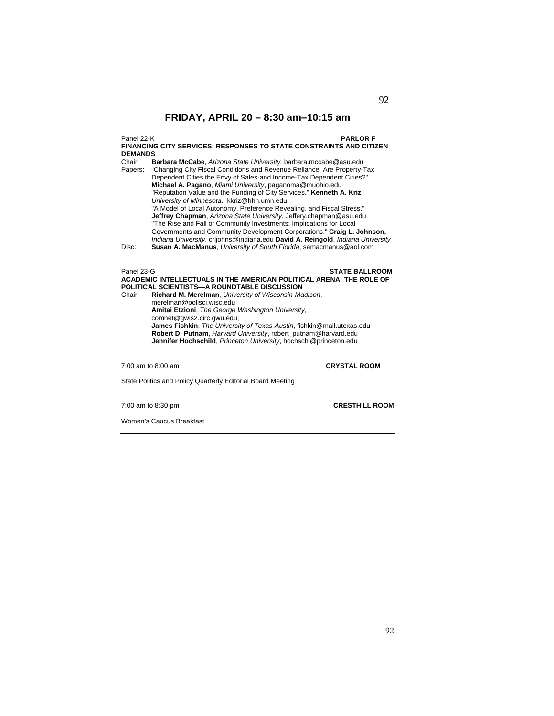Panel 22-K **PARLOR F FINANCING CITY SERVICES: RESPONSES TO STATE CONSTRAINTS AND CITIZEN DEMANDS** 

Chair: **Barbara McCabe**, *Arizona State University,* barbara.mccabe@asu.edu "Changing City Fiscal Conditions and Revenue Reliance: Are Property-Tax Dependent Cities the Envy of Sales-and Income-Tax Dependent Cities?" **Michael A. Pagano**, *Miami University*, paganoma@muohio.edu "Reputation Value and the Funding of City Services." **Kenneth A. Kriz**, *University of Minnesota*. kkriz@hhh.umn.edu "A Model of Local Autonomy, Preference Revealing, and Fiscal Stress." **Jeffrey Chapman**, *Arizona State University*, Jeffery.chapman@asu.edu "The Rise and Fall of Community Investments: Implications for Local Governments and Community Development Corporations." **Craig L. Johnson,**  *Indiana University*, crljohns@indiana.edu **David A. Reingold**, *Indiana University*  Disc: **Susan A. MacManus**, *University of South Florida*, samacmanus@aol.com

### Panel 23-G **STATE BALLROOM ACADEMIC INTELLECTUALS IN THE AMERICAN POLITICAL ARENA: THE ROLE OF POLITICAL SCIENTISTS—A ROUNDTABLE DISCUSSION**

Chair: **Richard M. Merelman**, *University of Wisconsin-Madison*, merelman@polisci.wisc.edu **Amitai Etzioni**, *The George Washington University*, comnet@gwis2.circ.gwu.edu; **James Fishkin**, *The University of Texas-Austin*, fishkin@mail.utexas.edu **Robert D. Putnam**, *Harvard University*, robert\_putnam@harvard.edu **Jennifer Hochschild**, *Princeton University*, hochschi@princeton.edu

7:00 am to 8:00 am **CRYSTAL ROOM**

State Politics and Policy Quarterly Editorial Board Meeting

7:00 am to 8:30 pm **CRESTHILL ROOM**

Women's Caucus Breakfast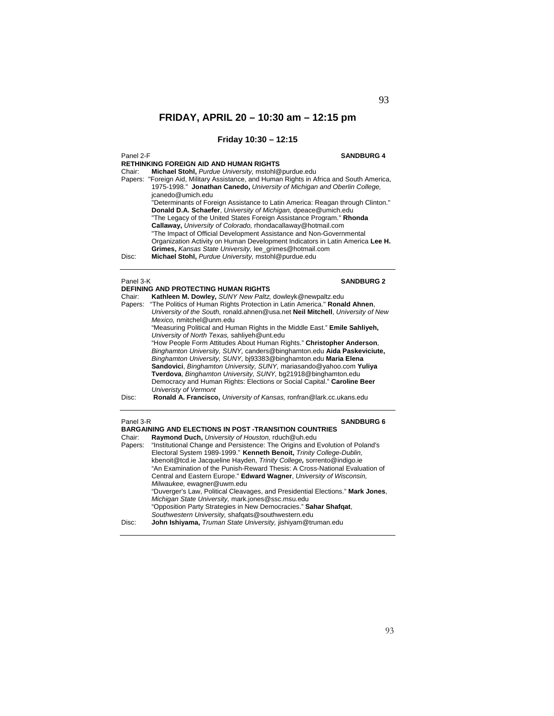## **Friday 10:30 – 12:15**

Panel 2-F **SANDBURG 4 RETHINKING FOREIGN AID AND HUMAN RIGHTS** Chair: **Michael Stohl,** *Purdue University,* mstohl@purdue.edu Papers: "Foreign Aid, Military Assistance, and Human Rights in Africa and South America, 1975-1998." **Jonathan Canedo,** *University of Michigan and Oberlin College,*  jcanedo@umich.edu "Determinants of Foreign Assistance to Latin America: Reagan through Clinton." **Donald D.A. Schaefer**, *University of Michigan,* dpeace@umich.edu "The Legacy of the United States Foreign Assistance Program." **Rhonda Callaway,** *University of Colorado,* rhondacallaway@hotmail.com "The Impact of Official Development Assistance and Non-Governmental Organization Activity on Human Development Indicators in Latin America **Lee H. Grimes,** *Kansas State University,* lee\_grimes@hotmail.com Disc: **Michael Stohl,** *Purdue University,* mstohl@purdue.edu Panel 3-K **SANDBURG 2 DEFINING AND PROTECTING HUMAN RIGHTS**  Chair: **Kathleen M. Dowley,** *SUNY New Paltz,* dowleyk@newpaltz.edu Papers: "The Politics of Human Rights Protection in Latin America." **Ronald Ahnen**, *University of the South,* ronald.ahnen@usa.net **Neil Mitchell**, *University of New Mexico,* nmitchel@unm.edu "Measuring Political and Human Rights in the Middle East." **Emile Sahliyeh,**  *University of North Texas,* sahliyeh@unt.edu "How People Form Attitudes About Human Rights." **Christopher Anderson**, *Binghamton University, SUNY,* canders@binghamton.edu **Aida Paskeviciute,**  *Binghamton University, SUNY,* bj93383@binghamton.edu **Maria Elena Sandovici**, *Binghamton University, SUNY,* mariasando@yahoo.com **Yuliya Tverdova**, *Binghamton University, SUNY,* bg21918@binghamton.edu Democracy and Human Rights: Elections or Social Capital." **Caroline Beer**  *Univeristy of Vermont*  Disc: **Ronald A. Francisco,** *University of Kansas,* ronfran@lark.cc.ukans.edu

### Panel 3-R **SANDBURG 6**

|         | <b>BARGAINING AND ELECTIONS IN POST-TRANSITION COUNTRIES</b>                   |
|---------|--------------------------------------------------------------------------------|
| Chair:  | Raymond Duch, University of Houston, rduch@uh.edu                              |
| Papers: | "Institutional Change and Persistence: The Origins and Evolution of Poland's   |
|         | Electoral System 1989-1999." Kenneth Benoit, Trinity College-Dublin,           |
|         | kbenoit@tcd.ie Jacqueline Hayden, Trinity College, sorrento@indigo.ie          |
|         | "An Examination of the Punish-Reward Thesis: A Cross-National Evaluation of    |
|         | Central and Eastern Europe." Edward Wagner, University of Wisconsin.           |
|         | Milwaukee, ewagner@uwm.edu                                                     |
|         | "Duverger's Law, Political Cleavages, and Presidential Elections." Mark Jones, |
|         | Michigan State University, mark.jones@ssc.msu.edu                              |
|         | "Opposition Party Strategies in New Democracies." Sahar Shafqat,               |
|         | Southwestern University, shafqats@southwestern.edu                             |
| Disc:   | John Ishiyama, Truman State University, jishiyam@truman.edu                    |
|         |                                                                                |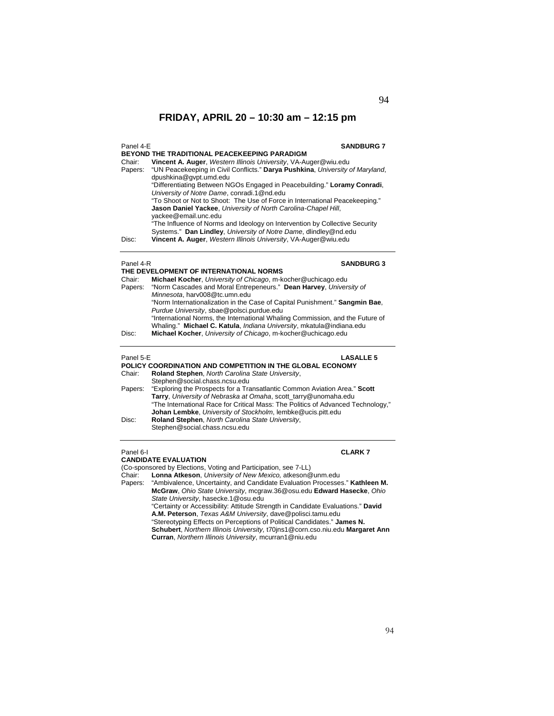| Panel 4-E | <b>SANDBURG 7</b><br><b>BEYOND THE TRADITIONAL PEACEKEEPING PARADIGM</b>                                                                                                |
|-----------|-------------------------------------------------------------------------------------------------------------------------------------------------------------------------|
| Chair:    | Vincent A. Auger, Western Illinois University, VA-Auger@wiu.edu                                                                                                         |
| Papers:   | "UN Peacekeeping in Civil Conflicts." Darya Pushkina, University of Maryland,<br>dpushkina@gvpt.umd.edu                                                                 |
|           | "Differentiating Between NGOs Engaged in Peacebuilding." Loramy Conradi,<br>University of Notre Dame, conradi.1@nd.edu                                                  |
|           | "To Shoot or Not to Shoot: The Use of Force in International Peacekeeping."<br>Jason Daniel Yackee, University of North Carolina-Chapel Hill,                           |
|           | yackee@email.unc.edu<br>"The Influence of Norms and Ideology on Intervention by Collective Security<br>Systems." Dan Lindley, University of Notre Dame, dlindley@nd.edu |
| Disc:     | Vincent A. Auger, Western Illinois University, VA-Auger@wiu.edu                                                                                                         |

## Panel 4-R **SANDBURG 3**

|         | THE DEVELOPMENT OF INTERNATIONAL NORMS                                        |
|---------|-------------------------------------------------------------------------------|
| Chair:  | Michael Kocher, University of Chicago, m-kocher@uchicago.edu                  |
| Papers: | "Norm Cascades and Moral Entrepeneurs." Dean Harvey, University of            |
|         | Minnesota, harv008@tc.umn.edu                                                 |
|         | "Norm Internationalization in the Case of Capital Punishment." Sangmin Bae,   |
|         | Purdue University, sbae@polsci.purdue.edu                                     |
|         | "International Norms, the International Whaling Commission, and the Future of |
|         | Whaling." Michael C. Katula, Indiana University, mkatula@indiana.edu          |
| Disc:   | Michael Kocher, University of Chicago, m-kocher@uchicago.edu                  |
|         |                                                                               |

**THE DEVELOPMENT OF INTERNATIONAL NORMS** 

| Panel 5-E | <b>LASALLE 5</b>                                                                  |
|-----------|-----------------------------------------------------------------------------------|
|           | POLICY COORDINATION AND COMPETITION IN THE GLOBAL ECONOMY                         |
| Chair:    | Roland Stephen, North Carolina State University,                                  |
|           | Stephen@social.chass.ncsu.edu                                                     |
|           | Papers: "Exploring the Prospects for a Transatlantic Common Aviation Area." Scott |
|           | Tarry, University of Nebraska at Omaha, scott tarry@unomaha.edu                   |
|           | "The International Race for Critical Mass: The Politics of Advanced Technology,"  |
|           | Johan Lembke, University of Stockholm, lembke@ucis.pitt.edu                       |
| Disc:     | Roland Stephen, North Carolina State University,                                  |
|           | Stephen@social.chass.ncsu.edu                                                     |

### Panel 6-I **CLARK 7**

### **CANDIDATE EVALUATION**

(Co-sponsored by Elections, Voting and Participation, see 7-LL)

Chair: **Lonna Atkeson**, *University of New Mexico,* atkeson@unm.edu

Papers: "Ambivalence, Uncertainty, and Candidate Evaluation Processes." **Kathleen M. McGraw**, *Ohio State University*, mcgraw.36@osu.edu **Edward Hasecke**, *Ohio State University*, hasecke.1@osu.edu "Certainty or Accessibility: Attitude Strength in Candidate Evaluations." **David A.M. Peterson**, *Texas A&M University*, dave@polisci.tamu.edu "Stereotyping Effects on Perceptions of Political Candidates." **James N. Schubert**, *Northern Illinois University,* t70jns1@corn.cso.niu.edu **Margaret Ann** 

**Curran**, *Northern Illinois University*, mcurran1@niu.edu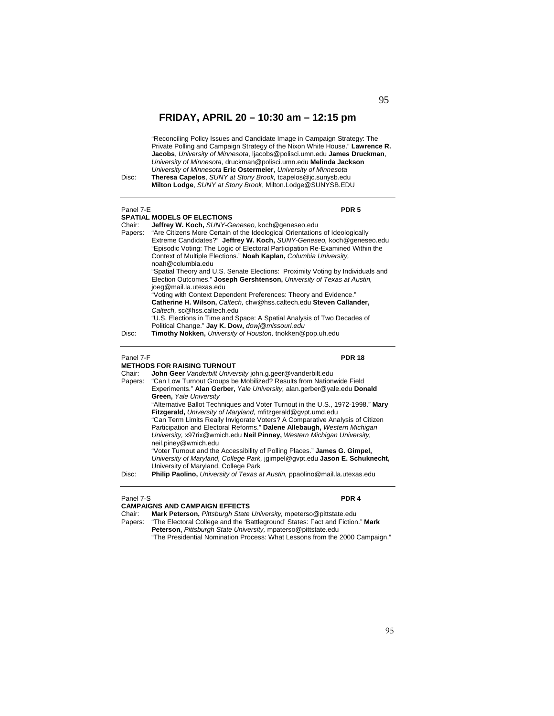"Reconciling Policy Issues and Candidate Image in Campaign Strategy: The Private Polling and Campaign Strategy of the Nixon White House." **Lawrence R. Jacobs**, *University of Minnesota*, ljacobs@polisci.umn.edu **James Druckman**, *University of Minnesota*, druckman@polisci.umn.edu **Melinda Jackson** *University of Minnesota* **Eric Ostermeier**, *University of Minnesota* Disc: **Theresa Capelos**, *SUNY at Stony Brook,* tcapelos@jc.sunysb.edu **Milton Lodge**, *SUNY at Stony Brook*, Milton.Lodge@SUNYSB.EDU

Panel 7-E **PDR 5 SPATIAL MODELS OF ELECTIONS**  Chair: **Jeffrey W. Koch,** *SUNY-Geneseo,* koch@geneseo.edu Papers: "Are Citizens More Certain of the Ideological Orientations of Ideologically Extreme Candidates?" **Jeffrey W. Koch,** *SUNY-Geneseo,* koch@geneseo.edu "Episodic Voting: The Logic of Electoral Participation Re-Examined Within the Context of Multiple Elections." **Noah Kaplan,** *Columbia University,*  noah@columbia.edu "Spatial Theory and U.S. Senate Elections: Proximity Voting by Individuals and Election Outcomes." **Joseph Gershtenson,** *University of Texas at Austin,*  joeg@mail.la.utexas.edu "Voting with Context Dependent Preferences: Theory and Evidence." **Catherine H. Wilson,** *Caltech,* chw@hss.caltech.edu **Steven Callander,**  *Caltech,* sc@hss.caltech.edu "U.S. Elections in Time and Space: A Spatial Analysis of Two Decades of Political Change." **Jay K. Dow,** *dowj@missouri.edu*  Disc: **Timothy Nokken,** *University of Houston,* tnokken@pop.uh.edu

### Panel 7-F **PDR 18**

### **METHODS FOR RAISING TURNOUT**

Chair: **John Geer** *Vanderbilt University* john.g.geer@vanderbilt.edu Papers: "Can Low Turnout Groups be Mobilized? Results from Nationwide Field Experiments." **Alan Gerber,** *Yale University,* alan.gerber@yale.edu **Donald Green,** *Yale University*  "Alternative Ballot Techniques and Voter Turnout in the U.S., 1972-1998." **Mary Fitzgerald,** *University of Maryland,* mfitzgerald@gvpt.umd.edu "Can Term Limits Really Invigorate Voters? A Comparative Analysis of Citizen Participation and Electoral Reforms." **Dalene Allebaugh,** *Western Michigan University,* x97rix@wmich.edu **Neil Pinney,** *Western Michigan University,*  neil.piney@wmich.edu "Voter Turnout and the Accessibility of Polling Places." **James G. Gimpel,**  *University of Maryland, College Park,* jgimpel@gvpt.edu **Jason E. Schuknecht,**  University of Maryland, College Park Disc: **Philip Paolino,** *University of Texas at Austin,* ppaolino@mail.la.utexas.edu

### Panel 7-S **PDR 4**

**CAMPAIGNS AND CAMPAIGN EFFECTS** 

Chair: **Mark Peterson,** *Pittsburgh State University,* mpeterso@pittstate.edu "The Electoral College and the 'Battleground' States: Fact and Fiction." Mark **Peterson,** *Pittsburgh State University,* mpaterso@pittstate.edu

"The Presidential Nomination Process: What Lessons from the 2000 Campaign."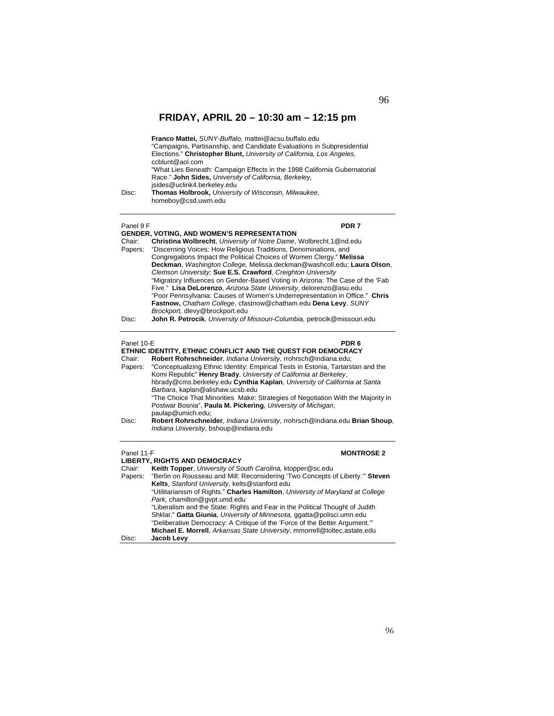| Disc:             | Franco Mattei, SUNY-Buffalo, mattei@acsu.buffalo.edu<br>"Campaigns, Partisanship, and Candidate Evaluations in Subpresidential<br>Elections." Christopher Blunt, University of California, Los Angeles,<br>ccblunt@aol.com<br>"What Lies Beneath: Campaign Effects in the 1998 California Gubernatorial<br>Race." John Sides, University of California, Berkeley,<br>jsides@uclink4.berkeley.edu<br>Thomas Holbrook, University of Wisconsin, Milwaukee,<br>homeboy@csd.uwm.edu                                                                                                                                                                                                                          |
|-------------------|----------------------------------------------------------------------------------------------------------------------------------------------------------------------------------------------------------------------------------------------------------------------------------------------------------------------------------------------------------------------------------------------------------------------------------------------------------------------------------------------------------------------------------------------------------------------------------------------------------------------------------------------------------------------------------------------------------|
| Panel 9 F         | PDR 7                                                                                                                                                                                                                                                                                                                                                                                                                                                                                                                                                                                                                                                                                                    |
|                   | <b>GENDER, VOTING, AND WOMEN'S REPRESENTATION</b>                                                                                                                                                                                                                                                                                                                                                                                                                                                                                                                                                                                                                                                        |
| Chair:<br>Papers: | <b>Christina Wolbrecht, University of Notre Dame, Wolbrecht.1@nd.edu</b><br>"Discerning Voices: How Religious Traditions, Denominations, and<br>Congregations Impact the Political Choices of Women Clergy." Melissa<br>Deckman, Washington College, Melissa.deckman@washcoll.edu; Laura Olson,<br>Clemson University: Sue E.S. Crawford, Creighton University<br>"Migratory Influences on Gender-Based Voting in Arizona: The Case of the 'Fab<br>Five." Lisa DeLorenzo, Arizona State University, delorenzo@asu.edu<br>"Poor Pennsylvania: Causes of Women's Underrepresentation in Office." Chris<br>Fastnow, Chatham College, cfastnow@chatham.edu Dena Levy, SUNY<br>Brockport, dlevy@brockport.edu |
| Disc:             | John R. Petrocik, University of Missouri-Columbia, petrocik@missouri.edu                                                                                                                                                                                                                                                                                                                                                                                                                                                                                                                                                                                                                                 |
| Panel 10-E        | PDR <sub>6</sub>                                                                                                                                                                                                                                                                                                                                                                                                                                                                                                                                                                                                                                                                                         |
|                   | ETHNIC IDENTITY, ETHNIC CONFLICT AND THE QUEST FOR DEMOCRACY                                                                                                                                                                                                                                                                                                                                                                                                                                                                                                                                                                                                                                             |
| Chair:<br>Papers: | Robert Rohrschneider, Indiana University, rrohrsch@indiana.edu;<br>"Conceptualizing Ethnic Identity: Empirical Tests in Estonia, Tartarstan and the<br>Komi Republic" Henry Brady, University of California at Berkeley,<br>hbrady@cms.berkeley.edu Cynthia Kaplan, University of California at Santa<br>Barbara, kaplan@alishaw.ucsb.edu                                                                                                                                                                                                                                                                                                                                                                |

"The Choice That Minorities Make: Strategies of Negotiation With the Majority in Postwar Bosnia", **Paula M. Pickering**, *University of Michigan*, paulap@umich.edu; Disc: **Robert Rohrschneider**, *Indiana University,* rrohrsch@indiana.edu **Brian Shoup**, *Indiana University*, bshoup@indiana.edu

| Panel 11-F | <b>MONTROSE 2</b><br><b>LIBERTY, RIGHTS AND DEMOCRACY</b>                       |
|------------|---------------------------------------------------------------------------------|
| Chair:     | Keith Topper, University of South Carolina, ktopper@sc.edu                      |
| Papers:    | "Berlin on Rousseau and Mill: Reconsidering 'Two Concepts of Liberty."" Steven  |
|            | Kelts, Stanford University, kelts@stanford.edu                                  |
|            | "Utilitarianism of Rights." Charles Hamilton, University of Maryland at College |
|            | Park, chamilton@qvpt.umd.edu                                                    |
|            | "Liberalism and the State: Rights and Fear in the Political Thought of Judith   |
|            | Shklar." Gatta Giunia, University of Minnesota, ggatta@polisci.umn.edu          |
|            | "Deliberative Democracy: A Critique of the 'Force of the Better Argument.""     |
|            | Michael E. Morrell, Arkansas State University, mmorrell@toltec.astate.edu       |
| Disc:      | Jacob Levy                                                                      |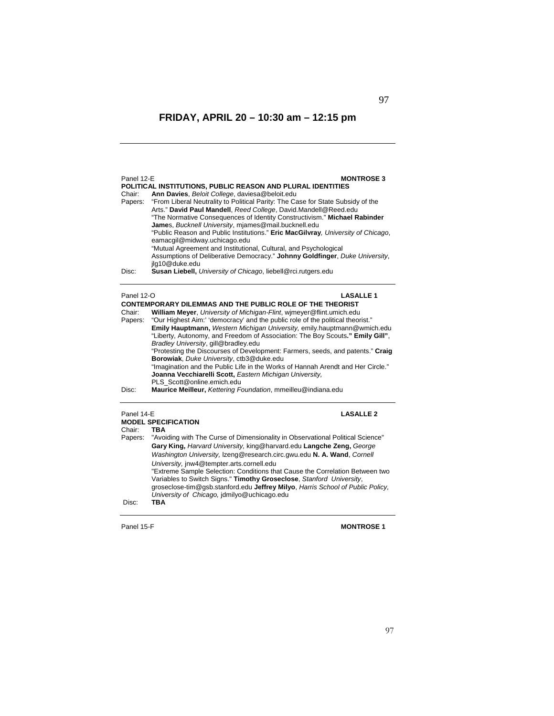| Panel 12-E<br>Chair:<br>Papers:<br>Disc: | <b>MONTROSE 3</b><br>POLITICAL INSTITUTIONS, PUBLIC REASON AND PLURAL IDENTITIES<br>Ann Davies, Beloit College, daviesa@beloit.edu<br>"From Liberal Neutrality to Political Parity: The Case for State Subsidy of the<br>Arts." David Paul Mandell, Reed College, David.Mandell@Reed.edu<br>"The Normative Consequences of Identity Constructivism." Michael Rabinder<br>James, Bucknell University, miames@mail.bucknell.edu<br>"Public Reason and Public Institutions." Eric MacGilvray, University of Chicago,<br>eamacgil@midway.uchicago.edu<br>"Mutual Agreement and Institutional, Cultural, and Psychological<br>Assumptions of Deliberative Democracy." Johnny Goldfinger, Duke University,<br>jlg10@duke.edu<br><b>Susan Liebell, University of Chicago, liebell@rci.rutgers.edu</b>                               |
|------------------------------------------|------------------------------------------------------------------------------------------------------------------------------------------------------------------------------------------------------------------------------------------------------------------------------------------------------------------------------------------------------------------------------------------------------------------------------------------------------------------------------------------------------------------------------------------------------------------------------------------------------------------------------------------------------------------------------------------------------------------------------------------------------------------------------------------------------------------------------|
| Panel 12-O<br>Chair:<br>Papers:<br>Disc: | <b>LASALLE 1</b><br><b>CONTEMPORARY DILEMMAS AND THE PUBLIC ROLE OF THE THEORIST</b><br>William Mever, University of Michigan-Flint, wimeyer@flint.umich.edu<br>"Our Highest Aim:' 'democracy' and the public role of the political theorist."<br>Emily Hauptmann, Western Michigan University, emily.hauptmann@wmich.edu<br>"Liberty, Autonomy, and Freedom of Association: The Boy Scouts." Emily Gill",<br>Bradley University, gill@bradley.edu<br>"Protesting the Discourses of Development: Farmers, seeds, and patents." Craig<br>Borowiak, Duke University, ctb3@duke.edu<br>"Imagination and the Public Life in the Works of Hannah Arendt and Her Circle."<br>Joanna Vecchiarelli Scott, Eastern Michigan University,<br>PLS Scott@online.emich.edu<br>Maurice Meilleur, Kettering Foundation, mmeilleu@indiana.edu |
| Panel 14-E<br>Chair:<br>Papers:<br>Disc: | <b>LASALLE 2</b><br><b>MODEL SPECIFICATION</b><br>TBA<br>"Avoiding with The Curse of Dimensionality in Observational Political Science"<br>Gary King, Harvard University, king@harvard.edu Langche Zeng, George<br>Washington University, Izeng@research.circ.gwu.edu N. A. Wand, Cornell<br>University, jnw4@tempter.arts.cornell.edu<br>"Extreme Sample Selection: Conditions that Cause the Correlation Between two<br>Variables to Switch Signs." Timothy Groseclose, Stanford University,<br>groseclose-tim@gsb.stanford.edu Jeffrey Milyo, Harris School of Public Policy,<br>University of Chicago, jdmilyo@uchicago.edu<br><b>TBA</b>                                                                                                                                                                                |

Panel 15-F **MONTROSE 1**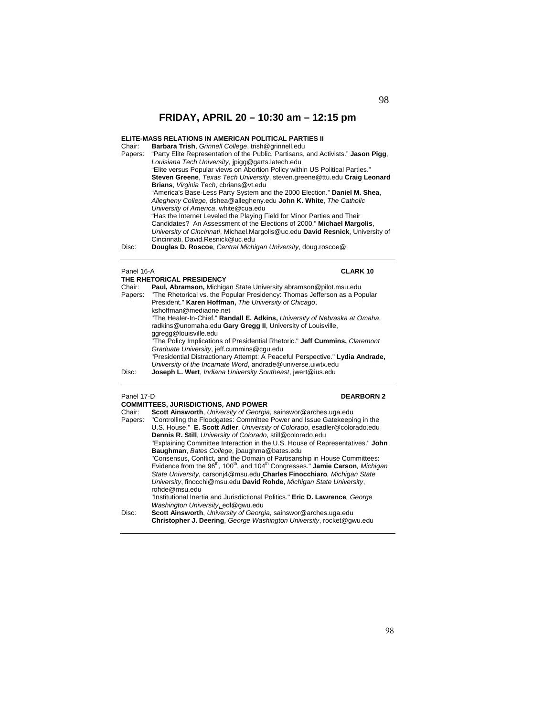### **ELITE-MASS RELATIONS IN AMERICAN POLITICAL PARTIES II**

| Chair:  | Barbara Trish, Grinnell College, trish@grinnell.edu                               |
|---------|-----------------------------------------------------------------------------------|
| Papers: | "Party Elite Representation of the Public, Partisans, and Activists." Jason Pigg, |
|         | Louisiana Tech University, jpigg@garts.latech.edu                                 |
|         | "Elite versus Popular views on Abortion Policy within US Political Parties."      |
|         | Steven Greene, Texas Tech University, steven.greene@ttu.edu Craig Leonard         |
|         | Brians, Virginia Tech, cbrians@vt.edu                                             |
|         | "America's Base-Less Party System and the 2000 Election." Daniel M. Shea,         |
|         | Allegheny College, dshea@allegheny.edu John K. White, The Catholic                |
|         | University of America, white@cua.edu                                              |
|         | "Has the Internet Leveled the Playing Field for Minor Parties and Their           |
|         | Candidates? An Assessment of the Elections of 2000." Michael Margolis,            |
|         | University of Cincinnati, Michael.Margolis@uc.edu David Resnick, University of    |
|         | Cincinnati, David.Resnick@uc.edu                                                  |
| Disc:   | Douglas D. Roscoe, Central Michigan University, doug.roscoe@                      |
|         |                                                                                   |

### Panel 16-A **CLARK 10**

|         | THE RHETORICAL PRESIDENCY                                                     |
|---------|-------------------------------------------------------------------------------|
| Chair:  | Paul, Abramson, Michigan State University abramson@pilot.msu.edu              |
| Papers: | "The Rhetorical vs. the Popular Presidency: Thomas Jefferson as a Popular     |
|         | President." Karen Hoffman, The University of Chicago,                         |
|         | kshoffman@mediaone.net                                                        |
|         | "The Healer-In-Chief." Randall E. Adkins, University of Nebraska at Omaha,    |
|         | radkins@unomaha.edu Gary Gregg II, University of Louisville,                  |
|         | ggregg@louisville.edu                                                         |
|         | "The Policy Implications of Presidential Rhetoric." Jeff Cummins, Claremont   |
|         | Graduate University, jeff.cummins@cqu.edu                                     |
|         | "Presidential Distractionary Attempt: A Peaceful Perspective." Lydia Andrade. |
|         | University of the Incarnate Word, andrade@universe.uiwtx.edu                  |
| Disc:   | Joseph L. Wert, Indiana University Southeast, jwert@ius.edu                   |

### Panel 17-D<br> **DEARBORN 2**

|         | <b>COMMITTEES, JURISDICTIONS, AND POWER</b>                                                                        |  |  |
|---------|--------------------------------------------------------------------------------------------------------------------|--|--|
| Chair:  | Scott Ainsworth, University of Georgia, sainswor@arches.uga.edu                                                    |  |  |
| Papers: | "Controlling the Floodgates: Committee Power and Issue Gatekeeping in the                                          |  |  |
|         | U.S. House." E. Scott Adler, University of Colorado, esadler@colorado.edu                                          |  |  |
|         | Dennis R. Still, University of Colorado, still@colorado.edu                                                        |  |  |
|         | "Explaining Committee Interaction in the U.S. House of Representatives." John                                      |  |  |
|         | Baughman, Bates College, jbaughma@bates.edu                                                                        |  |  |
|         | "Consensus, Conflict, and the Domain of Partisanship in House Committees:                                          |  |  |
|         | Evidence from the 96 <sup>th</sup> , 100 <sup>th</sup> , and 104 <sup>th</sup> Congresses." Jamie Carson, Michigan |  |  |
|         | State University, carsonj4@msu.edu Charles Finocchiaro, Michigan State                                             |  |  |
|         | University, finocchi@msu.edu David Rohde, Michigan State University,                                               |  |  |
|         | rohde@msu.edu                                                                                                      |  |  |
|         | "Institutional Inertia and Jurisdictional Politics." Eric D. Lawrence, George                                      |  |  |
|         | Washington University, edl@gwu.edu                                                                                 |  |  |
| Disc:   | Scott Ainsworth, University of Georgia, sainswor@arches.uga.edu                                                    |  |  |
|         | Christopher J. Deering, George Washington University, rocket@gwu.edu                                               |  |  |
|         |                                                                                                                    |  |  |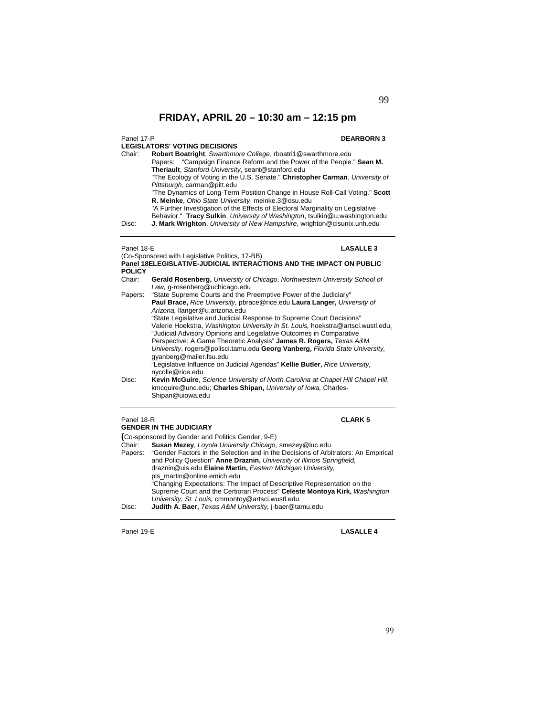### **LEGISLATORS' VOTING DECISIONS**

### Panel 17-P **DEARBORN 3**

Chair: **Robert Boatright**, *Swarthmore College*, rboatri1@swarthmore.edu Papers: "Campaign Finance Reform and the Power of the People." **Sean M.** 

**Theriault**, *Stanford University*, seant@stanford.edu "The Ecology of Voting in the U.S. Senate." **Christopher Carman**, *University of Pittsburgh*, carman@pitt.edu

"The Dynamics of Long-Term Position Change in House Roll-Call Voting." **Scott R. Meinke**, *Ohio State University*, meinke.3@osu.edu

"A Further Investigation of the Effects of Electoral Marginality on Legislative

Behavior." **Tracy Sulkin**, *University of Washington*, tsulkin@u.washington.edu

Disc: **J. Mark Wrighton**, *University of New Hampshire*, wrighton@cisunix.unh.edu

### Panel 18-E **LASALLE 3**

### (Co-Sponsored with Legislative Politics, 17-BB) **Panel 18ELEGISLATIVE-JUDICIAL INTERACTIONS AND THE IMPACT ON PUBLIC POLICY**

| Chair: | <b>Gerald Rosenberg, University of Chicago, Northwestern University School of</b> |
|--------|-----------------------------------------------------------------------------------|
|        | Law, g-rosenberg@uchicago.edu                                                     |
|        |                                                                                   |

| Papers: | "State Supreme Courts and the Preemptive Power of the Judiciary"                                                                                  |
|---------|---------------------------------------------------------------------------------------------------------------------------------------------------|
|         | Paul Brace, Rice University, pbrace@rice.edu Laura Langer, University of                                                                          |
|         | Arizona, llanger@u.arizona.edu                                                                                                                    |
|         | "State Legislative and Judicial Response to Supreme Court Decisions"                                                                              |
|         | Valerie Hoekstra, Washington University in St. Louis, hoekstra@artsci.wustl.edu,                                                                  |
|         | "Judicial Advisory Opinions and Legislative Outcomes in Comparative                                                                               |
|         | Perspective: A Game Theoretic Analysis" James R. Rogers, Texas A&M                                                                                |
|         | University, rogers@polisci.tamu.edu Georg Vanberg, Florida State University,<br>gyanberg@mailer.fsu.edu                                           |
|         | "Legislative Influence on Judicial Agendas" Kellie Butler, Rice University,<br>nycolle@rice.edu                                                   |
| Disc:   | Kevin McGuire, Science University of North Carolina at Chapel Hill Chapel Hill,<br>kmcquire@unc.edu; Charles Shipan, University of Iowa, Charles- |

### Shipan@uiowa.edu

## Panel 18-R **CLARK 5**

| <b>GENDER IN THE JUDICIARY</b> |                                                                                                                                                                                                                                     |  |
|--------------------------------|-------------------------------------------------------------------------------------------------------------------------------------------------------------------------------------------------------------------------------------|--|
|                                | (Co-sponsored by Gender and Politics Gender, 9-E)                                                                                                                                                                                   |  |
| Chair:                         | Susan Mezey, Loyola University Chicago, smezey@luc.edu                                                                                                                                                                              |  |
|                                | Papers: "Gender Factors in the Selection and in the Decisions of Arbitrators: An Empirical<br>and Policy Question" Anne Draznin, University of Illinois Springfield,<br>draznin@uis.edu Elaine Martin, Eastern Michigan University, |  |
|                                | pls martin@online.emich.edu                                                                                                                                                                                                         |  |
|                                | "Changing Expectations: The Impact of Descriptive Representation on the                                                                                                                                                             |  |
| Disc:                          | Supreme Court and the Certiorari Process" Celeste Montoya Kirk, Washington<br>University, St. Louis, cmmontoy@artsci.wustl.edu<br>Judith A. Baer, Texas A&M University, j-baer@tamu.edu                                             |  |
|                                |                                                                                                                                                                                                                                     |  |

Panel 19-E **LASALLE 4**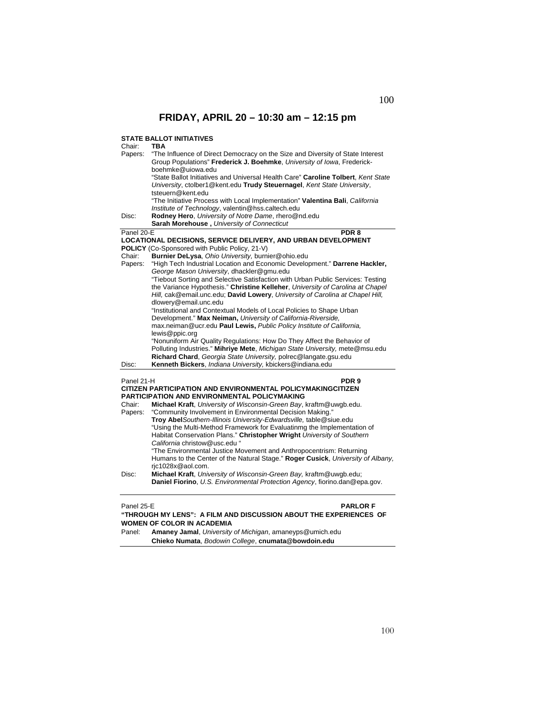### **STATE BALLOT INITIATIVES**

| Chair:                                                             | <b>TBA</b>                                                                                                                                        |
|--------------------------------------------------------------------|---------------------------------------------------------------------------------------------------------------------------------------------------|
| Papers:                                                            | "The Influence of Direct Democracy on the Size and Diversity of State Interest                                                                    |
|                                                                    | Group Populations" Frederick J. Boehmke, University of Iowa, Frederick-                                                                           |
|                                                                    | boehmke@uiowa.edu                                                                                                                                 |
|                                                                    | "State Ballot Initiatives and Universal Health Care" Caroline Tolbert, Kent State                                                                 |
|                                                                    | University, ctolber1@kent.edu Trudy Steuernagel, Kent State University,                                                                           |
|                                                                    | tsteuern@kent.edu                                                                                                                                 |
|                                                                    | "The Initiative Process with Local Implementation" Valentina Bali, California                                                                     |
|                                                                    | Institute of Technology, valentin@hss.caltech.edu                                                                                                 |
| Disc:                                                              | Rodney Hero, University of Notre Dame, rhero@nd.edu                                                                                               |
|                                                                    | Sarah Morehouse, University of Connecticut                                                                                                        |
| Panel 20-E                                                         | PDR <sub>8</sub>                                                                                                                                  |
|                                                                    | LOCATIONAL DECISIONS, SERVICE DELIVERY, AND URBAN DEVELOPMENT                                                                                     |
|                                                                    | POLICY (Co-Sponsored with Public Policy, 21-V)                                                                                                    |
| Chair:                                                             | Burnier DeLysa, Ohio University, burnier@ohio.edu<br>"High Tech Industrial Location and Economic Development." Darrene Hackler,                   |
| Papers:                                                            | George Mason University, dhackler@gmu.edu                                                                                                         |
|                                                                    | "Tiebout Sorting and Selective Satisfaction with Urban Public Services: Testing                                                                   |
|                                                                    | the Variance Hypothesis." Christine Kelleher, University of Carolina at Chapel                                                                    |
|                                                                    | Hill, cak@email.unc.edu; David Lowery, University of Carolina at Chapel Hill,                                                                     |
|                                                                    | dlowery@email.unc.edu                                                                                                                             |
|                                                                    | "Institutional and Contextual Models of Local Policies to Shape Urban                                                                             |
|                                                                    | Development." Max Neiman, University of California-Riverside,                                                                                     |
|                                                                    | max.neiman@ucr.edu Paul Lewis, Public Policy Institute of California,                                                                             |
|                                                                    | lewis@ppic.org                                                                                                                                    |
|                                                                    | "Nonuniform Air Quality Regulations: How Do They Affect the Behavior of                                                                           |
|                                                                    | Polluting Industries." Mihriye Mete, Michigan State University, mete@msu.edu                                                                      |
|                                                                    | Richard Chard, Georgia State University, polrec@langate.gsu.edu                                                                                   |
| Disc:                                                              | Kenneth Bickers, Indiana University, kbickers@indiana.edu                                                                                         |
|                                                                    |                                                                                                                                                   |
| Panel 21-H                                                         | PDR <sub>9</sub>                                                                                                                                  |
|                                                                    | CITIZEN PARTICIPATION AND ENVIRONMENTAL POLICYMAKINGCITIZEN                                                                                       |
|                                                                    | PARTICIPATION AND ENVIRONMENTAL POLICYMAKING                                                                                                      |
| Chair:                                                             | Michael Kraft, University of Wisconsin-Green Bay, kraftm@uwqb.edu.                                                                                |
| Papers:                                                            | "Community Involvement in Environmental Decision Making."                                                                                         |
|                                                                    | Troy Abel Southern-Illinois University-Edwardsville, table@siue.edu                                                                               |
|                                                                    | "Using the Multi-Method Framework for Evaluatinmg the Implementation of<br>Habitat Conservation Plans." Christopher Wright University of Southern |
|                                                                    | California christow@usc.edu "                                                                                                                     |
|                                                                    | "The Environmental Justice Movement and Anthropocentrism: Returning                                                                               |
|                                                                    | Humans to the Center of the Natural Stage." Roger Cusick, University of Albany,                                                                   |
|                                                                    | ric1028x@aol.com.                                                                                                                                 |
| Disc:                                                              | Michael Kraft, University of Wisconsin-Green Bay, kraftm@uwgb.edu;                                                                                |
|                                                                    | Daniel Fiorino, U.S. Environmental Protection Agency, fiorino.dan@epa.gov.                                                                        |
|                                                                    |                                                                                                                                                   |
|                                                                    |                                                                                                                                                   |
| Panel 25-E                                                         | <b>PARLOR F</b>                                                                                                                                   |
| "THROUGH MY LENS": A FILM AND DISCUSSION ABOUT THE EXPERIENCES  OF |                                                                                                                                                   |
| <b>WOMEN OF COLOR IN ACADEMIA</b>                                  |                                                                                                                                                   |

Panel: **Amaney Jamal**, *University of Michigan*, amaneyps@umich.edu **Chieko Numata**, *Bodowin College*, **cnumata@bowdoin.edu**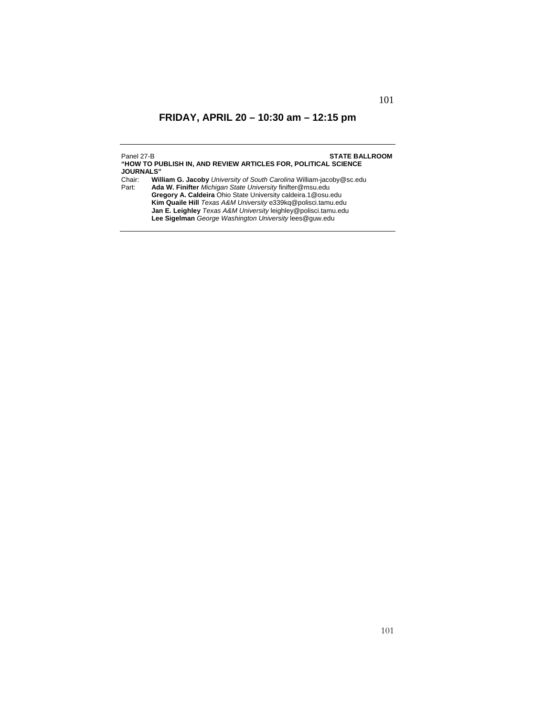| Panel 27-B       | <b>STATE BALLROOM</b>                                                                                                                                                                                                                                                                                                                                                                          |
|------------------|------------------------------------------------------------------------------------------------------------------------------------------------------------------------------------------------------------------------------------------------------------------------------------------------------------------------------------------------------------------------------------------------|
| <b>JOURNALS"</b> | "HOW TO PUBLISH IN. AND REVIEW ARTICLES FOR. POLITICAL SCIENCE                                                                                                                                                                                                                                                                                                                                 |
| Chair:<br>Part:  | William G. Jacoby University of South Carolina William-jacoby@sc.edu<br>Ada W. Finifter Michigan State University finifter@msu.edu<br>Gregory A. Caldeira Ohio State University caldeira.1@osu.edu<br>Kim Quaile Hill Texas A&M University e339kg@polisci.tamu.edu<br>Jan E. Leighley Texas A&M University leighley@polisci.tamu.edu<br>Lee Sigelman George Washington University lees@guw.edu |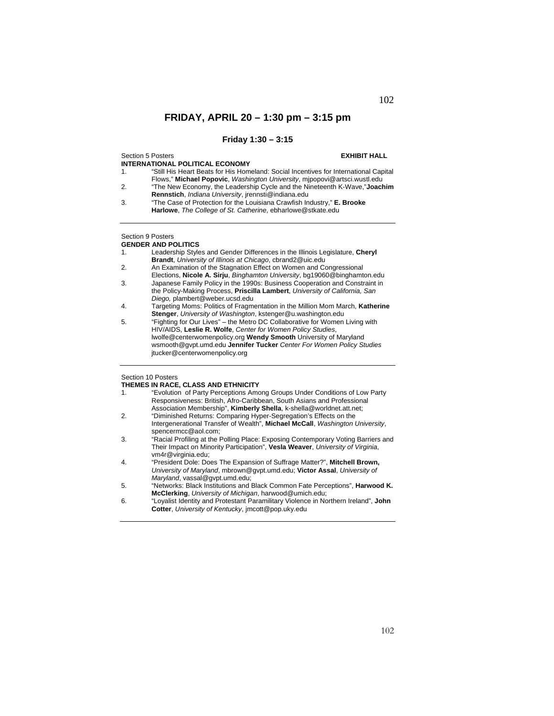## **Friday 1:30 – 3:15**

Section 5 Posters **EXHIBIT HALL INTERNATIONAL POLITICAL ECONOMY** 1. "Still His Heart Beats for His Homeland: Social Incentives for International Capital Flows," **Michael Popovic**, *Washington University*, mjpopovi@artsci.wustl.edu 2. "The New Economy, the Leadership Cycle and the Nineteenth K-Wave,"**Joachim** 

**Rennstich**, *Indiana University*, jrennsti@indiana.edu 3. "The Case of Protection for the Louisiana Crawfish Industry," **E. Brooke Harlowe**, *The College of St. Catherine*, ebharlowe@stkate.edu

## Section 9 Posters

**GENDER AND POLITICS** 

- 1. Leadership Styles and Gender Differences in the Illinois Legislature, **Cheryl Brandt**, *University of Illinois at Chicago*, cbrand2@uic.edu
- 2. An Examination of the Stagnation Effect on Women and Congressional
- Elections, **Nicole A. Sirju**, *Binghamton University*, bg19060@binghamton.edu 3. Japanese Family Policy in the 1990s: Business Cooperation and Constraint in the Policy-Making Process, **Priscilla Lambert**, *University of California, San Diego,* plambert@weber.ucsd.edu
- 4. Targeting Moms: Politics of Fragmentation in the Million Mom March, **Katherine Stenger**, *University of Washington*, kstenger@u.washington.edu
- 5. "Fighting for Our Lives" the Metro DC Collaborative for Women Living with HIV/AIDS, **Leslie R. Wolfe**, *Center for Women Policy Studies*, lwolfe@centerwomenpolicy.org **Wendy Smooth** University of Maryland wsmooth@gvpt.umd.edu **Jennifer Tucker** *Center For Women Policy Studies*  jtucker@centerwomenpolicy.org

### Section 10 Posters

### **THEMES IN RACE, CLASS AND ETHNICITY**

- 1. "Evolution of Party Perceptions Among Groups Under Conditions of Low Party Responsiveness: British, Afro-Caribbean, South Asians and Professional Association Membership", **Kimberly Shella**, k-shella@worldnet.att.net;
- 2. "Diminished Returns: Comparing Hyper-Segregation's Effects on the Intergenerational Transfer of Wealth", **Michael McCall**, *Washington University*, spencermcc@aol.com;
- 3. "Racial Profiling at the Polling Place: Exposing Contemporary Voting Barriers and Their Impact on Minority Participation", **Vesla Weaver**, *University of Virginia*, vm4r@virginia.edu;
- 4. "President Dole: Does The Expansion of Suffrage Matter?", **Mitchell Brown,**  *University of Maryland*, mbrown@gvpt.umd.edu; **Victor Assal**, *University of Maryland*, vassal@gvpt.umd.edu;
- 5. "Networks: Black Institutions and Black Common Fate Perceptions", **Harwood K. McClerking**, *University of Michigan*, harwood@umich.edu;
- 6. "Loyalist Identity and Protestant Paramilitary Violence in Northern Ireland", **John Cotter**, *University of Kentucky*, jmcott@pop.uky.edu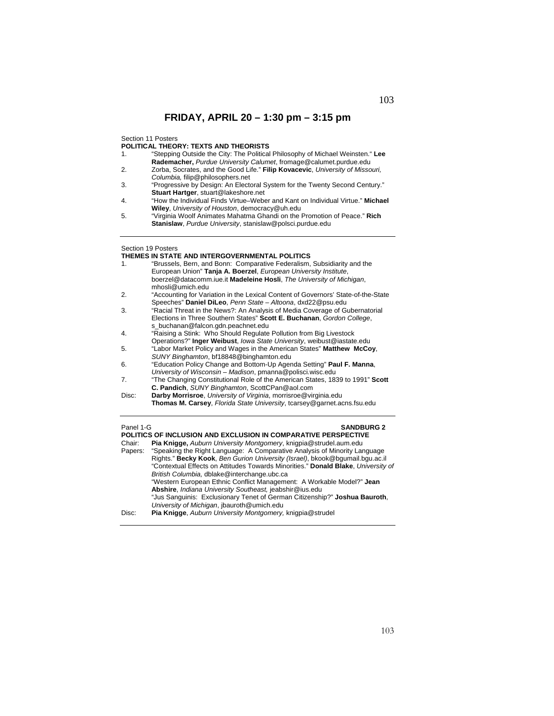Section 11 Posters

**POLITICAL THEORY: TEXTS AND THEORISTS** 

- 1. "Stepping Outside the City: The Political Philosophy of Michael Weinsten." **Lee Rademacher,** *Purdue University Calumet*, fromage@calumet.purdue.edu
- 2. Zorba, Socrates, and the Good Life." **Filip Kovacevic**, *University of Missouri, Columbia,* filip@philosophers.net
- 3. "Progressive by Design: An Electoral System for the Twenty Second Century." **Stuart Hartger**, stuart@lakeshore.net
- 4. "How the Individual Finds Virtue–Weber and Kant on Individual Virtue." **Michael Wiley**, *University of Houston*, democracy@uh.edu
- 5. "Virginia Woolf Animates Mahatma Ghandi on the Promotion of Peace." **Rich Stanislaw**, *Purdue University*, stanislaw@polsci.purdue.edu

### Section 19 Posters

### **THEMES IN STATE AND INTERGOVERNMENTAL POLITICS**

| 1.                             | "Brussels, Bern, and Bonn: Comparative Federalism, Subsidiarity and the           |
|--------------------------------|-----------------------------------------------------------------------------------|
|                                | European Union" Tanja A. Boerzel, European University Institute,                  |
|                                | boerzel@datacomm.iue.it Madeleine Hosli, The University of Michigan,              |
|                                | mhosli@umich.edu                                                                  |
| 2.                             | "Accounting for Variation in the Lexical Content of Governors' State-of-the-State |
|                                | Speeches" Daniel DiLeo, Penn State - Altoona, dxd22@psu.edu                       |
| 3.                             | "Racial Threat in the News?: An Analysis of Media Coverage of Gubernatorial       |
|                                | Elections in Three Southern States" Scott E. Buchanan, Gordon College,            |
|                                | s buchanan@falcon.gdn.peachnet.edu                                                |
| 4.                             | "Raising a Stink: Who Should Regulate Pollution from Big Livestock                |
|                                | Operations?" Inger Weibust, lowa State University, weibust@iastate.edu            |
| 5.                             | "Labor Market Policy and Wages in the American States" Matthew McCoy,             |
|                                | SUNY Binghamton, bf18848@binghamton.edu                                           |
| 6.                             | "Education Policy Change and Bottom-Up Agenda Setting" Paul F. Manna,             |
|                                | University of Wisconsin – Madison, pmanna@polisci.wisc.edu                        |
| 7.                             | "The Changing Constitutional Role of the American States, 1839 to 1991" Scott     |
|                                | C. Pandich, SUNY Binghamton, ScottCPan@aol.com                                    |
| Disc:                          | Darby Morrisroe, University of Virginia, morrisroe@virginia.edu                   |
|                                | Thomas M. Carsey, Florida State University, tcarsey@garnet.acns.fsu.edu           |
|                                |                                                                                   |
| Panel 1-G<br><b>SANDBURG 2</b> |                                                                                   |
|                                | <b>POLITICS OF INCLUSION AND EXCLUSION IN COMPARATIVE PERSPECTIVE</b>             |
| Chair:                         | <b>Pia Knigge, Auburn University Montgomery, knigpia@strudel.aum.edu</b>          |

| UI Idil. | <b>Fia Ringge, <i>Auburn Oniversity Mongomery</i>, Knigpla</b> & Suludel aum.edu  |
|----------|-----------------------------------------------------------------------------------|
| Papers:  | "Speaking the Right Language: A Comparative Analysis of Minority Language         |
|          | Rights." Becky Kook, Ben Gurion University (Israel), bkook@bqumail.bqu.ac.il      |
|          | "Contextual Effects on Attitudes Towards Minorities." Donald Blake, University of |
|          | British Columbia, dblake@interchange.ubc.ca                                       |
|          | "Western European Ethnic Conflict Management: A Workable Model?" Jean             |
|          | Abshire, Indiana University Southeast, jeabshir@ius.edu                           |
|          | "Jus Sanguinis: Exclusionary Tenet of German Citizenship?" Joshua Bauroth,        |
|          | University of Michigan, jbauroth@umich.edu                                        |
| Disc:    | <b>Pia Knigge, Auburn University Montgomery, knigpia@strudel</b>                  |
|          |                                                                                   |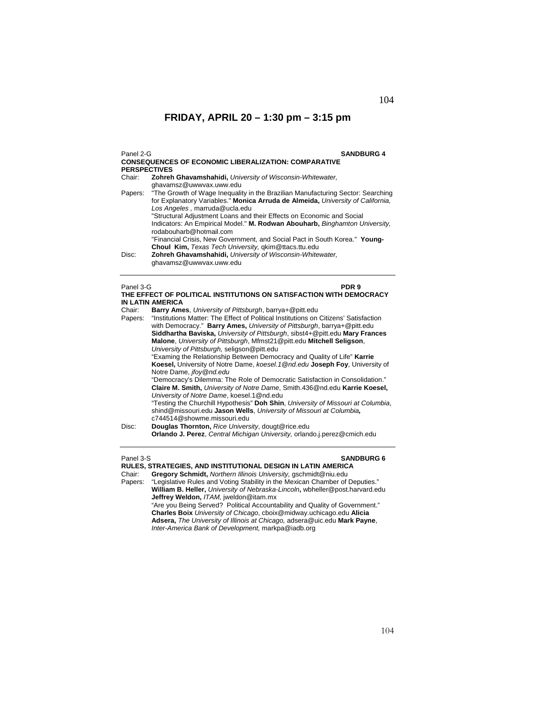| Panel 2-G<br><b>SANDBURG 4</b><br><b>CONSEQUENCES OF ECONOMIC LIBERALIZATION: COMPARATIVE</b><br><b>PERSPECTIVES</b> |                                                                                                                                                                                                                                                                                                         |  |
|----------------------------------------------------------------------------------------------------------------------|---------------------------------------------------------------------------------------------------------------------------------------------------------------------------------------------------------------------------------------------------------------------------------------------------------|--|
| Chair:                                                                                                               | Zohreh Ghavamshahidi, University of Wisconsin-Whitewater,                                                                                                                                                                                                                                               |  |
| Papers:                                                                                                              | ghavamsz@uwwyax.uww.edu<br>"The Growth of Wage Inequality in the Brazilian Manufacturing Sector: Searching<br>for Explanatory Variables." Monica Arruda de Almeida, University of California.<br>Los Angeles, marruda@ucla.edu<br>"Structural Adjustment Loans and their Effects on Economic and Social |  |
|                                                                                                                      | Indicators: An Empirical Model." M. Rodwan Abouharb, Binghamton University,<br>rodabouharb@hotmail.com<br>"Financial Crisis, New Government, and Social Pact in South Korea." Young-                                                                                                                    |  |
| Disc:                                                                                                                | <b>Choul Kim, Texas Tech University, gkim@ttacs.ttu.edu</b><br>Zohreh Ghavamshahidi, University of Wisconsin-Whitewater,<br>ghavamsz@uwwyax.uww.edu                                                                                                                                                     |  |
| Panel 3-G<br>PDR 9<br>THE EFFECT OF POLITICAL INSTITUTIONS ON SATISFACTION WITH DEMOCRACY<br><b>IN LATIN AMERICA</b> |                                                                                                                                                                                                                                                                                                         |  |
| Chair:                                                                                                               | Barry Ames, University of Pittsburgh, barrya+@pitt.edu                                                                                                                                                                                                                                                  |  |
| Papers:                                                                                                              | "Institutions Matter: The Effect of Political Institutions on Citizens' Satisfaction<br>with Democracy." Barry Ames, University of Pittsburgh, barrya+@pitt.edu<br>Siddhartha Bayiska <i>University of Pittsburgh</i> sibet/1+@pitt edu Mary Frances                                                    |  |

**Siddhartha Baviska,** *University of Pittsburgh*, sibst4+@pitt.edu **Mary Frances Malone**, *University of Pittsburgh*, Mfmst21@pitt.edu **Mitchell Seligson**, *University of Pittsburgh,* seligson@pitt.edu "Examing the Relationship Between Democracy and Quality of Life" **Karrie Koesel,** University of Notre Dame, *koesel.1@nd.edu* **Joseph Foy**, University of Notre Dame, *jfoy@nd.edu* "Democracy's Dilemma: The Role of Democratic Satisfaction in Consolidation." **Claire M. Smith,** *University of Notre Dame*, Smith.436@nd.edu **Karrie Koesel,**  *University of Notre Dame*, koesel.1@nd.edu

"Testing the Churchill Hypothesis" **Doh Shin**, *University of Missouri at Columbia*, shind@missouri.edu **Jason Wells**, *University of Missouri at Columbia,* c744514@showme.missouri.edu

### Panel 3-S **SANDBURG 6**

**RULES, STRATEGIES, AND INSTITUTIONAL DESIGN IN LATIN AMERICA** 

Chair: **Gregory Schmidt,** *Northern Illinois University,* gschmidt@niu.edu

"Legislative Rules and Voting Stability in the Mexican Chamber of Deputies." **William B. Heller,** *University of Nebraska-Lincoln***,** wbheller@post.harvard.edu  **Jeffrey Weldon,** *ITAM,* jweldon@itam.mx

"Are you Being Served? Political Accountability and Quality of Government." **Charles Boix** *University of Chicago*, cboix@midway.uchicago.edu **Alicia Adsera,** *The University of Illinois at Chicago,* adsera@uic.edu **Mark Payne**, *Inter-America Bank of Development,* markpa@iadb.org

Disc: **Douglas Thornton,** *Rice University*, dougt@rice.edu **Orlando J. Perez**, *Central Michigan University,* orlando.j.perez@cmich.edu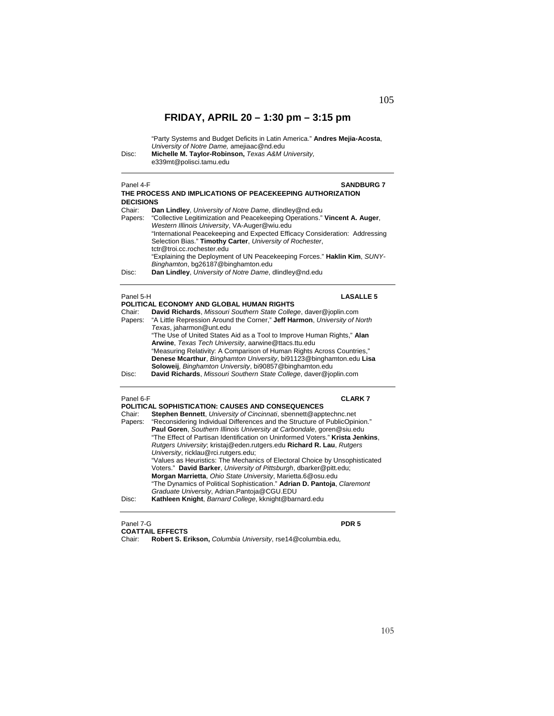"Party Systems and Budget Deficits in Latin America." **Andres Mejia-Acosta**, *University of Notre Dame,* amejiaac@nd.edu Disc: **Michelle M. Taylor-Robinson,** *Texas A&M University,* e339mt@polisci.tamu.edu

 $\overline{a}$ 

| Panel 4-F<br><b>SANDBURG 7</b><br>THE PROCESS AND IMPLICATIONS OF PEACEKEEPING AUTHORIZATION<br><b>DECISIONS</b> |                                                                                                                                                                                                                                                                                                                                                                                                                                             |  |  |
|------------------------------------------------------------------------------------------------------------------|---------------------------------------------------------------------------------------------------------------------------------------------------------------------------------------------------------------------------------------------------------------------------------------------------------------------------------------------------------------------------------------------------------------------------------------------|--|--|
| Chair:<br>Papers:                                                                                                | Dan Lindley, University of Notre Dame, dlindley@nd.edu<br>"Collective Legitimization and Peacekeeping Operations." Vincent A. Auger,<br>Western Illinois University, VA-Auger@wiu.edu<br>"International Peacekeeping and Expected Efficacy Consideration: Addressing<br>Selection Bias." Timothy Carter, University of Rochester,<br>tctr@troi.cc.rochester.edu<br>"Explaining the Deployment of UN Peacekeeping Forces." Haklin Kim, SUNY- |  |  |
| Disc:                                                                                                            | Binghamton, bg26187@binghamton.edu<br>Dan Lindley, University of Notre Dame, dlindley@nd.edu                                                                                                                                                                                                                                                                                                                                                |  |  |
|                                                                                                                  | <b>LASALLE 5</b><br>Panel 5-H                                                                                                                                                                                                                                                                                                                                                                                                               |  |  |
| Chair:                                                                                                           | POLITICAL ECONOMY AND GLOBAL HUMAN RIGHTS<br>David Richards, Missouri Southern State College, daver@joplin.com                                                                                                                                                                                                                                                                                                                              |  |  |
| Papers:                                                                                                          | "A Little Repression Around the Corner," Jeff Harmon, University of North<br>Texas. iaharmon@unt.edu                                                                                                                                                                                                                                                                                                                                        |  |  |
|                                                                                                                  | "The Use of United States Aid as a Tool to Improve Human Rights," Alan<br>Arwine, Texas Tech University, aarwine@ttacs.ttu.edu                                                                                                                                                                                                                                                                                                              |  |  |
|                                                                                                                  | "Measuring Relativity: A Comparison of Human Rights Across Countries,"<br>Denese Mcarthur, Binghamton University, bi91123@binghamton.edu Lisa                                                                                                                                                                                                                                                                                               |  |  |
| Disc:                                                                                                            | Soloweij, Binghamton University, bi90857@binghamton.edu<br>David Richards, Missouri Southern State College, daver@joplin.com                                                                                                                                                                                                                                                                                                                |  |  |
| Panel 6-F                                                                                                        | <b>CLARK7</b>                                                                                                                                                                                                                                                                                                                                                                                                                               |  |  |
|                                                                                                                  | POLITICAL SOPHISTICATION: CAUSES AND CONSEQUENCES                                                                                                                                                                                                                                                                                                                                                                                           |  |  |
| Chair:                                                                                                           | Stephen Bennett, University of Cincinnati, sbennett@apptechnc.net                                                                                                                                                                                                                                                                                                                                                                           |  |  |
| Papers:                                                                                                          | "Reconsidering Individual Differences and the Structure of PublicOpinion."<br>Paul Goren, Southern Illinois University at Carbondale, goren@siu.edu                                                                                                                                                                                                                                                                                         |  |  |
|                                                                                                                  | "The Effect of Partisan Identification on Uninformed Voters." Krista Jenkins,                                                                                                                                                                                                                                                                                                                                                               |  |  |
|                                                                                                                  | Rutgers University; kristaj@eden.rutgers.edu Richard R. Lau, Rutgers                                                                                                                                                                                                                                                                                                                                                                        |  |  |
|                                                                                                                  | University, ricklau@rci.rutgers.edu;                                                                                                                                                                                                                                                                                                                                                                                                        |  |  |
|                                                                                                                  | "Values as Heuristics: The Mechanics of Electoral Choice by Unsophisticated                                                                                                                                                                                                                                                                                                                                                                 |  |  |
|                                                                                                                  | Voters." David Barker, University of Pittsburgh, dbarker@pitt.edu;                                                                                                                                                                                                                                                                                                                                                                          |  |  |
|                                                                                                                  | Morgan Marrietta, Ohio State University, Marietta.6@osu.edu<br>"The Dynamics of Political Sophistication." Adrian D. Pantoja, Claremont                                                                                                                                                                                                                                                                                                     |  |  |
|                                                                                                                  | Graduate University, Adrian.Pantoja@CGU.EDU                                                                                                                                                                                                                                                                                                                                                                                                 |  |  |
| Disc:                                                                                                            | Kathleen Knight, Barnard College, kknight@barnard.edu                                                                                                                                                                                                                                                                                                                                                                                       |  |  |
|                                                                                                                  |                                                                                                                                                                                                                                                                                                                                                                                                                                             |  |  |

Panel 7-G **PDR 5 COATTAIL EFFECTS** 

Chair: **Robert S. Erikson,** *Columbia University*, rse14@columbia.edu*,*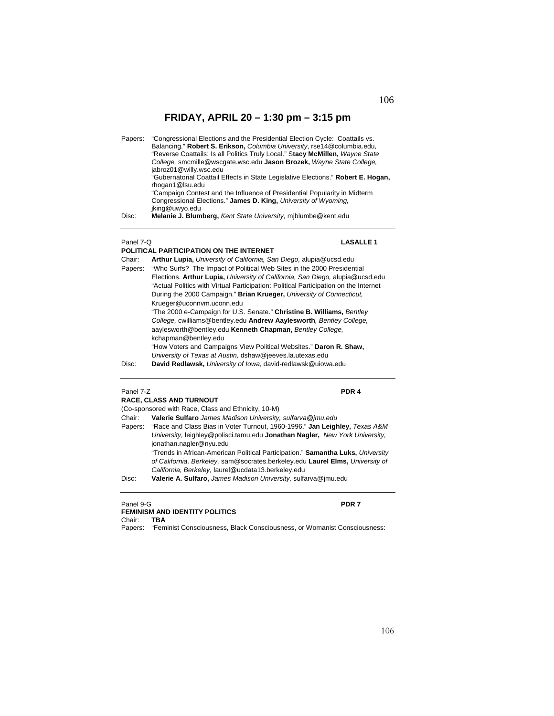| Papers:   | "Congressional Elections and the Presidential Election Cycle: Coattails vs.<br>Balancing." Robert S. Erikson, Columbia University, rse14@columbia.edu,<br>"Reverse Coattails: Is all Politics Truly Local." Stacy McMillen, Wayne State<br>College, smcmille@wscqate.wsc.edu Jason Brozek, Wayne State College,<br>jabroz01@willy.wsc.edu |
|-----------|-------------------------------------------------------------------------------------------------------------------------------------------------------------------------------------------------------------------------------------------------------------------------------------------------------------------------------------------|
|           | "Gubernatorial Coattail Effects in State Legislative Elections." Robert E. Hogan,<br>rhogan1@Isu.edu<br>"Campaign Contest and the Influence of Presidential Popularity in Midterm<br>Congressional Elections." James D. King, University of Wyoming,<br>jking@uwyo.edu                                                                    |
| Disc:     | Melanie J. Blumberg, Kent State University, miblumbe@kent.edu                                                                                                                                                                                                                                                                             |
| Panel 7-Q | <b>LASALLE 1</b>                                                                                                                                                                                                                                                                                                                          |

|         | POLITICAL PARTICIPATION ON THE INTERNET                                              |  |  |
|---------|--------------------------------------------------------------------------------------|--|--|
| Chair:  | Arthur Lupia, University of California, San Diego, alupia@ucsd.edu                   |  |  |
| Papers: | "Who Surfs? The Impact of Political Web Sites in the 2000 Presidential               |  |  |
|         | Elections. Arthur Lupia, University of California, San Diego, alupia@ucsd.edu        |  |  |
|         | "Actual Politics with Virtual Participation: Political Participation on the Internet |  |  |
|         | During the 2000 Campaign." Brian Krueger, University of Connecticut,                 |  |  |
|         | Krueger@uconnvm.uconn.edu                                                            |  |  |
|         | "The 2000 e-Campaign for U.S. Senate." Christine B. Williams, Bentley                |  |  |
|         | College, cwilliams@bentley.edu Andrew Aaylesworth, Bentley College,                  |  |  |
|         | aaylesworth@bentley.edu Kenneth Chapman, Bentley College.                            |  |  |
|         | kchapman@bentley.edu                                                                 |  |  |
|         | "How Voters and Campaigns View Political Websites." Daron R. Shaw,                   |  |  |
|         | University of Texas at Austin, dshaw@jeeves.la.utexas.edu                            |  |  |
| Disc:   | David Redlawsk, University of Iowa, david-redlawsk@uiowa.edu                         |  |  |

## Panel 7-Z **PDR 4**

|         | <b>RACE, CLASS AND TURNOUT</b>                                                  |
|---------|---------------------------------------------------------------------------------|
|         | (Co-sponsored with Race, Class and Ethnicity, 10-M)                             |
| Chair:  | Valerie Sulfaro James Madison University, sulfarva@imu.edu                      |
| Papers: | "Race and Class Bias in Voter Turnout, 1960-1996." Jan Leighley, Texas A&M      |
|         | University, leighley@polisci.tamu.edu Jonathan Nagler, New York University,     |
|         | jonathan.nagler@nyu.edu                                                         |
|         | "Trends in African-American Political Participation." Samantha Luks, University |
|         | of California, Berkeley, sam@socrates.berkeley.edu Laurel Elms, University of   |
|         | California, Berkeley, laurel@ucdata13.berkeley.edu                              |
| Disc:   | Valerie A. Sulfaro, James Madison University, sulfarva@jmu.edu                  |
|         |                                                                                 |

### Panel 9-G **PDR 7 FEMINISM AND IDENTITY POLITICS**  Chair: **TBA**

Papers: "Feminist Consciousness, Black Consciousness, or Womanist Consciousness: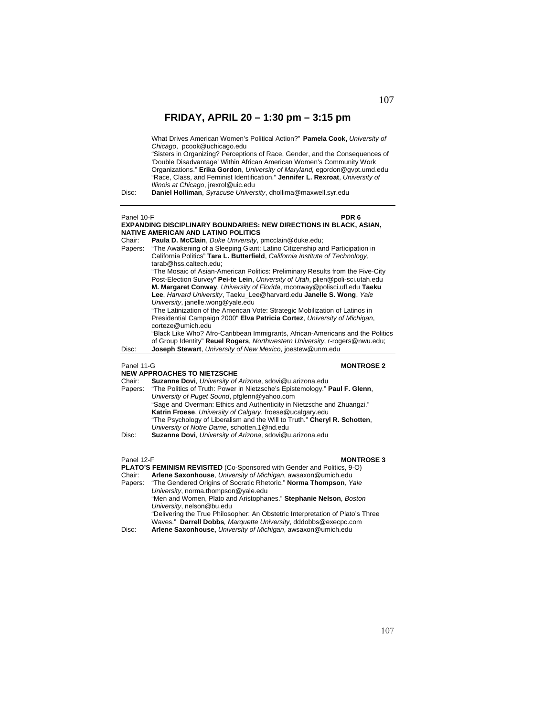What Drives American Women's Political Action?" **Pamela Cook,** *University of Chicago*, pcook@uchicago.edu "Sisters in Organizing? Perceptions of Race, Gender, and the Consequences of 'Double Disadvantage' Within African American Women's Community Work Organizations." **Erika Gordon**, *University of Maryland,* egordon@gvpt.umd.edu "Race, Class, and Feminist Identification." **Jennifer L. Rexroat**, *University of Illinois at Chicago*, jrexrol@uic.edu Disc: **Daniel Holliman**, *Syracuse University*, dhollima@maxwell.syr.edu Panel 10-F **PDR 6 EXPANDING DISCIPLINARY BOUNDARIES: NEW DIRECTIONS IN BLACK, ASIAN, NATIVE AMERICAN AND LATINO POLITICS**  Chair: **Paula D. McClain**, *Duke University*, pmcclain@duke.edu; "The Awakening of a Sleeping Giant: Latino Citizenship and Participation in California Politics" **Tara L. Butterfield**, *California Institute of Technology*, tarab@hss.caltech.edu; "The Mosaic of Asian-American Politics: Preliminary Results from the Five-City Post-Election Survey" **Pei-te Lein**, *University of Utah*, plien@poli-sci.utah.edu **M. Margaret Conway**, *University of Florida*, mconway@polisci.ufl.edu **Taeku Lee**, *Harvard University*, Taeku\_Lee@harvard.edu **Janelle S. Wong**, *Yale University*, janelle.wong@yale.edu "The Latinization of the American Vote: Strategic Mobilization of Latinos in Presidential Campaign 2000" **Elva Patricia Cortez**, *University of Michigan*, corteze@umich.edu "Black Like Who? Afro-Caribbean Immigrants, African-Americans and the Politics of Group Identity" **Reuel Rogers**, *Northwestern University*, r-rogers@nwu.edu; Disc: **Joseph Stewart**, *University of New Mexico*, joestew@unm.edu **Panel 11-G MONTROSE 2 NEW APPROACHES TO NIETZSCHE**<br>Chair: **Suzanne Dovi**, University of Suzanne Dovi, University of Arizona, sdovi@u.arizona.edu Papers: "The Politics of Truth: Power in Nietzsche's Epistemology." **Paul F. Glenn**, *University of Puget Sound*, pfglenn@yahoo.com "Sage and Overman: Ethics and Authenticity in Nietzsche and Zhuangzi." **Katrin Froese**, *University of Calgary*, froese@ucalgary.edu "The Psychology of Liberalism and the Will to Truth." **Cheryl R. Schotten**, *University of Notre Dame*, schotten.1@nd.edu Disc: **Suzanne Dovi**, *University of Arizona*, sdovi@u.arizona.edu

### **Panel 12-F MONTROSE 3**

|         | <b>PLATO'S FEMINISM REVISITED (Co-Sponsored with Gender and Politics, 9-O)</b> |
|---------|--------------------------------------------------------------------------------|
| Chair:  | Arlene Saxonhouse, University of Michigan, awsaxon@umich.edu                   |
| Papers: | "The Gendered Origins of Socratic Rhetoric." Norma Thompson, Yale              |
|         | University, norma.thompson@yale.edu                                            |
|         | "Men and Women, Plato and Aristophanes." Stephanie Nelson, Boston              |
|         | University, nelson@bu.edu                                                      |
|         | "Delivering the True Philosopher: An Obstetric Interpretation of Plato's Three |
|         | Waves." Darrell Dobbs, Marguette University, dddobbs@execpc.com                |
| Disc:   | Arlene Saxonhouse, University of Michigan, awsaxon@umich.edu                   |
|         |                                                                                |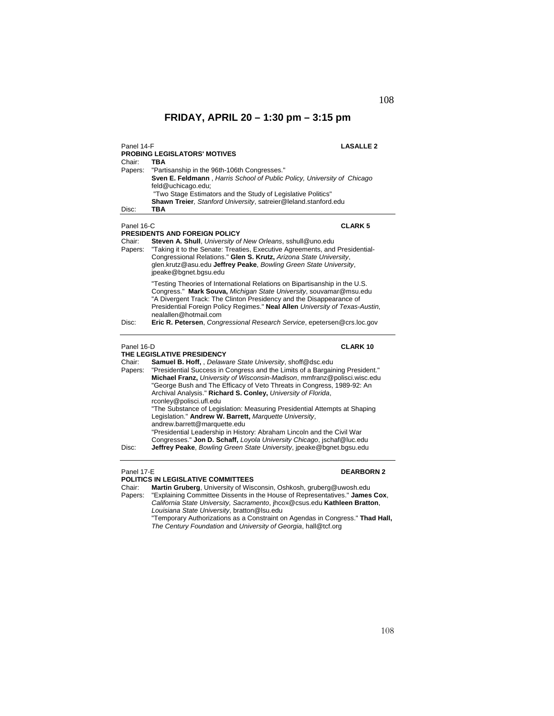| Panel 14-F<br>Chair:                     | PROBING LEGISLATORS' MOTIVES<br>TBA                                                                                                                                                                                                                                                                                                                                                                                                                                                                                                                                                                                                                                                                                                                                                                                        | <b>LASALLE 2</b>  |
|------------------------------------------|----------------------------------------------------------------------------------------------------------------------------------------------------------------------------------------------------------------------------------------------------------------------------------------------------------------------------------------------------------------------------------------------------------------------------------------------------------------------------------------------------------------------------------------------------------------------------------------------------------------------------------------------------------------------------------------------------------------------------------------------------------------------------------------------------------------------------|-------------------|
| Papers:                                  | "Partisanship in the 96th-106th Congresses."<br>Sven E. Feldmann, Harris School of Public Policy, University of Chicago<br>feld@uchicago.edu;<br>"Two Stage Estimators and the Study of Legislative Politics"<br>Shawn Treier, Stanford University, satreier@leland.stanford.edu                                                                                                                                                                                                                                                                                                                                                                                                                                                                                                                                           |                   |
| Disc:                                    | <b>TBA</b>                                                                                                                                                                                                                                                                                                                                                                                                                                                                                                                                                                                                                                                                                                                                                                                                                 |                   |
| Panel 16-C<br>Chair:<br>Papers:          | PRESIDENTS AND FOREIGN POLICY<br>Steven A. Shull, University of New Orleans, sshull@uno.edu<br>"Taking it to the Senate: Treaties, Executive Agreements, and Presidential-<br>Congressional Relations." Glen S. Krutz, Arizona State University,<br>glen.krutz@asu.edu Jeffrey Peake, Bowling Green State University,<br>jpeake@bgnet.bgsu.edu                                                                                                                                                                                                                                                                                                                                                                                                                                                                             | <b>CLARK 5</b>    |
| Disc:                                    | "Testing Theories of International Relations on Bipartisanship in the U.S.<br>Congress." Mark Souva, Michigan State University, souvamar@msu.edu<br>"A Divergent Track: The Clinton Presidency and the Disappearance of<br>Presidential Foreign Policy Regimes." Neal Allen University of Texas-Austin,<br>nealallen@hotmail.com<br>Eric R. Petersen, Congressional Research Service, epetersen@crs.loc.gov                                                                                                                                                                                                                                                                                                                                                                                                                |                   |
| Panel 16-D<br>Chair:<br>Papers:<br>Disc: | THE LEGISLATIVE PRESIDENCY<br>Samuel B. Hoff, Delaware State University, shoff@dsc.edu<br>"Presidential Success in Congress and the Limits of a Bargaining President."<br>Michael Franz, University of Wisconsin-Madison, mmfranz@polisci.wisc.edu<br>"George Bush and The Efficacy of Veto Threats in Congress, 1989-92: An<br>Archival Analysis." Richard S. Conley, University of Florida,<br>rconley@polisci.ufl.edu<br>"The Substance of Legislation: Measuring Presidential Attempts at Shaping<br>Legislation." Andrew W. Barrett, Marquette University,<br>andrew.barrett@marquette.edu<br>"Presidential Leadership in History: Abraham Lincoln and the Civil War<br>Congresses." Jon D. Schaff, Loyola University Chicago, jschaf@luc.edu<br>Jeffrey Peake, Bowling Green State University, jpeake@bgnet.bgsu.edu | <b>CLARK 10</b>   |
| Panel 17-E<br>Chair:                     | <b>POLITICS IN LEGISLATIVE COMMITTEES</b><br>Martin Gruberg, University of Wisconsin, Oshkosh, gruberg@uwosh.edu                                                                                                                                                                                                                                                                                                                                                                                                                                                                                                                                                                                                                                                                                                           | <b>DEARBORN 2</b> |

Papers: "Explaining Committee Dissents in the House of Representatives." **James Cox**, *California State University, Sacramento*, jhcox@csus.edu **Kathleen Bratton**, *Louisiana State University*, bratton@lsu.edu "Temporary Authorizations as a Constraint on Agendas in Congress." **Thad Hall,** *The Century Foundation* and *University of Georgia*, hall@tcf.org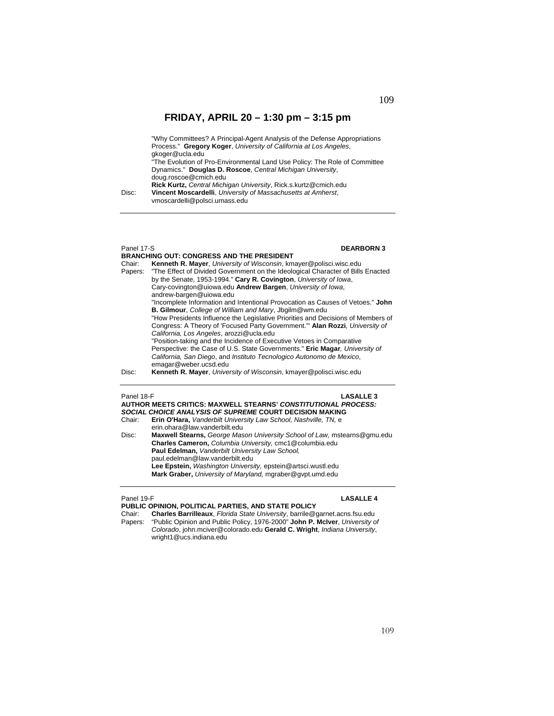"Why Committees? A Principal-Agent Analysis of the Defense Appropriations Process." **Gregory Koger**, *University of California at Los Angeles*, gkoger@ucla.edu "The Evolution of Pro-Environmental Land Use Policy: The Role of Committee Dynamics." **Douglas D. Roscoe**, *Central Michigan University*, doug.roscoe@cmich.edu **Rick Kurtz,** *Central Michigan University*, Rick.s.kurtz@cmich.edu

Disc: **Vincent Moscardelli**, *University of Massachusetts at Amherst*, vmoscardelli@polsci.umass.edu

## Panel 17-S **DEARBORN 3**

| Chair:<br>Papers: | <b>BRANCHING OUT: CONGRESS AND THE PRESIDENT</b><br><b>Kenneth R. Mayer, University of Wisconsin, kmayer@polisci.wisc.edu</b><br>"The Effect of Divided Government on the Ideological Character of Bills Enacted |
|-------------------|------------------------------------------------------------------------------------------------------------------------------------------------------------------------------------------------------------------|
|                   | by the Senate, 1953-1994." Cary R. Covington, University of Iowa,                                                                                                                                                |
|                   | Cary-covington@uiowa.edu Andrew Bargen, University of Iowa,<br>andrew-bargen@uiowa.edu                                                                                                                           |
|                   | "Incomplete Information and Intentional Provocation as Causes of Vetoes." John                                                                                                                                   |
|                   | B. Gilmour, College of William and Mary, Jbgilm@wm.edu                                                                                                                                                           |
|                   | "How Presidents Influence the Legislative Priorities and Decisions of Members of                                                                                                                                 |
|                   | Congress: A Theory of 'Focused Party Government.'" Alan Rozzi, University of<br>California, Los Angeles, arozzi@ucla.edu                                                                                         |
|                   | "Position-taking and the Incidence of Executive Vetoes in Comparative                                                                                                                                            |
|                   | Perspective: the Case of U.S. State Governments." Eric Magar, University of                                                                                                                                      |
|                   | California, San Diego, and Instituto Tecnologico Autonomo de Mexico,                                                                                                                                             |
|                   | emagar@weber.ucsd.edu                                                                                                                                                                                            |
| Disc:             | Kenneth R. Mayer, University of Wisconsin, kmayer@polisci.wisc.edu                                                                                                                                               |

Panel 18-F **LASALLE 3**

**AUTHOR MEETS CRITICS: MAXWELL STEARNS'** *CONSTITUTIONAL PROCESS: SOCIAL CHOICE ANALYSIS OF SUPREME* **COURT DECISION MAKING**  Erin O'Hara, *Vanderbilt University Law School, Nashville, TN, e*  erin.ohara@law.vanderbilt.edu Disc: **Maxwell Stearns,** *George Mason University School of Law,* mstearns@gmu.edu **Charles Cameron,** *Columbia University,* cmc1@columbia.edu **Paul Edelman,** *Vanderbilt University Law School,*  paul.edelman@law.vanderbilt.edu **Lee Epstein,** *Washington University,* epstein@artsci.wustl.edu **Mark Graber,** *University of Maryland,* mgraber@gvpt.umd.edu

### Panel 19-F **LASALLE 4**

**PUBLIC OPINION, POLITICAL PARTIES, AND STATE POLICY**  Chair: **Charles Barrilleaux**, *Florida State University*, barrile@garnet.acns.fsu.edu Papers: "Public Opinion and Public Policy, 1976-2000" **John P. McIver**, *University of Colorado*, john.mciver@colorado.edu **Gerald C. Wright**, *Indiana University*, wright1@ucs.indiana.edu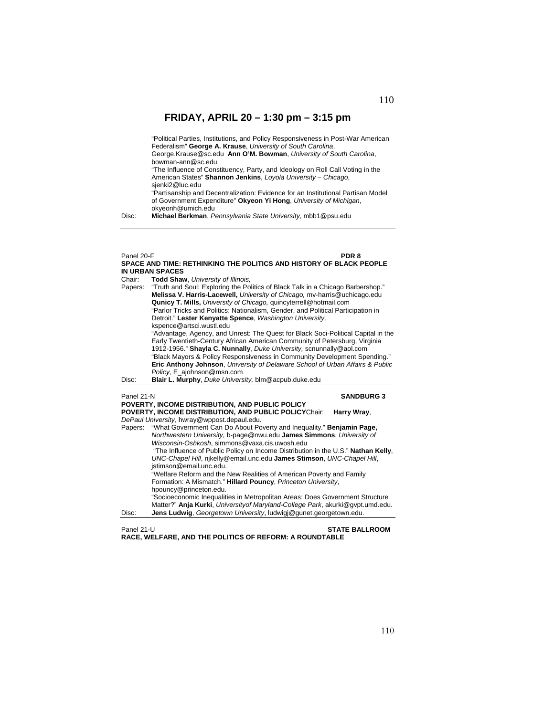"Political Parties, Institutions, and Policy Responsiveness in Post-War American Federalism" **George A. Krause**, *University of South Carolina*, George.Krause@sc.edu **Ann O'M. Bowman**, *University of South Carolina*, bowman-ann@sc.edu "The Influence of Constituency, Party, and Ideology on Roll Call Voting in the American States" **Shannon Jenkins**, *Loyola University – Chicago*, sjenki2@luc.edu "Partisanship and Decentralization: Evidence for an Institutional Partisan Model of Government Expenditure" **Okyeon Yi Hong**, *University of Michigan*, okyeonh@umich.edu

Disc: **Michael Berkman**, *Pennsylvania State University*, mbb1@psu.edu

### Panel 20-F **PDR 8 SPACE AND TIME: RETHINKING THE POLITICS AND HISTORY OF BLACK PEOPLE IN URBAN SPACES**  Chair: **Todd Shaw**, *University of Illinois,*  Papers: "Truth and Soul: Exploring the Politics of Black Talk in a Chicago Barbershop." **Melissa V. Harris-Lacewell,** *University of Chicago,* mv-harris@uchicago.edu **Qunicy T. Mills,** *University of Chicago,* quincyterrell@hotmail.com "Parlor Tricks and Politics: Nationalism, Gender, and Political Participation in Detroit." **Lester Kenyatte Spence**, *Washington University,*  kspence@artsci.wustl.edu "Advantage, Agency, and Unrest: The Quest for Black Soci-Political Capital in the Early Twentieth-Century African American Community of Petersburg, Virginia 1912-1956." **Shayla C. Nunnally**, *Duke University,* scnunnally@aol.com "Black Mayors & Policy Responsiveness in Community Development Spending." **Eric Anthony Johnson**, *University of Delaware School of Urban Affairs & Public Policy,* E\_ajohnson@msn.com Disc: **Blair L. Murphy**, *Duke University,* blm@acpub.duke.edu Panel 21-N **SANDBURG 3 POVERTY, INCOME DISTRIBUTION, AND PUBLIC POLICY POVERTY, INCOME DISTRIBUTION, AND PUBLIC POLICY**Chair: **Harry Wray**, *DePaul University*, hwray@wppost.depaul.edu. Papers: "What Government Can Do About Poverty and Inequality." **Benjamin Page,** *Northwestern University,* b-page@nwu.edu **James Simmons**, *University of Wisconsin-Oshkosh*, simmons@vaxa.cis.uwosh.edu "The Influence of Public Policy on Income Distribution in the U.S." **Nathan Kelly**, *UNC-Chapel Hill*, njkelly@email.unc.edu **James Stimson**, *UNC-Chapel Hill*, jstimson@email.unc.edu. "Welfare Reform and the New Realities of American Poverty and Family Formation: A Mismatch." **Hillard Pouncy**, *Princeton University*, hpouncy@princeton.edu. "Socioeconomic Inequalities in Metropolitan Areas: Does Government Structure Matter?" **Anja Kurki**, *Universityof Maryland-College Park*, akurki@gvpt.umd.edu. Disc: **Jens Ludwig**, *Georgetown University*, ludwigj@gunet.georgetown.edu.

Panel 21-U **STATE BALLROOM**

**RACE, WELFARE, AND THE POLITICS OF REFORM: A ROUNDTABLE**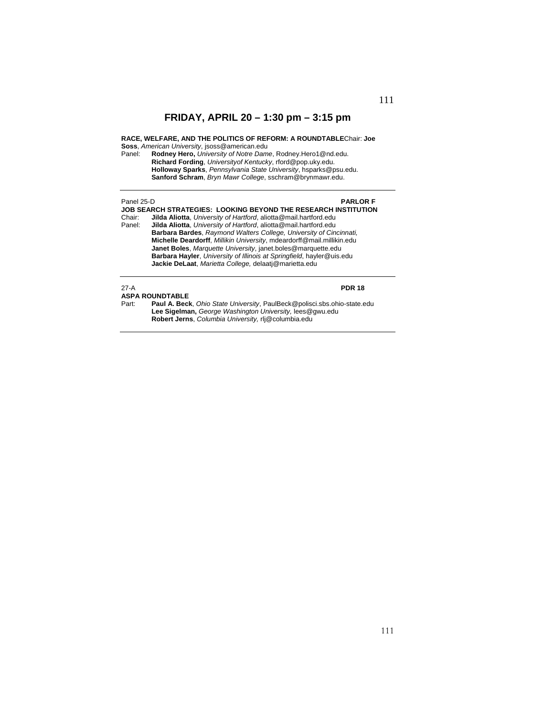### **RACE, WELFARE, AND THE POLITICS OF REFORM: A ROUNDTABLE**Chair: **Joe Soss**, *American University*, jsoss@american.edu

Panel: **Rodney Hero,** *University of Notre Dame*, Rodney.Hero1@nd.edu. **Richard Fording**, *Universityof Kentucky*, rford@pop.uky.edu. **Holloway Sparks**, *Pennsylvania State University*, hsparks@psu.edu. **Sanford Schram**, *Bryn Mawr College*, sschram@brynmawr.edu.

### Panel 25-D **PARLOR F**

**JOB SEARCH STRATEGIES: LOOKING BEYOND THE RESEARCH INSTITUTION**<br>Chair: **Jilda Aliotta**, *University of Hartford*, aliotta@mail.hartford.edu Chair: **Jilda Aliotta**, *University of Hartford*, aliotta@mail.hartford.edu Panel: **Jilda Aliotta**, *University of Hartford*, aliotta@mail.hartford.edu **Barbara Bardes**, *Raymond Walters College, University of Cincinnati,*  **Michelle Deardorff**, *Millikin University*, mdeardorff@mail.millikin.edu **Janet Boles**, *Marquette University*, janet.boles@marquette.edu **Barbara Hayler**, *University of Illinois at Springfield*, hayler@uis.edu **Jackie DeLaat**, *Marietta College,* delaatj@marietta.edu

### 27-A **PDR 18 ASPA ROUNDTABLE**

Part: **Paul A. Beck**, *Ohio State University*, PaulBeck@polisci.sbs.ohio-state.edu **Lee Sigelman,** *George Washington University,* lees@gwu.edu **Robert Jerns**, *Columbia University,* rlj@columbia.edu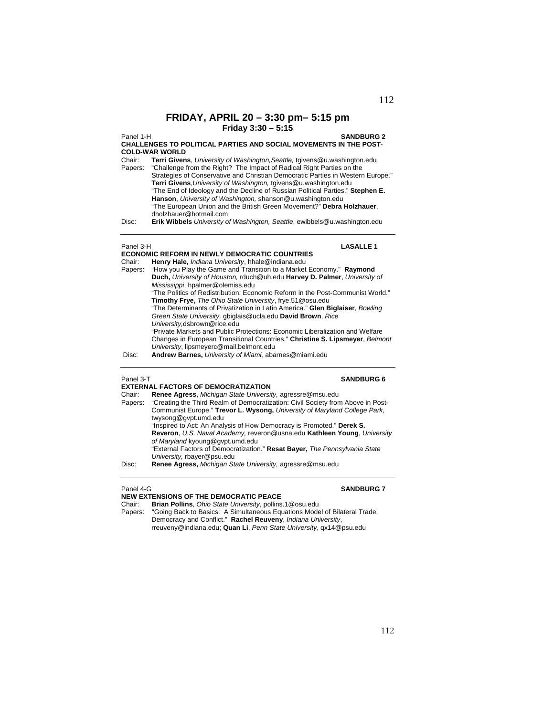## **FRIDAY, APRIL 20 – 3:30 pm– 5:15 pm Friday 3:30 – 5:15**

Panel 1-H **SANDBURG 2**

### **CHALLENGES TO POLITICAL PARTIES AND SOCIAL MOVEMENTS IN THE POST-COLD-WAR WORLD**

Chair: **Terri Givens**, *University of Washington,Seattle,* tgivens@u.washington.edu Papers: "Challenge from the Right? The Impact of Radical Right Parties on the Strategies of Conservative and Christian Democratic Parties in Western Europe." **Terri Givens**,*University of Washington,* tgivens@u.washington.edu "The End of Ideology and the Decline of Russian Political Parties." **Stephen E. Hanson**, *University of Washington,* shanson@u.washington.edu "The European Union and the British Green Movement?" **Debra Holzhauer**, dholzhauer@hotmail.com

Disc: **Erik Wibbels** *University of Washington, Seattle*, ewibbels@u.washington.edu

**ECONOMIC REFORM IN NEWLY DEMOCRATIC COUNTRIES** 

### Panel 3-H **LASALLE 1**

| Chair:  | Henry Hale, <i>Indiana University</i> , hhale@indiana.edu                      |
|---------|--------------------------------------------------------------------------------|
| Papers: | "How you Play the Game and Transition to a Market Economy." Raymond            |
|         | Duch, University of Houston, rduch@uh.edu Harvey D. Palmer, University of      |
|         | Mississippi, hpalmer@olemiss.edu                                               |
|         | "The Politics of Redistribution: Economic Reform in the Post-Communist World." |
|         | Timothy Frye, The Ohio State University, frye.51@osu.edu                       |
|         | "The Determinants of Privatization in Latin America." Glen Biglaiser, Bowling  |
|         | Green State University, gbiglais@ucla.edu David Brown, Rice                    |
|         | University, dsbrown@rice.edu                                                   |
|         | "Private Markets and Public Protections: Economic Liberalization and Welfare   |
|         | Changes in European Transitional Countries." Christine S. Lipsmeyer, Belmont   |
|         | University, lipsmeyerc@mail.belmont.edu                                        |
| Disc:   | Andrew Barnes, University of Miami, abarnes@miami.edu                          |
|         |                                                                                |

### Panel 3-T **SANDBURG 6**

|         | <b>EXTERNAL FACTORS OF DEMOCRATIZATION</b>                                      |
|---------|---------------------------------------------------------------------------------|
| Chair:  | Renee Agress, Michigan State University, agressre@msu.edu                       |
| Papers: | "Creating the Third Realm of Democratization: Civil Society from Above in Post- |
|         | Communist Europe." Trevor L. Wysong, University of Maryland College Park,       |
|         | twysong@gypt.umd.edu                                                            |
|         | "Inspired to Act: An Analysis of How Democracy is Promoted." Derek S.           |
|         | Reveron, U.S. Naval Academy, reveron@usna.edu Kathleen Young, University        |
|         | of Maryland kyoung@gvpt.umd.edu                                                 |
|         | "External Factors of Democratization." Resat Bayer, The Pennsylvania State      |
|         | University, rbayer@psu.edu                                                      |
| Disc:   | Renee Agress, Michigan State University, agressre@msu.edu                       |
|         |                                                                                 |

### Panel 4-G **SANDBURG 7**

**NEW EXTENSIONS OF THE DEMOCRATIC PEACE**<br>Chair: **Brian Pollins**, Ohio State University, pollins Chair: **Brian Pollins**, *Ohio State University*, pollins.1@osu.edu

Papers: "Going Back to Basics: A Simultaneous Equations Model of Bilateral Trade, Democracy and Conflict." **Rachel Reuveny**, *Indiana University*, rreuveny@indiana.edu; **Quan Li**, *Penn State University*, qx14@psu.edu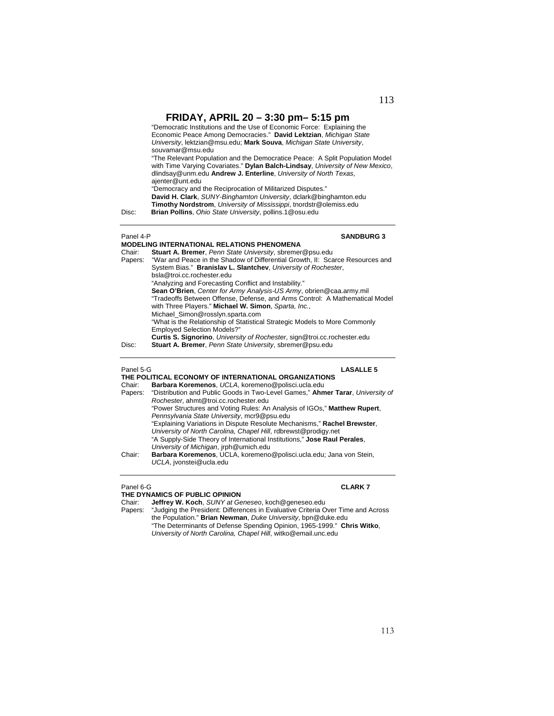"Democratic Institutions and the Use of Economic Force: Explaining the Economic Peace Among Democracies." **David Lektzian**, *Michigan State University*, lektzian@msu.edu; **Mark Souva**, *Michigan State University*, souvamar@msu.edu

 "The Relevant Population and the Democratice Peace: A Split Population Model with Time Varying Covariates." **Dylan Balch-Lindsay**, *University of New Mexico*, dlindsay@unm.edu **Andrew J. Enterline**, *University of North Texas*, ajenter@unt.edu

"Democracy and the Reciprocation of Militarized Disputes."

**David H. Clark**, *SUNY-Binghamton University*, dclark@binghamton.edu **Timothy Nordstrom**, *University of Mississippi*, tnordstr@olemiss.edu Disc: **Brian Pollins**, *Ohio State University*, pollins.1@osu.edu

### Panel 4-P **SANDBURG 3**

### **MODELING INTERNATIONAL RELATIONS PHENOMENA**  Chair: **Stuart A. Bremer**, *Penn State University*, sbremer@psu.edu Papers: "War and Peace in the Shadow of Differential Growth, II: Scarce Resources and System Bias." **Branislav L. Slantchev**, *University of Rochester*, bsla@troi.cc.rochester.edu "Analyzing and Forecasting Conflict and Instability." **Sean O'Brien**, *Center for Army Analysis-US Army*, obrien@caa.army.mil "Tradeoffs Between Offense, Defense, and Arms Control: A Mathematical Model with Three Players." **Michael W. Simon**, *Sparta, Inc.*,

Michael\_Simon@rosslyn.sparta.com "What is the Relationship of Statistical Strategic Models to More Commonly

Employed Selection Models?" **Curtis S. Signorino**, *University of Rochester*, sign@troi.cc.rochester.edu

Disc: **Stuart A. Bremer**, *Penn State University*, sbremer@psu.edu

### Panel 5-G **LASALLE 5**

**THE POLITICAL ECONOMY OF INTERNATIONAL ORGANIZATIONS**  Chair: **Barbara Koremenos**, *UCLA*, koremeno@polisci.ucla.edu Papers: "Distribution and Public Goods in Two-Level Games," **Ahmer Tarar**, *University of Rochester*, ahmt@troi.cc.rochester.edu "Power Structures and Voting Rules: An Analysis of IGOs," **Matthew Rupert**, *Pennsylvania State University*, mcr9@psu.edu "Explaining Variations in Dispute Resolute Mechanisms," **Rachel Brewster**, *University of North Carolina, Chapel Hill*, rdbrewst@prodigy.net "A Supply-Side Theory of International Institutions," **Jose Raul Perales**, *University of Michigan*, jrph@umich.edu Chair: **Barbara Koremenos**, UCLA, koremeno@polisci.ucla.edu; Jana von Stein, *UCLA*, jvonstei@ucla.edu

### Panel 6-G **CLARK 7**

### **THE DYNAMICS OF PUBLIC OPINION**

Chair: **Jeffrey W. Koch**, *SUNY at Geneseo*, koch@geneseo.edu Papers: "Judging the President: Differences in Evaluative Criteria Over Time and Across the Population." **Brian Newman**, *Duke University*, bpn@duke.edu "The Determinants of Defense Spending Opinion, 1965-1999." **Chris Witko**, *University of North Carolina, Chapel Hill*, witko@email.unc.edu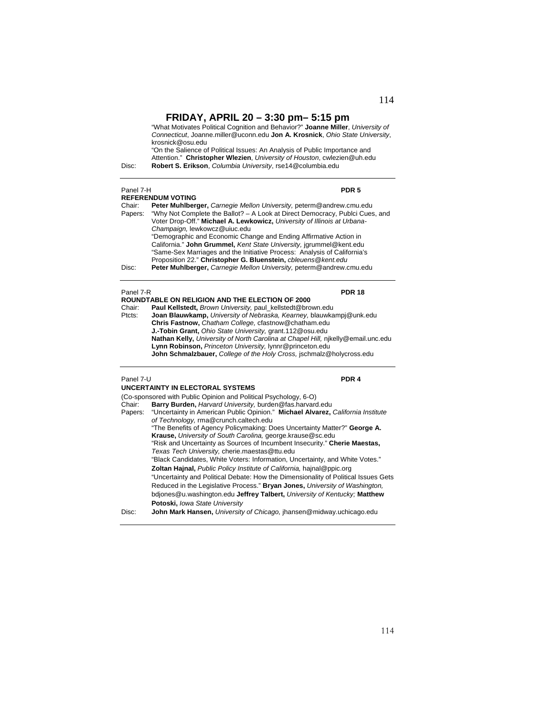"What Motivates Political Cognition and Behavior?" **Joanne Miller**, *University of Connecticut*, Joanne.miller@uconn.edu **Jon A. Krosnick**, *Ohio State University*, krosnick@osu.edu "On the Salience of Political Issues: An Analysis of Public Importance and

Attention." **Christopher Wlezien**, *University of Houston*, cwlezien@uh.edu Disc: **Robert S. Erikson**, *Columbia University*, rse14@columbia.edu

| Panel 7-H         | PDR <sub>5</sub><br><b>REFERENDUM VOTING</b>                                                                                                        |
|-------------------|-----------------------------------------------------------------------------------------------------------------------------------------------------|
| Chair:<br>Papers: | Peter Muhlberger, Carnegie Mellon University, peterm@andrew.cmu.edu<br>"Why Not Complete the Ballot? - A Look at Direct Democracy, Publci Cues, and |
|                   | Voter Drop-Off." Michael A. Lewkowicz, University of Illinois at Urbana-<br>Champaign, lewkowcz@uiuc.edu                                            |
|                   | "Demographic and Economic Change and Ending Affirmative Action in<br>California." John Grummel, Kent State University, jgrummel@kent.edu            |
|                   | "Same-Sex Marriages and the Initiative Process: Analysis of California's<br>Proposition 22." Christopher G. Bluenstein, chleuens@kent.edu           |
| Disc:             | Peter Muhlberger, Carnegie Mellon University, peterm@andrew.cmu.edu                                                                                 |
| Panel 7-R         | PDR 18                                                                                                                                              |

|        | <b>ROUNDTABLE ON RELIGION AND THE ELECTION OF 2000</b>                           |
|--------|----------------------------------------------------------------------------------|
| Chair: | Paul Kellstedt, Brown University, paul kellstedt@brown.edu                       |
| Ptcts: | Joan Blauwkamp, University of Nebraska, Kearney, blauwkampj@unk.edu              |
|        | Chris Fastnow, Chatham College, cfastnow@chatham.edu                             |
|        | <b>J.-Tobin Grant, Ohio State University, grant.112@osu.edu</b>                  |
|        | Nathan Kelly, University of North Carolina at Chapel Hill, nikelly@email.unc.edu |
|        | Lynn Robinson, Princeton University, Iynnr@princeton.edu                         |
|        | John Schmalzbauer, College of the Holy Cross, jschmalz@holycross.edu             |
|        |                                                                                  |

## Panel 7-U **PDR 4**

|        | UNCERTAINTY IN ELECTORAL SYSTEMS                                                                                                 |
|--------|----------------------------------------------------------------------------------------------------------------------------------|
|        | (Co-sponsored with Public Opinion and Political Psychology, 6-O)                                                                 |
| Chair: | Barry Burden, Harvard University, burden@fas.harvard.edu                                                                         |
|        | Papers: "Uncertainty in American Public Opinion." Michael Alvarez, California Institute<br>of Technology, rma@crunch.caltech.edu |
|        | "The Benefits of Agency Policymaking: Does Uncertainty Matter?" George A.                                                        |
|        | Krause, University of South Carolina, george.krause@sc.edu                                                                       |
|        | "Risk and Uncertainty as Sources of Incumbent Insecurity." Cherie Maestas,                                                       |
|        | Texas Tech University, cherie.maestas@ttu.edu                                                                                    |
|        | "Black Candidates, White Voters: Information, Uncertainty, and White Votes."                                                     |
|        | <b>Zoltan Hajnal, Public Policy Institute of California, hajnal@ppic.org</b>                                                     |
|        | "Uncertainty and Political Debate: How the Dimensionality of Political Issues Gets                                               |
|        | Reduced in the Legislative Process." Bryan Jones, University of Washington,                                                      |
|        | bdjones@u.washington.edu Jeffrey Talbert, University of Kentucky: Matthew                                                        |
|        | Potoski, Iowa State University                                                                                                   |
| Disc:  | John Mark Hansen, University of Chicago, jhansen@midway.uchicago.edu                                                             |
|        |                                                                                                                                  |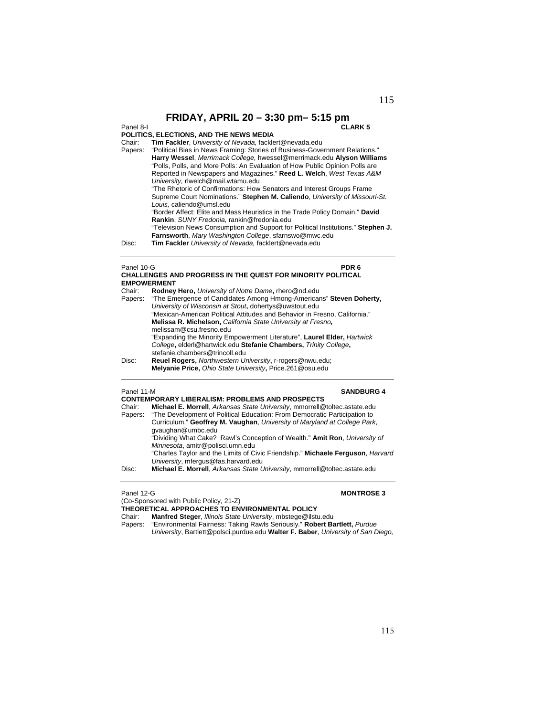### Panel 8-I **CLARK 5**

### **POLITICS, ELECTIONS, AND THE NEWS MEDIA**

|         | הושבוווטט. בבבט ווטוזט. הווט וווב וזכווס ווובטוה                                 |
|---------|----------------------------------------------------------------------------------|
| Chair:  | Tim Fackler, University of Nevada, facklert@nevada.edu                           |
| Papers: | "Political Bias in News Framing: Stories of Business-Government Relations."      |
|         | Harry Wessel, Merrimack College, hwessel@merrimack.edu Alyson Williams           |
|         | "Polls, Polls, and More Polls: An Evaluation of How Public Opinion Polls are     |
|         | Reported in Newspapers and Magazines." Reed L. Welch, West Texas A&M             |
|         | University, rlwelch@mail.wtamu.edu                                               |
|         | "The Rhetoric of Confirmations: How Senators and Interest Groups Frame           |
|         | Supreme Court Nominations." Stephen M. Caliendo, University of Missouri-St.      |
|         | Louis. caliendo@umsl.edu                                                         |
|         | "Border Affect: Elite and Mass Heuristics in the Trade Policy Domain." David     |
|         | Rankin, SUNY Fredonia, rankin@fredonia.edu                                       |
|         | "Television News Consumption and Support for Political Institutions." Stephen J. |
|         | Farnsworth, Mary Washington College, sfarnswo@mwc.edu                            |
| Disc:   | Tim Fackler University of Nevada, facklert@nevada.edu                            |
|         |                                                                                  |
|         |                                                                                  |
|         |                                                                                  |

### Panel 10-G **PDR 6 CHALLENGES AND PROGRESS IN THE QUEST FOR MINORITY POLITICAL EMPOWERMENT**

| Chair:  | Rodney Hero, University of Notre Dame, rhero@nd.edu                        |
|---------|----------------------------------------------------------------------------|
| Papers: | "The Emergence of Candidates Among Hmong-Americans" Steven Doherty,        |
|         | University of Wisconsin at Stout, dohertys@uwstout.edu                     |
|         | "Mexican-American Political Attitudes and Behavior in Fresno, California." |
|         | Melissa R. Michelson, California State University at Fresno,               |
|         | melissam@csu.fresno.edu                                                    |
|         | "Expanding the Minority Empowerment Literature", Laurel Elder, Hartwick    |
|         | College, elderl@hartwick.edu Stefanie Chambers, Trinity College,           |
|         | stefanie.chambers@trincoll.edu                                             |
| Disc:   | Reuel Rogers, Northwestern University, r-rogers@nwu.edu;                   |
|         | Melyanie Price, Ohio State University, Price.261@osu.edu                   |

 $\overline{a}$ 

### Panel 11-M **SANDBURG 4**

|         | <b>CONTEMPORARY LIBERALISM: PROBLEMS AND PROSPECTS</b>                                         |
|---------|------------------------------------------------------------------------------------------------|
| Chair:  | Michael E. Morrell, Arkansas State University, mmorrell@toltec.astate.edu                      |
| Papers: | "The Development of Political Education: From Democratic Participation to                      |
|         | Curriculum." Geoffrey M. Vaughan, University of Maryland at College Park,<br>gyaughan@umbc.edu |
|         | "Dividing What Cake? Rawl's Conception of Wealth." Amit Ron, University of                     |
|         | Minnesota, amitr@polisci.umn.edu                                                               |
|         | "Charles Taylor and the Limits of Civic Friendship." Michaele Ferguson, <i>Harvard</i>         |
|         | University, mfergus@fas.harvard.edu                                                            |
| Disc:   | Michael E. Morrell, Arkansas State University, mmorrell@toltec.astate.edu                      |
|         |                                                                                                |

(Co-Sponsored with Public Policy, 21-Z)

### Panel 12-G **MONTROSE 3**

**THEORETICAL APPROACHES TO ENVIRONMENTAL POLICY** 

Chair: **Manfred Steger**, *Illinois State University*, mbstege@ilstu.edu

Papers: "Environmental Fairness: Taking Rawls Seriously." **Robert Bartlett,** *Purdue* 

*University*, Bartlett@polsci.purdue.edu **Walter F. Baber**, *University of San Diego,*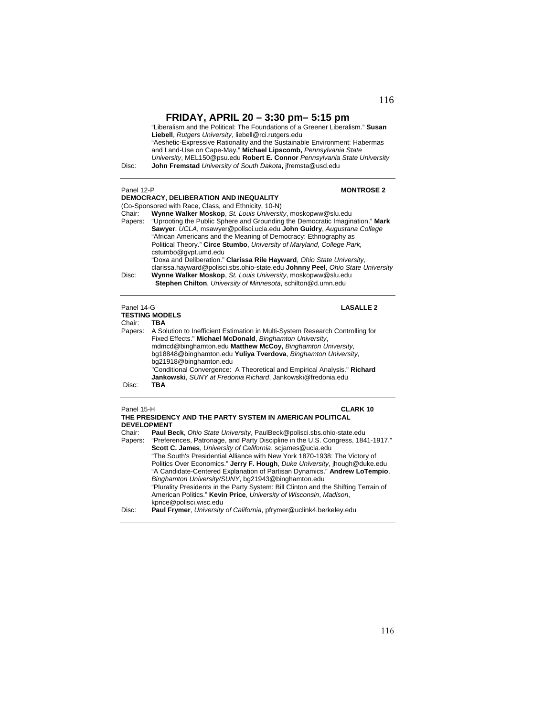"Liberalism and the Political: The Foundations of a Greener Liberalism." **Susan Liebell**, *Rutgers University*, liebell@rci.rutgers.edu "Aeshetic-Expressive Rationality and the Sustainable Environment: Habermas and Land-Use on Cape-May." **Michael Lipscomb,** *Pennsylvania State University*, MEL150@psu.edu **Robert E. Connor** *Pennsylvania State University*  Disc: **John Fremstad** *University of South Dakota***,** jfremsta@usd.edu

| Panel 12-P |                                              |  |
|------------|----------------------------------------------|--|
|            | <b>DEMOCRACY BELIRERATION AND INFOUNLITY</b> |  |

### **MONTROSE 2**

|         | DEMOGRACT. DELIDERATION AND INEQUALITY                                         |
|---------|--------------------------------------------------------------------------------|
|         | (Co-Sponsored with Race, Class, and Ethnicity, 10-N)                           |
| Chair:  | Wynne Walker Moskop, St. Louis University, moskopww@slu.edu                    |
| Papers: | "Uprooting the Public Sphere and Grounding the Democratic Imagination." Mark   |
|         | Sawyer, UCLA, msawyer@polisci.ucla.edu John Guidry, Augustana College          |
|         | "African Americans and the Meaning of Democracy: Ethnography as                |
|         | Political Theory." Circe Stumbo, University of Maryland, College Park,         |
|         | cstumbo@qvpt.umd.edu                                                           |
|         | "Doxa and Deliberation." Clarissa Rile Hayward, Ohio State University.         |
|         | clarissa.hayward@polisci.sbs.ohio-state.edu Johnny Peel, Ohio State University |
| Disc:   | Wynne Walker Moskop, St. Louis University, moskopww@slu.edu                    |
|         | <b>Stephen Chilton, University of Minnesota, schilton@d.umn.edu</b>            |
|         |                                                                                |
|         |                                                                                |

### Panel 14-G **LASALLE 2 TESTING MODELS**  Chair: **TBA** Papers: A Solution to Inefficient Estimation in Multi-System Research Controlling for Fixed Effects." **Michael McDonald**, *Binghamton University*, mdmcd@binghamton.edu **Matthew McCoy,** *Binghamton University*, bg18848@binghamton.edu **Yuliya Tverdova**, *Binghamton University*, bg21918@binghamton.edu "Conditional Convergence: A Theoretical and Empirical Analysis." **Richard Jankowski**, *SUNY at Fredonia Richard*, Jankowski@fredonia.edu Disc:

## Panel 15-H **CLARK 10**

| <b>DEVELOPMENT</b> | THE PRESIDENCY AND THE PARTY SYSTEM IN AMERICAN POLITICAL                               |
|--------------------|-----------------------------------------------------------------------------------------|
| Chair:             | Paul Beck, Ohio State University, PaulBeck@polisci.sbs.ohio-state.edu                   |
|                    | Papers: "Preferences, Patronage, and Party Discipline in the U.S. Congress, 1841-1917." |
|                    | Scott C. James, University of California, scjames@ucla.edu                              |
|                    | "The South's Presidential Alliance with New York 1870-1938: The Victory of              |
|                    | Politics Over Economics." Jerry F. Hough, Duke University, jhough@duke.edu              |
|                    | "A Candidate-Centered Explanation of Partisan Dynamics." Andrew LoTempio,               |
|                    | Binghamton University/SUNY, bg21943@binghamton.edu                                      |
|                    | "Plurality Presidents in the Party System: Bill Clinton and the Shifting Terrain of     |
|                    | American Politics." Kevin Price, University of Wisconsin, Madison,                      |
|                    | kprice@polisci.wisc.edu                                                                 |
| Disc:              | <b>Paul Frymer, University of California, pfrymer@uclink4.berkeley.edu</b>              |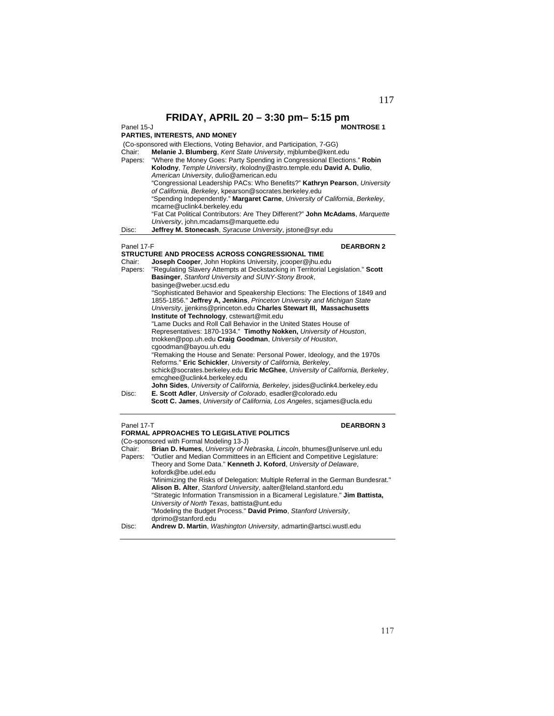**FRIDAY, APRIL 20 - 3:30 pm - 5:15 pm**<br>**MONTROSE1** 

### Panel 15-J **MONTROSE 1**

### **PARTIES, INTERESTS, AND MONEY**

|            | (Co-sponsored with Elections, Voting Behavior, and Participation, 7-GG)       |
|------------|-------------------------------------------------------------------------------|
| Chair:     | Melanie J. Blumberg, Kent State University, miblumbe@kent.edu                 |
| Papers:    | "Where the Money Goes: Party Spending in Congressional Elections." Robin      |
|            | Kolodny, Temple University, rkolodny@astro.temple.edu David A. Dulio,         |
|            | American University, dulio@american.edu                                       |
|            | "Congressional Leadership PACs: Who Benefits?" Kathryn Pearson, University    |
|            | of California, Berkeley, kpearson@socrates.berkeley.edu                       |
|            | "Spending Independently." Margaret Carne, University of California, Berkeley, |
|            | mcarne@uclink4.berkeley.edu                                                   |
|            | "Fat Cat Political Contributors: Are They Different?" John McAdams, Marquette |
|            | University, john.mcadams@marquette.edu                                        |
| Disc:      | Jeffrey M. Stonecash, Syracuse University, istone@syr.edu                     |
|            |                                                                               |
| Panel 17-F | <b>DEARBORN 2</b>                                                             |

| <b>STRUCTURE AND PROCESS ACROSS CONGRESSIONAL TIME</b>                              |
|-------------------------------------------------------------------------------------|
| <b>Joseph Cooper, John Hopkins University, jcooper@jhu.edu</b>                      |
| "Regulating Slavery Attempts at Deckstacking in Territorial Legislation." Scott     |
| Basinger, Stanford University and SUNY-Stony Brook,                                 |
| basinge@weber.ucsd.edu                                                              |
| "Sophisticated Behavior and Speakership Elections: The Elections of 1849 and        |
| 1855-1856." Jeffrey A, Jenkins, Princeton University and Michigan State             |
| University, jienkins@princeton.edu Charles Stewart III, Massachusetts               |
| Institute of Technology, cstewart@mit.edu                                           |
| "Lame Ducks and Roll Call Behavior in the United States House of                    |
| Representatives: 1870-1934." Timothy Nokken, University of Houston,                 |
| tnokken@pop.uh.edu Craig Goodman, University of Houston,                            |
| caoodman@bayou.uh.edu                                                               |
| "Remaking the House and Senate: Personal Power, Ideology, and the 1970s             |
| Reforms." Eric Schickler, University of California, Berkeley,                       |
| schick@socrates.berkeley.edu Eric McGhee, University of California, Berkeley,       |
| emcghee@uclink4.berkeley.edu                                                        |
| <b>John Sides</b> , University of California, Berkeley, jsides@uclink4.berkeley.edu |
| E. Scott Adler, University of Colorado, esadler@colorado.edu                        |
| <b>Scott C. James</b> , University of California, Los Angeles, sciames@ucla.edu     |
|                                                                                     |

## Panel 17-T **DEARBORN 3**

|                   | <b>FORMAL APPROACHES TO LEGISLATIVE POLITICS</b><br>(Co-sponsored with Formal Modeling 13-J)                                                                                                                                                                                                                                                                                     |
|-------------------|----------------------------------------------------------------------------------------------------------------------------------------------------------------------------------------------------------------------------------------------------------------------------------------------------------------------------------------------------------------------------------|
| Chair:<br>Papers: | Brian D. Humes, University of Nebraska, Lincoln, bhumes@unlserve.unl.edu<br>"Outlier and Median Committees in an Efficient and Competitive Legislature:<br>Theory and Some Data." Kenneth J. Koford, University of Delaware,<br>kofordk@be.udel.edu                                                                                                                              |
|                   | "Minimizing the Risks of Delegation: Multiple Referral in the German Bundesrat."<br>Alison B. Alter, Stanford University, aalter@leland.stanford.edu<br>"Strategic Information Transmission in a Bicameral Legislature." Jim Battista,<br>University of North Texas, battista@unt.edu<br>"Modeling the Budget Process." David Primo, Stanford University,<br>dprimo@stanford.edu |
| Disc:             | Andrew D. Martin, Washington University, admartin@artsci.wustl.edu                                                                                                                                                                                                                                                                                                               |

## 117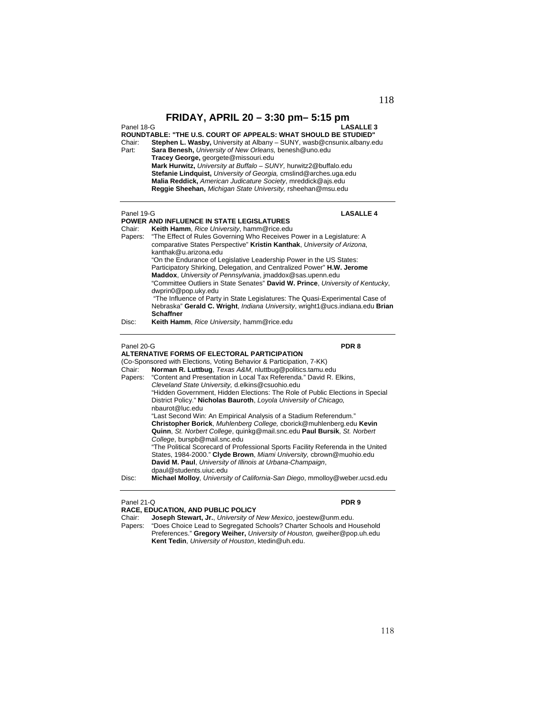Panel 18-G **LASALLE 3**

### **ROUNDTABLE: "THE U.S. COURT OF APPEALS: WHAT SHOULD BE STUDIED"**

- Chair: **Stephen L. Wasby,** University at Albany SUNY, wasb@cnsunix.albany.edu Part: **Sara Benesh,** *University of New Orleans,* benesh@uno.edu **Tracey George,** georgete@missouri.edu **Mark Hurwitz,** *University at Buffalo – SUNY,* hurwitz2@buffalo.edu
	- **Stefanie Lindquist,** *University of Georgia,* cmslind@arches.uga.edu **Malia Reddick,** *American Judicature Society*, mreddick@ajs.edu **Reggie Sheehan,** *Michigan State University,* rsheehan@msu.edu

### Panel 19-G **LASALLE 4**

- **POWER AND INFLUENCE IN STATE LEGISLATURES** Chair: **Keith Hamm**, *Rice University*, hamm@rice.edu Papers: "The Effect of Rules Governing Who Receives Power in a Legislature: A comparative States Perspective" **Kristin Kanthak**, *University of Arizona*, kanthak@u.arizona.edu "On the Endurance of Legislative Leadership Power in the US States: Participatory Shirking, Delegation, and Centralized Power" **H.W. Jerome Maddox**, *University of Pennsylvania*, jmaddox@sas.upenn.edu
	- "Committee Outliers in State Senates" **David W. Prince**, *University of Kentucky*, dwprin0@pop.uky.edu

 "The Influence of Party in State Legislatures: The Quasi-Experimental Case of Nebraska" **Gerald C. Wright**, *Indiana University*, wright1@ucs.indiana.edu **Brian Schaffner**

Disc: **Keith Hamm**, *Rice University*, hamm@rice.edu

### Panel 20-G **PDR 8**

### **ALTERNATIVE FORMS OF ELECTORAL PARTICIPATION**

(Co-Sponsored with Elections, Voting Behavior & Participation, 7-KK) Chair: **Norman R. Luttbug**, *Texas A&M*, nluttbug@politics.tamu.edu Papers: "Content and Presentation in Local Tax Referenda." David R. Elkins, *Cleveland State University,* d.elkins@csuohio.edu "Hidden Government, Hidden Elections: The Role of Public Elections in Special District Policy." **Nicholas Bauroth**, *Loyola University of Chicago,*  nbaurot@luc.edu "Last Second Win: An Empirical Analysis of a Stadium Referendum." **Christopher Borick**, *Muhlenberg College,* cborick@muhlenberg.edu **Kevin Quinn**, *St. Norbert College*, quinkg@mail.snc.edu **Paul Bursik**, *St. Norbert College*, burspb@mail.snc.edu "The Political Scorecard of Professional Sports Facility Referenda in the United States, 1984-2000." **Clyde Brown**, *Miami University,* cbrown@muohio.edu **David M. Paul**, *University of Illinois at Urbana-Champaign*,

dpaul@students.uiuc.edu Disc: **Michael Molloy**, *University of California-San Diego*, mmolloy@weber.ucsd.edu

### Panel 21-Q **PDR 9**

### **RACE, EDUCATION, AND PUBLIC POLICY**

Chair: **Joseph Stewart, Jr.**, *University of New Mexico*, joestew@unm.edu. Papers: "Does Choice Lead to Segregated Schools? Charter Schools and Household Preferences." **Gregory Weiher,** *University of Houston,* gweiher@pop.uh.edu **Kent Tedin**, *University of Houston*, ktedin@uh.edu.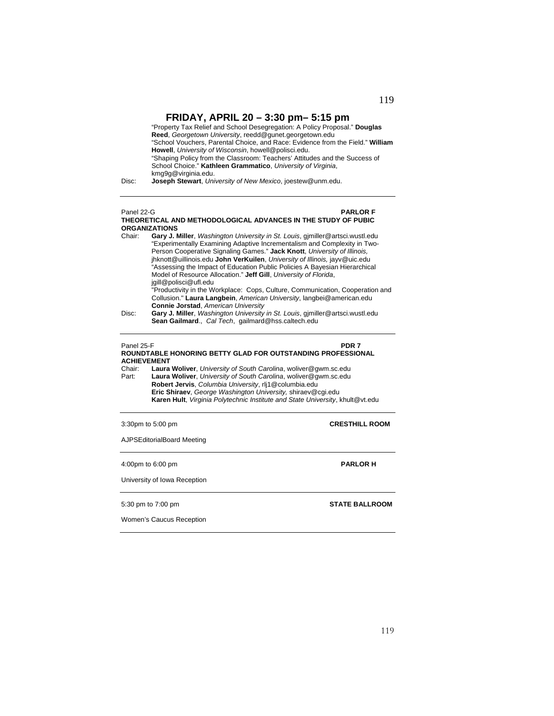**FRIDAY, APRIL 20 – 3:30 pm– 5:15 pm**  "Property Tax Relief and School Desegregation: A Policy Proposal." **Douglas Reed**, *Georgetown University*, reedd@gunet.georgetown.edu "School Vouchers, Parental Choice, and Race: Evidence from the Field." **William Howell**, *University of Wisconsin*, howell@polisci.edu.

"Shaping Policy from the Classroom: Teachers' Attitudes and the Success of School Choice." **Kathleen Grammatico**, *University of Virginia*, kmg9g@virginia.edu.

Disc: **Joseph Stewart**, *University of New Mexico*, joestew@unm.edu.

### Panel 22-G **PARLOR F**

**THEORETICAL AND METHODOLOGICAL ADVANCES IN THE STUDY OF PUBIC ORGANIZATIONS** Chair: **Gary J. Miller**, *Washington University in St. Louis*, gjmiller@artsci.wustl.edu

"Experimentally Examining Adaptive Incrementalism and Complexity in Two-Person Cooperative Signaling Games." **Jack Knott**, *University of Illinois,* jhknott@uillinois.edu **John VerKuilen**, *University of Illinois,* jayv@uic.edu "Assessing the Impact of Education Public Policies A Bayesian Hierarchical Model of Resource Allocation." **Jeff Gill**, *University of Florida*, jgill@polisci@ufl.edu "Productivity in the Workplace: Cops, Culture, Communication, Cooperation and

Collusion." **Laura Langbein**, *American University*, langbei@american.edu **Connie Jorstad**, *American University*

Disc: **Gary J. Miller**, *Washington University in St. Louis*, gjmiller@artsci.wustl.edu **Sean Gailmard**., *Cal Tech*, gailmard@hss.caltech.edu

### Panel 25-F **PDR 7**

### **ROUNDTABLE HONORING BETTY GLAD FOR OUTSTANDING PROFESSIONAL ACHIEVEMENT**

Chair: **Laura Woliver**, *University of South Carolina*, woliver@gwm.sc.edu Laura Woliver, University of South Carolina, woliver@gwm.sc.edu **Robert Jervis**, *Columbia University*, rlj1@columbia.edu **Eric Shiraev**, *George Washington University,* shiraev@cgi.edu  **Karen Hult**, *Virginia Polytechnic Institute and State University*, khult@vt.edu

3:30pm to 5:00 pm **CRESTHILL ROOM**

AJPSEditorialBoard Meeting

4:00pm to 6:00 pm **PARLOR H** 

University of Iowa Reception

5:30 pm to 7:00 pm **STATE BALLROOM** 

Women's Caucus Reception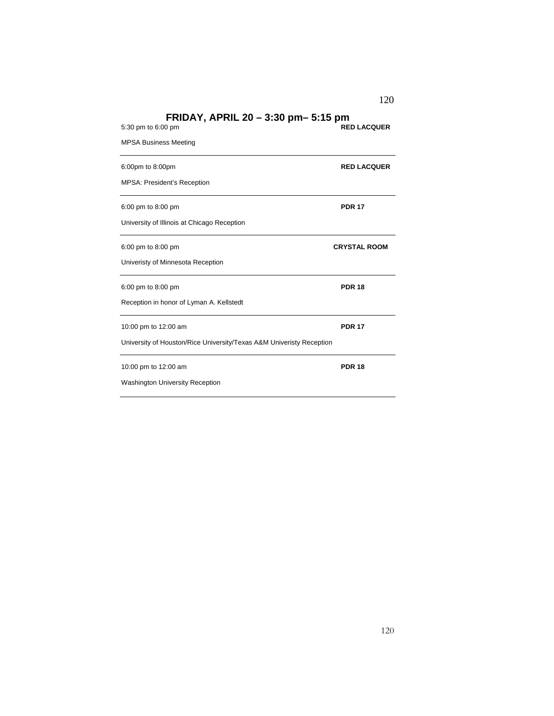| 5:30 pm to 6:00 pm                                                   | <b>RED LACQUER</b>  |
|----------------------------------------------------------------------|---------------------|
| <b>MPSA Business Meeting</b>                                         |                     |
| 6:00pm to 8:00pm                                                     | <b>RED LACQUER</b>  |
| <b>MPSA: President's Reception</b>                                   |                     |
| 6:00 pm to 8:00 pm                                                   | <b>PDR 17</b>       |
| University of Illinois at Chicago Reception                          |                     |
| 6:00 pm to 8:00 pm                                                   | <b>CRYSTAL ROOM</b> |
| Univeristy of Minnesota Reception                                    |                     |
| 6:00 pm to 8:00 pm                                                   | <b>PDR 18</b>       |
| Reception in honor of Lyman A. Kellstedt                             |                     |
| 10:00 pm to 12:00 am                                                 | <b>PDR 17</b>       |
| University of Houston/Rice University/Texas A&M Univeristy Reception |                     |
| 10:00 pm to 12:00 am                                                 | <b>PDR 18</b>       |
| <b>Washington University Reception</b>                               |                     |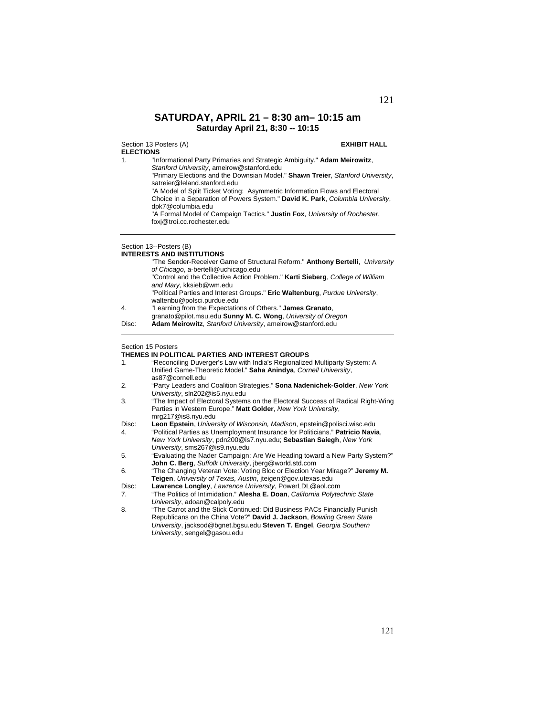## **SATURDAY, APRIL 21 – 8:30 am– 10:15 am Saturday April 21, 8:30 -- 10:15**

Section 13 Posters (A) **EXHIBIT HALL ELECTIONS**

1. "Informational Party Primaries and Strategic Ambiguity." **Adam Meirowitz**,

*Stanford University*, ameirow@stanford.edu

 "Primary Elections and the Downsian Model." **Shawn Treier**, *Stanford University*, satreier@leland.stanford.edu

 "A Model of Split Ticket Voting: Asymmetric Information Flows and Electoral Choice in a Separation of Powers System." **David K. Park**, *Columbia University*, dpk7@columbia.edu

 "A Formal Model of Campaign Tactics." **Justin Fox**, *University of Rochester*, foxj@troi.cc.rochester.edu

### Section 13--Posters (B)

### **INTERESTS AND INSTITUTIONS**

|       | "The Sender-Receiver Game of Structural Reform." Anthony Bertelli, University                                              |
|-------|----------------------------------------------------------------------------------------------------------------------------|
|       | of Chicago, a-bertelli@uchicago.edu                                                                                        |
|       | "Control and the Collective Action Problem." Karti Sieberg, College of William<br>and Mary, kksieb@wm.edu                  |
|       | "Political Parties and Interest Groups." Eric Waltenburg, Purdue University,<br>waltenbu@polsci.purdue.edu                 |
| 4.    | "Learning from the Expectations of Others." James Granato,<br>granato@pilot.msu.edu Sunny M. C. Wong, University of Oregon |
| Disc: | Adam Meirowitz, Stanford University, ameirow@stanford.edu                                                                  |
|       |                                                                                                                            |

### Section 15 Posters

### **THEMES IN POLITICAL PARTIES AND INTEREST GROUPS**

- 1. "Reconciling Duverger's Law with India's Regionalized Multiparty System: A Unified Game-Theoretic Model." **Saha Anindya**, *Cornell University*, as87@cornell.edu
- 2. "Party Leaders and Coalition Strategies." **Sona Nadenichek-Golder**, *New York University*, sln202@is5.nyu.edu
- 3. "The Impact of Electoral Systems on the Electoral Success of Radical Right-Wing Parties in Western Europe." **Matt Golder**, *New York University*, mrg217@is8.nyu.edu
- Disc: **Leon Epstein**, *University of Wisconsin, Madison*, epstein@polisci.wisc.edu
- 4. "Political Parties as Unemployment Insurance for Politicians." **Patricio Navia**, *New York University*, pdn200@is7.nyu.edu; **Sebastian Saiegh**, *New York University*, sms267@is9.nyu.edu
- 5. "Evaluating the Nader Campaign: Are We Heading toward a New Party System?" **John C. Berg**, *Suffolk University*, jberg@world.std.com
- 6. "The Changing Veteran Vote: Voting Bloc or Election Year Mirage?" **Jeremy M. Teigen**, *University of Texas, Austin*, jteigen@gov.utexas.edu
- Disc: **Lawrence Longley**, *Lawrence University*, PowerLDL@aol.com
- 7. "The Politics of Intimidation." **Alesha E. Doan**, *California Polytechnic State University*, adoan@calpoly.edu
- 8. "The Carrot and the Stick Continued: Did Business PACs Financially Punish Republicans on the China Vote?" **David J. Jackson**, *Bowling Green State University*, jacksod@bgnet.bgsu.edu **Steven T. Engel**, *Georgia Southern University*, sengel@gasou.edu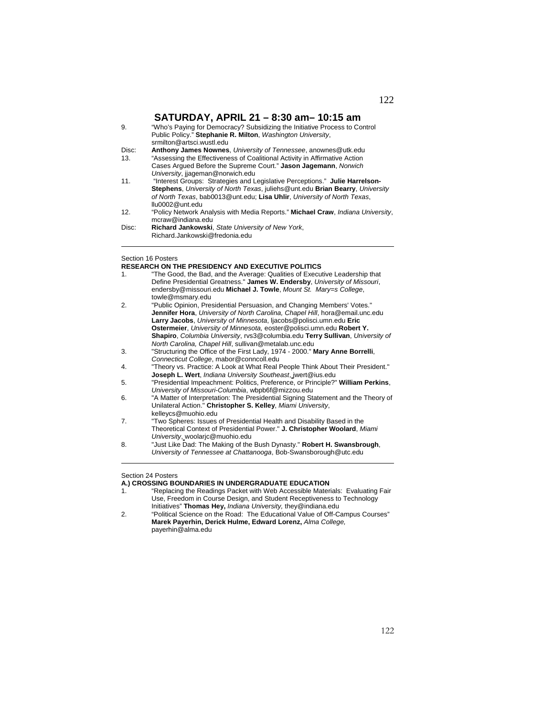## **SATURDAY, APRIL 21 – 8:30 am– 10:15 am**

9. "Who's Paying for Democracy? Subsidizing the Initiative Process to Control Public Policy." **Stephanie R. Milton**, *Washington University*, srmilton@artsci.wustl.edu Disc: **Anthony James Nownes**, *University of Tennessee*, anownes@utk.edu 13. "Assessing the Effectiveness of Coalitional Activity in Affirmative Action Cases Argued Before the Supreme Court." **Jason Jagemann**, *Norwich University*, jjageman@norwich.edu 11. "Interest Groups: Strategies and Legislative Perceptions." **Julie Harrelson-Stephens**, *University of North Texas*, juliehs@unt.edu **Brian Bearry**, *University of North Texas*, bab0013@unt.edu; **Lisa Uhlir**, *University of North Texas*, llu0002@unt.edu 12. "Policy Network Analysis with Media Reports." **Michael Craw**, *Indiana University*, mcraw@indiana.edu Disc: **Richard Jankowski**, *State University of New York*, Richard.Jankowski@fredonia.edu

## Section 16 Posters

 $\overline{a}$ 

### **RESEARCH ON THE PRESIDENCY AND EXECUTIVE POLITICS**

| 1. | "The Good, the Bad, and the Average: Qualities of Executive Leadership that<br>Define Presidential Greatness." James W. Endersby, University of Missouri,<br>endersby@missouri.edu Michael J. Towle, Mount St. Mary=s College,<br>towle@msmary.edu                                                                                                                                       |
|----|------------------------------------------------------------------------------------------------------------------------------------------------------------------------------------------------------------------------------------------------------------------------------------------------------------------------------------------------------------------------------------------|
| 2. | "Public Opinion, Presidential Persuasion, and Changing Members' Votes."<br>Jennifer Hora, University of North Carolina, Chapel Hill, hora@email.unc.edu<br>Larry Jacobs, University of Minnesota, Ijacobs@polisci.umn.edu Eric<br>Ostermeier, University of Minnesota, eoster@polisci.umn.edu Robert Y.<br>Shapiro, Columbia University, rvs3@columbia.edu Terry Sullivan, University of |
|    | North Carolina, Chapel Hill, sullivan@metalab.unc.edu                                                                                                                                                                                                                                                                                                                                    |
| 3. | "Structuring the Office of the First Lady, 1974 - 2000." Mary Anne Borrelli,                                                                                                                                                                                                                                                                                                             |
|    | Connecticut College, mabor@conncoll.edu                                                                                                                                                                                                                                                                                                                                                  |
| 4. | "Theory vs. Practice: A Look at What Real People Think About Their President."<br><b>Joseph L. Wert</b> , <i>Indiana University Southeast</i> , <i>jwert@ius.edu</i>                                                                                                                                                                                                                     |
| 5. | "Presidential Impeachment: Politics, Preference, or Principle?" William Perkins,<br>University of Missouri-Columbia, wbpb6f@mizzou.edu                                                                                                                                                                                                                                                   |
| 6. | "A Matter of Interpretation: The Presidential Signing Statement and the Theory of                                                                                                                                                                                                                                                                                                        |
|    | Unilateral Action." Christopher S. Kelley, Miami University,<br>kelleycs@muohio.edu                                                                                                                                                                                                                                                                                                      |
| 7. | "Two Spheres: Issues of Presidential Health and Disability Based in the<br>Theoretical Context of Presidential Power." J. Christopher Woolard, Miami<br>University, woolaric@muohio.edu                                                                                                                                                                                                  |
| 8. | "Just Like Dad: The Making of the Bush Dynasty." Robert H. Swansbrough,<br>University of Tennessee at Chattanooga, Bob-Swansborough@utc.edu                                                                                                                                                                                                                                              |

### Section 24 Posters

l

### **A.) CROSSING BOUNDARIES IN UNDERGRADUATE EDUCATION**

1. "Replacing the Readings Packet with Web Accessible Materials: Evaluating Fair Use, Freedom in Course Design, and Student Receptiveness to Technology Initiatives" **Thomas Hey,** *Indiana University,* they@indiana.edu

<sup>2. &</sup>quot;Political Science on the Road: The Educational Value of Off-Campus Courses"  **Marek Payerhin, Derick Hulme, Edward Lorenz,** *Alma College,*  payerhin@alma.edu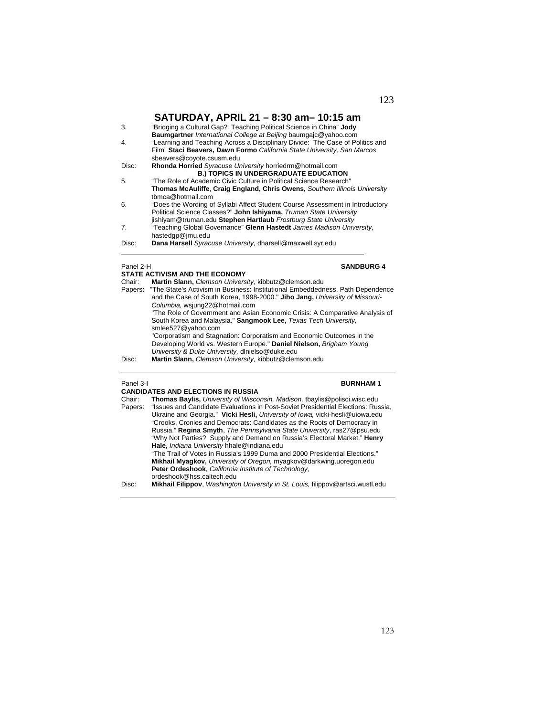## **SATURDAY, APRIL 21 – 8:30 am– 10:15 am**

|           | <u>וווא טו ויש טטנט – וש שוור וא ואשטוט ואט</u>                               |
|-----------|-------------------------------------------------------------------------------|
| 3.        | "Bridging a Cultural Gap? Teaching Political Science in China" Jody           |
|           | <b>Baumgartner</b> International College at Beijing baumgajc@yahoo.com        |
| 4.        | "Learning and Teaching Across a Disciplinary Divide: The Case of Politics and |
|           | Film" Staci Beavers, Dawn Formo California State University, San Marcos       |
|           | sbeavers@coyote.csusm.edu                                                     |
| Disc:     | Rhonda Horried Syracuse University horriedrm@hotmail.com                      |
|           | <b>B.) TOPICS IN UNDERGRADUATE EDUCATION</b>                                  |
| 5.        | "The Role of Academic Civic Culture in Political Science Research"            |
|           | Thomas McAuliffe, Craig England, Chris Owens, Southern Illinois University    |
|           | tbmca@hotmail.com                                                             |
| 6.        | "Does the Wording of Syllabi Affect Student Course Assessment in Introductory |
|           | Political Science Classes?" John Ishiyama, Truman State University            |
|           | jishiyam@truman.edu Stephen Hartlaub Frostburg State University               |
| 7.        | "Teaching Global Governance" Glenn Hastedt James Madison University.          |
|           | hastedgp@jmu.edu                                                              |
| Disc:     | Dana Harsell Syracuse University, dharsell@maxwell.syr.edu                    |
|           |                                                                               |
| Panel 2-H | <b>SANDBURG 4</b>                                                             |

### **STATE ACTIVISM AND THE ECONOMY**

| Chair:  | Martin Slann, Clemson University, kibbutz@clemson.edu                          |
|---------|--------------------------------------------------------------------------------|
| Papers: | "The State's Activism in Business: Institutional Embeddedness, Path Dependence |
|         | and the Case of South Korea, 1998-2000." Jiho Jang, University of Missouri-    |
|         | Columbia, wsjung22@hotmail.com                                                 |
|         | "The Role of Government and Asian Economic Crisis: A Comparative Analysis of   |
|         | South Korea and Malaysia." Sangmook Lee, Texas Tech University,                |
|         | smlee527@vahoo.com                                                             |
|         | "Corporatism and Stagnation: Corporatism and Economic Outcomes in the          |
|         | Developing World vs. Western Europe." Daniel Nielson, Brigham Young            |
|         | University & Duke University, dinielso@duke.edu                                |
| Disc:   | Martin Slann, Clemson University kibbutz@clemson edu                           |

### Disc: **Martin Slann,** *Clemson University,* kibbutz@clemson.edu

### Panel 3-I **BURNHAM 1**

|         | <b>CANDIDATES AND ELECTIONS IN RUSSIA</b>                                                       |
|---------|-------------------------------------------------------------------------------------------------|
| Chair:  | Thomas Baylis, University of Wisconsin, Madison, tbaylis@polisci.wisc.edu                       |
| Papers: | "Issues and Candidate Evaluations in Post-Soviet Presidential Elections: Russia,                |
|         | Ukraine and Georgia." Vicki Hesli, University of lowa, vicki-hesli@uiowa.edu                    |
|         | "Crooks, Cronies and Democrats: Candidates as the Roots of Democracy in                         |
|         | Russia." Regina Smyth, The Pennsylvania State University, ras27@psu.edu                         |
|         | "Why Not Parties? Supply and Demand on Russia's Electoral Market." Henry                        |
|         | Hale, Indiana University hhale@indiana.edu                                                      |
|         | "The Trail of Votes in Russia's 1999 Duma and 2000 Presidential Elections."                     |
|         | Mikhail Myagkov, University of Oregon, myagkov@darkwing.uoregon.edu                             |
|         | Peter Ordeshook, California Institute of Technology,                                            |
|         | ordeshook@hss.caltech.edu                                                                       |
| Disc:   | <b>Mikhail Filippov</b> , <i>Washington University in St. Louis</i> , filippov@artsci.wustl.edu |
|         |                                                                                                 |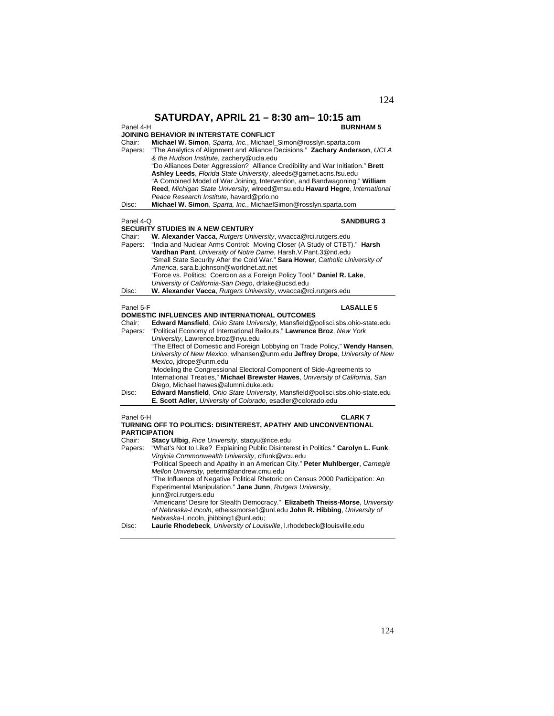| Panel 4-H                                                                                                             | SATURDAY, APRIL 21 - 8:30 am- 10:15 am<br><b>BURNHAM 5</b>                                                                                                                                                                                                                                                                                                                                                                                                                                                                                                                               |
|-----------------------------------------------------------------------------------------------------------------------|------------------------------------------------------------------------------------------------------------------------------------------------------------------------------------------------------------------------------------------------------------------------------------------------------------------------------------------------------------------------------------------------------------------------------------------------------------------------------------------------------------------------------------------------------------------------------------------|
| Chair:<br>Papers:                                                                                                     | JOINING BEHAVIOR IN INTERSTATE CONFLICT<br>Michael W. Simon, Sparta, Inc., Michael_Simon@rosslyn.sparta.com<br>"The Analytics of Alignment and Alliance Decisions." Zachary Anderson, UCLA<br>& the Hudson Institute, zachery@ucla.edu                                                                                                                                                                                                                                                                                                                                                   |
|                                                                                                                       | "Do Alliances Deter Aggression? Alliance Credibility and War Initiation." Brett<br>Ashley Leeds, Florida State University, aleeds@garnet.acns.fsu.edu<br>"A Combined Model of War Joining, Intervention, and Bandwagoning." William<br>Reed, Michigan State University, wlreed@msu.edu Havard Hegre, International                                                                                                                                                                                                                                                                       |
| Disc:                                                                                                                 | Peace Research Institute, havard@prio.no<br>Michael W. Simon, Sparta, Inc., MichaelSimon@rosslyn.sparta.com                                                                                                                                                                                                                                                                                                                                                                                                                                                                              |
| Panel 4-Q                                                                                                             | <b>SANDBURG 3</b><br><b>SECURITY STUDIES IN A NEW CENTURY</b>                                                                                                                                                                                                                                                                                                                                                                                                                                                                                                                            |
| Chair:<br>Papers:                                                                                                     | W. Alexander Vacca, Rutgers University, wvacca@rci.rutgers.edu<br>"India and Nuclear Arms Control: Moving Closer (A Study of CTBT)." <b>Harsh</b><br>Vardhan Pant, University of Notre Dame, Harsh.V.Pant.3@nd.edu<br>"Small State Security After the Cold War." Sara Hower, Catholic University of<br>America, sara.b.johnson@worldnet.att.net<br>"Force vs. Politics: Coercion as a Foreign Policy Tool." Daniel R. Lake,                                                                                                                                                              |
| Disc:                                                                                                                 | University of California-San Diego, drlake@ucsd.edu<br>W. Alexander Vacca, Rutgers University, wvacca@rci.rutgers.edu                                                                                                                                                                                                                                                                                                                                                                                                                                                                    |
| Panel 5-F<br><b>LASALLE 5</b><br>DOMESTIC INFLUENCES AND INTERNATIONAL OUTCOMES                                       |                                                                                                                                                                                                                                                                                                                                                                                                                                                                                                                                                                                          |
| Chair:<br>Papers:                                                                                                     | Edward Mansfield, Ohio State University, Mansfield@polisci.sbs.ohio-state.edu<br>"Political Economy of International Bailouts," Lawrence Broz, New York<br>University, Lawrence.broz@nyu.edu<br>"The Effect of Domestic and Foreign Lobbying on Trade Policy," Wendy Hansen,<br>University of New Mexico, wlhansen@unm.edu Jeffrey Drope, University of New<br>Mexico, jdrope@unm.edu<br>"Modeling the Congressional Electoral Component of Side-Agreements to<br>International Treaties," Michael Brewster Hawes, University of California, San<br>Diego. Michael.hawes@alumni.duke.edu |
| Disc:                                                                                                                 | Edward Mansfield, Ohio State University, Mansfield@polisci.sbs.ohio-state.edu<br>E. Scott Adler, University of Colorado, esadler@colorado.edu                                                                                                                                                                                                                                                                                                                                                                                                                                            |
| Panel 6-H<br><b>CLARK7</b><br>TURNING OFF TO POLITICS: DISINTEREST, APATHY AND UNCONVENTIONAL<br><b>PARTICIPATION</b> |                                                                                                                                                                                                                                                                                                                                                                                                                                                                                                                                                                                          |
| Chair:                                                                                                                | Stacy Ulbig, Rice University, stacyu@rice.edu                                                                                                                                                                                                                                                                                                                                                                                                                                                                                                                                            |
| Papers:                                                                                                               | "What's Not to Like? Explaining Public Disinterest in Politics." Carolyn L. Funk,<br>Virginia Commonwealth University, clfunk@vcu.edu<br>"Political Speech and Apathy in an American City." Peter Muhlberger, Carnegie<br>Mellon University, peterm@andrew.cmu.edu<br>"The Influence of Negative Political Rhetoric on Census 2000 Participation: An<br>Experimental Manipulation." Jane Junn, Rutgers University,<br>junn@rci.rutgers.edu                                                                                                                                               |
| Disc:                                                                                                                 | "Americans' Desire for Stealth Democracy." Elizabeth Theiss-Morse, University<br>of Nebraska-Lincoln, etheissmorse1@unl.edu John R. Hibbing, University of<br>Nebraska-Lincoln, jhibbing1@unl.edu;<br>Laurie Rhodebeck, University of Louisville, I.rhodebeck@louisville.edu                                                                                                                                                                                                                                                                                                             |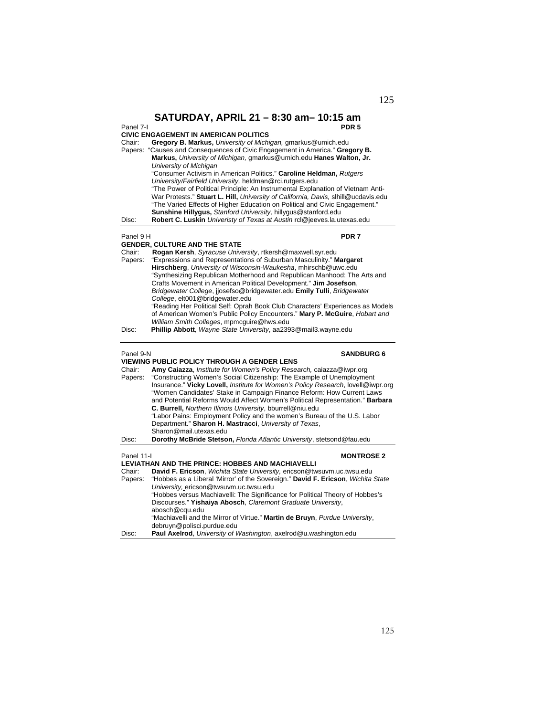| Panel 7-I         | SATURDAY, APRIL 21 - 8:30 am - 10:15 am<br>PDR <sub>5</sub><br><b>CIVIC ENGAGEMENT IN AMERICAN POLITICS</b>                                                                                                                                                                                                                                                                                                                                                   |
|-------------------|---------------------------------------------------------------------------------------------------------------------------------------------------------------------------------------------------------------------------------------------------------------------------------------------------------------------------------------------------------------------------------------------------------------------------------------------------------------|
| Chair:            | Gregory B. Markus, University of Michigan, gmarkus@umich.edu                                                                                                                                                                                                                                                                                                                                                                                                  |
| Papers:           | "Causes and Consequences of Civic Engagement in America." Gregory B.<br>Markus, University of Michigan, gmarkus@umich.edu Hanes Walton, Jr.                                                                                                                                                                                                                                                                                                                   |
|                   | University of Michigan<br>"Consumer Activism in American Politics." Caroline Heldman, Rutgers                                                                                                                                                                                                                                                                                                                                                                 |
|                   | University/Fairfield University, heldman@rci.rutgers.edu<br>"The Power of Political Principle: An Instrumental Explanation of Vietnam Anti-<br>War Protests." Stuart L. Hill, University of California, Davis, slhill@ucdavis.edu<br>"The Varied Effects of Higher Education on Political and Civic Engagement."<br>Sunshine Hillygus, Stanford University, hillygus@stanford.edu                                                                             |
| Disc:             | Robert C. Luskin Univeristy of Texas at Austin rcl@jeeves.la.utexas.edu                                                                                                                                                                                                                                                                                                                                                                                       |
| Panel 9 H         | PDR <sub>7</sub><br><b>GENDER, CULTURE AND THE STATE</b>                                                                                                                                                                                                                                                                                                                                                                                                      |
| Chair:            | Rogan Kersh, Syracuse University, rtkersh@maxwell.syr.edu                                                                                                                                                                                                                                                                                                                                                                                                     |
| Papers:           | "Expressions and Representations of Suburban Masculinity." Margaret                                                                                                                                                                                                                                                                                                                                                                                           |
|                   | Hirschberg, University of Wisconsin-Waukesha, mhirschb@uwc.edu<br>"Synthesizing Republican Motherhood and Republican Manhood: The Arts and                                                                                                                                                                                                                                                                                                                    |
|                   | Crafts Movement in American Political Development." Jim Josefson,                                                                                                                                                                                                                                                                                                                                                                                             |
|                   | Bridgewater College, jjosefso@bridgewater.edu Emily Tulli, Bridgewater                                                                                                                                                                                                                                                                                                                                                                                        |
|                   | College, elt001@bridgewater.edu<br>"Reading Her Political Self: Oprah Book Club Characters' Experiences as Models<br>of American Women's Public Policy Encounters." Mary P. McGuire, Hobart and<br>William Smith Colleges, mpmcguire@hws.edu                                                                                                                                                                                                                  |
| Disc:             | Phillip Abbott, Wayne State University, aa2393@mail3.wayne.edu                                                                                                                                                                                                                                                                                                                                                                                                |
| Panel 9-N         | <b>SANDBURG 6</b>                                                                                                                                                                                                                                                                                                                                                                                                                                             |
| Chair:            | <b>VIEWING PUBLIC POLICY THROUGH A GENDER LENS</b><br>Amy Caiazza, Institute for Women's Policy Research, caiazza@iwpr.org                                                                                                                                                                                                                                                                                                                                    |
| Papers:           | "Constructing Women's Social Citizenship: The Example of Unemployment<br>Insurance." Vicky Lovell, Institute for Women's Policy Research, lovell@iwpr.org<br>"Women Candidates' Stake in Campaign Finance Reform: How Current Laws<br>and Potential Reforms Would Affect Women's Political Representation." Barbara<br>C. Burrell, Northern Illinois University, bburrell@niu.edu<br>"Labor Pains: Employment Policy and the women's Bureau of the U.S. Labor |
|                   | Department." Sharon H. Mastracci, University of Texas,<br>Sharon@mail.utexas.edu                                                                                                                                                                                                                                                                                                                                                                              |
| Disc:             | Dorothy McBride Stetson, Florida Atlantic University, stetsond@fau.edu                                                                                                                                                                                                                                                                                                                                                                                        |
| Panel 11-I        | <b>MONTROSE 2</b>                                                                                                                                                                                                                                                                                                                                                                                                                                             |
|                   | LEVIATHAN AND THE PRINCE: HOBBES AND MACHIAVELLI                                                                                                                                                                                                                                                                                                                                                                                                              |
| Chair:<br>Papers: | David F. Ericson, Wichita State University, ericson@twsuvm.uc.twsu.edu<br>"Hobbes as a Liberal 'Mirror' of the Sovereign." David F. Ericson, Wichita State                                                                                                                                                                                                                                                                                                    |
|                   | University, ericson@twsuvm.uc.twsu.edu<br>"Hobbes versus Machiavelli: The Significance for Political Theory of Hobbes's<br>Discourses." Yishaiya Abosch, Claremont Graduate University,<br>abosch@cqu.edu                                                                                                                                                                                                                                                     |
|                   | "Machiavelli and the Mirror of Virtue." Martin de Bruyn, Purdue University,<br>debruyn@polisci.purdue.edu                                                                                                                                                                                                                                                                                                                                                     |
| Disc:             | Paul Axelrod, University of Washington, axelrod@u.washington.edu                                                                                                                                                                                                                                                                                                                                                                                              |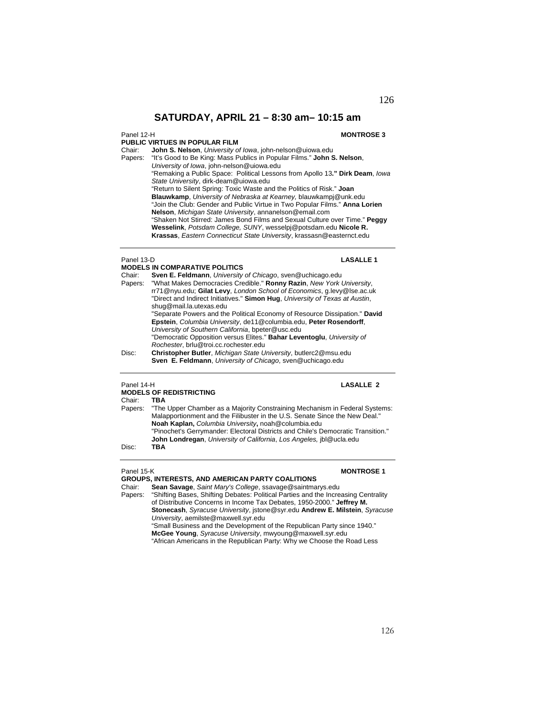Panel 12-H **MONTROSE 3** 

**PUBLIC VIRTUES IN POPULAR FILM** 

Chair: **John S. Nelson**, *University of Iowa*, john-nelson@uiowa.edu

"It's Good to Be King: Mass Publics in Popular Films." John S. Nelson, *University of Iowa*, john-nelson@uiowa.edu

"Remaking a Public Space: Political Lessons from Apollo 13**." Dirk Deam**, *Iowa State University*, dirk-deam@uiowa.edu

"Return to Silent Spring: Toxic Waste and the Politics of Risk." **Joan** 

**Blauwkamp**, *University of Nebraska at Kearney,* blauwkampj@unk.edu "Join the Club: Gender and Public Virtue in Two Popular Films." **Anna Lorien** 

**Nelson**, *Michigan State University*, annanelson@email.com

"Shaken Not Stirred: James Bond Films and Sexual Culture over Time." **Peggy Wesselink**, *Potsdam College, SUNY*, wesselpj@potsdam.edu **Nicole R. Krassas**, *Eastern Connecticut State University*, krassasn@easternct.edu

### Panel 13-D<br> **LASALLE 1**

**MODELS IN COMPARATIVE POLITICS**  Chair: **Sven E. Feldmann**, *University of Chicago*, sven@uchicago.edu Papers: "What Makes Democracies Credible." **Ronny Razin**, *New York University*, rr71@nyu.edu; **Gilat Levy**, *London School of Economics*, g.levy@lse.ac.uk "Direct and Indirect Initiatives." **Simon Hug**, *University of Texas at Austin*, shug@mail.la.utexas.edu "Separate Powers and the Political Economy of Resource Dissipation." **David Epstein**, *Columbia University*, de11@columbia.edu, **Peter Rosendorff**, *University of Southern California*, bpeter@usc.edu "Democratic Opposition versus Elites." **Bahar Leventoglu**, *University of Rochester*, brlu@troi.cc.rochester.edu Disc: **Christopher Butler**, *Michigan State University*, butlerc2@msu.edu **Sven E. Feldmann**, *University of Chicago*, sven@uchicago.edu

## Panel 14-H **LASALLE 2**

### **MODELS OF REDISTRICTING**

Chair: **TBA** Papers:"The Upper Chamber as a Majority Constraining Mechanism in Federal Systems: Malapportionment and the Filibuster in the U.S. Senate Since the New Deal." **Noah Kaplan,** *Columbia University***,** noah@columbia.edu "Pinochet's Gerrymander: Electoral Districts and Chile's Democratic Transition." **John Londregan**, *University of California*, *Los Angeles,* jbl@ucla.edu Disc: **TBA** 

## Panel 15-K **MONTROSE 1**

**GROUPS, INTERESTS, AND AMERICAN PARTY COALITIONS**<br>Chair: Sean Savage, Saint Mary's College, ssavage@saintma

Chair: **Sean Savage**, *Saint Mary's College*, ssavage@saintmarys.edu "Shifting Bases, Shifting Debates: Political Parties and the Increasing Centrality of Distributive Concerns in Income Tax Debates, 1950-2000." **Jeffrey M. Stonecash**, *Syracuse University*, jstone@syr.edu **Andrew E. Milstein**, *Syracuse University*, aemilste@maxwell.syr.edu

"Small Business and the Development of the Republican Party since 1940." **McGee Young**, *Syracuse University*, mwyoung@maxwell.syr.edu "African Americans in the Republican Party: Why we Choose the Road Less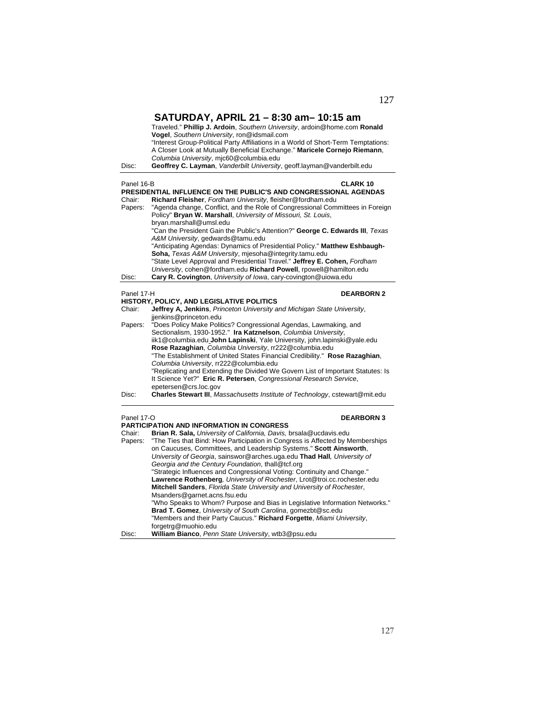| Disc:                | SATURDAY, APRIL 21 - 8:30 am- 10:15 am<br>Traveled." Phillip J. Ardoin, Southern University, ardoin@home.com Ronald<br>Vogel, Southern University, ron@idsmail.com<br>"Interest Group-Political Party Affiliations in a World of Short-Term Temptations:<br>A Closer Look at Mutually Beneficial Exchange." Maricele Cornejo Riemann,<br>Columbia University, mjc60@columbia.edu<br>Geoffrey C. Layman, Vanderbilt University, geoff.layman@vanderbilt.edu                                                                                                                             |
|----------------------|----------------------------------------------------------------------------------------------------------------------------------------------------------------------------------------------------------------------------------------------------------------------------------------------------------------------------------------------------------------------------------------------------------------------------------------------------------------------------------------------------------------------------------------------------------------------------------------|
| Panel 16-B<br>Chair: | <b>CLARK 10</b><br>PRESIDENTIAL INFLUENCE ON THE PUBLIC'S AND CONGRESSIONAL AGENDAS<br>Richard Fleisher, Fordham University, fleisher@fordham.edu<br>"Agenda change, Conflict, and the Role of Congressional Committees in Foreign                                                                                                                                                                                                                                                                                                                                                     |
| Papers:              | Policy" Bryan W. Marshall, University of Missouri, St. Louis,<br>bryan.marshall@umsl.edu<br>"Can the President Gain the Public's Attention?" George C. Edwards III, Texas<br>A&M University, gedwards@tamu.edu<br>"Anticipating Agendas: Dynamics of Presidential Policy." Matthew Eshbaugh-<br>Soha, Texas A&M University, mjesoha@integrity.tamu.edu<br>"State Level Approval and Presidential Travel." Jeffrey E. Cohen, Fordham<br>University, cohen@fordham.edu Richard Powell, rpowell@hamilton.edu                                                                              |
| Disc:                | Cary R. Covington, University of Iowa, cary-covington@uiowa.edu                                                                                                                                                                                                                                                                                                                                                                                                                                                                                                                        |
| Panel 17-H<br>Chair: | <b>DEARBORN 2</b><br><b>HISTORY, POLICY, AND LEGISLATIVE POLITICS</b><br>Jeffrey A, Jenkins, Princeton University and Michigan State University,<br>jienkins@princeton.edu                                                                                                                                                                                                                                                                                                                                                                                                             |
| Papers:              | "Does Policy Make Politics? Congressional Agendas, Lawmaking, and<br>Sectionalism, 1930-1952." Ira Katznelson, Columbia University,<br>iik1@columbia.edu John Lapinski, Yale University, john.lapinski@yale.edu<br>Rose Razaghian, Columbia University, rr222@columbia.edu<br>"The Establishment of United States Financial Credibility." Rose Razaghian,<br>Columbia University, rr222@columbia.edu<br>"Replicating and Extending the Divided We Govern List of Important Statutes: Is<br>It Science Yet?" Eric R. Petersen, Congressional Research Service,<br>epetersen@crs.loc.gov |
| Disc:                | <b>Charles Stewart III</b> , Massachusetts Institute of Technology, cstewart@mit.edu                                                                                                                                                                                                                                                                                                                                                                                                                                                                                                   |
| Panel 17-O           | <b>DEARBORN 3</b><br><b>PARTICIPATION AND INFORMATION IN CONGRESS</b>                                                                                                                                                                                                                                                                                                                                                                                                                                                                                                                  |
| Chair:               | Brian R. Sala, University of California, Davis, brsala@ucdavis.edu                                                                                                                                                                                                                                                                                                                                                                                                                                                                                                                     |
| Papers:              | "The Ties that Bind: How Participation in Congress is Affected by Memberships<br>on Caucuses, Committees, and Leadership Systems." Scott Ainsworth,<br>University of Georgia, sainswor@arches.uga.edu Thad Hall, University of                                                                                                                                                                                                                                                                                                                                                         |
|                      | Georgia and the Century Foundation, thall@tcf.org<br>"Strategic Influences and Congressional Voting: Continuity and Change."<br>Lawrence Rothenberg, University of Rochester, Lrot@troi.cc.rochester.edu<br>Mitchell Sanders, Florida State University and University of Rochester,                                                                                                                                                                                                                                                                                                    |
|                      | Msanders@garnet.acns.fsu.edu<br>"Who Speaks to Whom? Purpose and Bias in Legislative Information Networks."                                                                                                                                                                                                                                                                                                                                                                                                                                                                            |

**Brad T. Gomez**, *University of South Carolina*, gomezbt@sc.edu "Members and their Party Caucus." **Richard Forgette**, *Miami University*,

Disc: **William Bianco**, *Penn State University*, wtb3@psu.edu

forgetrg@muohio.edu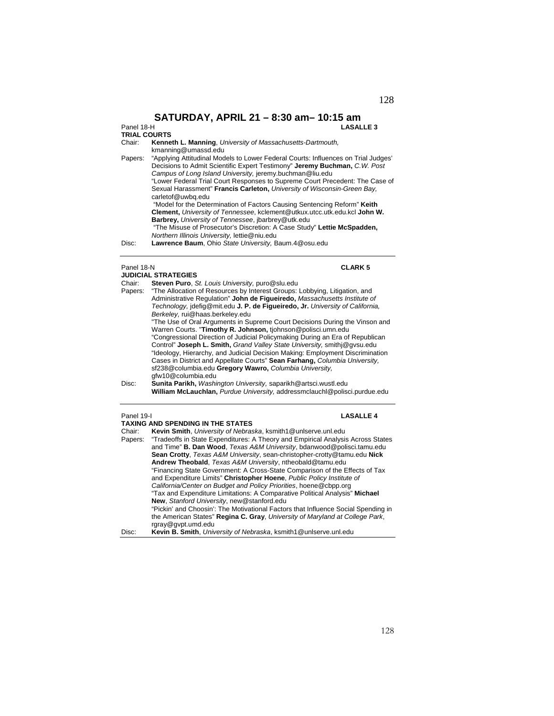### Panel 18-H **LASALLE 3**

Panel 18-H<br>TRIAL COURTS

| Chair:  | Kenneth L. Manning, University of Massachusetts-Dartmouth,<br>kmanning@umassd.edu                                                                                                                                                                                                                                                                                                                          |
|---------|------------------------------------------------------------------------------------------------------------------------------------------------------------------------------------------------------------------------------------------------------------------------------------------------------------------------------------------------------------------------------------------------------------|
| Papers: | "Applying Attitudinal Models to Lower Federal Courts: Influences on Trial Judges"<br>Decisions to Admit Scientific Expert Testimony" Jeremy Buchman, C.W. Post<br>Campus of Long Island University, jeremy.buchman@liu.edu<br>"Lower Federal Trial Court Responses to Supreme Court Precedent: The Case of<br>Sexual Harassment" Francis Carleton, University of Wisconsin-Green Bay.<br>carletof@uwbq.edu |
| Disc:   | "Model for the Determination of Factors Causing Sentencing Reform" Keith<br><b>Clement, University of Tennessee, kclement@utkux.utcc.utk.edu.kcl John W.</b><br>Barbrey, University of Tennessee, jbarbrey@utk.edu<br>"The Misuse of Prosecutor's Discretion: A Case Study" Lettie McSpadden,<br>Northern Illinois University, lettie@niu.edu<br>Lawrence Baum, Ohio State University, Baum.4@osu.edu      |

| Panel 18-N                                                                                                                                                                                                                                                                                                                                                                                                                                                                                                                                                                                                                                                                                                                                                                                                                             |                  |
|----------------------------------------------------------------------------------------------------------------------------------------------------------------------------------------------------------------------------------------------------------------------------------------------------------------------------------------------------------------------------------------------------------------------------------------------------------------------------------------------------------------------------------------------------------------------------------------------------------------------------------------------------------------------------------------------------------------------------------------------------------------------------------------------------------------------------------------|------------------|
| <b>JUDICIAL STRATEGIES</b>                                                                                                                                                                                                                                                                                                                                                                                                                                                                                                                                                                                                                                                                                                                                                                                                             |                  |
| Steven Puro, St. Louis University, puro@slu.edu                                                                                                                                                                                                                                                                                                                                                                                                                                                                                                                                                                                                                                                                                                                                                                                        |                  |
| "The Allocation of Resources by Interest Groups: Lobbying, Litigation, and<br>Administrative Regulation" John de Figueiredo, Massachusetts Institute of<br>Technology, idefig@mit.edu J. P. de Figueiredo, Jr. University of California,<br>Berkeley, rui@haas.berkeley.edu<br>"The Use of Oral Arguments in Supreme Court Decisions During the Vinson and<br>Warren Courts. "Timothy R. Johnson, tjohnson@polisci.umn.edu<br>"Congressional Direction of Judicial Policymaking During an Era of Republican<br>Control" Joseph L. Smith, Grand Valley State University, smithj@gysu.edu<br>"Ideology, Hierarchy, and Judicial Decision Making: Employment Discrimination<br>Cases in District and Appellate Courts" Sean Farhang, Columbia University,<br>sf238@columbia.edu Gregory Wawro, Columbia University,<br>gfw10@columbia.edu |                  |
| Sunita Parikh, Washington University, saparikh@artsci.wustl.edu<br>William McLauchlan, Purdue University, addressmclauch @polisci.purdue.edu                                                                                                                                                                                                                                                                                                                                                                                                                                                                                                                                                                                                                                                                                           |                  |
| Panel 19-I                                                                                                                                                                                                                                                                                                                                                                                                                                                                                                                                                                                                                                                                                                                                                                                                                             | <b>LASALLE 4</b> |
| <b>TAXING AND SPENDING IN THE STATES</b>                                                                                                                                                                                                                                                                                                                                                                                                                                                                                                                                                                                                                                                                                                                                                                                               |                  |
| Kevin Smith, University of Nebraska, ksmith1@unlserve.unl.edu                                                                                                                                                                                                                                                                                                                                                                                                                                                                                                                                                                                                                                                                                                                                                                          |                  |
| "Tradeoffs in State Expenditures: A Theory and Empirical Analysis Across States<br>and Time" <b>B. Dan Wood</b> , Texas A&M University, bdanwood@polisci.tamu.edu<br><b>Sean Crotty, Texas A&amp;M University, sean-christopher-crotty@tamu.edu Nick</b><br>Andrew Theobald, Texas A&M University, ntheobald@tamu.edu                                                                                                                                                                                                                                                                                                                                                                                                                                                                                                                  |                  |
|                                                                                                                                                                                                                                                                                                                                                                                                                                                                                                                                                                                                                                                                                                                                                                                                                                        |                  |

| and Time" <b>B. Dan Wood</b> , Texas A&M University, bdanwood@polisci.tamu.edu    |
|-----------------------------------------------------------------------------------|
| Sean Crotty, Texas A&M University, sean-christopher-crotty@tamu.edu Nick          |
| Andrew Theobald, Texas A&M University, ntheobald@tamu.edu                         |
| "Financing State Government: A Cross-State Comparison of the Effects of Tax       |
| and Expenditure Limits" Christopher Hoene, Public Policy Institute of             |
| California/Center on Budget and Policy Priorities, hoene@cbpp.org                 |
| "Tax and Expenditure Limitations: A Comparative Political Analysis" Michael       |
| New, Stanford University, new@stanford.edu                                        |
| "Pickin' and Choosin': The Motivational Factors that Influence Social Spending in |
| the American States" Regina C. Gray, University of Maryland at College Park,      |
| rgray@gvpt.umd.edu                                                                |
|                                                                                   |

Disc: **Kevin B. Smith**, *University of Nebraska*, ksmith1@unlserve.unl.edu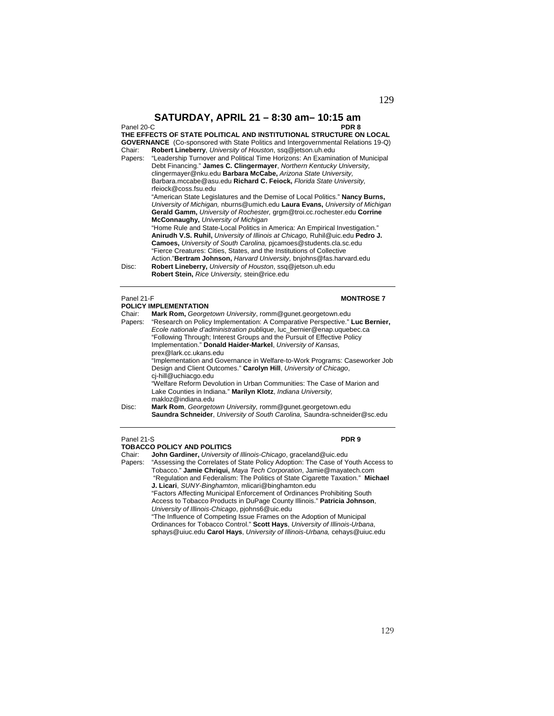| Panel 20-C | PDR 8                                                                                     |
|------------|-------------------------------------------------------------------------------------------|
|            | THE EFFECTS OF STATE POLITICAL AND INSTITUTIONAL STRUCTURE ON LOCAL                       |
|            | <b>GOVERNANCE</b> (Co-sponsored with State Politics and Intergovernmental Relations 19-Q) |
| Chair:     | Robert Lineberry, University of Houston, ssq@jetson.uh.edu                                |
| Papers:    | "Leadership Turnover and Political Time Horizons: An Examination of Municipal             |
|            | Debt Financing." James C. Clingermayer, Northern Kentucky University.                     |
|            | clingermayer@nku.edu Barbara McCabe, Arizona State University,                            |
|            | Barbara.mccabe@asu.edu Richard C. Feiock, Florida State University.                       |
|            | rfeiock@coss.fsu.edu                                                                      |
|            | "American State Legislatures and the Demise of Local Politics." Nancy Burns,              |
|            | University of Michigan, nburns@umich.edu Laura Evans, University of Michigan              |
|            | Gerald Gamm, University of Rochester, grgm@troi.cc.rochester.edu Corrine                  |
|            | McConnaughy, University of Michigan                                                       |
|            | "Home Rule and State-Local Politics in America: An Empirical Investigation."              |
|            | Anirudh V.S. Ruhil, University of Illinois at Chicago, Ruhil@uic.edu Pedro J.             |
|            | <b>Camoes, University of South Carolina, picamoes@students.cla.sc.edu</b>                 |
|            | "Fierce Creatures: Cities, States, and the Institutions of Collective                     |
|            | Action."Bertram Johnson, Harvard University, bnjohns@fas.harvard.edu                      |
| Disc:      | Robert Lineberry, University of Houston, ssq@jetson.uh.edu                                |
|            | Robert Stein, Rice University, stein@rice.edu                                             |
|            |                                                                                           |
|            |                                                                                           |
| Panel 21-F | <b>MONTROSE 7</b>                                                                         |
|            | <b>POLICY IMPLEMENTATION</b>                                                              |
| Chair:     | Mark Rom, Georgetown University, romm@gunet.georgetown.edu                                |
| Papers:    | "Research on Policy Implementation: A Comparative Perspective." Luc Bernier.              |

Papers: "Research on Policy Implementation: A Comparative Perspective." **Luc Bernier,** *Ecole nationale d'administration publique*, luc\_bernier@enap.uquebec.ca "Following Through; Interest Groups and the Pursuit of Effective Policy Implementation." **Donald Haider-Markel**, *University of Kansas,*  prex@lark.cc.ukans.edu "Implementation and Governance in Welfare-to-Work Programs: Caseworker Job Design and Client Outcomes." **Carolyn Hill**, *University of Chicago*, cj-hill@uchiacgo.edu "Welfare Reform Devolution in Urban Communities: The Case of Marion and Lake Counties in Indiana." **Marilyn Klotz**, *Indiana University,*  makloz@indiana.edu Disc: **Mark Rom**, *Georgetown University,* romm@gunet.georgetown.edu

 **Saundra Schneider**, *University of South Carolina,* Saundra-schneider@sc.edu

## Panel 21-S **PDR 9**

**TOBACCO POLICY AND POLITICS**  Chair: **John Gardiner,** *University of Illinois-Chicago*, graceland@uic.edu Papers: "Assessing the Correlates of State Policy Adoption: The Case of Youth Access to Tobacco." **Jamie Chriqui,** *Maya Tech Corporation*, Jamie@mayatech.com "Regulation and Federalism: The Politics of State Cigarette Taxation." **Michael J. Licari**, *SUNY-Binghamton*, mlicari@binghamton.edu "Factors Affecting Municipal Enforcement of Ordinances Prohibiting South Access to Tobacco Products in DuPage County Illinois." **Patricia Johnson**, *University of Illinois-Chicago*, pjohns6@uic.edu "The Influence of Competing Issue Frames on the Adoption of Municipal Ordinances for Tobacco Control." **Scott Hays**, *University of Illinois-Urbana*, sphays@uiuc.edu **Carol Hays**, *University of Illinois-Urbana,* cehays@uiuc.edu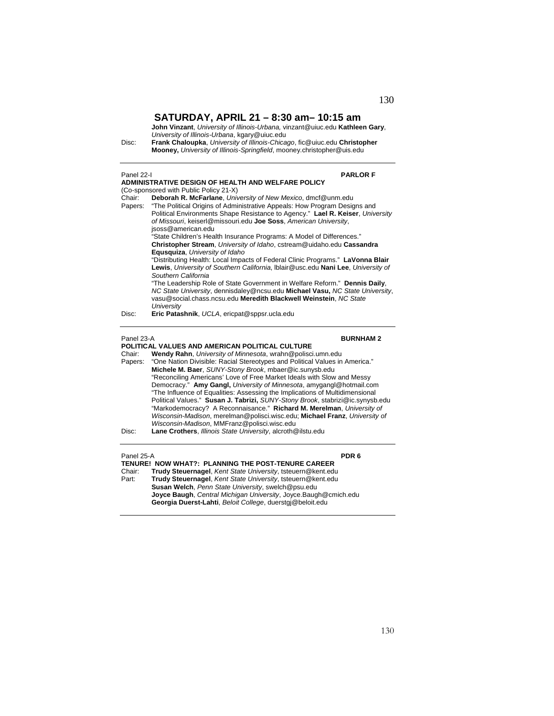**John Vinzant**, *University of Illinois-Urbana,* vinzant@uiuc.edu **Kathleen Gary**, *University of Illinois-Urbana*, kgary@uiuc.edu Disc: **Frank Chaloupka**, *University of Illinois-Chicago*, fic@uiuc.edu **Christopher Mooney,** *University of Illinois-Springfield*, mooney.christopher@uis.edu

## Panel 22-I **PARLOR F ADMINISTRATIVE DESIGN OF HEALTH AND WELFARE POLICY**  (Co-sponsored with Public Policy 21-X) Chair: **Deborah R. McFarlane**, *University of New Mexico*, dmcf@unm.edu Papers: "The Political Origins of Administrative Appeals: How Program Designs and Political Environments Shape Resistance to Agency." **Lael R. Keiser**, *University of Missouri*, keiserl@missouri.edu **Joe Soss**, *American University*, jsoss@american.edu "State Children's Health Insurance Programs: A Model of Differences." **Christopher Stream**, *University of Idaho*, cstream@uidaho.edu **Cassandra Equsquiza**, *University of Idaho*  "Distributing Health: Local Impacts of Federal Clinic Programs." **LaVonna Blair Lewis**, *University of Southern California*, lblair@usc.edu **Nani Lee**, *University of Southern California* "The Leadership Role of State Government in Welfare Reform." **Dennis Daily**, *NC State University*, dennisdaley@ncsu.edu **Michael Vasu,** *NC State University*, vasu@social.chass.ncsu.edu **Meredith Blackwell Weinstein**, *NC State University* Disc: **Eric Patashnik**, *UCLA*, ericpat@sppsr.ucla.edu Panel 23-A **BURNHAM 2 POLITICAL VALUES AND AMERICAN POLITICAL CULTURE**  Chair: **Wendy Rahn**, *University of Minnesota*, wrahn@polisci.umn.edu Papers: "One Nation Divisible: Racial Stereotypes and Political Values in America." **Michele M. Baer**, *SUNY-Stony Brook*, mbaer@ic.sunysb.edu "Reconciling Americans' Love of Free Market Ideals with Slow and Messy Democracy." **Amy Gangl,** *University of Minnesota*, amygangl@hotmail.com "The Influence of Equalities: Assessing the Implications of Multidimensional Political Values." **Susan J. Tabrizi,** *SUNY-Stony Brook*, stabrizi@ic.synysb.edu "Markodemocracy? A Reconnaisance." **Richard M. Merelman**, *University of Wisconsin-Madison*, merelman@polisci.wisc.edu; **Michael Franz**, *University of*

### Panel 25-A **PDR 6**

**TENURE! NOW WHAT?: PLANNING THE POST-TENURE CAREER** 

*Wisconsin-Madison*, MMFranz@polisci.wisc.edu Disc: **Lane Crothers**, *Illinois State University*, alcroth@ilstu.edu

Chair: **Trudy Steuernagel**, *Kent State University*, tsteuern@kent.edu Part: **Trudy Steuernagel**, *Kent State University*, tsteuern@kent.edu **Susan Welch**, *Penn State University*, swelch@psu.edu **Joyce Baugh**, *Central Michigan University*, Joyce.Baugh@cmich.edu **Georgia Duerst-Lahti**, *Beloit College*, duerstgj@beloit.edu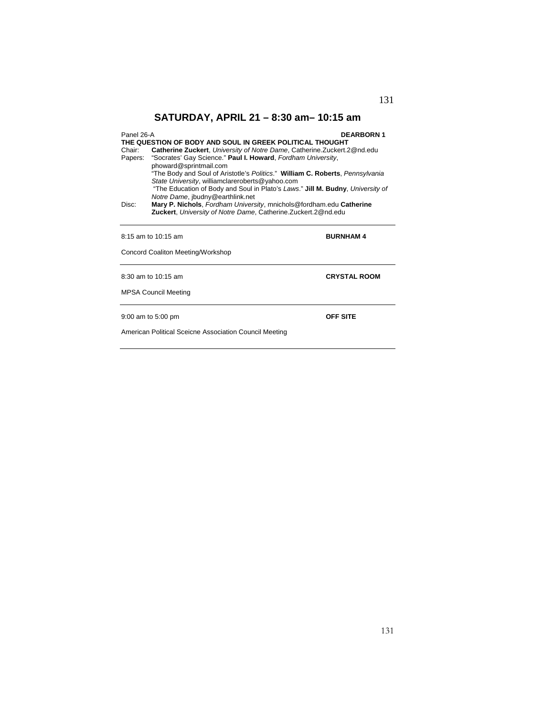| Panel 26-A<br><b>DEARBORN1</b> |                                                                                  |
|--------------------------------|----------------------------------------------------------------------------------|
|                                | THE QUESTION OF BODY AND SOUL IN GREEK POLITICAL THOUGHT                         |
| Chair:                         | <b>Catherine Zuckert, University of Notre Dame, Catherine. Zuckert. 2@nd.edu</b> |
|                                | Papers: "Socrates' Gay Science." Paul I. Howard, Fordham University,             |
|                                | phoward@sprintmail.com                                                           |
|                                | "The Body and Soul of Aristotle's Politics." William C. Roberts, Pennsylvania    |
|                                | State University, williamclareroberts@yahoo.com                                  |
|                                | "The Education of Body and Soul in Plato's Laws." Jill M. Budny, University of   |
|                                | Notre Dame, jbudny@earthlink.net                                                 |
| Disc:                          | Mary P. Nichols, Fordham University, mnichols@fordham.edu Catherine              |
|                                | Zuckert, University of Notre Dame, Catherine. Zuckert. 2@nd.edu                  |
|                                |                                                                                  |
|                                |                                                                                  |
|                                | 8:15 am to 10:15 am<br><b>BURNHAM4</b>                                           |

Concord Coaliton Meeting/Workshop

8:30 am to 10:15 am **CRYSTAL ROOM** 

MPSA Council Meeting

9:00 am to 5:00 pm **OFF SITE**

American Political Sceicne Association Council Meeting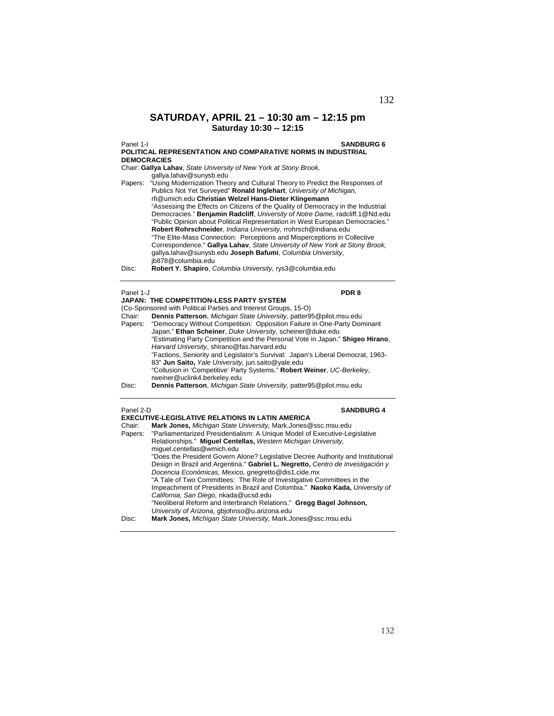# **SATURDAY, APRIL 21 – 10:30 am – 12:15 pm Saturday 10:30 -- 12:15**

Panel 1-I **SANDBURG 6 POLITICAL REPRESENTATION AND COMPARATIVE NORMS IN INDUSTRIAL DEMOCRACIES** 

Chair: **Gallya Lahav**, *State University of New York at Stony Brook,* gallya.lahav@sunysb.edu

| Papers: | "Using Modernization Theory and Cultural Theory to Predict the Responses of      |
|---------|----------------------------------------------------------------------------------|
|         | Publics Not Yet Surveyed" Ronald Inglehart, University of Michigan,              |
|         | rfi@umich.edu Christian Welzel Hans-Dieter Klingemann                            |
|         | "Assessing the Effects on Citizens of the Quality of Democracy in the Industrial |
|         | Democracies." Benjamin Radcliff, University of Notre Dame, radcliff.1@Nd.edu     |
|         | "Public Opinion about Political Representation in West European Democracies."    |
|         | Robert Rohrschneider, Indiana University, rrohrsch@indiana.edu                   |
|         | "The Elite-Mass Connection: Perceptions and Misperceptions in Collective         |
|         | Correspondence." Gallya Lahav, State University of New York at Stony Brook,      |
|         | gallya.lahav@sunysb.edu Joseph Bafumi, Columbia University,                      |
|         | ib878@columbia.edu                                                               |
| Disc:   | Robert Y. Shapiro, Columbia University, rys3@columbia.edu                        |

# Panel 1-J **PDR 8**

|        | JAPAN: THE COMPETITION-LESS PARTY SYSTEM                                         |
|--------|----------------------------------------------------------------------------------|
|        | (Co-Sponsored with Political Parties and Interest Groups, 15-O)                  |
| Chair: | Dennis Patterson, Michigan State University, patter95@pilot.msu.edu              |
|        | Papers: "Democracy Without Competition: Opposition Failure in One-Party Dominant |
|        | Japan." Ethan Scheiner, Duke University, scheiner@duke.edu                       |
|        | "Estimating Party Competition and the Personal Vote in Japan." Shigeo Hirano,    |
|        | Harvard University, shirano@fas.harvard.edu                                      |
|        | "Factions, Seniority and Legislator's Survival: Japan's Liberal Democrat, 1963-  |
|        | 83" Jun Saito, Yale University, jun.saito@yale.edu                               |
|        | "Collusion in 'Competitive' Party Systems." Robert Weiner, UC-Berkeley.          |
|        | rweiner@uclink4.berkeley.edu                                                     |
| Disc:  | Dennis Patterson, Michigan State University, patter95@pilot.msu.edu              |

### Panel 2-D **SANDBURG 4**

|         | <b>EXECUTIVE-LEGISLATIVE RELATIONS IN LATIN AMERICA</b>                          |
|---------|----------------------------------------------------------------------------------|
| Chair:  | Mark Jones, Michigan State University, Mark Jones@ssc.msu.edu                    |
| Papers: | "Parliamentarized Presidentialism: A Unique Model of Executive-Legislative       |
|         | Relationships." Miquel Centellas, Western Michigan University,                   |
|         | miquel.centellas@wmich.edu                                                       |
|         | "Does the President Govern Alone? Legislative Decree Authority and Institutional |
|         | Design in Brazil and Argentina." Gabriel L. Negretto, Centro de Investigación y  |
|         | Docencia Económicas, Mexico, gnegretto@dis1.cide.mx                              |
|         | "A Tale of Two Committees: The Role of Investigative Committees in the           |
|         | Impeachment of Presidents in Brazil and Colombia." Naoko Kada, University of     |
|         | California, San Diego, nkada@ucsd.edu                                            |
|         | "Neoliberal Reform and Interbranch Relations." Gregg Bagel Johnson,              |
|         | University of Arizona, gbiohnso@u.arizona.edu                                    |
| Disc:   | Mark Jones, Michigan State University, Mark.Jones@ssc.msu.edu                    |
|         |                                                                                  |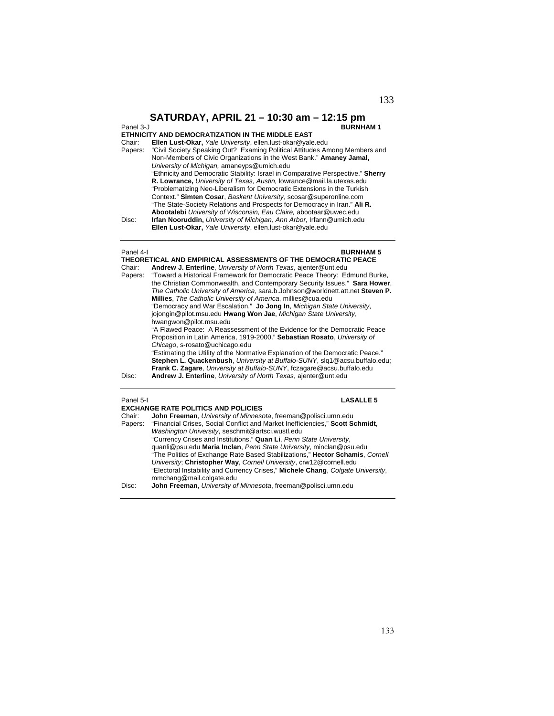| Panel 3-J | <b>BURNHAM1</b>                                                                 |
|-----------|---------------------------------------------------------------------------------|
|           | ETHNICITY AND DEMOCRATIZATION IN THE MIDDLE EAST                                |
| Chair:    | Ellen Lust-Okar, Yale University, ellen.lust-okar@yale.edu                      |
| Papers:   | "Civil Society Speaking Out? Examing Political Attitudes Among Members and      |
|           | Non-Members of Civic Organizations in the West Bank." Amaney Jamal,             |
|           | University of Michigan, amaneyps@umich.edu                                      |
|           | "Ethnicity and Democratic Stability: Israel in Comparative Perspective." Sherry |
|           | R. Lowrance, University of Texas, Austin, lowrance@mail.la.utexas.edu           |
|           | "Problematizing Neo-Liberalism for Democratic Extensions in the Turkish         |
|           | Context." Simten Cosar, Baskent University, scosar@superonline.com              |
|           | "The State-Society Relations and Prospects for Democracy in Iran." Ali R.       |
|           | Abootalebi University of Wisconsin, Eau Claire, abootaar@uwec.edu               |
| Disc:     | Irfan Nooruddin, University of Michigan, Ann Arbor, Irfann@umich.edu            |
|           | Ellen Lust-Okar, Yale University, ellen.lust-okar@yale.edu                      |
| Panel 4-I | <b>BURNHAM 5</b>                                                                |
|           | THEORETICAL AND EMPIRICAL ASSESSMENTS OF THE DEMOCRATIC PEACE                   |
| Chair:    | Andrew J. Enterline, University of North Texas, ajenter@unt.edu                 |
| Papers:   | "Toward a Historical Framework for Democratic Peace Theory: Edmund Burke,       |
|           | the Christian Commonwealth, and Contemporary Security Issues." Sara Hower,      |
|           | The Catholic University of America, sara.b.Johnson@worldnett.att.net Steven P.  |
|           | Millies, The Catholic University of America, millies@cua.edu                    |
|           | "Democracy and War Escalation." Jo Jong In, Michigan State University,          |
|           | jojongin@pilot.msu.edu Hwang Won Jae, Michigan State University,                |
|           | hwangwon@pilot.msu.edu                                                          |
|           | "A Flawed Peace: A Reassessment of the Evidence for the Democratic Peace        |
|           | Proposition in Latin America, 1919-2000." Sebastian Rosato, University of       |
|           | Chicago, s-rosato@uchicago.edu                                                  |
|           | "Estimating the Utility of the Normative Explanation of the Democratic Peace."  |
|           | Stephen L. Quackenbush, University at Buffalo-SUNY, slq1@acsu.buffalo.edu;      |
|           | Frank C. Zagare, University at Buffalo-SUNY, fczagare@acsu.buffalo.edu          |
| Disc:     | Andrew J. Enterline, University of North Texas, ajenter@unt.edu                 |
| Panel 5-I | <b>LASALLE 5</b>                                                                |
|           | <b>EXCHANGE RATE POLITICS AND POLICIES</b>                                      |
| Chair:    | John Freeman, University of Minnesota, freeman@polisci.umn.edu                  |
| Papers:   | "Financial Crises, Social Conflict and Market Inefficiencies," Scott Schmidt,   |
|           | Washington University, seschmit@artsci.wustl.edu                                |
|           | "Currency Crises and Institutions " <b>Quan Li</b> Penn State University        |

"Currency Crises and Institutions," **Quan Li**, *Penn State University*, quanli@psu.edu **Maria Inclan**, *Penn State University*, minclan@psu.edu "The Politics of Exchange Rate Based Stabilizations," **Hector Schamis**, *Cornell University*; **Christopher Way**, *Cornell University*, crw12@cornell.edu "Electoral Instability and Currency Crises," **Michele Chang**, *Colgate University*, mmchang@mail.colgate.edu Disc: **John Freeman**, *University of Minnesota*, freeman@polisci.umn.edu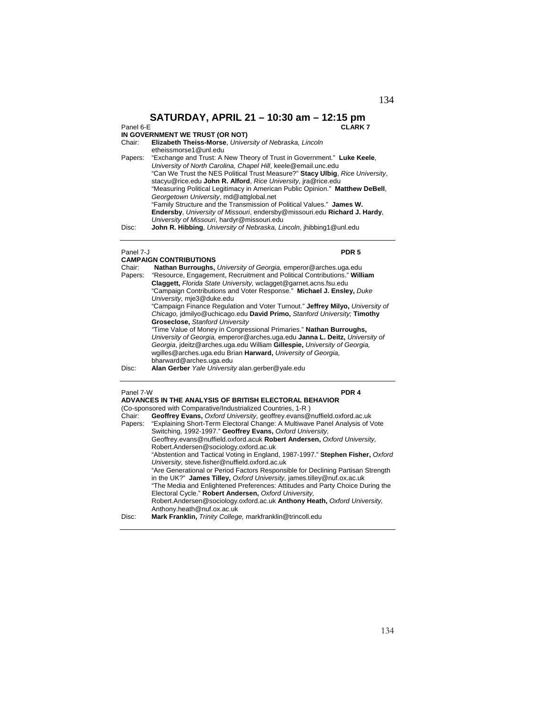## **SATURDAY, APRIL 21 – 10:30 am – 12:15 pm**<br>CLARK **CLARK 7**

# **IN GOVERNMENT WE TRUST (OR NOT)**<br>Chair: **Elizabeth Theiss-Morse**, Univer

**Elizabeth Theiss-Morse**, *University of Nebraska, Lincoln* 

etheissmorse1@unl.edu Papers: "Exchange and Trust: A New Theory of Trust in Government." **Luke Keele**, *University of North Carolina, Chapel Hill*, keele@email.unc.edu "Can We Trust the NES Political Trust Measure?" **Stacy Ulbig**, *Rice University*, stacyu@rice.edu **John R. Alford**, *Rice University*, jra@rice.edu "Measuring Political Legitimacy in American Public Opinion." **Matthew DeBell**, *Georgetown University*, md@attglobal.net "Family Structure and the Transmission of Political Values." **James W. Endersby**, *University of Missouri*, endersby@missouri.edu **Richard J. Hardy**, *University of Missouri*, hardyr@missouri.edu

Disc: **John R. Hibbing**, *University of Nebraska, Lincoln*, jhibbing1@unl.edu

### Panel 7-J **PDR 5**

## **CAMPAIGN CONTRIBUTIONS**

| Chair:  | Nathan Burroughs, University of Georgia, emperor@arches.uga.edu               |
|---------|-------------------------------------------------------------------------------|
| Papers: | "Resource, Engagement, Recruitment and Political Contributions." William      |
|         | Claggett, Florida State University, wclagget@garnet.acns.fsu.edu              |
|         | "Campaign Contributions and Voter Response." Michael J. Ensley, Duke          |
|         | University, mje3@duke.edu                                                     |
|         | "Campaign Finance Regulation and Voter Turnout." Jeffrey Milyo, University of |
|         | Chicago, jdmilyo@uchicago.edu David Primo, Stanford University; Timothy       |
|         | <b>Groseclose, Stanford University</b>                                        |
|         | "Time Value of Money in Congressional Primaries." Nathan Burroughs,           |
|         | University of Georgia, emperor@arches.uga.edu Janna L. Deitz, University of   |
|         | Georgia, ideitz@arches.uga.edu William Gillespie, University of Georgia,      |
|         | wgilles@arches.uga.edu Brian Harward, University of Georgia.                  |
|         | bharward@arches.uga.edu                                                       |
| Disc:   | Alan Gerber Yale University alan.gerber@yale.edu                              |
|         |                                                                               |

### Panel 7-W **PDR 4**

|        | ADVANCES IN THE ANALYSIS OF BRITISH ELECTORAL BEHAVIOR                              |
|--------|-------------------------------------------------------------------------------------|
|        | (Co-sponsored with Comparative/Industrialized Countries, 1-R)                       |
| Chair: | Geoffrey Evans, Oxford University, geoffrey.evans@nuffield.oxford.ac.uk             |
|        | Papers: "Explaining Short-Term Electoral Change: A Multiwave Panel Analysis of Vote |
|        | Switching, 1992-1997." Geoffrey Evans, Oxford University,                           |
|        | Geoffrey.evans@nuffield.oxford.acuk Robert Andersen, Oxford University.             |
|        | Robert.Andersen@sociology.oxford.ac.uk                                              |
|        | "Abstention and Tactical Voting in England, 1987-1997." Stephen Fisher, Oxford      |
|        | University, steve.fisher@nuffield.oxford.ac.uk                                      |
|        | "Are Generational or Period Factors Responsible for Declining Partisan Strength     |
|        | in the UK?" James Tilley, Oxford University, james.tilley@nuf.ox.ac.uk              |

"The Media and Enlightened Preferences: Attitudes and Party Choice During the Electoral Cycle." **Robert Andersen,** *Oxford University,*  Robert.Andersen@sociology.oxford.ac.uk **Anthony Heath,** *Oxford University,*  Anthony.heath@nuf.ox.ac.uk

Disc: **Mark Franklin,** *Trinity College,* markfranklin@trincoll.edu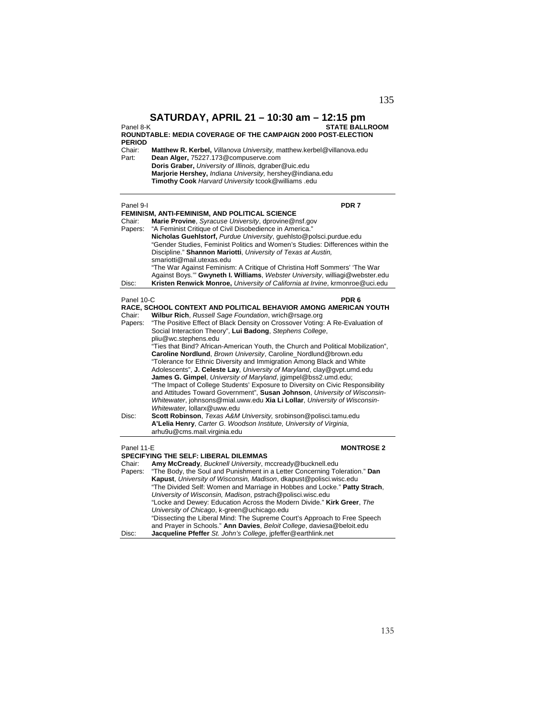Panel 8-K **STATE BALLROOM**

### **ROUNDTABLE: MEDIA COVERAGE OF THE CAMPAIGN 2000 POST-ELECTION PERIOD**

| Chair: | <b>Matthew R. Kerbel.</b> Villanova University, matthew kerbel@villanova.edu |
|--------|------------------------------------------------------------------------------|
| Part:  | Dean Alger, 75227.173@compuserve.com                                         |
|        | <b>Doris Graber, University of Illinois, dgraber@uic.edu</b>                 |
|        | Marjorie Hershey, Indiana University, hershey@indiana.edu                    |
|        | Timothy Cook Harvard University tcook@williams .edu                          |

| FEMINISM, ANTI-FEMINISM, AND POLITICAL SCIENCE<br>Chair:<br>Marie Provine, Syracuse University, dprovine@nsf.gov<br>"A Feminist Critique of Civil Disobedience in America."<br>Papers:<br>Nicholas Guehlstorf, Purdue University, guehlsto@polsci.purdue.edu<br>"Gender Studies, Feminist Politics and Women's Studies: Differences within the<br>Discipline." Shannon Mariotti, University of Texas at Austin.<br>smariotti@mail.utexas.edu<br>"The War Against Feminism: A Critique of Christina Hoff Sommers' 'The War |
|---------------------------------------------------------------------------------------------------------------------------------------------------------------------------------------------------------------------------------------------------------------------------------------------------------------------------------------------------------------------------------------------------------------------------------------------------------------------------------------------------------------------------|
|                                                                                                                                                                                                                                                                                                                                                                                                                                                                                                                           |
|                                                                                                                                                                                                                                                                                                                                                                                                                                                                                                                           |
|                                                                                                                                                                                                                                                                                                                                                                                                                                                                                                                           |
|                                                                                                                                                                                                                                                                                                                                                                                                                                                                                                                           |
|                                                                                                                                                                                                                                                                                                                                                                                                                                                                                                                           |
|                                                                                                                                                                                                                                                                                                                                                                                                                                                                                                                           |
|                                                                                                                                                                                                                                                                                                                                                                                                                                                                                                                           |
| Against Boys." Gwyneth I. Williams, Webster University, williagi@webster.edu                                                                                                                                                                                                                                                                                                                                                                                                                                              |
| Kristen Renwick Monroe, University of California at Irvine, krmonroe@uci.edu<br>Disc:                                                                                                                                                                                                                                                                                                                                                                                                                                     |
|                                                                                                                                                                                                                                                                                                                                                                                                                                                                                                                           |
| PDR <sub>6</sub><br>Panel 10-C                                                                                                                                                                                                                                                                                                                                                                                                                                                                                            |
| RACE, SCHOOL CONTEXT AND POLITICAL BEHAVIOR AMONG AMERICAN YOUTH                                                                                                                                                                                                                                                                                                                                                                                                                                                          |
| Chair:<br>Wilbur Rich, Russell Sage Foundation, wrich@rsage.org                                                                                                                                                                                                                                                                                                                                                                                                                                                           |
| "The Positive Effect of Black Density on Crossover Voting: A Re-Evaluation of<br>Papers:                                                                                                                                                                                                                                                                                                                                                                                                                                  |
| Social Interaction Theory", Lui Badong, Stephens College,                                                                                                                                                                                                                                                                                                                                                                                                                                                                 |
| pliu@wc.stephens.edu                                                                                                                                                                                                                                                                                                                                                                                                                                                                                                      |
| "Ties that Bind? African-American Youth, the Church and Political Mobilization",                                                                                                                                                                                                                                                                                                                                                                                                                                          |
| Caroline Nordlund, Brown University, Caroline_Nordlund@brown.edu                                                                                                                                                                                                                                                                                                                                                                                                                                                          |
| "Tolerance for Ethnic Diversity and Immigration Among Black and White                                                                                                                                                                                                                                                                                                                                                                                                                                                     |
| Adolescents", J. Celeste Lay, University of Maryland, clay@gvpt.umd.edu                                                                                                                                                                                                                                                                                                                                                                                                                                                   |
| James G. Gimpel, University of Maryland, jgimpel@bss2.umd.edu;                                                                                                                                                                                                                                                                                                                                                                                                                                                            |
| "The Impact of College Students' Exposure to Diversity on Civic Responsibility<br>and Attitudes Toward Government", Susan Johnson, University of Wisconsin-                                                                                                                                                                                                                                                                                                                                                               |
| Whitewater, johnsons@mial.uww.edu Xia Li Lollar, University of Wisconsin-                                                                                                                                                                                                                                                                                                                                                                                                                                                 |
| Whitewater, lollarx@uww.edu                                                                                                                                                                                                                                                                                                                                                                                                                                                                                               |
| Scott Robinson, Texas A&M University, srobinson@polisci.tamu.edu<br>Disc:                                                                                                                                                                                                                                                                                                                                                                                                                                                 |
| A'Lelia Henry, Carter G. Woodson Institute, University of Virginia,                                                                                                                                                                                                                                                                                                                                                                                                                                                       |
| arhu9u@cms.mail.virginia.edu                                                                                                                                                                                                                                                                                                                                                                                                                                                                                              |
|                                                                                                                                                                                                                                                                                                                                                                                                                                                                                                                           |
| Panel 11-E<br><b>MONTROSE 2</b>                                                                                                                                                                                                                                                                                                                                                                                                                                                                                           |
| <b>SPECIFYING THE SELF: LIBERAL DILEMMAS</b>                                                                                                                                                                                                                                                                                                                                                                                                                                                                              |
| Chair:<br>Amy McCready, Bucknell University, mccready@bucknell.edu                                                                                                                                                                                                                                                                                                                                                                                                                                                        |
| "The Body, the Soul and Punishment in a Letter Concerning Toleration." Dan<br>Papers:                                                                                                                                                                                                                                                                                                                                                                                                                                     |
| Kapust, University of Wisconsin, Madison, dkapust@polisci.wisc.edu                                                                                                                                                                                                                                                                                                                                                                                                                                                        |
| "The Divided Self: Women and Marriage in Hobbes and Locke." Patty Strach,<br>University of Wisconsin, Madison, pstrach@polisci.wisc.edu                                                                                                                                                                                                                                                                                                                                                                                   |
| "Locke and Dewey: Education Across the Modern Divide." Kirk Greer, The                                                                                                                                                                                                                                                                                                                                                                                                                                                    |
| University of Chicago, k-green@uchicago.edu                                                                                                                                                                                                                                                                                                                                                                                                                                                                               |

"Dissecting the Liberal Mind: The Supreme Court's Approach to Free Speech and Prayer in Schools." **Ann Davies**, *Beloit College*, daviesa@beloit.edu

Disc: **Jacqueline Pfeffer** *St. John's College*, jpfeffer@earthlink.net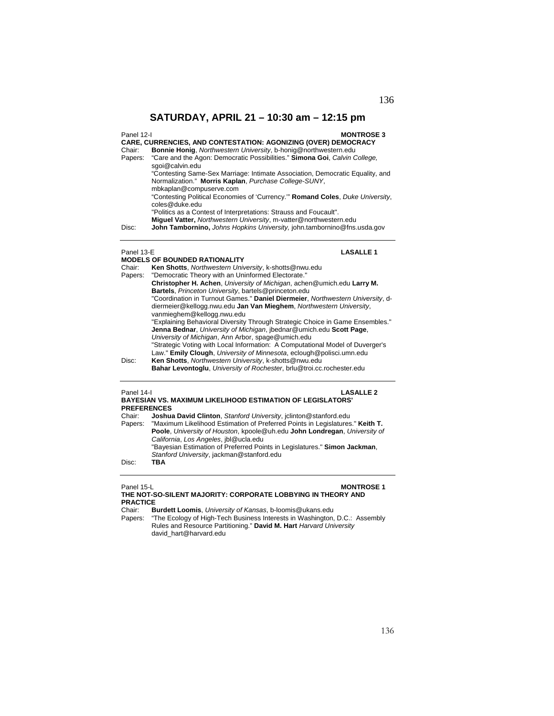136

# **SATURDAY, APRIL 21 – 10:30 am – 12:15 pm**

| Panel 12-I | <b>MONTROSE 3</b><br><b>CARE, CURRENCIES, AND CONTESTATION: AGONIZING (OVER) DEMOCRACY</b>      |
|------------|-------------------------------------------------------------------------------------------------|
| Chair:     | Bonnie Honig, Northwestern University, b-honig@northwestern.edu                                 |
| Papers:    | "Care and the Agon: Democratic Possibilities." Simona Goi, Calvin College,<br>sgoi@calvin.edu   |
|            | "Contesting Same-Sex Marriage: Intimate Association, Democratic Equality, and                   |
|            | Normalization." Morris Kaplan, Purchase College-SUNY,<br>mbkaplan@compuserve.com                |
|            | "Contesting Political Economies of 'Currency." Romand Coles, Duke University,<br>coles@duke.edu |
|            | "Politics as a Contest of Interpretations: Strauss and Foucault".                               |
|            | Miquel Vatter, Northwestern University, m-vatter@northwestern.edu                               |
| Disc:      | John Tambornino, Johns Hopkins University, john.tambornino@fns.usda.gov                         |
|            |                                                                                                 |

# Panel 13-E **LASALLE 1**

|         | <b>MODELS OF BOUNDED RATIONALITY</b>                                                                                                                                                                       |
|---------|------------------------------------------------------------------------------------------------------------------------------------------------------------------------------------------------------------|
| Chair:  | Ken Shotts, Northwestern University, k-shotts@nwu.edu                                                                                                                                                      |
| Papers: | "Democratic Theory with an Uninformed Electorate."                                                                                                                                                         |
|         | Christopher H. Achen, University of Michigan, achen@umich.edu Larry M.                                                                                                                                     |
|         | Bartels, Princeton University, bartels@princeton.edu                                                                                                                                                       |
|         | "Coordination in Turnout Games." Daniel Diermeier, Northwestern University, d-<br>diermeier@kellogg.nwu.edu Jan Van Mieghem, Northwestern University,                                                      |
|         | vanmieghem@kellogg.nwu.edu                                                                                                                                                                                 |
|         | "Explaining Behavioral Diversity Through Strategic Choice in Game Ensembles."<br>Jenna Bednar, University of Michigan, ibednar@umich.edu Scott Page,<br>University of Michigan, Ann Arbor, spage@umich.edu |
|         | "Strategic Voting with Local Information: A Computational Model of Duverger's<br>Law." Emily Clough, University of Minnesota, eclough@polisci.umn.edu                                                      |
| Disc:   | Ken Shotts, Northwestern University, k-shotts@nwu.edu<br><b>Bahar Levontoglu, University of Rochester, brlu@troi.cc.rochester.edu</b>                                                                      |
|         |                                                                                                                                                                                                            |

# Panel 14-I **LASALLE 2**

|                    | <b>BAYESIAN VS. MAXIMUM LIKELIHOOD ESTIMATION OF LEGISLATORS'</b>             |
|--------------------|-------------------------------------------------------------------------------|
| <b>PREFERENCES</b> |                                                                               |
| Chair:             | Joshua David Clinton, Stanford University, jolinton@stanford.edu              |
| Papers:            | "Maximum Likelihood Estimation of Preferred Points in Legislatures." Keith T. |
|                    | Poole, University of Houston, kpoole@uh.edu John Londregan, University of     |
|                    | California, Los Angeles, ibl@ucla.edu                                         |
|                    | "Bayesian Estimation of Preferred Points in Legislatures." Simon Jackman,     |
|                    | Stanford University, jackman@stanford.edu                                     |

Disc: **TBA** 

## Panel 15-L<br> **MONTROSE 1 THE NOT-SO-SILENT MAJORITY: CORPORATE LOBBYING IN THEORY AND**

# **PRACTICE**

- Chair: **Burdett Loomis**, *University of Kansas*, b-loomis@ukans.edu
- Papers: "The Ecology of High-Tech Business Interests in Washington, D.C.: Assembly Rules and Resource Partitioning." **David M. Hart** *Harvard University* david\_hart@harvard.edu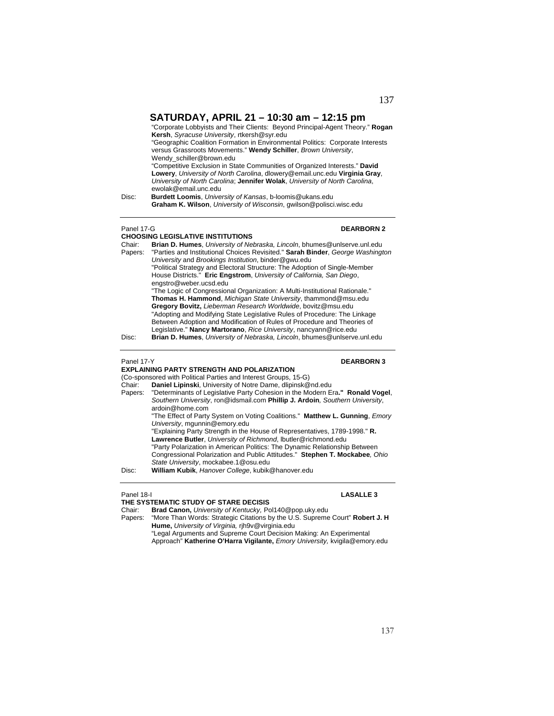"Corporate Lobbyists and Their Clients: Beyond Principal-Agent Theory." **Rogan Kersh**, *Syracuse University*, rtkersh@syr.edu "Geographic Coalition Formation in Environmental Politics: Corporate Interests versus Grassroots Movements." **Wendy Schiller**, *Brown University*, Wendy\_schiller@brown.edu "Competitive Exclusion in State Communities of Organized Interests." **David Lowery**, *University of North Carolina*, dlowery@email.unc.edu **Virginia Gray**, *University of North Carolina*; **Jennifer Wolak**, *University of North Carolina*, ewolak@email.unc.edu Disc: **Burdett Loomis**, *University of Kansas*, b-loomis@ukans.edu **Graham K. Wilson**, *University of Wisconsin*, gwilson@polisci.wisc.edu Panel 17-G **DEARBORN 2 CHOOSING LEGISLATIVE INSTITUTIONS**  Chair: **Brian D. Humes**, *University of Nebraska, Lincoln*, bhumes@unlserve.unl.edu Papers: "Parties and Institutional Choices Revisited." **Sarah Binder**, *George Washington University* and *Brookings Institution*, binder@gwu.edu "Political Strategy and Electoral Structure: The Adoption of Single-Member House Districts." **Eric Engstrom**, *University of California, San Diego*,

engstro@weber.ucsd.edu "The Logic of Congressional Organization: A Multi-Institutional Rationale." **Thomas H. Hammond**, *Michigan State University*, thammond@msu.edu **Gregory Bovitz,** *Lieberman Research Worldwide*, bovitz@msu.edu "Adopting and Modifying State Legislative Rules of Procedure: The Linkage Between Adoption and Modification of Rules of Procedure and Theories of Legislative." **Nancy Martorano**, *Rice University*, nancyann@rice.edu

## Disc: **Brian D. Humes**, *University of Nebraska, Lincoln*, bhumes@unlserve.unl.edu

## Panel 17-Y **DEARBORN 3**

- **EXPLAINING PARTY STRENGTH AND POLARIZATION**  (Co-sponsored with Political Parties and Interest Groups, 15-G) Chair: **Daniel Lipinski**, University of Notre Dame, dlipinsk@nd.edu Papers: "Determinants of Legislative Party Cohesion in the Modern Era**." Ronald Vogel**, *Southern University*, ron@idsmail.com **Phillip J. Ardoin***, Southern University*, ardoin@home.com "The Effect of Party System on Voting Coalitions." **Matthew L. Gunning**, *Emory University*, mgunnin@emory.edu
	- "Explaining Party Strength in the House of Representatives, 1789-1998." **R. Lawrence Butler**, *University of Richmond*, lbutler@richmond.edu "Party Polarization in American Politics: The Dynamic Relationship Between

Congressional Polarization and Public Attitudes." **Stephen T. Mockabee***, Ohio State University*, mockabee.1@osu.edu

Disc: **William Kubik**, *Hanover College*, kubik@hanover.edu

## Panel 18-I **LASALLE 3**

### **THE SYSTEMATIC STUDY OF STARE DECISIS**

Chair: **Brad Canon,** *University of Kentucky,* Pol140@pop.uky.edu

Papers: "More Than Words: Strategic Citations by the U.S. Supreme Court" **Robert J. H Hume,** *University of Virginia,* rjh9v@virginia.edu

<sup>&</sup>quot;Legal Arguments and Supreme Court Decision Making: An Experimental Approach" **Katherine O'Harra Vigilante,** *Emory University,* kvigila@emory.edu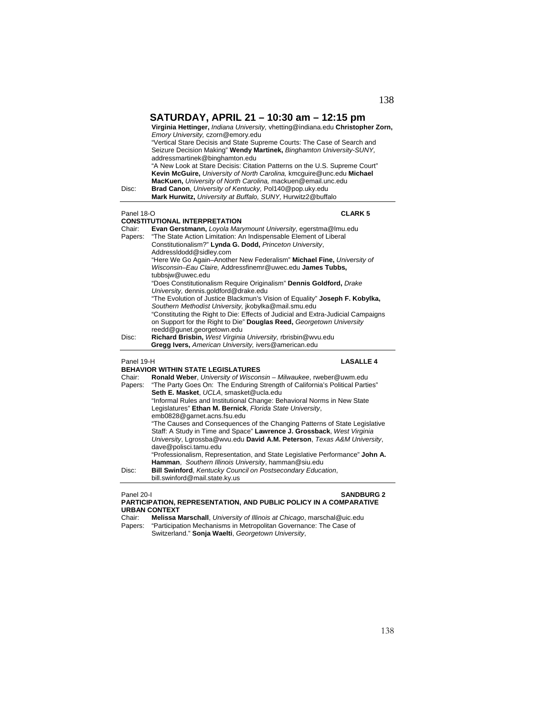|                   | SATURDAY, APRIL 21 – 10:30 am – 12:15 pm<br>Virginia Hettinger, Indiana University, vhetting@indiana.edu Christopher Zorn,<br>Emory University, czorn@emory.edu<br>"Vertical Stare Decisis and State Supreme Courts: The Case of Search and<br>Seizure Decision Making" Wendy Martinek, Binghamton University-SUNY,<br>addressmartinek@binghamton.edu<br>"A New Look at Stare Decisis: Citation Patterns on the U.S. Supreme Court"<br>Kevin McGuire, University of North Carolina, kmcquire@unc.edu Michael<br>MacKuen, University of North Carolina, mackuen@email.unc.edu |
|-------------------|------------------------------------------------------------------------------------------------------------------------------------------------------------------------------------------------------------------------------------------------------------------------------------------------------------------------------------------------------------------------------------------------------------------------------------------------------------------------------------------------------------------------------------------------------------------------------|
| Disc:             | Brad Canon, University of Kentucky, Pol140@pop.uky.edu<br>Mark Hurwitz, University at Buffalo, SUNY, Hurwitz2@buffalo                                                                                                                                                                                                                                                                                                                                                                                                                                                        |
|                   |                                                                                                                                                                                                                                                                                                                                                                                                                                                                                                                                                                              |
| Panel 18-O        | <b>CLARK 5</b>                                                                                                                                                                                                                                                                                                                                                                                                                                                                                                                                                               |
|                   | <b>CONSTITUTIONAL INTERPRETATION</b>                                                                                                                                                                                                                                                                                                                                                                                                                                                                                                                                         |
| Chair:<br>Papers: | Evan Gerstmann, Loyola Marymount University, egerstma@lmu.edu<br>"The State Action Limitation: An Indispensable Element of Liberal                                                                                                                                                                                                                                                                                                                                                                                                                                           |
|                   | Constitutionalism?" Lynda G. Dodd, Princeton University,                                                                                                                                                                                                                                                                                                                                                                                                                                                                                                                     |
|                   | AddressIdodd@sidley.com                                                                                                                                                                                                                                                                                                                                                                                                                                                                                                                                                      |
|                   | "Here We Go Again-Another New Federalism" Michael Fine, University of                                                                                                                                                                                                                                                                                                                                                                                                                                                                                                        |
|                   | Wisconsin-Eau Claire, Addressfinemr@uwec.edu James Tubbs,                                                                                                                                                                                                                                                                                                                                                                                                                                                                                                                    |
|                   | tubbsiw@uwec.edu                                                                                                                                                                                                                                                                                                                                                                                                                                                                                                                                                             |
|                   | "Does Constitutionalism Require Originalism" Dennis Goldford, Drake                                                                                                                                                                                                                                                                                                                                                                                                                                                                                                          |
|                   | University, dennis.goldford@drake.edu                                                                                                                                                                                                                                                                                                                                                                                                                                                                                                                                        |
|                   | "The Evolution of Justice Blackmun's Vision of Equality" Joseph F. Kobylka,<br>Southern Methodist University, jkobylka@mail.smu.edu                                                                                                                                                                                                                                                                                                                                                                                                                                          |
|                   | "Constituting the Right to Die: Effects of Judicial and Extra-Judicial Campaigns                                                                                                                                                                                                                                                                                                                                                                                                                                                                                             |
|                   | on Support for the Right to Die" Douglas Reed, Georgetown University                                                                                                                                                                                                                                                                                                                                                                                                                                                                                                         |
|                   | reedd@gunet.georgetown.edu                                                                                                                                                                                                                                                                                                                                                                                                                                                                                                                                                   |
| Disc:             | Richard Brisbin, West Virginia University, rbrisbin@wvu.edu                                                                                                                                                                                                                                                                                                                                                                                                                                                                                                                  |
|                   | Gregg Ivers, American University, ivers@american.edu                                                                                                                                                                                                                                                                                                                                                                                                                                                                                                                         |
| Panel 19-H        | <b>LASALLE 4</b>                                                                                                                                                                                                                                                                                                                                                                                                                                                                                                                                                             |
|                   | <b>BEHAVIOR WITHIN STATE LEGISLATURES</b>                                                                                                                                                                                                                                                                                                                                                                                                                                                                                                                                    |
| Chair:            | Ronald Weber, University of Wisconsin - Milwaukee, rweber@uwm.edu                                                                                                                                                                                                                                                                                                                                                                                                                                                                                                            |
| Papers:           | "The Party Goes On: The Enduring Strength of California's Political Parties"                                                                                                                                                                                                                                                                                                                                                                                                                                                                                                 |
|                   | Seth E. Masket, UCLA, smasket@ucla.edu                                                                                                                                                                                                                                                                                                                                                                                                                                                                                                                                       |
|                   | "Informal Rules and Institutional Change: Behavioral Norms in New State                                                                                                                                                                                                                                                                                                                                                                                                                                                                                                      |
|                   | Legislatures" Ethan M. Bernick, Florida State University,                                                                                                                                                                                                                                                                                                                                                                                                                                                                                                                    |
|                   |                                                                                                                                                                                                                                                                                                                                                                                                                                                                                                                                                                              |
|                   | emb0828@garnet.acns.fsu.edu<br>"The Causes and Consequences of the Changing Patterns of State Legislative                                                                                                                                                                                                                                                                                                                                                                                                                                                                    |

# 138

| Chair:  | Ronald Weber, University of Wisconsin - Milwaukee, rweber@uwm.edu            |
|---------|------------------------------------------------------------------------------|
| Papers: | "The Party Goes On: The Enduring Strength of California's Political Parties" |
|         | Seth E. Masket. UCLA. smasket@ucla.edu                                       |
|         | "Informal Rules and Institutional Change: Behavioral Norms in New State      |
|         | Legislatures" Ethan M. Bernick, Florida State University,                    |
|         | emb0828@garnet.acns.fsu.edu                                                  |
|         | "The Causes and Consequences of the Changing Patterns of State Legislative   |
|         | Staff: A Study in Time and Space" Lawrence J. Grossback, West Virginia       |
|         | University, Larossba@wvu.edu David A.M. Peterson, Texas A&M University,      |
|         | dave@polisci.tamu.edu                                                        |
|         | "Professionalism, Representation, and State Legislative Performance" John A. |
|         | Hamman, Southern Illinois University, hamman@siu.edu                         |
| Disc:   | <b>Bill Swinford, Kentucky Council on Postsecondary Education,</b>           |
|         | bill.swinford@mail.state.kv.us                                               |

## Panel 20-I **SANDBURG 2**

### **PARTICIPATION, REPRESENTATION, AND PUBLIC POLICY IN A COMPARATIVE URBAN CONTEXT**

Chair: **Melissa Marschall**, *University of Illinois at Chicago*, marschal@uic.edu Papers: "Participation Mechanisms in Metropolitan Governance: The Case of Switzerland." **Sonja Waelti**, *Georgetown University*,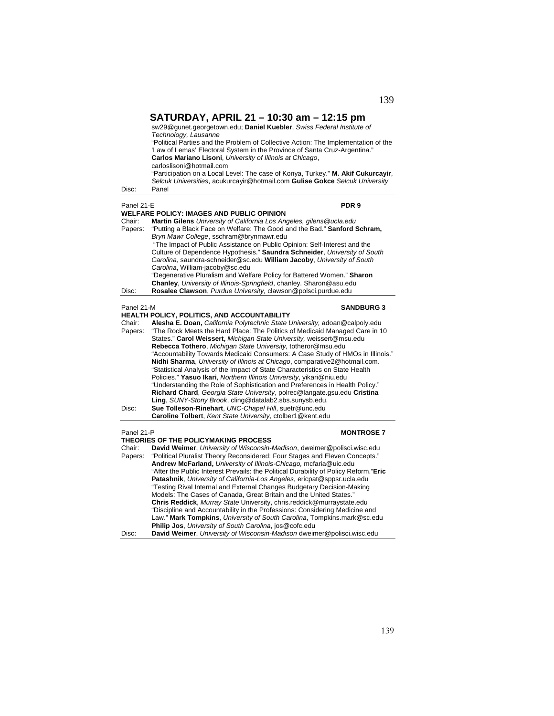| Disc:                                    | SATURDAY, APRIL 21 - 10:30 am - 12:15 pm<br>sw29@gunet.georgetown.edu; Daniel Kuebler, Swiss Federal Institute of<br>Technology, Lausanne<br>"Political Parties and the Problem of Collective Action: The Implementation of the<br>'Law of Lemas' Electoral System in the Province of Santa Cruz-Argentina."<br>Carlos Mariano Lisoni, University of Illinois at Chicago,<br>carloslisoni@hotmail.com<br>"Participation on a Local Level: The case of Konya, Turkey." M. Akif Cukurcayir,<br>Selcuk Universities, acukurcayir@hotmail.com Gulise Gokce Selcuk University<br>Panel                                                                                                                                                                                                                                                                                                                                                                                                                                                                 |
|------------------------------------------|---------------------------------------------------------------------------------------------------------------------------------------------------------------------------------------------------------------------------------------------------------------------------------------------------------------------------------------------------------------------------------------------------------------------------------------------------------------------------------------------------------------------------------------------------------------------------------------------------------------------------------------------------------------------------------------------------------------------------------------------------------------------------------------------------------------------------------------------------------------------------------------------------------------------------------------------------------------------------------------------------------------------------------------------------|
| Panel 21-E                               | PDR 9                                                                                                                                                                                                                                                                                                                                                                                                                                                                                                                                                                                                                                                                                                                                                                                                                                                                                                                                                                                                                                             |
| Chair:<br>Papers:                        | WELFARE POLICY: IMAGES AND PUBLIC OPINION<br>Martin Gilens University of California Los Angeles, gilens @ucla.edu<br>"Putting a Black Face on Welfare: The Good and the Bad." Sanford Schram,<br>Bryn Mawr College, sschram@brynmawr.edu<br>"The Impact of Public Assistance on Public Opinion: Self-Interest and the<br>Culture of Dependence Hypothesis." Saundra Schneider, University of South<br>Carolina, saundra-schneider@sc.edu William Jacoby, University of South<br>Carolina, William-jacoby@sc.edu<br>"Degenerative Pluralism and Welfare Policy for Battered Women." Sharon<br>Chanley, University of Illinois-Springfield, chanley. Sharon@asu.edu                                                                                                                                                                                                                                                                                                                                                                                 |
| Disc:                                    | Rosalee Clawson, Purdue University, clawson@polsci.purdue.edu                                                                                                                                                                                                                                                                                                                                                                                                                                                                                                                                                                                                                                                                                                                                                                                                                                                                                                                                                                                     |
| Panel 21-M<br>Chair:<br>Papers:<br>Disc: | <b>SANDBURG 3</b><br><b>HEALTH POLICY, POLITICS, AND ACCOUNTABILITY</b><br>Alesha E. Doan, California Polytechnic State University, adoan@calpoly.edu<br>"The Rock Meets the Hard Place: The Politics of Medicaid Managed Care in 10<br>States." Carol Weissert, Michigan State University, weissert@msu.edu<br>Rebecca Tothero, Michigan State University, totheror@msu.edu<br>"Accountability Towards Medicaid Consumers: A Case Study of HMOs in Illinois."<br>Nidhi Sharma, University of Illinois at Chicago, comparative2@hotmail.com.<br>"Statistical Analysis of the Impact of State Characteristics on State Health<br>Policies." Yasuo Ikari, Northern Illinois University, yikari@niu.edu<br>"Understanding the Role of Sophistication and Preferences in Health Policy."<br>Richard Chard, Georgia State University, polrec@langate.gsu.edu Cristina<br>Ling, SUNY-Stony Brook, cling@datalab2.sbs.sunysb.edu.<br>Sue Tolleson-Rinehart, UNC-Chapel Hill, suetr@unc.edu<br>Caroline Tolbert, Kent State University, ctolber1@kent.edu |
| Panel 21-P<br>Chair:<br>Papers:          | <b>MONTROSE 7</b><br><b>THEORIES OF THE POLICYMAKING PROCESS</b><br>David Weimer, University of Wisconsin-Madison, dweimer@polisci.wisc.edu<br>"Political Pluralist Theory Reconsidered: Four Stages and Eleven Concepts."<br>Andrew McFarland, University of Illinois-Chicago, mcfaria@uic.edu<br>"After the Public Interest Prevails: the Political Durability of Policy Reform."Eric<br>Patashnik, University of California-Los Angeles, ericpat@sppsr.ucla.edu<br>"Testing Rival Internal and External Changes Budgetary Decision-Making<br>Models: The Cases of Canada, Great Britain and the United States."<br>Chris Reddick, Murray State University, chris.reddick@murraystate.edu<br>"Discipline and Accountability in the Professions: Considering Medicine and<br>Law." Mark Tompkins, University of South Carolina, Tompkins.mark@sc.edu<br>Philip Jos, University of South Carolina, jos@cofc.edu                                                                                                                                   |

Disc: **David Weimer**, *University of Wisconsin-Madison* dweimer@polisci.wisc.edu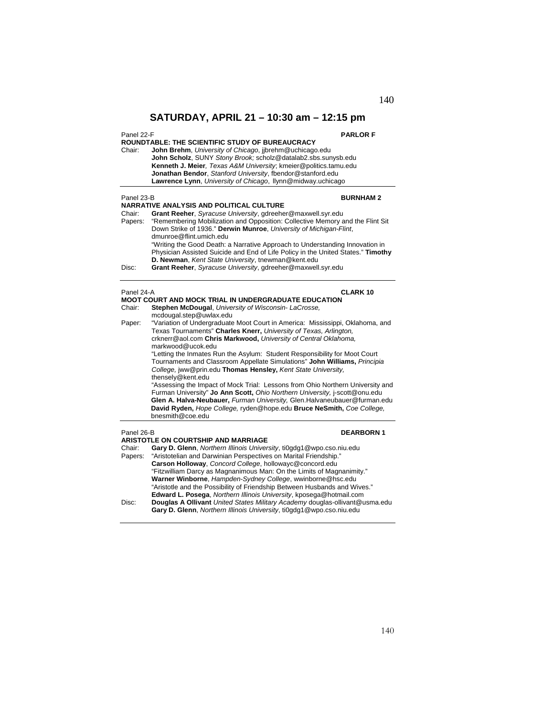| Panel 22-F | <b>PARLOR F</b>                                                                                                                              |
|------------|----------------------------------------------------------------------------------------------------------------------------------------------|
| Chair:     | <b>ROUNDTABLE: THE SCIENTIFIC STUDY OF BUREAUCRACY</b><br>John Brehm, University of Chicago, jjbrehm@uchicago.edu                            |
|            | John Scholz, SUNY Stony Brook; scholz@datalab2.sbs.sunysb.edu                                                                                |
|            | Kenneth J. Meier, Texas A&M University; kmeier@politics.tamu.edu                                                                             |
|            | Jonathan Bendor, Stanford University, fbendor@stanford.edu                                                                                   |
|            | Lawrence Lynn, University of Chicago, Ilynn@midway.uchicago                                                                                  |
|            |                                                                                                                                              |
| Panel 23-B | <b>BURNHAM2</b>                                                                                                                              |
|            | <b>NARRATIVE ANALYSIS AND POLITICAL CULTURE</b>                                                                                              |
| Chair:     | Grant Reeher, Syracuse University, gdreeher@maxwell.syr.edu<br>"Remembering Mobilization and Opposition: Collective Memory and the Flint Sit |
| Papers:    | Down Strike of 1936." Derwin Munroe, University of Michigan-Flint,<br>dmunroe@flint.umich.edu                                                |
|            | "Writing the Good Death: a Narrative Approach to Understanding Innovation in                                                                 |
|            | Physician Assisted Suicide and End of Life Policy in the United States." Timothy<br>D. Newman, Kent State University, tnewman@kent.edu       |
| Disc:      | Grant Reeher, Syracuse University, gdreeher@maxwell.syr.edu                                                                                  |
|            |                                                                                                                                              |
|            |                                                                                                                                              |
| Panel 24-A | <b>CLARK 10</b><br><b>MOOT COURT AND MOCK TRIAL IN UNDERGRADUATE EDUCATION</b>                                                               |
| Chair:     | Stephen McDougal, University of Wisconsin-LaCrosse,                                                                                          |
|            | mcdougal.step@uwlax.edu                                                                                                                      |
| Paper:     | "Variation of Undergraduate Moot Court in America: Mississippi, Oklahoma, and                                                                |
|            | Texas Tournaments" Charles Knerr, University of Texas, Arlington,                                                                            |
|            | crknerr@aol.com Chris Markwood, University of Central Oklahoma,                                                                              |
|            | markwood@ucok.edu                                                                                                                            |
|            | "Letting the Inmates Run the Asylum: Student Responsibility for Moot Court                                                                   |
|            | Tournaments and Classroom Appellate Simulations" John Williams, Principia                                                                    |
|            | College, jww@prin.edu Thomas Hensley, Kent State University,                                                                                 |
|            | thensely@kent.edu                                                                                                                            |
|            | "Assessing the Impact of Mock Trial: Lessons from Ohio Northern University and                                                               |
|            | Furman University" Jo Ann Scott, Ohio Northern University, j-scott@onu.edu                                                                   |
|            | Glen A. Halva-Neubauer, Furman University, Glen.Halvaneubauer@furman.edu                                                                     |
|            | David Ryden, Hope College, ryden@hope.edu Bruce NeSmith, Coe College,                                                                        |
|            | bnesmith@coe.edu                                                                                                                             |
| Panel 26-B | <b>DEARBORN1</b>                                                                                                                             |
|            | <b>ARISTOTLE ON COURTSHIP AND MARRIAGE</b>                                                                                                   |
| Chair:     | Gary D. Glenn, Northern Illinois University, ti0gdg1@wpo.cso.niu.edu                                                                         |
| Papers:    | "Aristotelian and Darwinian Perspectives on Marital Friendship."                                                                             |
|            | Carson Holloway, Concord College, hollowayc@concord.edu                                                                                      |
|            | "Fitzwilliam Darcy as Magnanimous Man: On the Limits of Magnanimity."                                                                        |
|            | Warner Winborne, Hampden-Sydney College, wwinborne@hsc.edu                                                                                   |
|            | "Aristotle and the Possibility of Friendship Between Husbands and Wives."                                                                    |
|            | Edward L. Posega, Northern Illinois University, kposega@hotmail.com                                                                          |
| Disc:      | Douglas A Ollivant United States Military Academy douglas-ollivant@usma.edu                                                                  |

 **Gary D. Glenn**, *Northern Illinois University*, ti0gdg1@wpo.cso.niu.edu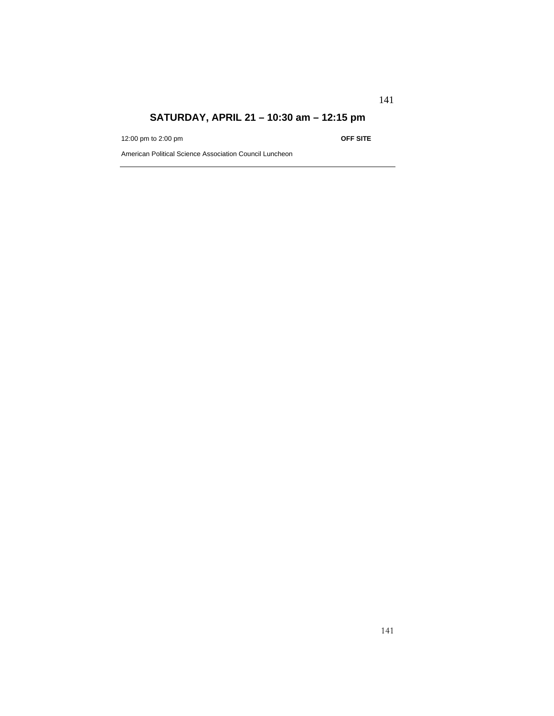12:00 pm to 2:00 pm **OFF SITE**

141

American Political Science Association Council Luncheon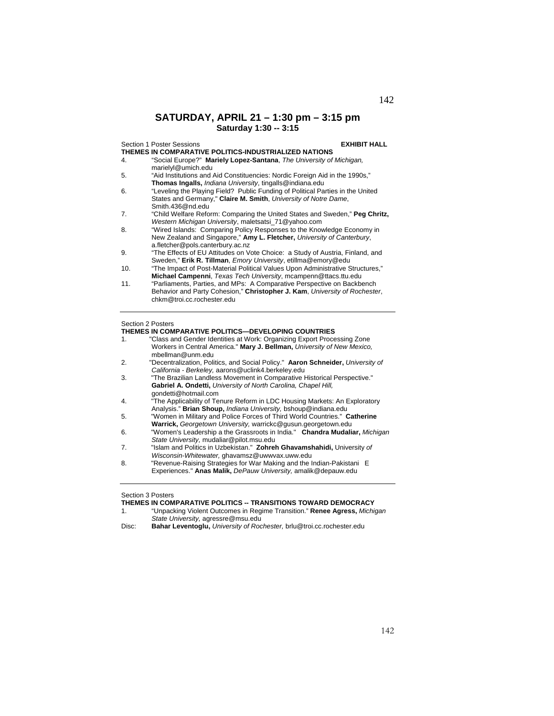**SATURDAY, APRIL 21 – 1:30 pm – 3:15 pm Saturday 1:30 -- 3:15** 

| Section 1 Poster Sessions |                                                                                | <b>EXHIBIT HALL</b> |
|---------------------------|--------------------------------------------------------------------------------|---------------------|
|                           | THEMES IN COMPARATIVE POLITICS-INDUSTRIALIZED NATIONS                          |                     |
| 4.                        | "Social Europe?" Mariely Lopez-Santana, The University of Michigan,            |                     |
|                           | marielyl@umich.edu                                                             |                     |
| 5.                        | "Aid Institutions and Aid Constituencies: Nordic Foreign Aid in the 1990s,"    |                     |
|                           | Thomas Ingalls, Indiana University, tingalls@indiana.edu                       |                     |
| 6.                        | "Leveling the Playing Field? Public Funding of Political Parties in the United |                     |
|                           | States and Germany," Claire M. Smith, University of Notre Dame,                |                     |
|                           | Smith 436@nd.edu                                                               |                     |
| 7.                        | "Child Welfare Reform: Comparing the United States and Sweden," Peg Chritz,    |                     |
|                           | Western Michigan University, maletsatsi 71@yahoo.com                           |                     |
| 8.                        | "Wired Islands: Comparing Policy Responses to the Knowledge Economy in         |                     |
|                           | New Zealand and Singapore," Amy L. Fletcher, University of Canterbury,         |                     |
|                           | a.fletcher@pols.canterbury.ac.nz                                               |                     |
| 9.                        | "The Effects of EU Attitudes on Vote Choice: a Study of Austria, Finland, and  |                     |
|                           | Sweden," Erik R. Tillman, <i>Emory University</i> , etillma@emory@edu          |                     |
| 10.                       | "The Impact of Post-Material Political Values Upon Administrative Structures," |                     |
|                           | Michael Campenni, Texas Tech University, mcampenn@ttacs.ttu.edu                |                     |
| 11.                       | "Parliaments, Parties, and MPs: A Comparative Perspective on Backbench         |                     |
|                           | Behavior and Party Cohesion," Christopher J. Kam, University of Rochester,     |                     |
|                           | chkm@troi.cc.rochester.edu                                                     |                     |
|                           |                                                                                |                     |
|                           |                                                                                |                     |

## Section 2 Posters

### **THEMES IN COMPARATIVE POLITICS—DEVELOPING COUNTRIES**

| 1. | "Class and Gender Identities at Work: Organizing Export Processing Zone<br>Workers in Central America." Mary J. Bellman, University of New Mexico. |
|----|----------------------------------------------------------------------------------------------------------------------------------------------------|
|    | mbellman@unm.edu                                                                                                                                   |
|    |                                                                                                                                                    |
| 2. | "Decentralization, Politics, and Social Policy." Aaron Schneider, University of                                                                    |
|    | California - Berkeley, aarons@uclink4.berkeley.edu                                                                                                 |
| 3. | "The Brazilian Landless Movement in Comparative Historical Perspective."                                                                           |
|    | Gabriel A. Ondetti, University of North Carolina, Chapel Hill,                                                                                     |
|    | gondetti@hotmail.com                                                                                                                               |
| 4. | "The Applicability of Tenure Reform in LDC Housing Markets: An Exploratory                                                                         |
|    | Analysis." Brian Shoup, Indiana University, bshoup@indiana.edu                                                                                     |
| 5. | "Women in Military and Police Forces of Third World Countries." Catherine                                                                          |
|    | Warrick, Georgetown University, warrickc@gusun.georgetown.edu                                                                                      |
| 6. | "Women's Leadership a the Grassroots in India." Chandra Mudaliar, Michigan                                                                         |
|    | State University, mudaliar@pilot.msu.edu                                                                                                           |
| 7. | "Islam and Politics in Uzbekistan." Zohreh Ghavamshahidi, University of                                                                            |
|    | M/2                                                                                                                                                |

*Wisconsin-Whitewater,* ghavamsz@uwwvax.uww.edu 8. "Revenue-Raising Strategies for War Making and the Indian-Pakistani E Experiences." **Anas Malik,** *DePauw University,* amalik@depauw.edu

### Section 3 Posters

**THEMES IN COMPARATIVE POLITICS -- TRANSITIONS TOWARD DEMOCRACY**<br>1. "Unpacking Violent Outcomes in Regime Transition." Renee Agress, Michia 1. "Unpacking Violent Outcomes in Regime Transition." **Renee Agress,** *Michigan State University,* agressre@msu.edu

Disc: **Bahar Leventoglu,** *University of Rochester,* brlu@troi.cc.rochester.edu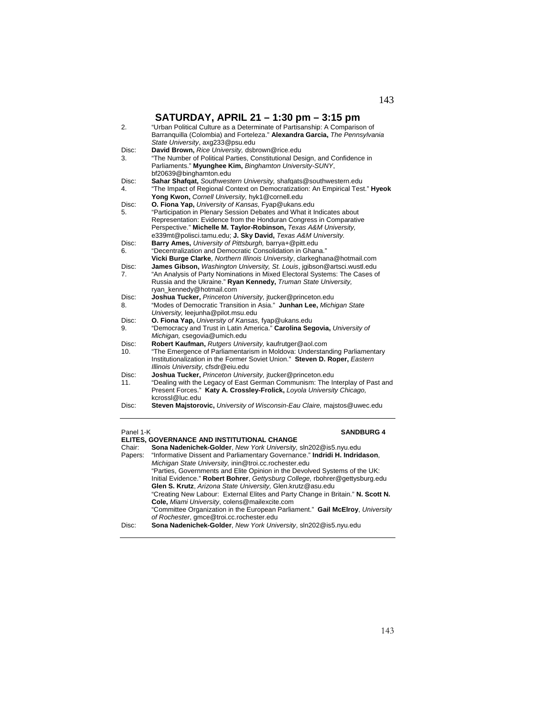| 2.          | "Urban Political Culture as a Determinate of Partisanship: A Comparison of<br>Barranquilla (Colombia) and Forteleza." Alexandra Garcia, The Pennsylvania<br>State University, axg233@psu.edu          |
|-------------|-------------------------------------------------------------------------------------------------------------------------------------------------------------------------------------------------------|
| Disc:       | David Brown, Rice University, dsbrown@rice.edu                                                                                                                                                        |
| 3.          | "The Number of Political Parties, Constitutional Design, and Confidence in<br>Parliaments." Myunghee Kim, Binghamton University-SUNY,<br>bf20639@binghamton.edu                                       |
| Disc:<br>4. | Sahar Shafqat, Southwestern University, shafqats@southwestern.edu<br>"The Impact of Regional Context on Democratization: An Empirical Test." Hyeok<br>Yong Kwon, Cornell University, hyk1@cornell.edu |
| Disc:       | O. Fiona Yap, University of Kansas, Fyap@ukans.edu                                                                                                                                                    |
| 5.          | "Participation in Plenary Session Debates and What it Indicates about                                                                                                                                 |
|             | Representation: Evidence from the Honduran Congress in Comparative                                                                                                                                    |
|             | Perspective." Michelle M. Taylor-Robinson, Texas A&M University.                                                                                                                                      |
|             | e339mt@polisci.tamu.edu; J. Sky David, Texas A&M University.                                                                                                                                          |
| Disc:       | Barry Ames, University of Pittsburgh, barrya+@pitt.edu                                                                                                                                                |
| 6.          | "Decentralization and Democratic Consolidation in Ghana."                                                                                                                                             |
| Disc:       | Vicki Burge Clarke, Northern Illinois University, clarkeghana@hotmail.com<br>James Gibson, Washington University, St. Louis, jgibson@artsci.wustl.edu                                                 |
| 7.          | "An Analysis of Party Nominations in Mixed Electoral Systems: The Cases of<br>Russia and the Ukraine." Ryan Kennedy, Truman State University,                                                         |
| Disc:       | ryan_kennedy@hotmail.com                                                                                                                                                                              |
| 8.          | Joshua Tucker, Princeton University, jtucker@princeton.edu<br>"Modes of Democratic Transition in Asia." Junhan Lee, Michigan State                                                                    |
|             | University, leejunha@pilot.msu.edu                                                                                                                                                                    |
| Disc:       | O. Fiona Yap, University of Kansas, fyap@ukans.edu                                                                                                                                                    |
| 9.          | "Democracy and Trust in Latin America." Carolina Segovia, University of<br>Michigan, csegovia@umich.edu                                                                                               |
| Disc:       | Robert Kaufman, Rutgers University, kaufrutger@aol.com                                                                                                                                                |
| 10.         | "The Emergence of Parliamentarism in Moldova: Understanding Parliamentary<br>Institutionalization in the Former Soviet Union." Steven D. Roper, Eastern<br>Illinois University, cfsdr@eiu.edu         |
| Disc:       | Joshua Tucker, Princeton University, jtucker@princeton.edu                                                                                                                                            |
| 11.         | "Dealing with the Legacy of East German Communism: The Interplay of Past and<br>Present Forces." Katy A. Crossley-Frolick, Loyola University Chicago,                                                 |
|             | kcrossl@luc.edu                                                                                                                                                                                       |
| Disc:       | Steven Majstorovic, University of Wisconsin-Eau Claire, majstos@uwec.edu                                                                                                                              |

| Panel 1-K | <b>SANDBURG 4</b>                                                               |
|-----------|---------------------------------------------------------------------------------|
|           | ELITES, GOVERNANCE AND INSTITUTIONAL CHANGE                                     |
| Chair:    | Sona Nadenichek-Golder, New York University, sln202@is5.nyu.edu                 |
| Papers:   | "Informative Dissent and Parliamentary Governance." Indridi H. Indridason,      |
|           | Michigan State University, inin@troi.cc.rochester.edu                           |
|           | "Parties, Governments and Elite Opinion in the Devolved Systems of the UK:      |
|           | Initial Evidence." Robert Bohrer, Gettysburg College, rbohrer@gettysburg.edu    |
|           | Glen S. Krutz, Arizona State University, Glen.krutz@asu.edu                     |
|           | "Creating New Labour: External Elites and Party Change in Britain." N. Scott N. |
|           | Cole, Miami University, colens@mailexcite.com                                   |
|           | "Committee Organization in the European Parliament." Gail McElroy, University   |
|           | of Rochester, gmce@troi.cc.rochester.edu                                        |
| Disc:     | Sona Nadenichek-Golder, New York University, sln202@is5.nyu.edu                 |
|           |                                                                                 |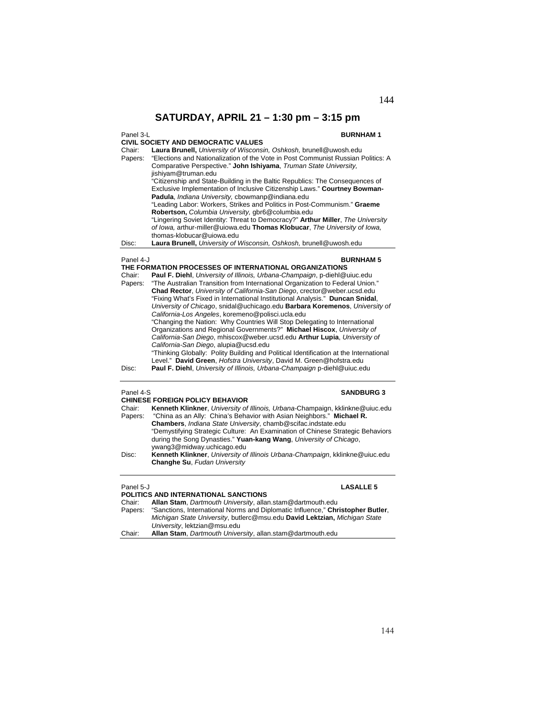144

# **SATURDAY, APRIL 21 – 1:30 pm – 3:15 pm**

# Panel 3-L<br>example 2002 The Contract of the Contract of the Contract of the BURNHAM 1

| <b>CIVIL SOCIETY AND DEMOCRATIC VALUES</b>                                       |
|----------------------------------------------------------------------------------|
| Laura Brunell, University of Wisconsin, Oshkosh, brunell@uwosh.edu               |
| "Elections and Nationalization of the Vote in Post Communist Russian Politics: A |
| Comparative Perspective." John Ishiyama, Truman State University.                |
| jishiyam@truman.edu                                                              |
| "Citizenship and State-Building in the Baltic Republics: The Consequences of     |
| Exclusive Implementation of Inclusive Citizenship Laws." Courtney Bowman-        |
| Padula, Indiana University, cbowmanp@indiana.edu                                 |
| "Leading Labor: Workers, Strikes and Politics in Post-Communism." Graeme         |
| Robertson, Columbia University, gbr6@columbia.edu                                |
| "Lingering Soviet Identity: Threat to Democracy?" Arthur Miller, The University  |
| of Iowa, arthur-miller@uiowa.edu Thomas Klobucar, The University of Iowa,        |
| thomas-klobucar@uiowa.edu                                                        |
| Laura Brunell, University of Wisconsin, Oshkosh, brunell@uwosh.edu               |
|                                                                                  |

### Panel 4-J **BURNHAM 5**

|        | THE FORMATION PROCESSES OF INTERNATIONAL ORGANIZATIONS                                |
|--------|---------------------------------------------------------------------------------------|
| Chair: | <b>Paul F. Diehl, University of Illinois, Urbana-Champaign, p-diehl@uiuc.edu</b>      |
|        | Papers: "The Australian Transition from International Organization to Federal Union." |
|        | <b>Chad Rector, University of California-San Diego, crector@weber.ucsd.edu</b>        |
|        | "Fixing What's Fixed in International Institutional Analysis." Duncan Snidal,         |
|        | University of Chicago, snidal@uchicago.edu Barbara Koremenos, University of           |
|        | California-Los Angeles, koremeno@polisci.ucla.edu                                     |
|        | "Changing the Nation: Why Countries Will Stop Delegating to International             |
|        | Organizations and Regional Governments?" Michael Hiscox, University of                |
|        | California-San Diego, mhiscox@weber.ucsd.edu Arthur Lupia, University of              |
|        | California-San Diego, alupia@ucsd.edu                                                 |
|        | "Thinking Globally: Polity Building and Political Identification at the International |
|        | Level." David Green, Hofstra University, David M. Green@hofstra.edu                   |
| Disc:  | Paul F. Diehl, University of Illinois, Urbana-Champaign p-diehl@uiuc.edu              |
|        |                                                                                       |

### Panel 4-S **SANDBURG 3**

| <b>CHINESE FOREIGN POLICY BEHAVIOR</b> |                                                                                |
|----------------------------------------|--------------------------------------------------------------------------------|
| Chair:                                 | Kenneth Klinkner, University of Illinois, Urbana-Champaign, kklinkne@uiuc.edu  |
| Papers:                                | "China as an Ally: China's Behavior with Asian Neighbors." Michael R.          |
|                                        | <b>Chambers</b> , <i>Indiana State University</i> , chamb@scifac.indstate.edu  |
|                                        | "Demystifying Strategic Culture: An Examination of Chinese Strategic Behaviors |
|                                        | during the Song Dynasties." Yuan-kang Wang, University of Chicago,             |
|                                        | ywang3@midway.uchicago.edu                                                     |
| Disc:                                  | Kenneth Klinkner, University of Illinois Urbana-Champaign, kklinkne@uiuc.edu   |
|                                        | Changhe Su, Fudan University                                                   |
|                                        |                                                                                |

# Panel 5-J **LASALLE 5**

| POLITICS AND INTERNATIONAL SANCTIONS |                                                                                |
|--------------------------------------|--------------------------------------------------------------------------------|
| Chair:                               | Allan Stam, Dartmouth University, allan.stam@dartmouth.edu                     |
| Papers:                              | "Sanctions, International Norms and Diplomatic Influence," Christopher Butler, |
|                                      | Michigan State University, butlerc@msu.edu David Lektzian, Michigan State      |
|                                      | University, lektzian@msu.edu                                                   |
| Chair:                               | Allan Stam, Dartmouth University, allan.stam@dartmouth.edu                     |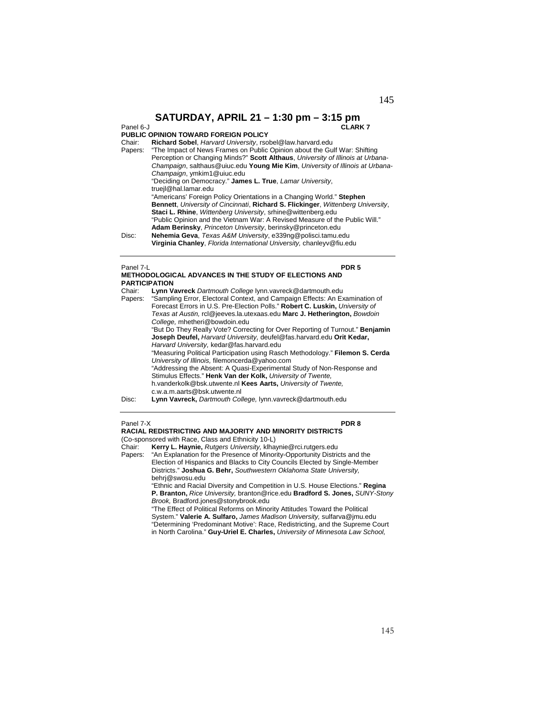### Panel 6-J **CLARK 7**

### **PUBLIC OPINION TOWARD FOREIGN POLICY**

| Chair:  | Richard Sobel, Harvard University, rsobel@law.harvard.edu                        |
|---------|----------------------------------------------------------------------------------|
| Papers: | "The Impact of News Frames on Public Opinion about the Gulf War: Shifting        |
|         | Perception or Changing Minds?" Scott Althaus, University of Illinois at Urbana-  |
|         | Champaign, salthaus@uiuc.edu Young Mie Kim, University of Illinois at Urbana-    |
|         | Champaign, ymkim1@uiuc.edu                                                       |
|         | "Deciding on Democracy." James L. True, Lamar University,                        |
|         | truejl@hal.lamar.edu                                                             |
|         | "Americans' Foreign Policy Orientations in a Changing World." Stephen            |
|         | Bennett, University of Cincinnati, Richard S. Flickinger, Wittenberg University, |
|         | Staci L. Rhine, Wittenberg University, srhine@wittenberg.edu                     |
|         | "Public Opinion and the Vietnam War: A Revised Measure of the Public Will."      |
|         | Adam Berinsky, Princeton University, berinsky@princeton.edu                      |
| Disc:   | Nehemia Geva, Texas A&M University, e339ng@polisci.tamu.edu                      |
|         | Virginia Chanley, Florida International University, chanleyv@fiu.edu             |

### Panel 7-L **PDR 5**

|        | <b>METHODOLOGICAL ADVANCES IN THE STUDY OF ELECTIONS AND</b><br><b>PARTICIPATION</b>                                                                                                                                                                                                                         |  |  |
|--------|--------------------------------------------------------------------------------------------------------------------------------------------------------------------------------------------------------------------------------------------------------------------------------------------------------------|--|--|
| Chair: | Lynn Vavreck Dartmouth College lynn.vavreck@dartmouth.edu<br>Papers: "Sampling Error, Electoral Context, and Campaign Effects: An Examination of<br>Forecast Errors in U.S. Pre-Election Polls." Robert C. Luskin, University of<br>Texas at Austin, rcl@jeeves.la.utexaas.edu Marc J. Hetherington, Bowdoin |  |  |
|        | College, mhetheri@bowdoin.edu<br>"But Do They Really Vote? Correcting for Over Reporting of Turnout." Benjamin<br>Joseph Deufel, Harvard University, deufel@fas.harvard.edu Orit Kedar,<br>Harvard University, kedar@fas.harvard.edu                                                                         |  |  |
|        | "Measuring Political Participation using Rasch Methodology." Filemon S. Cerda<br>University of Illinois, filemoncerda@vahoo.com<br>"Addressing the Absent: A Quasi-Experimental Study of Non-Response and<br>Stimulus Effects." Henk Van der Kolk, University of Twente,                                     |  |  |
| Disc:  | h.vanderkolk@bsk.utwente.nl Kees Aarts, University of Twente.<br>c.w.a.m.aarts@bsk.utwente.nl<br>Lynn Vavreck, Dartmouth College, lynn.vavreck@dartmouth.edu                                                                                                                                                 |  |  |

### Panel 7-X **PDR 8**

**RACIAL REDISTRICTING AND MAJORITY AND MINORITY DISTRICTS**  (Co-sponsored with Race, Class and Ethnicity 10-L)

Chair: **Kerry L. Haynie,** *Rutgers University,* klhaynie@rci.rutgers.edu

Papers: "An Explanation for the Presence of Minority-Opportunity Districts and the Election of Hispanics and Blacks to City Councils Elected by Single-Member Districts." **Joshua G. Behr,** *Southwestern Oklahoma State University,*  behrj@swosu.edu "Ethnic and Racial Diversity and Competition in U.S. House Elections." **Regina** 

**P. Branton,** *Rice University,* branton@rice.edu **Bradford S. Jones,** *SUNY-Stony Brook,* Bradford.jones@stonybrook.edu

"The Effect of Political Reforms on Minority Attitudes Toward the Political System." **Valerie A. Sulfaro,** *James Madison University,* sulfarva@jmu.edu "Determining 'Predominant Motive': Race, Redistricting, and the Supreme Court in North Carolina." **Guy-Uriel E. Charles,** *University of Minnesota Law School,*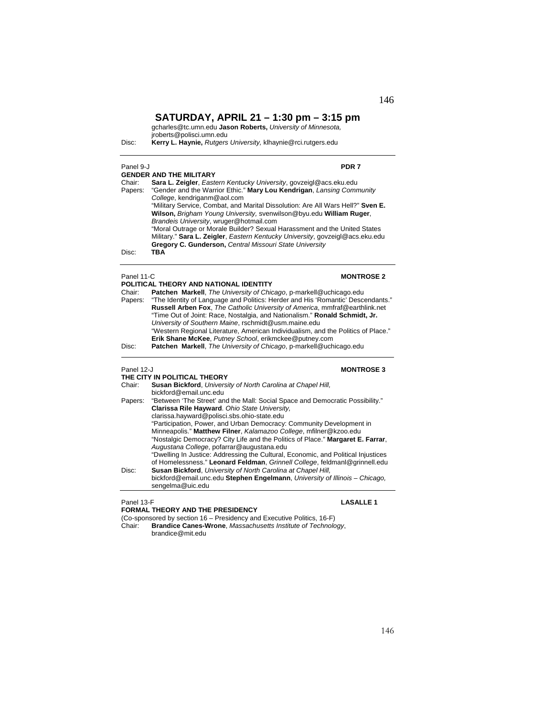gcharles@tc.umn.edu **Jason Roberts,** *University of Minnesota,* 

jroberts@polisci.umn.edu

Disc: **Kerry L. Haynie,** *Rutgers University,* klhaynie@rci.rutgers.edu

### Panel 9-J **PDR 7**

|         | <b>GENDER AND THE MILITARY</b>                                                  |
|---------|---------------------------------------------------------------------------------|
| Chair:  | Sara L. Zeigler, Eastern Kentucky University, govzeigl@acs.eku.edu              |
| Papers: | "Gender and the Warrior Ethic." Mary Lou Kendrigan, Lansing Community           |
|         | College, kendriganm@aol.com                                                     |
|         | "Military Service, Combat, and Marital Dissolution: Are All Wars Hell?" Sven E. |
|         | Wilson, Brigham Young University, svenwilson@byu.edu William Ruger,             |
|         | Brandeis University, wruger@hotmail.com                                         |
|         | "Moral Outrage or Morale Builder? Sexual Harassment and the United States       |
|         | Military." Sara L. Zeigler, Eastern Kentucky University, govzeigl@acs.eku.edu   |
|         | <b>Gregory C. Gunderson, Central Missouri State University</b>                  |
| Disc:   | TBA                                                                             |
|         |                                                                                 |

# **POLITICAL THEORY AND NATIONAL IDENTITY**

## Panel 11-C **MONTROSE 2**

| Chair:  | <b>Patchen Markell</b> , <i>The University of Chicago</i> , p-markell@uchicago.edu |
|---------|------------------------------------------------------------------------------------|
| Papers: | "The Identity of Language and Politics: Herder and His 'Romantic' Descendants."    |
|         | <b>Russell Arben Fox.</b> The Catholic University of America, mmfraf@earthlink.net |
|         | "Time Out of Joint: Race, Nostalgia, and Nationalism." Ronald Schmidt, Jr.         |
|         | University of Southern Maine, rschmidt@usm.maine.edu                               |
|         | "Western Regional Literature, American Individualism, and the Politics of Place."  |
|         | Erik Shane McKee, Putney School, erikmckee@putney.com                              |
| Disc:   | <b>Patchen Markell</b> , <i>The University of Chicago</i> , p-markell@uchicago.edu |
|         |                                                                                    |

### Panel 12-J **MONTROSE 3**

|         | THE CITY IN POLITICAL THEORY                                                      |
|---------|-----------------------------------------------------------------------------------|
| Chair:  | <b>Susan Bickford, University of North Carolina at Chapel Hill,</b>               |
|         | bickford@email.unc.edu                                                            |
| Papers: | "Between 'The Street' and the Mall: Social Space and Democratic Possibility."     |
|         | Clarissa Rile Hayward. Ohio State University.                                     |
|         | clarissa.hayward@polisci.sbs.ohio-state.edu                                       |
|         | "Participation, Power, and Urban Democracy: Community Development in              |
|         | Minneapolis." Matthew Filner, Kalamazoo College, mfilner@kzoo.edu                 |
|         | "Nostalgic Democracy? City Life and the Politics of Place." Margaret E. Farrar,   |
|         | Augustana College, pofarrar@augustana.edu                                         |
|         | "Dwelling In Justice: Addressing the Cultural, Economic, and Political Injustices |
|         | of Homelessness." Leonard Feldman, Grinnell College, feldmanl@grinnell.edu        |
| Disc:   | <b>Susan Bickford, University of North Carolina at Chapel Hill,</b>               |
|         | bickford@email.unc.edu Stephen Engelmann, University of Illinois - Chicago,       |
|         | sengelma@uic.edu                                                                  |
|         |                                                                                   |

## Panel 13-F **LASALLE 1**

## **FORMAL THEORY AND THE PRESIDENCY**

(Co-sponsored by section 16 – Presidency and Executive Politics, 16-F)<br>Chair: **Brandice Canes-Wrone**, *Massachusetts Institute of Technolo* 

Chair: **Brandice Canes-Wrone**, *Massachusetts Institute of Technology*, brandice@mit.edu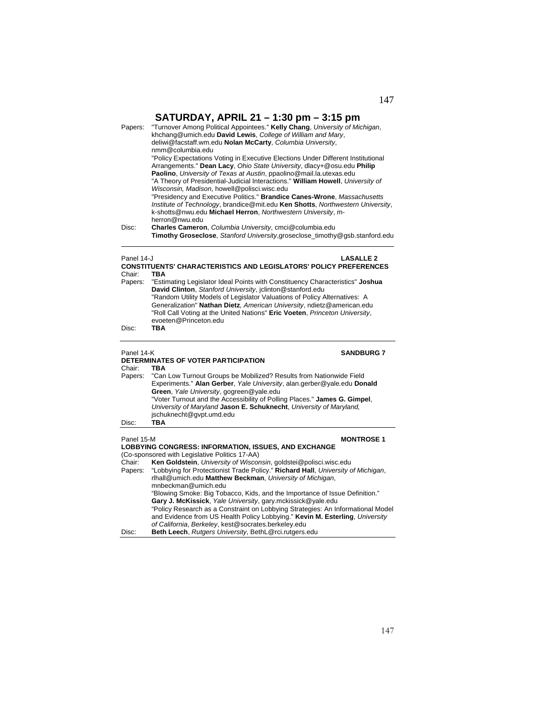| Papers:    | "Turnover Among Political Appointees." Kelly Chang, University of Michigan,<br>khchang@umich.edu David Lewis, College of William and Mary,<br>deliwi@facstaff.wm.edu Nolan McCarty, Columbia University,<br>nmm@columbia.edu<br>"Policy Expectations Voting in Executive Elections Under Different Institutional<br>Arrangements." Dean Lacy, Ohio State University, dlacy+@osu.edu Philip<br>Paolino, University of Texas at Austin, ppaolino@mail.la.utexas.edu<br>"A Theory of Presidential-Judicial Interactions." William Howell, University of<br>Wisconsin, Madison, howell@polisci.wisc.edu<br>"Presidency and Executive Politics." Brandice Canes-Wrone, Massachusetts<br>Institute of Technology, brandice@mit.edu Ken Shotts, Northwestern University,<br>k-shotts@nwu.edu Michael Herron, Northwestern University, m- |
|------------|-----------------------------------------------------------------------------------------------------------------------------------------------------------------------------------------------------------------------------------------------------------------------------------------------------------------------------------------------------------------------------------------------------------------------------------------------------------------------------------------------------------------------------------------------------------------------------------------------------------------------------------------------------------------------------------------------------------------------------------------------------------------------------------------------------------------------------------|
| Disc:      | herron@nwu.edu<br>Charles Cameron, Columbia University, cmci@columbia.edu<br>Timothy Groseclose, Stanford University,groseclose_timothy@gsb.stanford.edu                                                                                                                                                                                                                                                                                                                                                                                                                                                                                                                                                                                                                                                                          |
| Panel 14-J | <b>LASALLE 2</b>                                                                                                                                                                                                                                                                                                                                                                                                                                                                                                                                                                                                                                                                                                                                                                                                                  |
| Chair:     | <b>CONSTITUENTS' CHARACTERISTICS AND LEGISLATORS' POLICY PREFERENCES</b><br>TBA                                                                                                                                                                                                                                                                                                                                                                                                                                                                                                                                                                                                                                                                                                                                                   |
| Papers:    | "Estimating Legislator Ideal Points with Constituency Characteristics" Joshua                                                                                                                                                                                                                                                                                                                                                                                                                                                                                                                                                                                                                                                                                                                                                     |
|            | David Clinton, Stanford University, jclinton@stanford.edu<br>"Random Utility Models of Legislator Valuations of Policy Alternatives: A                                                                                                                                                                                                                                                                                                                                                                                                                                                                                                                                                                                                                                                                                            |
|            | Generalization" Nathan Dietz, American University, ndietz@american.edu                                                                                                                                                                                                                                                                                                                                                                                                                                                                                                                                                                                                                                                                                                                                                            |
|            | "Roll Call Voting at the United Nations" Eric Voeten, Princeton University,                                                                                                                                                                                                                                                                                                                                                                                                                                                                                                                                                                                                                                                                                                                                                       |
|            | evoeten@Princeton.edu                                                                                                                                                                                                                                                                                                                                                                                                                                                                                                                                                                                                                                                                                                                                                                                                             |
| Disc:      | TBA                                                                                                                                                                                                                                                                                                                                                                                                                                                                                                                                                                                                                                                                                                                                                                                                                               |
|            |                                                                                                                                                                                                                                                                                                                                                                                                                                                                                                                                                                                                                                                                                                                                                                                                                                   |
| Panel 14-K | <b>SANDBURG 7</b><br>DETERMINATES OF VOTER PARTICIPATION                                                                                                                                                                                                                                                                                                                                                                                                                                                                                                                                                                                                                                                                                                                                                                          |
| Chair:     | TBA                                                                                                                                                                                                                                                                                                                                                                                                                                                                                                                                                                                                                                                                                                                                                                                                                               |
| Papers:    | "Can Low Turnout Groups be Mobilized? Results from Nationwide Field<br>Experiments." Alan Gerber, Yale University, alan.gerber@yale.edu Donald                                                                                                                                                                                                                                                                                                                                                                                                                                                                                                                                                                                                                                                                                    |
|            | Green, Yale University, gogreen@yale.edu                                                                                                                                                                                                                                                                                                                                                                                                                                                                                                                                                                                                                                                                                                                                                                                          |
|            | "Voter Turnout and the Accessibility of Polling Places." James G. Gimpel,<br>University of Maryland Jason E. Schuknecht, University of Maryland,                                                                                                                                                                                                                                                                                                                                                                                                                                                                                                                                                                                                                                                                                  |
|            | jschuknecht@gvpt.umd.edu                                                                                                                                                                                                                                                                                                                                                                                                                                                                                                                                                                                                                                                                                                                                                                                                          |
| Disc:      | TBA                                                                                                                                                                                                                                                                                                                                                                                                                                                                                                                                                                                                                                                                                                                                                                                                                               |
| Panel 15-M | <b>MONTROSE 1</b>                                                                                                                                                                                                                                                                                                                                                                                                                                                                                                                                                                                                                                                                                                                                                                                                                 |
|            | <b>LOBBYING CONGRESS: INFORMATION, ISSUES, AND EXCHANGE</b>                                                                                                                                                                                                                                                                                                                                                                                                                                                                                                                                                                                                                                                                                                                                                                       |
|            | (Co-sponsored with Legislative Politics 17-AA)                                                                                                                                                                                                                                                                                                                                                                                                                                                                                                                                                                                                                                                                                                                                                                                    |
| Chair:     | Ken Goldstein, University of Wisconsin, goldstei@polisci.wisc.edu                                                                                                                                                                                                                                                                                                                                                                                                                                                                                                                                                                                                                                                                                                                                                                 |
| Papers:    | "Lobbying for Protectionist Trade Policy." Richard Hall, University of Michigan,<br>rlhall@umich.edu Matthew Beckman, University of Michigan,                                                                                                                                                                                                                                                                                                                                                                                                                                                                                                                                                                                                                                                                                     |
|            | mnbeckman@umich.edu<br>"Blowing Smoke: Big Tobacco, Kids, and the Importance of Issue Definition."                                                                                                                                                                                                                                                                                                                                                                                                                                                                                                                                                                                                                                                                                                                                |
|            | Gary J. McKissick, Yale University, gary.mckissick@yale.edu                                                                                                                                                                                                                                                                                                                                                                                                                                                                                                                                                                                                                                                                                                                                                                       |
|            | "Policy Research as a Constraint on Lobbying Strategies: An Informational Model                                                                                                                                                                                                                                                                                                                                                                                                                                                                                                                                                                                                                                                                                                                                                   |
|            | and Evidence from US Health Policy Lobbying." Kevin M. Esterling, University                                                                                                                                                                                                                                                                                                                                                                                                                                                                                                                                                                                                                                                                                                                                                      |
| Disc:      | of California, Berkeley, kest@socrates.berkeley.edu<br>Beth Leech, Rutgers University, BethL@rci.rutgers.edu                                                                                                                                                                                                                                                                                                                                                                                                                                                                                                                                                                                                                                                                                                                      |
|            |                                                                                                                                                                                                                                                                                                                                                                                                                                                                                                                                                                                                                                                                                                                                                                                                                                   |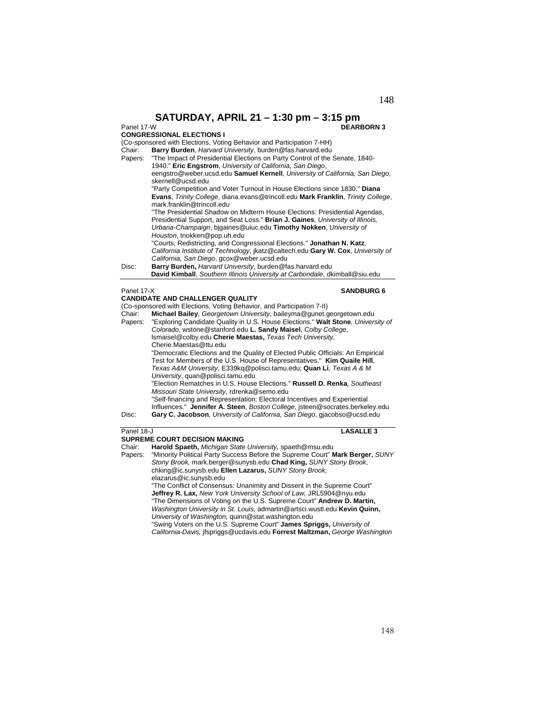**SATURDAY, APRIL 21 – 1:30 pm – 3:15 pm**<br>Panel 17-W **DEARI** 

# **CONGRESSIONAL ELECTIONS I**

(Co-sponsored with Elections, Voting Behavior and Participation 7-HH)

Chair: **Barry Burden**, *Harvard University*, burden@fas.harvard.edu Papers: "The Impact of Presidential Elections on Party Control of the Senate, 1840- 1940." **Eric Engstrom**, *University of California, San Diego*, eengstro@weber.ucsd.edu **Samuel Kernell**, *University of California, San Diego*, skernell@ucsd.edu "Party Competition and Voter Turnout in House Elections since 1830." **Diana Evans**, *Trinity College*, diana.evans@trincoll.edu **Mark Franklin**, *Trinity College*, mark.franklin@trincoll.edu "The Presidential Shadow on Midterm House Elections: Presidential Agendas, Presidential Support, and Seat Loss." **Brian J. Gaines**, *University of Illinois, Urbana-Champaign*, bjgaines@uiuc.edu **Timothy Nokken**, *University of Houston*, tnokken@pop.uh.edu "Courts, Redistricting, and Congressional Elections." **Jonathan N. Katz**, *California Institute of Technology*, jkatz@caltech.edu **Gary W. Cox**, *University of California, San Diego*, gcox@weber.ucsd.edu Disc: **Barry Burden,** *Harvard University*, burden@fas.harvard.edu  **David Kimball**, *Southern Illinois University at Carbondale*, dkimball@siu.edu **Panel 17-X SANDBURG 6 CANDIDATE AND CHALLENGER QUALITY** 

(Co-sponsored with Elections, Voting Behavior, and Participation 7-II)

Chair: **Michael Bailey**, *Georgetown University*, baileyma@gunet.georgetown.edu Papers: "Exploring Candidate Quality in U.S. House Elections." **Walt Stone***, University of Colorado*, wstone@stanford.edu **L. Sandy Maisel**, *Colby College*, lsmaisel@colby.edu **Cherie Maestas,** *Texas Tech University*, Cherie.Maestas@ttu.edu "Democratic Elections and the Quality of Elected Public Officials: An Empirical Test for Members of the U.S. House of Representatives." **Kim Quaile Hill**, *Texas A&M University*, E339kq@polisci.tamu.edu; **Quan Li***, Texas A & M University*, quan@polisci.tamu.edu "Election Rematches in U.S. House Elections." **Russell D. Renka***, Southeast Missouri State University*, rdrenka@semo.edu "Self-financing and Representation: Electoral Incentives and Experiential Influences." **Jennifer A. Steen**, *Boston College*, jsteen@socrates.berkeley.edu Disc: **Gary C. Jacobson***, University of California, San Diego*, gjacobso@ucsd.edu **Panel 18-J LASALLE 3** 

## **SUPREME COURT DECISION MAKING**

Chair: **Harold Spaeth,** *Michigan State University,* spaeth@msu.edu

Papers: "Minority Political Party Success Before the Supreme Court" **Mark Berger,** *SUNY Stony Brook,* mark.berger@sunysb.edu **Chad King,** *SUNY Stony Brook*, chking@ic.sunysb.edu **Ellen Lazarus,** *SUNY Stony Brook,*  elazarus@ic.sunysb.edu "The Conflict of Consensus: Unanimity and Dissent in the Supreme Court" **Jeffrey R. Lax,** *New York University School of Law,* JRL5904@nyu.edu "The Dimensions of Voting on the U.S. Supreme Court" **Andrew D. Martin,**  *Washington University in St. Louis,* admartin@artsci.wustl.edu **Kevin Quinn,** 

*University of Washington,* quinn@stat.washington.edu "Swing Voters on the U.S. Supreme Court" **James Spriggs,** *University of California-Davis,* jfspriggs@ucdavis.edu **Forrest Maltzman,** *George Washington* 

# 148

**DEARBORN 3**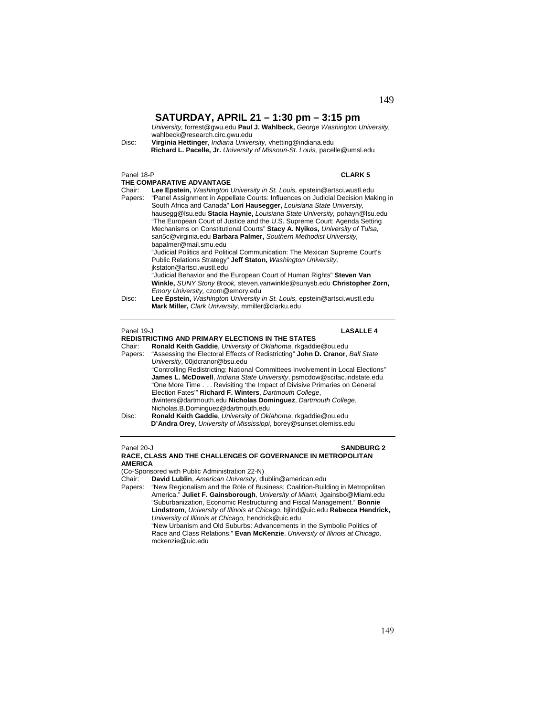*University,* forrest@gwu.edu **Paul J. Wahlbeck,** *George Washington University,*  wahlbeck@research.circ.gwu.edu

Disc: **Virginia Hettinger**, *Indiana University,* vhetting@indiana.edu **Richard L. Pacelle, Jr.** *University of Missouri-St. Louis,* pacelle@umsl.edu

### Panel 18-P **CLARK 5**

**THE COMPARATIVE ADVANTAGE**  Chair: **Lee Epstein,** *Washington University in St. Louis,* epstein@artsci.wustl.edu Papers: "Panel Assignment in Appellate Courts: Influences on Judicial Decision Making in South Africa and Canada" **Lori Hausegger,** *Louisiana State University,*  hausegg@lsu.edu **Stacia Haynie,** *Louisiana State University,* pohayn@lsu.edu "The European Court of Justice and the U.S. Supreme Court: Agenda Setting Mechanisms on Constitutional Courts" **Stacy A. Nyikos,** *University of Tulsa,*  san5c@virginia.edu **Barbara Palmer,** *Southern Methodist University,*  bapalmer@mail.smu.edu "Judicial Politics and Political Communication: The Mexican Supreme Court's Public Relations Strategy" **Jeff Staton,** *Washington University,*  jkstaton@artsci.wustl.edu "Judicial Behavior and the European Court of Human Rights" **Steven Van Winkle,** *SUNY Stony Brook,* steven.vanwinkle@sunysb.edu **Christopher Zorn,**  *Emory University,* czorn@emory.edu Disc: **Lee Epstein,** *Washington University in St. Louis,* epstein@artsci.wustl.edu  **Mark Miller,** *Clark University,* mmiller@clarku.edu

### Panel 19-J **LASALLE 4**

**REDISTRICTING AND PRIMARY ELECTIONS IN THE STATES**  Chair: **Ronald Keith Gaddie**, *University of Oklahoma*, rkgaddie@ou.edu

Papers: "Assessing the Electoral Effects of Redistricting" **John D. Cranor**, *Ball State University*, 00jdcranor@bsu.edu "Controlling Redistricting: National Committees Involvement in Local Elections" **James L. McDowell**, *Indiana State University*, psmcdow@scifac.indstate.edu "One More Time . . . Revisiting 'the Impact of Divisive Primaries on General Election Fates'" **Richard F. Winters**, *Dartmouth College*, dwinters@dartmouth.edu **Nicholas Dominguez**, *Dartmouth College*, Nicholas.B.Dominguez@dartmouth.edu Disc: **Ronald Keith Gaddie**, *University of Oklahoma*, rkgaddie@ou.edu **D'Andra Orey**, *University of Mississippi*, borey@sunset.olemiss.edu

### Panel 20-J **SANDBURG 2 RACE, CLASS AND THE CHALLENGES OF GOVERNANCE IN METROPOLITAN AMERICA**

(Co-Sponsored with Public Administration 22-N)

Chair: **David Lublin**, *American University*, dlublin@american.edu "New Regionalism and the Role of Business: Coalition-Building in Metropolitan America." **Juliet F. Gainsborough**, *University of Miami,* Jgainsbo@Miami.edu "Suburbanization, Economic Restructuring and Fiscal Management." **Bonnie Lindstrom**, *University of Illinois at Chicago*, bjlind@uic.edu **Rebecca Hendrick,**  *University of Illinois at Chicago,* hendrick@uic.edu

"New Urbanism and Old Suburbs: Advancements in the Symbolic Politics of Race and Class Relations." **Evan McKenzie**, *University of Illinois at Chicago,*  mckenzie@uic.edu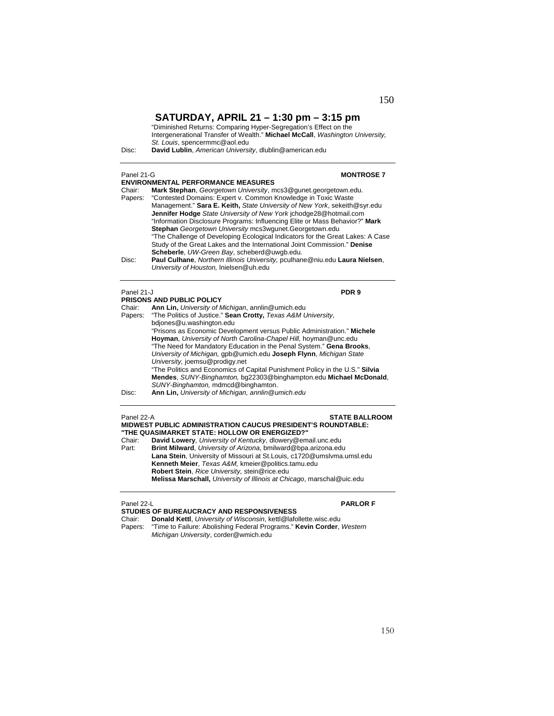"Diminished Returns: Comparing Hyper-Segregation's Effect on the Intergenerational Transfer of Wealth." **Michael McCall**, *Washington University, St. Louis*, spencermmc@aol.edu

Disc: **David Lublin**, *American University*, dlublin@american.edu

| Panel 21-G        |                                                                                                                                                                                                                                                                                                                                                                                                                                                                                                                                                                                                   | <b>MONTROSE 7</b> |
|-------------------|---------------------------------------------------------------------------------------------------------------------------------------------------------------------------------------------------------------------------------------------------------------------------------------------------------------------------------------------------------------------------------------------------------------------------------------------------------------------------------------------------------------------------------------------------------------------------------------------------|-------------------|
|                   | <b>ENVIRONMENTAL PERFORMANCE MEASURES</b>                                                                                                                                                                                                                                                                                                                                                                                                                                                                                                                                                         |                   |
| Chair:<br>Papers: | Mark Stephan, Georgetown University, mcs3@gunet.georgetown.edu.<br>"Contested Domains: Expert v. Common Knowledge in Toxic Waste<br>Management." Sara E. Keith, State University of New York, sekeith@syr.edu<br><b>Jennifer Hodge</b> State University of New York jchodge28@hotmail.com<br>"Information Disclosure Programs: Influencing Elite or Mass Behavior?" Mark<br>Stephan Georgetown University mcs3wgunet.Georgetown.edu<br>"The Challenge of Developing Ecological Indicators for the Great Lakes: A Case<br>Study of the Great Lakes and the International Joint Commission." Denise |                   |
| Disc:             | Scheberle, UW-Green Bay, scheberd@uwgb.edu.<br>Paul Culhane, Northern Illinois University, pculhane@niu.edu Laura Nielsen,<br>University of Houston, Inielsen@uh.edu                                                                                                                                                                                                                                                                                                                                                                                                                              |                   |
| Panel 21-J        |                                                                                                                                                                                                                                                                                                                                                                                                                                                                                                                                                                                                   | PDR <sub>9</sub>  |
|                   | <b>PRISONS AND PUBLIC POLICY</b>                                                                                                                                                                                                                                                                                                                                                                                                                                                                                                                                                                  |                   |
| Chair:            | Ann Lin, University of Michigan, annlin@umich.edu                                                                                                                                                                                                                                                                                                                                                                                                                                                                                                                                                 |                   |
| Papers:           | "The Politics of Justice." Sean Crotty, Texas A&M University,                                                                                                                                                                                                                                                                                                                                                                                                                                                                                                                                     |                   |
|                   | bdjones@u.washington.edu                                                                                                                                                                                                                                                                                                                                                                                                                                                                                                                                                                          |                   |
|                   | "Prisons as Economic Development versus Public Administration." Michele                                                                                                                                                                                                                                                                                                                                                                                                                                                                                                                           |                   |
|                   | Hoyman, University of North Carolina-Chapel Hill, hoyman@unc.edu<br>"The Need for Mandatory Education in the Penal System." Gena Brooks,                                                                                                                                                                                                                                                                                                                                                                                                                                                          |                   |
|                   | University of Michigan, gpb@umich.edu Joseph Flynn, Michigan State                                                                                                                                                                                                                                                                                                                                                                                                                                                                                                                                |                   |
|                   | University, joemsu@prodigy.net                                                                                                                                                                                                                                                                                                                                                                                                                                                                                                                                                                    |                   |
|                   | "The Politics and Economics of Capital Punishment Policy in the U.S." Silvia                                                                                                                                                                                                                                                                                                                                                                                                                                                                                                                      |                   |
|                   | Mandes, CUBB/ Dinghamton, ha00000@hinghampton, adultitional McDanald                                                                                                                                                                                                                                                                                                                                                                                                                                                                                                                              |                   |

**Mendes**, *SUNY-Binghamton,* bg22303@binghampton.edu **Michael McDonald**, *SUNY-Binghamton,* mdmcd@binghamton.

### Panel 22-A **STATE BALLROOM MIDWEST PUBLIC ADMINISTRATION CAUCUS PRESIDENT'S ROUNDTABLE: "THE QUASIMARKET STATE: HOLLOW OR ENERGIZED?"** David Lowery, University of Kentucky, dlowery@email.unc.edu Part: **Brint Milward**, *University of Arizona*, bmilward@bpa.arizona.edu

**Lana Stein**, University of Missouri at St.Louis, c1720@umslvma.umsl.edu **Kenneth Meier**, *Texas A&M,* kmeier@politics.tamu.edu **Robert Stein**, *Rice University,* stein@rice.edu **Melissa Marschall,** *University of Illinois at Chicago*, marschal@uic.edu

### Panel 22-L **PARLOR F**

### **STUDIES OF BUREAUCRACY AND RESPONSIVENESS**

Chair: **Donald Kettl**, *University of Wisconsin*, kettl@lafollette.wisc.edu Papers: "Time to Failure: Abolishing Federal Programs." **Kevin Corder**, *Western Michigan University*, corder@wmich.edu

Disc: **Ann Lin,** *University of Michigan, annlin@umich.edu*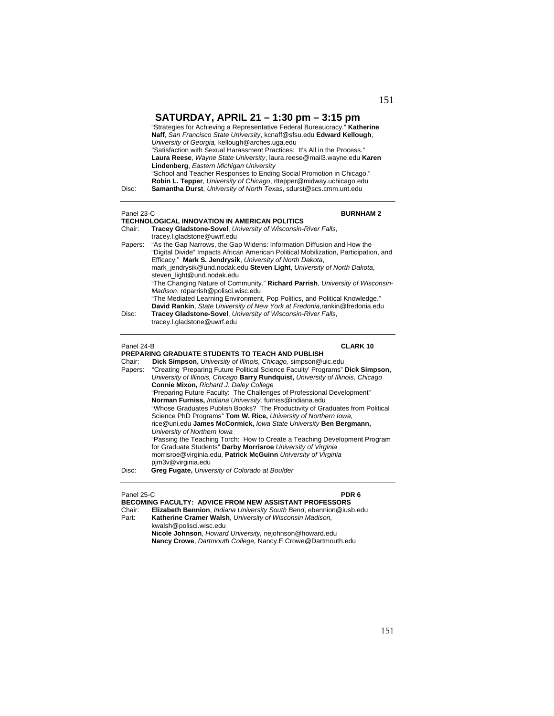| Disc:      | "Strategies for Achieving a Representative Federal Bureaucracy." Katherine<br>Naff, San Francisco State University, kcnaff@sfsu.edu Edward Kellough,<br>University of Georgia, kellough@arches.uga.edu<br>"Satisfaction with Sexual Harassment Practices: It's All in the Process."<br>Laura Reese, Wayne State University, laura.reese@mail3.wayne.edu Karen<br>Lindenberg, Eastern Michigan University<br>"School and Teacher Responses to Ending Social Promotion in Chicago."<br>Robin L. Tepper, University of Chicago, ritepper@midway.uchicago.edu<br><b>Samantha Durst, University of North Texas, sdurst@scs.cmm.unt.edu</b> |
|------------|---------------------------------------------------------------------------------------------------------------------------------------------------------------------------------------------------------------------------------------------------------------------------------------------------------------------------------------------------------------------------------------------------------------------------------------------------------------------------------------------------------------------------------------------------------------------------------------------------------------------------------------|
|            |                                                                                                                                                                                                                                                                                                                                                                                                                                                                                                                                                                                                                                       |
| Panel 23-C | <b>BURNHAM2</b>                                                                                                                                                                                                                                                                                                                                                                                                                                                                                                                                                                                                                       |
|            | <b>TECHNOLOGICAL INNOVATION IN AMERICAN POLITICS</b>                                                                                                                                                                                                                                                                                                                                                                                                                                                                                                                                                                                  |
| Chair:     | Tracey Gladstone-Sovel, University of Wisconsin-River Falls,<br>tracey.l.gladstone@uwrf.edu                                                                                                                                                                                                                                                                                                                                                                                                                                                                                                                                           |
| Papers:    | "As the Gap Narrows, the Gap Widens: Information Diffusion and How the<br>"Digital Divide" Impacts African American Political Mobilization, Participation, and<br>Efficacy." Mark S. Jendrysik, University of North Dakota,<br>mark_jendrysik@und.nodak.edu Steven Light, University of North Dakota,<br>steven light@und.nodak.edu                                                                                                                                                                                                                                                                                                   |
|            | "The Changing Nature of Community." Richard Parrish, University of Wisconsin-<br>Madison, rdparrish@polisci.wisc.edu                                                                                                                                                                                                                                                                                                                                                                                                                                                                                                                  |
|            | "The Mediated Learning Environment, Pop Politics, and Political Knowledge."<br>David Rankin, State University of New York at Fredonia, rankin@fredonia.edu                                                                                                                                                                                                                                                                                                                                                                                                                                                                            |
| Disc:      | Tracey Gladstone-Sovel, University of Wisconsin-River Falls,<br>tracey.l.gladstone@uwrf.edu                                                                                                                                                                                                                                                                                                                                                                                                                                                                                                                                           |
| Panel 24-B | <b>CLARK10</b>                                                                                                                                                                                                                                                                                                                                                                                                                                                                                                                                                                                                                        |
|            | PREPARING GRADUATE STUDENTS TO TEACH AND PUBLISH                                                                                                                                                                                                                                                                                                                                                                                                                                                                                                                                                                                      |
| Chair:     | Dick Simpson, University of Illinois, Chicago, simpson@uic.edu                                                                                                                                                                                                                                                                                                                                                                                                                                                                                                                                                                        |
| Papers:    | "Creating 'Preparing Future Political Science Faculty' Programs" Dick Simpson,<br>University of Illinois, Chicago Barry Rundquist, University of Illinois, Chicago<br>Connie Mixon, Richard J. Daley College                                                                                                                                                                                                                                                                                                                                                                                                                          |
|            | .                                                                                                                                                                                                                                                                                                                                                                                                                                                                                                                                                                                                                                     |

"Preparing Future Faculty: The Challenges of Professional Development" **Norman Furniss,** *Indiana University,* furniss@indiana.edu "Whose Graduates Publish Books? The Productivity of Graduates from Political Science PhD Programs" **Tom W. Rice,** *University of Northern Iowa,*  rice@uni.edu **James McCormick,** *Iowa State University* **Ben Bergmann,**  *University of Northern Iowa* "Passing the Teaching Torch: How to Create a Teaching Development Program for Graduate Students" **Darby Morrisroe** *University of Virginia*  morrisroe@virginia.edu, **Patrick McGuinn** *University of Virginia* pjm3v@virginia.edu Disc: **Greg Fugate,** *University of Colorado at Boulder* 

### Panel 25-C **PDR 6**

| <b>BECOMING FACULTY: ADVICE FROM NEW ASSISTANT PROFESSORS</b>       |
|---------------------------------------------------------------------|
| Elizabeth Bennion, Indiana University South Bend, ebennion@iusb.edu |
| Katherine Cramer Walsh, University of Wisconsin Madison,            |
| kwalsh@polisci.wisc.edu                                             |
| Nicole Johnson, Howard University, nejohnson@howard.edu             |
| Nancy Crowe, Dartmouth College, Nancy.E.Crowe@Dartmouth.edu         |
|                                                                     |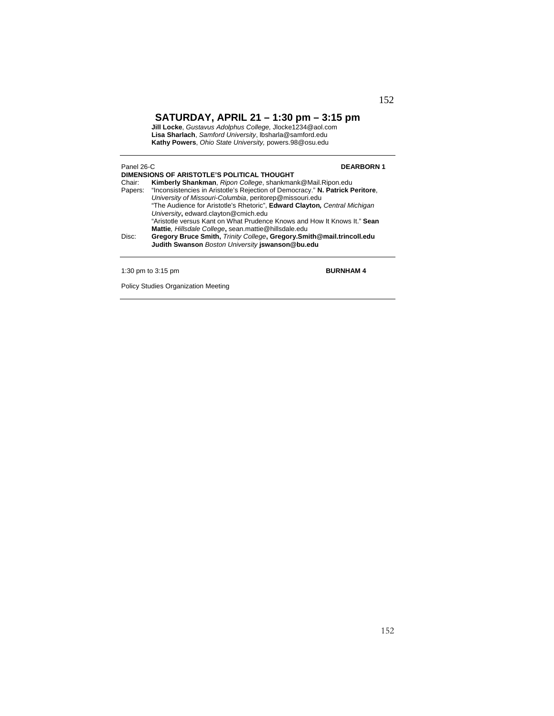**Jill Locke**, *Gustavus Adolphus College,* Jlocke1234@aol.com **Lisa Sharlach**, *Samford University*, lbsharla@samford.edu **Kathy Powers**, *Ohio State University,* powers.98@osu.edu

| Panel 26-C<br>DIMENSIONS OF ARISTOTLE'S POLITICAL THOUGHT<br>Kimberly Shankman, Ripon College, shankmank@Mail.Ripon.edu<br>Chair:<br>Papers: "Inconsistencies in Aristotle's Rejection of Democracy." N. Patrick Peritore,<br>University of Missouri-Columbia, peritorep@missouri.edu<br>"The Audience for Aristotle's Rhetoric", Edward Clayton, Central Michigan<br>University, edward.clayton@cmich.edu |                                                                                                                                                                                                                                                                | <b>DEARBORN1</b> |
|------------------------------------------------------------------------------------------------------------------------------------------------------------------------------------------------------------------------------------------------------------------------------------------------------------------------------------------------------------------------------------------------------------|----------------------------------------------------------------------------------------------------------------------------------------------------------------------------------------------------------------------------------------------------------------|------------------|
| Disc:                                                                                                                                                                                                                                                                                                                                                                                                      | "Aristotle versus Kant on What Prudence Knows and How It Knows It." Sean<br>Mattie, Hillsdale College, sean.mattie@hillsdale.edu<br>Gregory Bruce Smith, Trinity College, Gregory. Smith@mail.trincoll.edu<br>Judith Swanson Boston University jswanson@bu.edu |                  |
|                                                                                                                                                                                                                                                                                                                                                                                                            | 1:30 pm to $3:15$ pm                                                                                                                                                                                                                                           | <b>BURNHAM4</b>  |

Policy Studies Organization Meeting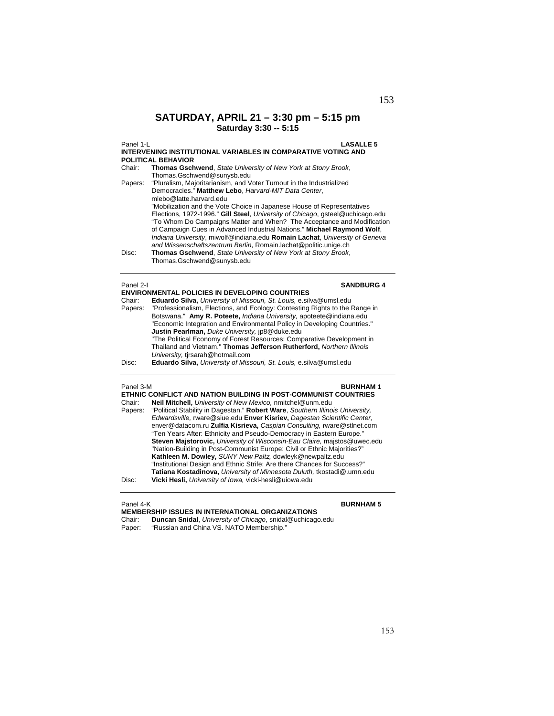# **SATURDAY, APRIL 21 – 3:30 pm – 5:15 pm Saturday 3:30 -- 5:15**

Panel 1-L **LASALLE 5 INTERVENING INSTITUTIONAL VARIABLES IN COMPARATIVE VOTING AND POLITICAL BEHAVIOR**  Chair: **Thomas Gschwend**, *State University of New York at Stony Brook*, Thomas.Gschwend@sunysb.edu Papers: "Pluralism, Majoritarianism, and Voter Turnout in the Industrialized Democracies." **Matthew Lebo**, *Harvard-MIT Data Center*, mlebo@latte.harvard.edu "Mobilization and the Vote Choice in Japanese House of Representatives Elections, 1972-1996." **Gill Steel**, *University of Chicago*, gsteel@uchicago.edu "To Whom Do Campaigns Matter and When? The Acceptance and Modification of Campaign Cues in Advanced Industrial Nations." **Michael Raymond Wolf**, *Indiana University*, miwolf@indiana.edu **Romain Lachat**, *University of Geneva and Wissenschaftszentrum Berlin*, Romain.lachat@politic.unige.ch Disc: **Thomas Gschwend**, *State University of New York at Stony Brook*, Thomas.Gschwend@sunysb.edu

### Panel 2-I **SANDBURG 4**

|         | <b>ENVIRONMENTAL POLICIES IN DEVELOPING COUNTRIES</b>                       |
|---------|-----------------------------------------------------------------------------|
| Chair:  | Eduardo Silva, University of Missouri, St. Louis, e.silva@umsl.edu          |
| Papers: | "Professionalism, Elections, and Ecology: Contesting Rights to the Range in |
|         | Botswana." Amy R. Poteete, Indiana University, apoteete@indiana.edu         |
|         | "Economic Integration and Environmental Policy in Developing Countries."    |
|         | Justin Pearlman, Duke University, jp8@duke.edu                              |
|         | "The Political Economy of Forest Resources: Comparative Development in      |
|         | Thailand and Vietnam." Thomas Jefferson Rutherford, Northern Illinois       |
|         | University, tirsarah@hotmail.com                                            |
| Disc:   | Eduardo Silva, University of Missouri, St. Louis, e.silva@umsl.edu          |

| Panel 3-M | <b>BURNHAM1</b>                                                               |
|-----------|-------------------------------------------------------------------------------|
|           | ETHNIC CONFLICT AND NATION BUILDING IN POST-COMMUNIST COUNTRIES               |
| Chair:    | Neil Mitchell, University of New Mexico, nmitchel@unm.edu                     |
| Papers:   | "Political Stability in Dagestan." Robert Ware, Southern Illinois University, |
|           | Edwardsville, rware@siue.edu Enver Kisriev, Dagestan Scientific Center,       |
|           | enver@datacom.ru Zulfia Kisrieva, Caspian Consulting, rware@stlnet.com        |
|           | "Ten Years After: Ethnicity and Pseudo-Democracy in Eastern Europe."          |
|           | Steven Majstorovic, University of Wisconsin-Eau Claire, majstos@uwec.edu      |
|           | "Nation-Building in Post-Communist Europe: Civil or Ethnic Majorities?"       |
|           | Kathleen M. Dowley, SUNY New Paltz, dowleyk@newpaltz.edu                      |
|           | "Institutional Design and Ethnic Strife: Are there Chances for Success?"      |
|           | Tatiana Kostadinova, University of Minnesota Duluth, tkostadi@.umn.edu        |
| Disc:     | Vicki Hesli, University of Iowa, vicki-hesli@uiowa.edu                        |

## Panel 4-K **BURNHAM 5**

**MEMBERSHIP ISSUES IN INTERNATIONAL ORGANIZATIONS** 

- Chair: **Duncan Snidal**, *University of Chicago*, snidal@uchicago.edu
- "Russian and China VS. NATO Membership."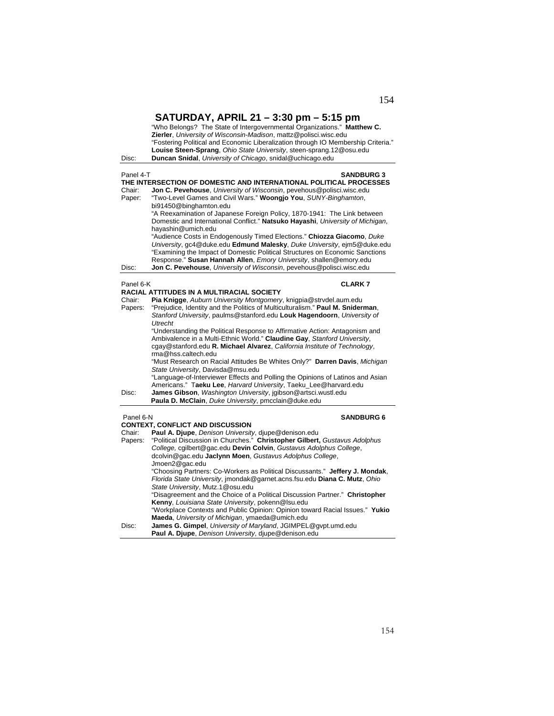|                                         | SATURDAY, APRIL 21 - 3:30 pm - 5:15 pm<br>"Who Belongs? The State of Intergovernmental Organizations." Matthew C.<br>Zierler, University of Wisconsin-Madison, mattz@polisci.wisc.edu<br>"Fostering Political and Economic Liberalization through IO Membership Criteria."                                                                                                                                                                                                                                                                                                                                                                                                                                                                                                                                                                                                                                                                                     |
|-----------------------------------------|----------------------------------------------------------------------------------------------------------------------------------------------------------------------------------------------------------------------------------------------------------------------------------------------------------------------------------------------------------------------------------------------------------------------------------------------------------------------------------------------------------------------------------------------------------------------------------------------------------------------------------------------------------------------------------------------------------------------------------------------------------------------------------------------------------------------------------------------------------------------------------------------------------------------------------------------------------------|
| Disc:                                   | Louise Steen-Sprang, Ohio State University, steen-sprang.12@osu.edu<br>Duncan Snidal, University of Chicago, snidal@uchicago.edu                                                                                                                                                                                                                                                                                                                                                                                                                                                                                                                                                                                                                                                                                                                                                                                                                               |
| Panel 4-T<br>Chair:<br>Paper:           | <b>SANDBURG 3</b><br>THE INTERSECTION OF DOMESTIC AND INTERNATIONAL POLITICAL PROCESSES<br><b>Jon C. Pevehouse, University of Wisconsin, pevehous @polisci.wisc.edu</b><br>"Two-Level Games and Civil Wars." Woongjo You, SUNY-Binghamton,<br>bi91450@binghamton.edu<br>"A Reexamination of Japanese Foreign Policy, 1870-1941: The Link between<br>Domestic and International Conflict." Natsuko Hayashi, University of Michigan,<br>hayashin@umich.edu<br>"Audience Costs in Endogenously Timed Elections." Chiozza Giacomo, Duke<br>University, gc4@duke.edu Edmund Malesky, Duke University, ejm5@duke.edu                                                                                                                                                                                                                                                                                                                                                 |
| Disc:                                   | "Examining the Impact of Domestic Political Structures on Economic Sanctions<br>Response." Susan Hannah Allen, Emory University, shallen@emory.edu<br>Jon C. Pevehouse, University of Wisconsin, pevehous@polisci.wisc.edu                                                                                                                                                                                                                                                                                                                                                                                                                                                                                                                                                                                                                                                                                                                                     |
| Panel 6-K                               | <b>CLARK7</b>                                                                                                                                                                                                                                                                                                                                                                                                                                                                                                                                                                                                                                                                                                                                                                                                                                                                                                                                                  |
| Chair:<br>Papers:<br>Disc:              | RACIAL ATTITUDES IN A MULTIRACIAL SOCIETY<br>Pia Knigge, Auburn University Montgomery, knigpia@strvdel.aum.edu<br>"Prejudice, Identity and the Politics of Multiculturalism." Paul M. Sniderman,<br>Stanford University, paulms@stanford.edu Louk Hagendoorn, University of<br><b>Utrecht</b><br>"Understanding the Political Response to Affirmative Action: Antagonism and<br>Ambivalence in a Multi-Ethnic World." Claudine Gay, Stanford University,<br>cgay@stanford.edu R. Michael Alvarez, California Institute of Technology,<br>rma@hss.caltech.edu<br>"Must Research on Racial Attitudes Be Whites Only?" Darren Davis, Michigan<br>State University, Davisda@msu.edu<br>"Language-of-Interviewer Effects and Polling the Opinions of Latinos and Asian<br>Americans." Taeku Lee, Harvard University, Taeku_Lee@harvard.edu<br>James Gibson, Washington University, jgibson@artsci.wustl.edu<br>Paula D. McClain, Duke University, pmcclain@duke.edu |
| Panel 6-N<br>Chair:<br>Papers:<br>Disc: | <b>SANDBURG 6</b><br><b>CONTEXT. CONFLICT AND DISCUSSION</b><br>Paul A. Djupe, Denison University, djupe@denison.edu<br>"Political Discussion in Churches." Christopher Gilbert, Gustavus Adolphus<br>College, cgilbert@gac.edu Devin Colvin, Gustavus Adolphus College,<br>dcolvin@gac.edu Jaclynn Moen, Gustavus Adolphus College,<br>Jmoen2@gac.edu<br>"Choosing Partners: Co-Workers as Political Discussants." Jeffery J. Mondak,<br>Florida State University, jmondak@garnet.acns.fsu.edu Diana C. Mutz, Ohio<br>State University, Mutz.1@osu.edu<br>"Disagreement and the Choice of a Political Discussion Partner." Christopher<br>Kenny, Louisiana State University, pokenn@Isu.edu<br>"Workplace Contexts and Public Opinion: Opinion toward Racial Issues." Yukio<br>Maeda, University of Michigan, ymaeda@umich.edu<br>James G. Gimpel, University of Maryland, JGIMPEL@gvpt.umd.edu                                                               |
|                                         | Paul A. Djupe, Denison University, djupe@denison.edu                                                                                                                                                                                                                                                                                                                                                                                                                                                                                                                                                                                                                                                                                                                                                                                                                                                                                                           |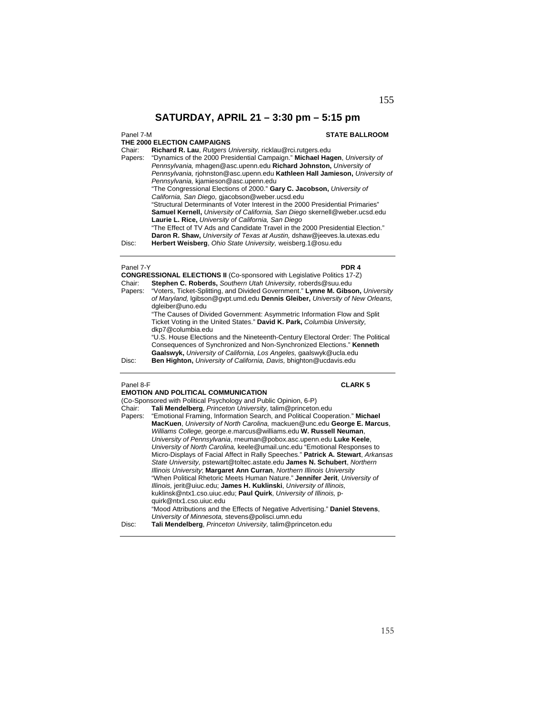**THE 2000 ELECTION CAMPAIGNS** 

# Panel 7-M **STATE BALLROOM**

|         | THE 2000 ELECTION CAMPAIGNS                                                        |
|---------|------------------------------------------------------------------------------------|
| Chair:  | Richard R. Lau, Rutgers University, ricklau@rci.rutgers.edu                        |
| Papers: | "Dynamics of the 2000 Presidential Campaign." Michael Hagen, University of         |
|         | Pennsylvania, mhagen@asc.upenn.edu Richard Johnston, University of                 |
|         | Pennsylvania, riohnston@asc.upenn.edu Kathleen Hall Jamieson, University of        |
|         | Pennsylvania, kjamieson@asc.upenn.edu                                              |
|         | "The Congressional Elections of 2000." Gary C. Jacobson, University of             |
|         | California, San Diego, gjacobson@weber.ucsd.edu                                    |
|         | "Structural Determinants of Voter Interest in the 2000 Presidential Primaries"     |
|         | <b>Samuel Kernell, University of California, San Diego skernell@weber.ucsd.edu</b> |
|         | Laurie L. Rice, University of California, San Diego                                |
|         | "The Effect of TV Ads and Candidate Travel in the 2000 Presidential Election."     |
|         | Daron R. Shaw, University of Texas at Austin, dshaw@jeeves.la.utexas.edu           |
| Disc:   | Herbert Weisberg, Ohio State University, weisberg.1@osu.edu                        |

# Panel 7-Y **PDR 4**

|         | <b>CONGRESSIONAL ELECTIONS II (Co-sponsored with Legislative Politics 17-Z)</b>                                                                                                                                                |
|---------|--------------------------------------------------------------------------------------------------------------------------------------------------------------------------------------------------------------------------------|
| Chair:  | Stephen C. Roberds, Southern Utah University, roberds@suu.edu                                                                                                                                                                  |
| Papers: | "Voters, Ticket-Splitting, and Divided Government." Lynne M. Gibson, University<br>of Maryland, Iqibson@qvpt.umd.edu Dennis Gleiber, University of New Orleans,<br>dgleiber@uno.edu                                            |
|         | "The Causes of Divided Government: Asymmetric Information Flow and Split<br>Ticket Voting in the United States." David K. Park, Columbia University,<br>dkp7@columbia.edu                                                      |
|         | "U.S. House Elections and the Nineteenth-Century Electoral Order: The Political<br>Consequences of Synchronized and Non-Synchronized Elections." Kenneth<br>Gaalswyk, University of California, Los Angeles, gaalswyk@ucla.edu |
| Disc:   | Ben Highton, University of California, Davis, bhighton@ucdavis.edu                                                                                                                                                             |

Panel 8-F **CLARK 5**

|         | <b>EMOTION AND POLITICAL COMMUNICATION</b>                                       |
|---------|----------------------------------------------------------------------------------|
|         | (Co-Sponsored with Political Psychology and Public Opinion, 6-P)                 |
| Chair:  | Tali Mendelberg, Princeton University, talim@princeton.edu                       |
| Papers: | "Emotional Framing, Information Search, and Political Cooperation." Michael      |
|         | MacKuen, University of North Carolina, mackuen@unc.edu George E. Marcus,         |
|         | Williams College, george.e.marcus@williams.edu W. Russell Neuman,                |
|         | University of Pennsylvania, rneuman@pobox.asc.upenn.edu Luke Keele,              |
|         | University of North Carolina, keele@umail.unc.edu "Emotional Responses to        |
|         | Micro-Displays of Facial Affect in Rally Speeches." Patrick A. Stewart, Arkansas |
|         | State University, pstewart@toltec.astate.edu James N. Schubert, Northern         |
|         | Illinois University; Margaret Ann Curran, Northern Illinois University           |
|         | "When Political Rhetoric Meets Human Nature." Jennifer Jerit, University of      |
|         | Illinois, jerit@uiuc.edu; James H. Kuklinski, University of Illinois,            |
|         | kuklinsk@ntx1.cso.uiuc.edu; Paul Quirk, University of Illinois, p-               |
|         | quirk@ntx1.cso.uiuc.edu                                                          |
|         | "Mood Attributions and the Effects of Negative Advertising." Daniel Stevens,     |
|         | University of Minnesota, stevens@polisci.umn.edu                                 |
| Disc:   | Tali Mendelberg, Princeton University, talim@princeton.edu                       |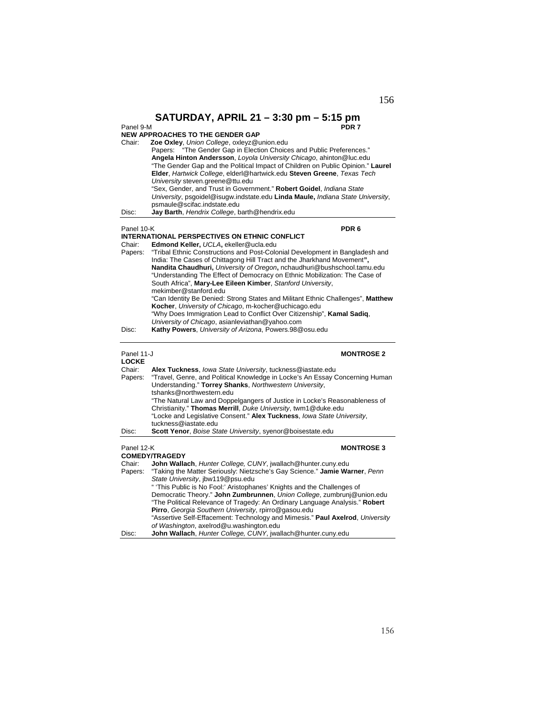## Panel 9-M **PDR 7** Panel 9-M<br>**NEW APPROACHES TO THE GENDER GAP**

| Chair:<br>Disc:            | Zoe Oxley, Union College, oxleyz@union.edu<br>"The Gender Gap in Election Choices and Public Preferences."<br>Papers:<br>Angela Hinton Andersson, Loyola University Chicago, ahinton@luc.edu<br>"The Gender Gap and the Political Impact of Children on Public Opinion." Laurel<br>Elder, Hartwick College, elderl@hartwick.edu Steven Greene, Texas Tech<br>University steven.greene@ttu.edu<br>"Sex, Gender, and Trust in Government." Robert Goidel, Indiana State<br>University, psgoidel@isugw.indstate.edu Linda Maule, Indiana State University,<br>psmaule@scifac.indstate.edu<br>Jay Barth, Hendrix College, barth@hendrix.edu |
|----------------------------|-----------------------------------------------------------------------------------------------------------------------------------------------------------------------------------------------------------------------------------------------------------------------------------------------------------------------------------------------------------------------------------------------------------------------------------------------------------------------------------------------------------------------------------------------------------------------------------------------------------------------------------------|
| Panel 10-K                 | PDR <sub>6</sub>                                                                                                                                                                                                                                                                                                                                                                                                                                                                                                                                                                                                                        |
|                            | <b>INTERNATIONAL PERSPECTIVES ON ETHNIC CONFLICT</b>                                                                                                                                                                                                                                                                                                                                                                                                                                                                                                                                                                                    |
| Chair:<br>Papers:          | Edmond Keller, UCLA, ekeller@ucla.edu<br>"Tribal Ethnic Constructions and Post-Colonial Development in Bangladesh and<br>India: The Cases of Chittagong Hill Tract and the Jharkhand Movement",<br>Nandita Chaudhuri, University of Oregon, nchaudhuri@bushschool.tamu.edu<br>"Understanding The Effect of Democracy on Ethnic Mobilization: The Case of<br>South Africa", Mary-Lee Eileen Kimber, Stanford University,<br>mekimber@stanford.edu<br>"Can Identity Be Denied: Strong States and Militant Ethnic Challenges", Matthew<br>Kocher, University of Chicago, m-kocher@uchicago.edu                                             |
|                            | "Why Does Immigration Lead to Conflict Over Citizenship", Kamal Sadiq,                                                                                                                                                                                                                                                                                                                                                                                                                                                                                                                                                                  |
| Disc:                      | University of Chicago, asianleviathan@yahoo.com<br>Kathy Powers, University of Arizona, Powers.98@osu.edu                                                                                                                                                                                                                                                                                                                                                                                                                                                                                                                               |
| Panel 11-J<br><b>LOCKE</b> | <b>MONTROSE 2</b>                                                                                                                                                                                                                                                                                                                                                                                                                                                                                                                                                                                                                       |
| Chair:<br>Papers:          | Alex Tuckness, Iowa State University, tuckness@iastate.edu<br>"Travel, Genre, and Political Knowledge in Locke's An Essay Concerning Human<br>Understanding." Torrey Shanks, Northwestern University,<br>tshanks@northwestern.edu<br>"The Natural Law and Doppelgangers of Justice in Locke's Reasonableness of<br>Christianity." Thomas Merrill, Duke University, twm1@duke.edu<br>"Locke and Legislative Consent." Alex Tuckness, lowa State University,<br>tuckness@iastate.edu                                                                                                                                                      |
| Disc:                      | Scott Yenor, Boise State University, syenor@boisestate.edu                                                                                                                                                                                                                                                                                                                                                                                                                                                                                                                                                                              |
| Panel 12-K                 | <b>MONTROSE 3</b><br><b>COMEDY/TRAGEDY</b>                                                                                                                                                                                                                                                                                                                                                                                                                                                                                                                                                                                              |
| Chair:<br>Papers:          | John Wallach, Hunter College, CUNY, jwallach@hunter.cuny.edu<br>"Taking the Matter Seriously: Nietzsche's Gay Science." Jamie Warner, Penn<br>State University, jbw119@psu.edu<br>" 'This Public is No Fool:' Aristophanes' Knights and the Challenges of<br>Democratic Theory." John Zumbrunnen, Union College, zumbrunj@union.edu<br>"The Political Relevance of Tragedy: An Ordinary Language Analysis." Robert<br>Pirro, Georgia Southern University, rpirro@gasou.edu<br>"Assertive Self-Effacement: Technology and Mimesis." Paul Axelrod, University<br>of Washington, axelrod@u.washington.edu                                  |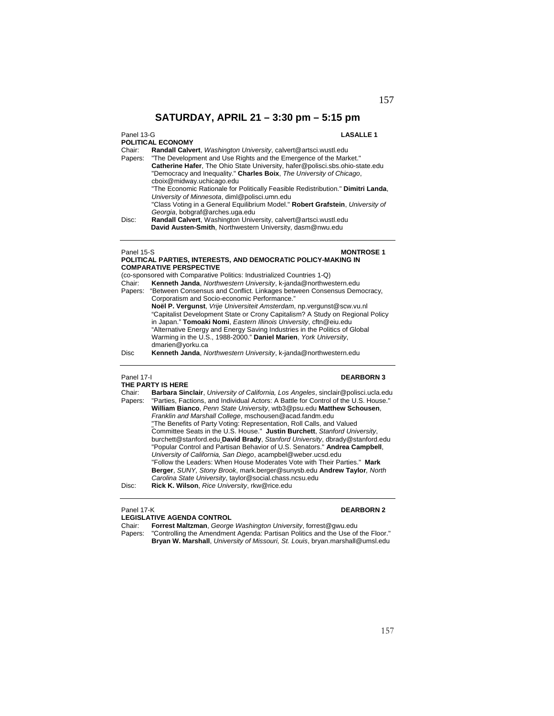Panel 13-G **LASALLE 1 POLITICAL ECONOMY** 

|         | PULITICAL ECUNUMY                                                                |
|---------|----------------------------------------------------------------------------------|
| Chair:  | Randall Calvert, Washington University, calvert@artsci.wustl.edu                 |
| Papers: | "The Development and Use Rights and the Emergence of the Market."                |
|         | Catherine Hafer, The Ohio State University, hafer@polisci.sbs.ohio-state.edu     |
|         | "Democracy and Inequality." Charles Boix, The University of Chicago,             |
|         | cboix@midway.uchicago.edu                                                        |
|         | "The Economic Rationale for Politically Feasible Redistribution." Dimitri Landa, |
|         | University of Minnesota, diml@polisci.umn.edu                                    |
|         | "Class Voting in a General Equilibrium Model." Robert Grafstein, University of   |
|         | Georgia, bobgraf@arches.uga.edu                                                  |
| Disc:   | Randall Calvert, Washington University, calvert@artsci.wustl.edu                 |
|         | David Austen-Smith, Northwestern University, dasm@nwu.edu                        |
|         |                                                                                  |

### Panel 15-S **MONTROSE 1 POLITICAL PARTIES, INTERESTS, AND DEMOCRATIC POLICY-MAKING IN COMPARATIVE PERSPECTIVE**

(co-sponsored with Comparative Politics: Industrialized Countries 1-Q)

| Chair:  | Kenneth Janda, Northwestern University, k-janda@northwestern.edu              |
|---------|-------------------------------------------------------------------------------|
| Papers: | "Between Consensus and Conflict. Linkages between Consensus Democracy,        |
|         | Corporatism and Socio-economic Performance."                                  |
|         | Noël P. Vergunst, Vrije Universiteit Amsterdam, np. vergunst@scw.vu.nl        |
|         | "Capitalist Development State or Crony Capitalism? A Study on Regional Policy |
|         | in Japan." Tomoaki Nomi, Eastern Illinois University, cftn@eiu.edu            |
|         | "Alternative Energy and Energy Saving Industries in the Politics of Global    |
|         | Warming in the U.S., 1988-2000." Daniel Marien, York University,              |
|         | dmarien@yorku.ca                                                              |
| Disc    | Kenneth Janda, Northwestern University, k-janda@northwestern.edu              |

**THE PARTY IS HERE** 

## Panel 17-I **DEARBORN 3**

| Barbara Sinclair, University of California, Los Angeles, sinclair@polisci.ucla.edu  |
|-------------------------------------------------------------------------------------|
| "Parties, Factions, and Individual Actors: A Battle for Control of the U.S. House." |
| William Bianco, Penn State University, wtb3@psu.edu Matthew Schousen,               |
| Franklin and Marshall College, mschousen@acad.fandm.edu                             |
| "The Benefits of Party Voting: Representation, Roll Calls, and Valued               |
| Committee Seats in the U.S. House." Justin Burchett, Stanford University,           |
| burchett@stanford.edu David Brady, Stanford University, dbrady@stanford.edu         |
| "Popular Control and Partisan Behavior of U.S. Senators." Andrea Campbell,          |
| University of California, San Diego, acampbel@weber.ucsd.edu                        |
| "Follow the Leaders: When House Moderates Vote with Their Parties." Mark            |
| Berger, SUNY, Stony Brook, mark.berger@sunysb.edu Andrew Taylor, North              |
| Carolina State University, taylor@social.chass.ncsu.edu                             |
| Rick K. Wilson, Rice University, rkw@rice.edu                                       |
|                                                                                     |

### Panel 17-K **DEARBORN 2**

**LEGISLATIVE AGENDA CONTROL**<br>Chair: Forrest Maltzman, George

Chair: **Forrest Maltzman**, *George Washington University*, forrest@gwu.edu Papers: "Controlling the Amendment Agenda: Partisan Politics and the Use of the Floor."

**Bryan W. Marshall**, *University of Missouri, St. Louis*, bryan.marshall@umsl.edu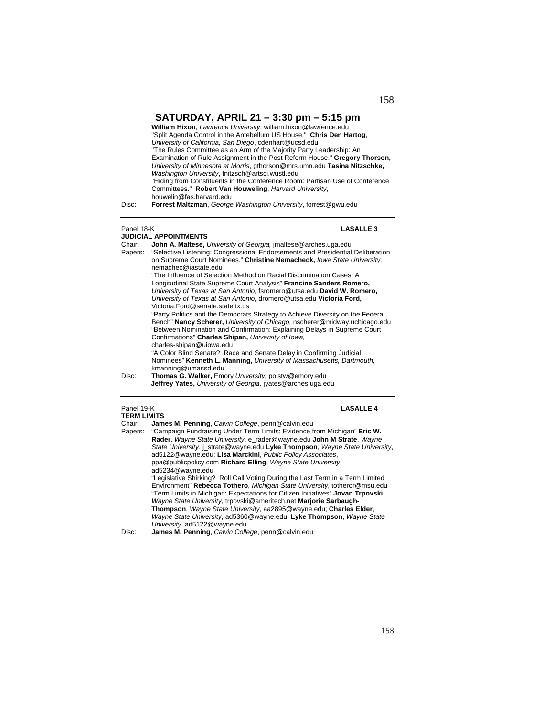| Disc:                           | William Hixon, Lawrence University, william.hixon@lawrence.edu<br>"Split Agenda Control in the Antebellum US House." Chris Den Hartog,<br>University of California, San Diego, cdenhart@ucsd.edu<br>"The Rules Committee as an Arm of the Majority Party Leadership: An<br>Examination of Rule Assignment in the Post Reform House." Gregory Thorson,<br>University of Minnesota at Morris, gthorson@mrs.umn.edu Tasina Nitzschke,<br>Washington University, tnitzsch@artsci.wustl.edu<br>"Hiding from Constituents in the Conference Room: Partisan Use of Conference<br>Committees." Robert Van Houweling, Harvard University,<br>houwelin@fas.harvard.edu<br>Forrest Maltzman, George Washington University, forrest@gwu.edu |                  |
|---------------------------------|---------------------------------------------------------------------------------------------------------------------------------------------------------------------------------------------------------------------------------------------------------------------------------------------------------------------------------------------------------------------------------------------------------------------------------------------------------------------------------------------------------------------------------------------------------------------------------------------------------------------------------------------------------------------------------------------------------------------------------|------------------|
| Panel 18-K<br>Chair:<br>Papers: | <b>JUDICIAL APPOINTMENTS</b><br>John A. Maltese, University of Georgia, imaltese@arches.uga.edu<br>"Selective Listening: Congressional Endorsements and Presidential Deliberation                                                                                                                                                                                                                                                                                                                                                                                                                                                                                                                                               | <b>LASALLE 3</b> |

on Supreme Court Nominees." **Christine Nemacheck,** *Iowa State University,*  nemachec@iastate.edu "The Influence of Selection Method on Racial Discrimination Cases: A Longitudinal State Supreme Court Analysis" **Francine Sanders Romero,**  *University of Texas at San Antonio,* fsromero@utsa.edu **David W. Romero,**  *University of Texas at San Antonio,* dromero@utsa.edu **Victoria Ford,**  Victoria.Ford@senate.state.tx.us "Party Politics and the Democrats Strategy to Achieve Diversity on the Federal Bench" **Nancy Scherer,** *University of Chicago,* nscherer@midway.uchicago.edu "Between Nomination and Confirmation: Explaining Delays in Supreme Court Confirmations" **Charles Shipan,** *University of Iowa,*  charles-shipan@uiowa.edu "A Color Blind Senate?: Race and Senate Delay in Confirming Judicial Nominees" **Kenneth L. Manning,** *University of Massachusetts, Dartmouth,*  kmanning@umassd.edu

Disc: **Thomas G. Walker,** Emory *University,* polstw@emory.edu **Jeffrey Yates,** *University of Georgia,* jyates@arches.uga.edu

# Panel 19-K **LASALLE 4**

| <b>TERM LIMITS</b> |                                                                                 |
|--------------------|---------------------------------------------------------------------------------|
| Chair:             | James M. Penning, Calvin College, penn@calvin.edu                               |
| Papers:            | "Campaign Fundraising Under Term Limits: Evidence from Michigan" Eric W.        |
|                    | Rader, Wayne State University, e rader@wayne.edu John M Strate, Wayne           |
|                    | State University, j_strate@wayne.edu Lyke Thompson, Wayne State University,     |
|                    | ad5122@wayne.edu; Lisa Marckini, Public Policy Associates,                      |
|                    | ppa@publicpolicy.com Richard Elling, Wayne State University,                    |
|                    | ad5234@wavne.edu                                                                |
|                    | "Legislative Shirking? Roll Call Voting During the Last Term in a Term Limited  |
|                    | Environment" Rebecca Tothero, Michigan State University, totheror@msu.edu       |
|                    | "Term Limits in Michigan: Expectations for Citizen Initiatives" Jovan Trpovski, |
|                    | Wayne State University, trpovski@ameritech.net Marjorie Sarbaugh-               |
|                    | Thompson, Wayne State University, aa2895@wayne.edu; Charles Elder,              |
|                    | Wayne State University, ad5360@wayne.edu; Lyke Thompson, Wayne State            |
|                    | University, ad5122@wayne.edu                                                    |
| Disc:              | James M. Penning, Calvin College, penn@calvin.edu                               |
|                    |                                                                                 |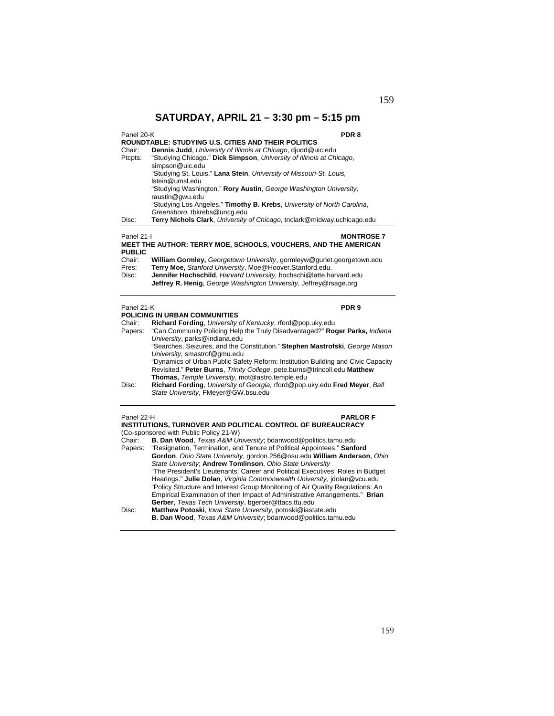| Panel 20-K<br><b>ROUNDTABLE: STUDYING U.S. CITIES AND THEIR POLITICS</b>                                                   |                                                                                                                                                                  | PDR 8 |
|----------------------------------------------------------------------------------------------------------------------------|------------------------------------------------------------------------------------------------------------------------------------------------------------------|-------|
| Chair:<br>Ptcpts:                                                                                                          | <b>Dennis Judd</b> , University of Illinois at Chicago, diudd@uic.edu<br>"Studying Chicago." Dick Simpson, University of Illinois at Chicago,<br>simpson@uic.edu |       |
|                                                                                                                            | "Studying St. Louis." Lana Stein, University of Missouri-St. Louis,<br>Istein@umsl.edu                                                                           |       |
|                                                                                                                            | "Studying Washington." <b>Rory Austin, George Washington University,</b><br>raustin@gwu.edu                                                                      |       |
|                                                                                                                            | "Studying Los Angeles." Timothy B. Krebs, University of North Carolina,<br>Greensboro, tbkrebs@uncq.edu                                                          |       |
| Disc:                                                                                                                      | Terry Nichols Clark, University of Chicago, tnclark@midway.uchicago.edu                                                                                          |       |
| Panel 21-I<br><b>MONTROSE 7</b><br><b>MEET THE AUTHOR: TERRY MOE, SCHOOLS, VOUCHERS, AND THE AMERICAN</b><br><b>PUBLIC</b> |                                                                                                                                                                  |       |
| Chair:<br>Pres:                                                                                                            | William Gormley, Georgetown University, gormleyw@gunet.georgetown.edu<br>Terry Moe, Stanford University, Moe@Hoover.Stanford.edu.                                |       |
| Disc:                                                                                                                      | Jennifer Hochschild, Harvard University, hochschi@latte.harvard.edu<br><b>Jeffrey R. Henig.</b> George Washington University, Jeffrey@rsage.org                  |       |
| Panel 21-K                                                                                                                 |                                                                                                                                                                  | PDR 9 |

# **POLICING IN URBAN COMMUNITIES**

| Chair:  | Richard Fording, University of Kentucky, rford@pop.uky.edu                       |
|---------|----------------------------------------------------------------------------------|
| Papers: | "Can Community Policing Help the Truly Disadvantaged?" Roger Parks, Indiana      |
|         | University, parks@indiana.edu                                                    |
|         | "Searches, Seizures, and the Constitution." Stephen Mastrofski, George Mason     |
|         | University, smastrof@gmu.edu                                                     |
|         | "Dynamics of Urban Public Safety Reform: Institution Building and Civic Capacity |
|         | Revisited." Peter Burns, Trinity College, pete.burns@trincoll.edu Matthew        |
|         | Thomas, Temple University, mot@astro.temple.edu                                  |
| Disc:   | Richard Fording, University of Georgia, rford@pop.uky.edu Fred Meyer, Ball       |
|         | State University, FMeyer@GW.bsu.edu                                              |
|         |                                                                                  |

| Panel 22-H<br><b>PARLOR F</b><br><b>INSTITUTIONS, TURNOVER AND POLITICAL CONTROL OF BUREAUCRACY</b><br>(Co-sponsored with Public Policy 21-W) |                                                                                 |  |
|-----------------------------------------------------------------------------------------------------------------------------------------------|---------------------------------------------------------------------------------|--|
| Chair:                                                                                                                                        | <b>B. Dan Wood</b> , Texas A&M University; bdanwood@politics.tamu.edu           |  |
|                                                                                                                                               | Papers: "Resignation, Termination, and Tenure of Political Appointees." Sanford |  |
|                                                                                                                                               | Gordon, Ohio State University, gordon.256@osu.edu William Anderson, Ohio        |  |
|                                                                                                                                               | State University; Andrew Tomlinson, Ohio State University                       |  |
|                                                                                                                                               | "The President's Lieutenants: Career and Political Executives' Roles in Budget  |  |
|                                                                                                                                               | Hearings." Julie Dolan, Virginia Commonwealth University, jdolan@vcu.edu        |  |
|                                                                                                                                               | "Policy Structure and Interest Group Monitoring of Air Quality Regulations: An  |  |
|                                                                                                                                               | Empirical Examination of then Impact of Administrative Arrangements." Brian     |  |
|                                                                                                                                               | Gerber, Texas Tech University, bgerber@ttacs.ttu.edu                            |  |
| Disc:                                                                                                                                         | Matthew Potoski, Iowa State University, potoski@iastate.edu                     |  |
|                                                                                                                                               | <b>B. Dan Wood</b> , Texas A&M University; bdanwood@politics.tamu.edu           |  |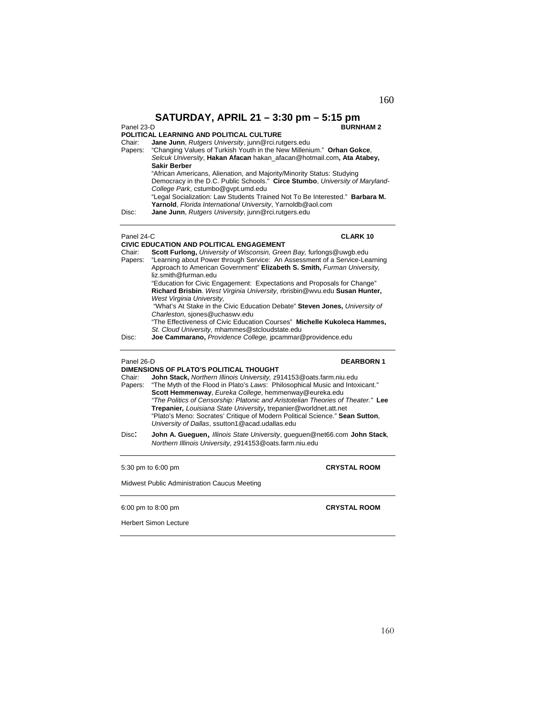### **BURNHAM 2**

160

## **POLITICAL LEARNING AND POLITICAL CULTURE**

Chair: **Jane Junn**, *Rutgers University*, junn@rci.rutgers.edu

Papers: "Changing Values of Turkish Youth in the New Millenium." **Orhan Gokce**, *Selcuk University*, **Hakan Afacan** hakan\_afacan@hotmail.com**, Ata Atabey, Sakir Berber** "African Americans, Alienation, and Majority/Minority Status: Studying Democracy in the D.C. Public Schools." **Circe Stumbo**, *University of Maryland-College Park*, cstumbo@gvpt.umd.edu "Legal Socialization: Law Students Trained Not To Be Interested." **Barbara M. Yarnold**, *Florida International University*, Yarnoldb@aol.com Disc: **Jane Junn**, *Rutgers University*, junn@rci.rutgers.edu

# Panel 24-C **CLARK 10 CIVIC EDUCATION AND POLITICAL ENGAGEMENT**

Chair: **Scott Furlong,** *University of Wisconsin, Green Bay,* furlongs@uwgb.edu Papers: "Learning about Power through Service: An Assessment of a Service-Learning Approach to American Government" **Elizabeth S. Smith,** *Furman University,*  liz.smith@furman.edu "Education for Civic Engagement: Expectations and Proposals for Change" **Richard Brisbin**. *West Virginia University,* rbrisbin@wvu.edu **Susan Hunter,**  *West Virginia University,* "What's At Stake in the Civic Education Debate" **Steven Jones,** *University of Charleston,* sjones@uchaswv.edu "The Effectiveness of Civic Education Courses" **Michelle Kukoleca Hammes,**  *St. Cloud University,* mhammes@stcloudstate.edu

### Panel 26-D **DEARBORN 1**

**DIMENSIONS OF PLATO'S POLITICAL THOUGHT**  Chair: **John Stack,** *Northern Illinois University,* z914153@oats.farm.niu.edu

- Papers: "The Myth of the Flood in Plato's *Laws*: Philosophical Music and Intoxicant." **Scott Hemmenway**, *Eureka College*, hemmenway@eureka.edu *"The Politics of Censorship: Platonic and Aristotelian Theories of Theater."* **Lee Trepanier***, Louisiana State University,* trepanier@worldnet.att.net "Plato's Meno: Socrates' Critique of Modern Political Science." **Sean Sutton**, *University of Dallas*, ssutton1@acad.udallas.edu
- Disc: **John A. Gueguen**, *Illinois State University*, gueguen@net66.com **John Stack***, Northern Illinois University*, z914153@oats.farm.niu.edu

5:30 pm to 6:00 pm **CRYSTAL ROOM** 

Midwest Public Administration Caucus Meeting

6:00 pm to 8:00 pm **CRYSTAL ROOM** 

Herbert Simon Lecture

Disc: **Joe Cammarano,** *Providence College,* jpcammar@providence.edu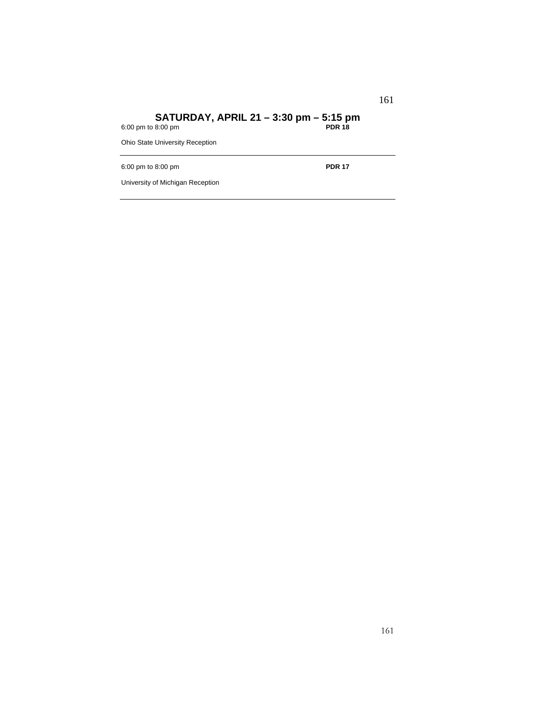## **SATURDAY, APRIL 21 – 3:30 pm – 5:15 pm**

6:00 pm to 8:00 pm **PDR 18**

Ohio State University Reception

6:00 pm to 8:00 pm **PDR 17**

University of Michigan Reception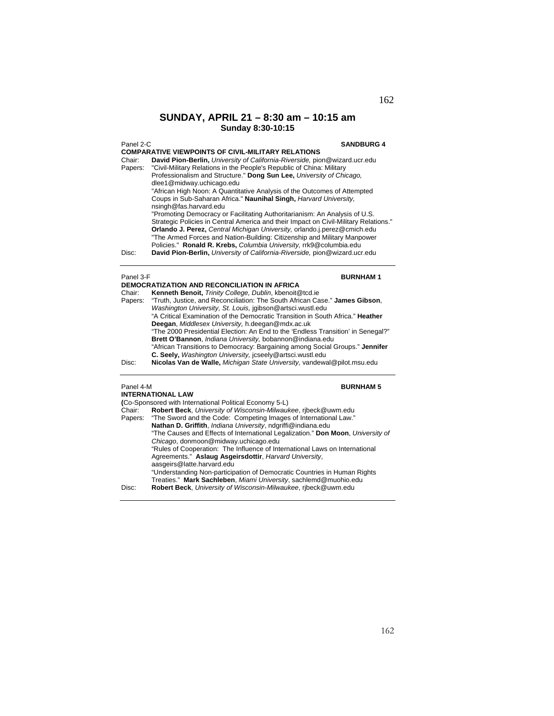### **SUNDAY, APRIL 21 – 8:30 am – 10:15 am Sunday 8:30-10:15**

| Panel 2-C | <b>SANDBURG 4</b>                                                                    |
|-----------|--------------------------------------------------------------------------------------|
|           | <b>COMPARATIVE VIEWPOINTS OF CIVIL-MILITARY RELATIONS</b>                            |
| Chair:    | David Pion-Berlin, University of California-Riverside, pion@wizard.ucr.edu           |
| Papers:   | "Civil-Military Relations in the People's Republic of China: Military                |
|           | Professionalism and Structure." Dong Sun Lee, University of Chicago,                 |
|           | dlee1@midway.uchicago.edu                                                            |
|           | "African High Noon: A Quantitative Analysis of the Outcomes of Attempted             |
|           | Coups in Sub-Saharan Africa." Naunihal Singh, Harvard University,                    |
|           | nsingh@fas.harvard.edu                                                               |
|           | "Promoting Democracy or Facilitating Authoritarianism: An Analysis of U.S.           |
|           | ".Strategic Policies in Central America and their Impact on Civil-Military Relations |
|           | Orlando J. Perez, Central Michigan University, orlando.j.perez@cmich.edu             |
|           | "The Armed Forces and Nation-Building: Citizenship and Military Manpower             |
|           | Policies." Ronald R. Krebs, Columbia University, rrk9@columbia.edu                   |
| Disc:     | David Pion-Berlin, University of California-Riverside, pion@wizard.ucr.edu           |
|           |                                                                                      |
|           |                                                                                      |

### Panel 3-F **BURNHAM 1**

|         | <b>DEMOCRATIZATION AND RECONCILIATION IN AFRICA</b>                              |
|---------|----------------------------------------------------------------------------------|
| Chair:  | Kenneth Benoit, Trinity College, Dublin, kbenoit@tcd.ie                          |
| Papers: | "Truth, Justice, and Reconciliation: The South African Case." James Gibson,      |
|         | Washington University, St. Louis, jqibson@artsci.wustl.edu                       |
|         | "A Critical Examination of the Democratic Transition in South Africa." Heather   |
|         | Deegan, Middlesex University, h.deegan@mdx.ac.uk                                 |
|         | "The 2000 Presidential Election: An End to the 'Endless Transition' in Senegal?" |
|         | Brett O'Bannon, Indiana University, bobannon@indiana.edu                         |
|         | "African Transitions to Democracy: Bargaining among Social Groups." Jennifer     |
|         | C. Seely, Washington University, jcseely@artsci.wustl.edu                        |
| Disc:   | Nicolas Van de Walle, Michigan State University, vandewal@pilot.msu.edu          |
|         |                                                                                  |

# **INTERNATIONAL LAW**

# Panel 4-M **BURNHAM 5**

|        | INTERNATIONAL LAW                                                               |
|--------|---------------------------------------------------------------------------------|
|        | (Co-Sponsored with International Political Economy 5-L)                         |
| Chair: | Robert Beck, University of Wisconsin-Milwaukee, ribeck@uwm.edu                  |
|        | Papers: "The Sword and the Code: Competing Images of International Law."        |
|        | Nathan D. Griffith, Indiana University, ndgriffi@indiana.edu                    |
|        | "The Causes and Effects of International Legalization." Don Moon, University of |
|        | Chicago, donmoon@midway.uchicago.edu                                            |
|        | "Rules of Cooperation: The Influence of International Laws on International     |
|        | Agreements." Aslaug Asgeirsdottir, Harvard University,                          |
|        | aasgeirs@latte.harvard.edu                                                      |
|        | "Understanding Non-participation of Democratic Countries in Human Rights        |
|        | Treaties." Mark Sachleben, Miami University, sachlemd@muohio.edu                |
| Disc:  | Robert Beck, University of Wisconsin-Milwaukee, ribeck@uwm.edu                  |
|        |                                                                                 |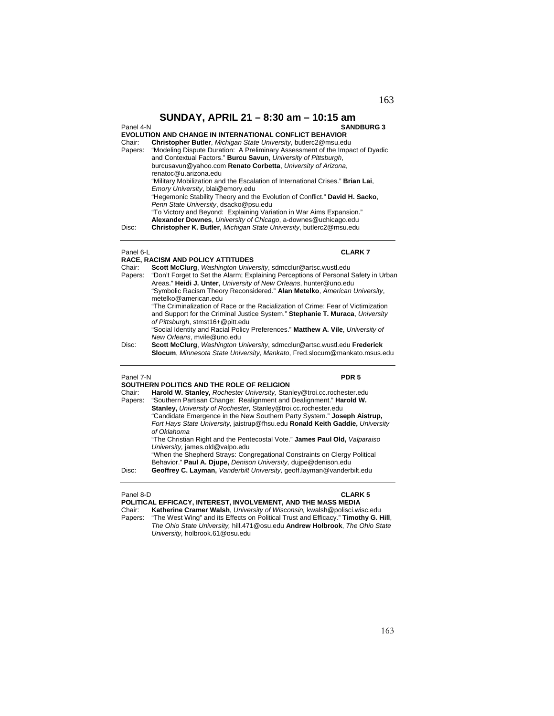**SUNDAY, APRIL 21 – 8:30 am – 10:15 am**  Panel 4-N **SANDBURG 3 EVOLUTION AND CHANGE IN INTERNATIONAL CONFLICT BEHAVIOR**  Chair: **Christopher Butler**, *Michigan State University*, butlerc2@msu.edu "Modeling Dispute Duration: A Preliminary Assessment of the Impact of Dyadic and Contextual Factors." **Burcu Savun**, *University of Pittsburgh*, burcusavun@yahoo.com **Renato Corbetta**, *University of Arizona*, renatoc@u.arizona.edu "Military Mobilization and the Escalation of International Crises." **Brian Lai**, *Emory University*, blai@emory.edu "Hegemonic Stability Theory and the Evolution of Conflict." **David H. Sacko**, *Penn State University*, dsacko@psu.edu "To Victory and Beyond: Explaining Variation in War Aims Expansion." **Alexander Downes**, *University of Chicago*, a-downes@uchicago.edu Disc: **Christopher K. Butler**, *Michigan State University*, butlerc2@msu.edu

### Panel 6-L **CLARK 7**

|         | <b>RACE. RACISM AND POLICY ATTITUDES</b>                                           |
|---------|------------------------------------------------------------------------------------|
| Chair:  | <b>Scott McClurg.</b> Washington University, sdmcclur@artsc.wustl.edu              |
| Papers: | "Don't Forget to Set the Alarm; Explaining Perceptions of Personal Safety in Urban |
|         | Areas." Heidi J. Unter, University of New Orleans, hunter@uno.edu                  |
|         | "Symbolic Racism Theory Reconsidered." Alan Metelko, American University,          |
|         | metelko@american.edu                                                               |
|         | "The Criminalization of Race or the Racialization of Crime: Fear of Victimization  |
|         | and Support for the Criminal Justice System." Stephanie T. Muraca, University      |
|         | of Pittsburgh, stmst16+@pitt.edu                                                   |
|         | "Social Identity and Racial Policy Preferences." Matthew A. Vile, University of    |
|         | New Orleans, mvile@uno.edu                                                         |
| Disc:   | Scott McClurg, Washington University, sdmcclur@artsc.wustl.edu Frederick           |
|         | Slocum, Minnesota State University, Mankato, Fred.slocum@mankato.msus.edu          |

### Panel 7-N **PDR 5**

**SOUTHERN POLITICS AND THE ROLE OF RELIGION** 

|         | SUUTHENN FULITIUS AND THE NULE OF NELIGIUN                                    |
|---------|-------------------------------------------------------------------------------|
| Chair:  | Harold W. Stanley, Rochester University, Stanley@troi.cc.rochester.edu        |
| Papers: | "Southern Partisan Change: Realignment and Dealignment." Harold W.            |
|         | Stanley, University of Rochester, Stanley@troi.cc.rochester.edu               |
|         | "Candidate Emergence in the New Southern Party System." Joseph Aistrup,       |
|         | Fort Hays State University, jaistrup@fhsu.edu Ronald Keith Gaddie, University |
|         | of Oklahoma                                                                   |
|         | "The Christian Right and the Pentecostal Vote." James Paul Old, Valparaiso    |
|         | University, james.old@valpo.edu                                               |
|         | "When the Shepherd Strays: Congregational Constraints on Clergy Political     |
|         | Behavior." Paul A. Djupe, Denison University, duipe@denison.edu               |
| Disc:   | Geoffrey C. Layman, Vanderbilt University, geoff.layman@vanderbilt.edu        |
|         |                                                                               |
|         |                                                                               |

### Panel 8-D **CLARK 5**

**POLITICAL EFFICACY, INTEREST, INVOLVEMENT, AND THE MASS MEDIA**  Chair: **Katherine Cramer Walsh**, *University of Wisconsin,* kwalsh@polisci.wisc.edu "The West Wing" and its Effects on Political Trust and Efficacy." Timothy G. Hill, *The Ohio State University,* hill.471@osu.edu **Andrew Holbrook**, *The Ohio State University,* holbrook.61@osu.edu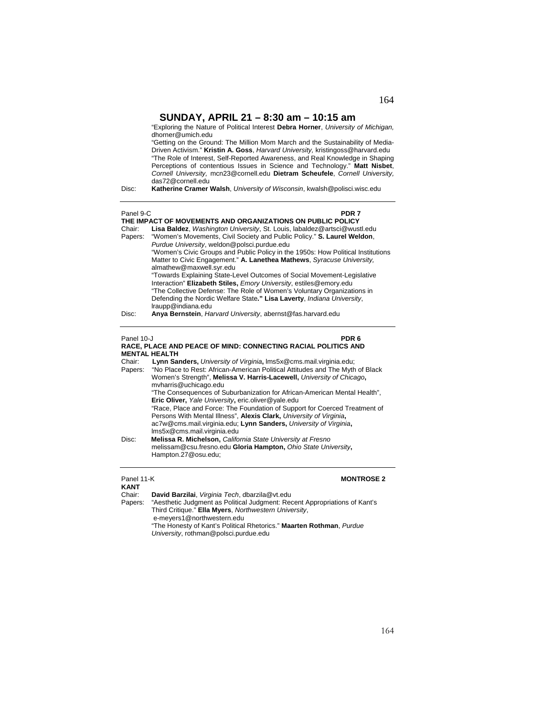|                            | SUNDAY, APRIL 21 – 8:30 am – 10:15 am<br>"Exploring the Nature of Political Interest Debra Horner, University of Michigan,<br>dhorner@umich.edu<br>"Getting on the Ground: The Million Mom March and the Sustainability of Media-<br>Driven Activism." Kristin A. Goss, Harvard University, kristingoss@harvard.edu<br>"The Role of Interest, Self-Reported Awareness, and Real Knowledge in Shaping<br>Perceptions of contentious Issues in Science and Technology." Matt Nisbet,<br>Cornell University, mcn23@cornell.edu Dietram Scheufele, Cornell University,<br>das72@cornell.edu                                                                                                                          |
|----------------------------|------------------------------------------------------------------------------------------------------------------------------------------------------------------------------------------------------------------------------------------------------------------------------------------------------------------------------------------------------------------------------------------------------------------------------------------------------------------------------------------------------------------------------------------------------------------------------------------------------------------------------------------------------------------------------------------------------------------|
| Disc:                      | Katherine Cramer Walsh, University of Wisconsin, kwalsh@polisci.wisc.edu                                                                                                                                                                                                                                                                                                                                                                                                                                                                                                                                                                                                                                         |
| Panel 9-C<br>Chair:        | PDR 7<br>THE IMPACT OF MOVEMENTS AND ORGANIZATIONS ON PUBLIC POLICY<br>Lisa Baldez, Washington University, St. Louis, labaldez@artsci@wustl.edu                                                                                                                                                                                                                                                                                                                                                                                                                                                                                                                                                                  |
| Papers:                    | "Women's Movements, Civil Society and Public Policy." S. Laurel Weldon,<br>Purdue University, weldon@polsci.purdue.edu<br>"Women's Civic Groups and Public Policy in the 1950s: How Political Institutions<br>Matter to Civic Engagement." A. Lanethea Mathews, Syracuse University,<br>almathew@maxwell.syr.edu<br>"Towards Explaining State-Level Outcomes of Social Movement-Legislative<br>Interaction" Elizabeth Stiles, Emory University, estiles@emory.edu<br>"The Collective Defense: The Role of Women's Voluntary Organizations in<br>Defending the Nordic Welfare State." Lisa Laverty, Indiana University,<br>Iraupp@indiana.edu                                                                     |
| Disc:                      | Anya Bernstein, Harvard University, abernst@fas.harvard.edu                                                                                                                                                                                                                                                                                                                                                                                                                                                                                                                                                                                                                                                      |
| Panel 10-J                 | PDR <sub>6</sub><br>RACE, PLACE AND PEACE OF MIND: CONNECTING RACIAL POLITICS AND<br><b>MENTAL HEALTH</b>                                                                                                                                                                                                                                                                                                                                                                                                                                                                                                                                                                                                        |
| Chair:<br>Papers:<br>Disc: | Lynn Sanders, University of Virginia, Ims5x@cms.mail.virginia.edu;<br>"No Place to Rest: African-American Political Attitudes and The Myth of Black<br>Women's Strength", Melissa V. Harris-Lacewell, University of Chicago,<br>mvharris@uchicago.edu<br>"The Consequences of Suburbanization for African-American Mental Health",<br>Eric Oliver, Yale University, eric oliver@yale.edu<br>"Race, Place and Force: The Foundation of Support for Coerced Treatment of<br>Persons With Mental Illness", Alexis Clark, University of Virginia,<br>ac7w@cms.mail.virginia.edu; Lynn Sanders, University of Virginia,<br>Ims5x@cms.mail.virginia.edu<br>Melissa R. Michelson, California State University at Fresno |
|                            | melissam@csu.fresno.edu Gloria Hampton, Ohio State University,<br>Hampton.27@osu.edu;                                                                                                                                                                                                                                                                                                                                                                                                                                                                                                                                                                                                                            |

**Panel 11-K MONTROSE 2 KANT**<br>Chair: Chair: **David Barzilai**, *Virginia Tech*, dbarzila@vt.edu Papers: "Aesthetic Judgment as Political Judgment: Recent Appropriations of Kant's Third Critique." **Ella Myers**, *Northwestern University*, e-meyers1@northwestern.edu "The Honesty of Kant's Political Rhetorics." **Maarten Rothman**, *Purdue University*, rothman@polsci.purdue.edu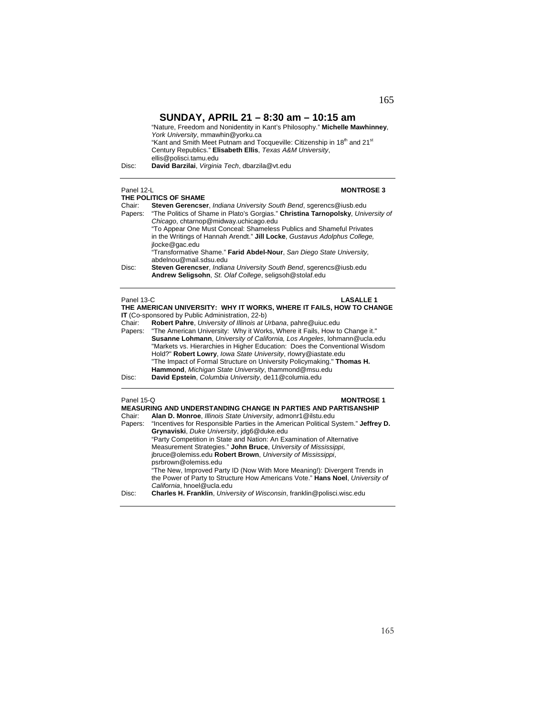|       | "Nature, Freedom and Nonidentity in Kant's Philosophy." Michelle Mawhinney,                       |
|-------|---------------------------------------------------------------------------------------------------|
|       | York University, mmawhin@yorku.ca                                                                 |
|       | "Kant and Smith Meet Putnam and Tocqueville: Citizenship in 18 <sup>th</sup> and 21 <sup>st</sup> |
|       | Century Republics." Elisabeth Ellis, Texas A&M University,                                        |
|       | ellis@polisci.tamu.edu                                                                            |
| Disc: | David Barzilai. Virginia Tech. dbarzila@vt.edu                                                    |
|       |                                                                                                   |

## **THE POLITICS OF SHAME**

## Panel 12-L **MONTROSE 3**

| THE FULITIUS OF SHAME                                                                       |  |  |
|---------------------------------------------------------------------------------------------|--|--|
| Steven Gerencser, Indiana University South Bend, sgerencs@iusb.edu                          |  |  |
| "The Politics of Shame in Plato's Gorgias." Christina Tarnopolsky, University of<br>Papers: |  |  |
| Chicago, chtarnop@midway.uchicago.edu                                                       |  |  |
| "To Appear One Must Conceal: Shameless Publics and Shameful Privates                        |  |  |
| in the Writings of Hannah Arendt." Jill Locke, Gustavus Adolphus College,                   |  |  |
| ilocke@gac.edu                                                                              |  |  |
| "Transformative Shame." Farid Abdel-Nour, San Diego State University,                       |  |  |
| abdelnou@mail.sdsu.edu                                                                      |  |  |
| Steven Gerencser, Indiana University South Bend, sgerencs@iusb.edu                          |  |  |
| Andrew Seligsohn, St. Olaf College, seligsoh@stolaf.edu                                     |  |  |
|                                                                                             |  |  |

| <b>LASALLE 1</b><br>Panel 13-C                                       |                                                                                   |  |
|----------------------------------------------------------------------|-----------------------------------------------------------------------------------|--|
| THE AMERICAN UNIVERSITY: WHY IT WORKS, WHERE IT FAILS, HOW TO CHANGE |                                                                                   |  |
|                                                                      | IT (Co-sponsored by Public Administration, 22-b)                                  |  |
| Chair:                                                               | Robert Pahre, University of Illinois at Urbana, pahre@uiuc.edu                    |  |
| Papers:                                                              | "The American University: Why it Works, Where it Fails, How to Change it."        |  |
|                                                                      | <b>Susanne Lohmann</b> , University of California, Los Angeles, lohmann@ucla.edu  |  |
|                                                                      | "Markets vs. Hierarchies in Higher Education: Does the Conventional Wisdom        |  |
|                                                                      | Hold?" Robert Lowry, lowa State University, rlowry@iastate.edu                    |  |
|                                                                      | "The Impact of Formal Structure on University Policymaking." Thomas H.            |  |
|                                                                      | Hammond, Michigan State University, thammond@msu.edu                              |  |
| Disc:                                                                | David Epstein, Columbia University, de11@columia.edu                              |  |
| Panel 15-Q                                                           | <b>MONTROSE 1</b>                                                                 |  |
|                                                                      | <b>MEASURING AND UNDERSTANDING CHANGE IN PARTIES AND PARTISANSHIP</b>             |  |
| Chair:                                                               | Alan D. Monroe, Illinois State University, admonr1@ilstu.edu                      |  |
| Papers:                                                              | "Incentives for Responsible Parties in the American Political System." Jeffrey D. |  |
|                                                                      | Grynaviski, Duke University, jdg6@duke.edu                                        |  |
|                                                                      | "Party Competition in State and Nation: An Examination of Alternative             |  |
|                                                                      | Measurement Strategies." John Bruce, University of Mississippi,                   |  |
|                                                                      | jbruce@olemiss.edu Robert Brown, University of Mississippi,                       |  |
|                                                                      | psrbrown@olemiss.edu                                                              |  |

"The New, Improved Party ID (Now With More Meaning!): Divergent Trends in the Power of Party to Structure How Americans Vote." **Hans Noel**, *University of California*, hnoel@ucla.edu

Disc: **Charles H. Franklin**, *University of Wisconsin*, franklin@polisci.wisc.edu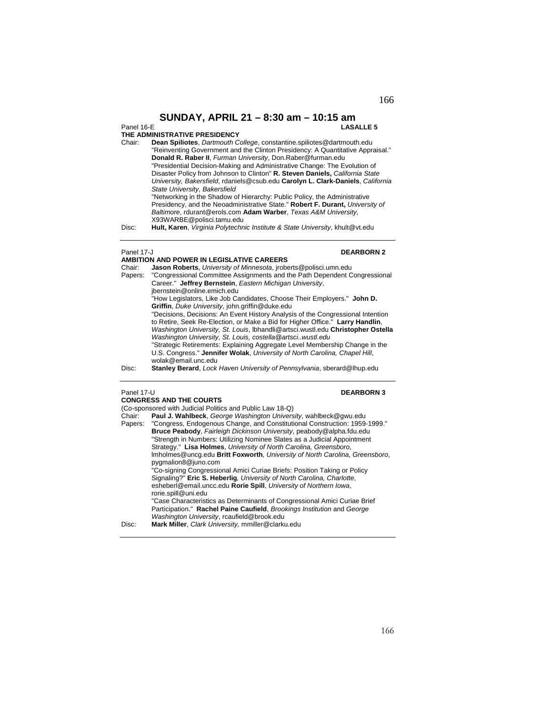## Panel 16-E **LASALLE 5**

# **THE ADMINISTRATIVE PRESIDENCY**<br>Chair: **Dean Spiliotes** *Dartmouth C*

| Chair: | <b>Dean Spiliotes, Dartmouth College, constantine.spiliotes@dartmouth.edu</b>                                                                                                                                                                                                                                                                           |
|--------|---------------------------------------------------------------------------------------------------------------------------------------------------------------------------------------------------------------------------------------------------------------------------------------------------------------------------------------------------------|
|        | "Reinventing Government and the Clinton Presidency: A Quantitative Appraisal."                                                                                                                                                                                                                                                                          |
|        | Donald R. Raber II, Furman University, Don.Raber@furman.edu                                                                                                                                                                                                                                                                                             |
|        | "Presidential Decision-Making and Administrative Change: The Evolution of                                                                                                                                                                                                                                                                               |
|        | Disaster Policy from Johnson to Clinton" R. Steven Daniels, California State                                                                                                                                                                                                                                                                            |
|        | University, Bakersfield, rdaniels@csub.edu Carolyn L. Clark-Daniels, California                                                                                                                                                                                                                                                                         |
|        | State University, Bakersfield                                                                                                                                                                                                                                                                                                                           |
|        | "Networking in the Shadow of Hierarchy: Public Policy, the Administrative                                                                                                                                                                                                                                                                               |
|        | Presidency, and the Neoadministrative State." Robert F. Durant, University of                                                                                                                                                                                                                                                                           |
|        | Baltimore, rdurant@erols.com Adam Warber, Texas A&M University,                                                                                                                                                                                                                                                                                         |
|        | X93WARBE@polisci.tamu.edu                                                                                                                                                                                                                                                                                                                               |
| Dioo:  | $\mathbf{u}_{\mathbf{u}}$ $\mathbf{u}_{\mathbf{v}}$ $\mathbf{v}_{\mathbf{v}}$ $\mathbf{v}_{\mathbf{v}}$ $\mathbf{v}_{\mathbf{v}}$ and $\mathbf{v}_{\mathbf{v}}$ be provided by the problem of $\mathbf{v}_{\mathbf{v}}$ and $\mathbf{v}_{\mathbf{v}}$ and $\mathbf{v}_{\mathbf{v}}$ and $\mathbf{v}_{\mathbf{v}}$ and $\mathbf{v}_{\mathbf{v}}$ and $\$ |

Disc: **Hult, Karen**, *Virginia Polytechnic Institute & State University*, khult@vt.edu

### Panel 17-J<br> **DEARBORN 2**

### **AMBITION AND POWER IN LEGISLATIVE CAREERS**

| Chair:            | <b>Jason Roberts</b> , University of Minnesota, iroberts@polisci.umn.edu        |
|-------------------|---------------------------------------------------------------------------------|
| Papers:           | "Congressional Committee Assignments and the Path Dependent Congressional       |
|                   | Career." Jeffrey Bernstein, Eastern Michigan University,                        |
|                   | ibernstein@online.emich.edu                                                     |
|                   | "How Legislators, Like Job Candidates, Choose Their Employers." John D.         |
|                   | Griffin, Duke University, john.griffin@duke.edu                                 |
|                   | "Decisions, Decisions: An Event History Analysis of the Congressional Intention |
|                   | to Retire, Seek Re-Election, or Make a Bid for Higher Office." Larry Handlin,   |
|                   | Washington University, St. Louis, Ibhandli@artsci.wustl.edu Christopher Ostella |
|                   | Washington University, St. Louis, costella @artsciwustl.edu                     |
|                   | "Strategic Retirements: Explaining Aggregate Level Membership Change in the     |
|                   | U.S. Congress." Jennifer Wolak, University of North Carolina, Chapel Hill,      |
|                   | wolak@email.unc.edu                                                             |
| Diec <sup>.</sup> | Stanley Berard, Lock Haven University of Dennsylvania, sherard@lbup.edu.        |

**Stanley Berard**, *Lock Haven University of Pennsylvania*, sberard@lhup.edu

### Panel 17-U **DEARBORN 3**

### **CONGRESS AND THE COURTS**

(Co-sponsored with Judicial Politics and Public Law 18-Q)<br>Chair: Paul J. Wahlbeck George Washington Univers Chair: **Paul J. Wahlbeck**, *George Washington University*, wahlbeck@gwu.edu Papers: "Congress, Endogenous Change, and Constitutional Construction: 1959-1999." **Bruce Peabody**, *Fairleigh Dickinson University*, peabody@alpha.fdu.edu "Strength in Numbers: Utilizing Nominee Slates as a Judicial Appointment Strategy." **Lisa Holmes**, *University of North Carolina, Greensboro*, lmholmes@uncg.edu **Britt Foxworth***, University of North Carolina, Greensboro*, pygmalion8@juno.com "Co-signing Congressional Amici Curiae Briefs: Position Taking or Policy Signaling?" **Eric S. Heberlig***, University of North Carolina, Charlotte*, esheberl@email.uncc.edu **Rorie Spill**, *University of Northern Iowa*, rorie.spill@uni.edu "Case Characteristics as Determinants of Congressional Amici Curiae Brief Participation." **Rachel Paine Caufield**, *Brookings Institution* and *George Washington University*, rcaufield@brook.edu Disc: **Mark Miller**, *Clark University,* mmiller@clarku.edu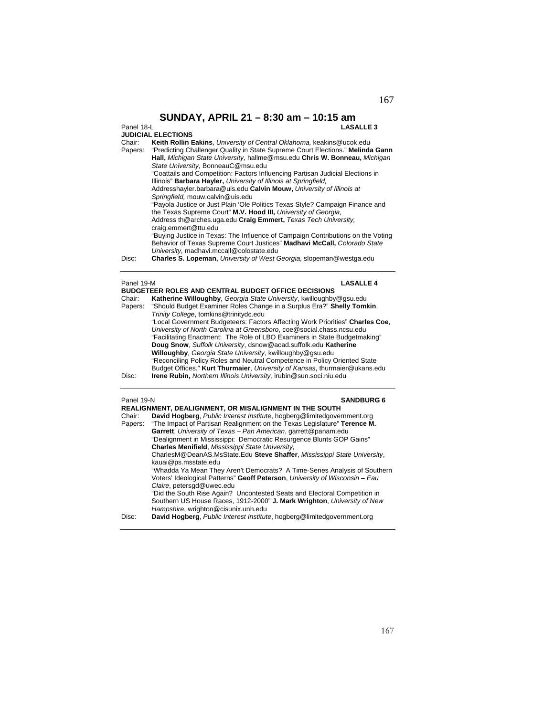|                   | SUNDAY, APRIL 21 - 8:30 am - 10:15 am                                                                                                                                                                   |
|-------------------|---------------------------------------------------------------------------------------------------------------------------------------------------------------------------------------------------------|
| Panel 18-L        | <b>LASALLE 3</b>                                                                                                                                                                                        |
|                   | <b>JUDICIAL ELECTIONS</b>                                                                                                                                                                               |
| Chair:<br>Papers: | Keith Rollin Eakins, University of Central Oklahoma, keakins@ucok.edu<br>"Predicting Challenger Quality in State Supreme Court Elections." Melinda Gann                                                 |
|                   | Hall, Michigan State University, hallme@msu.edu Chris W. Bonneau, Michigan<br>State University, BonneauC@msu.edu                                                                                        |
|                   | "Coattails and Competition: Factors Influencing Partisan Judicial Elections in<br>Illinois" Barbara Hayler, University of Illinois at Springfield,                                                      |
|                   | Addresshayler.barbara@uis.edu Calvin Mouw, University of Illinois at<br>Springfield, mouw.calvin@uis.edu                                                                                                |
|                   | "Payola Justice or Just Plain 'Ole Politics Texas Style? Campaign Finance and<br>the Texas Supreme Court" M.V. Hood III, University of Georgia.                                                         |
|                   | Address th@arches.uga.edu Craig Emmert, Texas Tech University.<br>craig.emmert@ttu.edu                                                                                                                  |
|                   | "Buying Justice in Texas: The Influence of Campaign Contributions on the Voting<br>Behavior of Texas Supreme Court Justices" Madhavi McCall, Colorado State<br>University, madhavi.mccall@colostate.edu |
| Disc:             | <b>Charles S. Lopeman, University of West Georgia, slopeman@westga.edu</b>                                                                                                                              |

| <b>LASALLE 4</b><br>Panel 19-M  |                                                                                                                                                                                                                                                                                                                                        |
|---------------------------------|----------------------------------------------------------------------------------------------------------------------------------------------------------------------------------------------------------------------------------------------------------------------------------------------------------------------------------------|
| Chair:<br>Papers:               | <b>BUDGETEER ROLES AND CENTRAL BUDGET OFFICE DECISIONS</b><br>Katherine Willoughby, Georgia State University, kwilloughby@gsu.edu<br>"Should Budget Examiner Roles Change in a Surplus Era?" Shelly Tomkin,<br>Trinity College, tomkins@trinitydc.edu<br>"Local Government Budgeteers: Factors Affecting Work Priorities" Charles Coe, |
|                                 | University of North Carolina at Greensboro, coe@social.chass.ncsu.edu<br>"Facilitating Enactment: The Role of LBO Examiners in State Budgetmaking"<br>Doug Snow, Suffolk University, dsnow@acad.suffolk.edu Katherine<br>Willoughby, Georgia State University, kwilloughby@gsu.edu                                                     |
|                                 | "Reconciling Policy Roles and Neutral Competence in Policy Oriented State<br>Budget Offices." Kurt Thurmaier, University of Kansas, thurmaier@ukans.edu                                                                                                                                                                                |
| Disc:                           | <b>Irene Rubin, Northern Illinois University, irubin@sun.soci.niu.edu</b>                                                                                                                                                                                                                                                              |
| Panel 19-N<br><b>SANDBURG 6</b> |                                                                                                                                                                                                                                                                                                                                        |
|                                 | REALIGNMENT, DEALIGNMENT, OR MISALIGNMENT IN THE SOUTH                                                                                                                                                                                                                                                                                 |
| Chair:                          | David Hogberg, Public Interest Institute, hogberg@limitedgovernment.org                                                                                                                                                                                                                                                                |
| Papers:                         | "The Impact of Partisan Realignment on the Texas Legislature" Terence M.                                                                                                                                                                                                                                                               |
|                                 | Garrett, University of Texas - Pan American, garrett@panam.edu<br>"Dealignment in Mississippi: Democratic Resurgence Blunts GOP Gains"                                                                                                                                                                                                 |
|                                 | Charles Menifield, Mississippi State University,                                                                                                                                                                                                                                                                                       |
|                                 | CharlesM@DeanAS.MsState.Edu Steve Shaffer, Mississippi State University,                                                                                                                                                                                                                                                               |
|                                 | kauai@ps.msstate.edu                                                                                                                                                                                                                                                                                                                   |
|                                 | "Whadda Ya Mean They Aren't Democrats? A Time-Series Analysis of Southern                                                                                                                                                                                                                                                              |
|                                 | Voters' Ideological Patterns" Geoff Peterson, University of Wisconsin - Eau                                                                                                                                                                                                                                                            |
|                                 |                                                                                                                                                                                                                                                                                                                                        |
|                                 | Claire, petersgd@uwec.edu                                                                                                                                                                                                                                                                                                              |
|                                 | "Did the South Rise Again? Uncontested Seats and Electoral Competition in<br>Southern US House Races, 1912-2000" J. Mark Wrighton, University of New<br>Hampshire, wrighton@cisunix.unh.edu                                                                                                                                            |

Disc: **David Hogberg**, *Public Interest Institute*, hogberg@limitedgovernment.org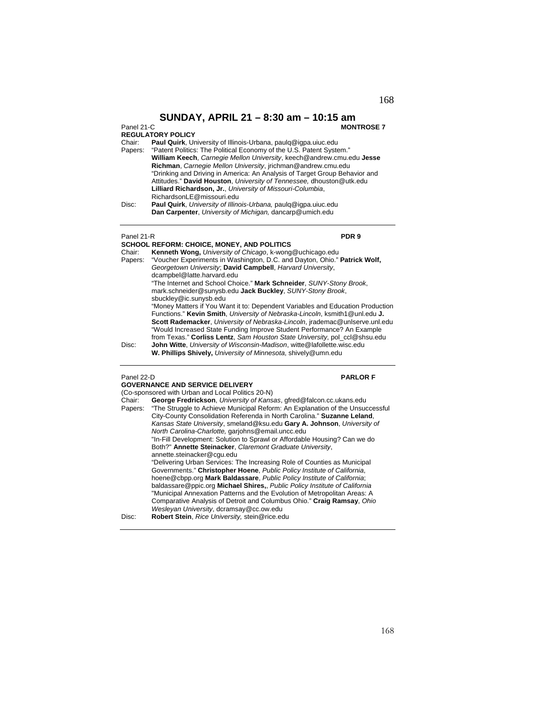### Panel 21-C **MONTROSE 7**

| <b>REGULATORY POLICY</b> |  |
|--------------------------|--|
|--------------------------|--|

Chair: **Paul Quirk**, University of Illinois-Urbana, paulq@igpa.uiuc.edu

Papers: "Patent Politics: The Political Economy of the U.S. Patent System." **William Keech**, *Carnegie Mellon University*, keech@andrew.cmu.edu **Jesse Richman**, *Carnegie Mellon University*, jrichman@andrew.cmu.edu "Drinking and Driving in America: An Analysis of Target Group Behavior and Attitudes." **David Houston**, *University of Tennessee,* dhouston@utk.edu **Lilliard Richardson, Jr.**, *University of Missouri-Columbia*, RichardsonLE@missouri.edu Disc: **Paul Quirk**, *University of Illinois-Urbana,* paulq@igpa.uiuc.edu **Dan Carpenter**, *University of Michigan,* dancarp@umich.edu

Panel 21-R **PDR 9**

### **SCHOOL REFORM: CHOICE, MONEY, AND POLITICS**  Chair: **Kenneth Wong,** *University of Chicago*, k-wong@uchicago.edu Papers: "Voucher Experiments in Washington, D.C. and Dayton, Ohio." **Patrick Wolf,** *Georgetown University*; **David Campbell**, *Harvard University*, dcampbel@latte.harvard.edu "The Internet and School Choice." **Mark Schneider**, *SUNY-Stony Brook*, mark.schneider@sunysb.edu **Jack Buckley**, *SUNY-Stony Brook*, sbuckley@ic.sunysb.edu "Money Matters if You Want it to: Dependent Variables and Education Production Functions." **Kevin Smith**, *University of Nebraska-Lincoln*, ksmith1@unl.edu **J. Scott Rademacker**, *University of Nebraska-Lincoln*, jrademac@unlserve.unl.edu "Would Increased State Funding Improve Student Performance? An Example from Texas." **Corliss Lentz**, *Sam Houston State University*, pol\_ccl@shsu.edu Disc: **John Witte**, *University of Wisconsin-Madison*, witte@lafollette.wisc.edu

**W. Phillips Shively,** *University of Minnesota*, shively@umn.edu

### Panel 22-D **PARLOR F**

### **GOVERNANCE AND SERVICE DELIVERY**

(Co-sponsored with Urban and Local Politics 20-N)<br>Chair: **George Fredrickson**, University of Kans Chair: **George Fredrickson**, *University of Kansas*, gfred@falcon.cc.ukans.edu "The Struggle to Achieve Municipal Reform: An Explanation of the Unsuccessful City-County Consolidation Referenda in North Carolina." **Suzanne Leland**, *Kansas State University*, smeland@ksu.edu **Gary A. Johnson**, *University of North Carolina-Charlotte,* garjohns@email.uncc.edu "In-Fill Development: Solution to Sprawl or Affordable Housing? Can we do Both?" **Annette Steinacker**, *Claremont Graduate University*, annette.steinacker@cgu.edu "Delivering Urban Services: The Increasing Role of Counties as Municipal Governments." **Christopher Hoene**, *Public Policy Institute of California*, hoene@cbpp.org **Mark Baldassare**, *Public Policy Institute of California*; baldassare@ppic.org **Michael Shires,**, *Public Policy Institute of California* "Municipal Annexation Patterns and the Evolution of Metropolitan Areas: A Comparative Analysis of Detroit and Columbus Ohio." **Craig Ramsay**, *Ohio Wesleyan University*, dcramsay@cc.ow.edu Disc: **Robert Stein**, *Rice University,* stein@rice.edu

168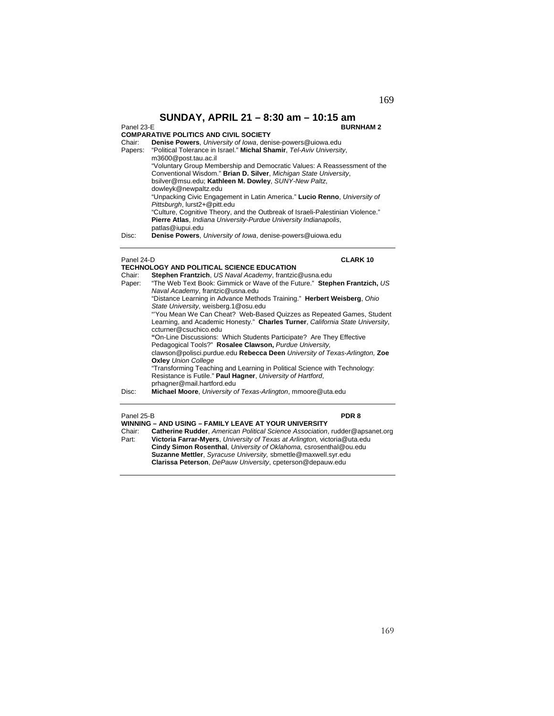**SUNDAY, APRIL 21 – 8:30 am – 10:15 am**  Panel 23-E **BURNHAM 2 COMPARATIVE POLITICS AND CIVIL SOCIETY** Denise Powers, University of Iowa, denise-powers@uiowa.edu Papers: "Political Tolerance in Israel." **Michal Shamir**, *Tel-Aviv University*, m3600@post.tau.ac.il "Voluntary Group Membership and Democratic Values: A Reassessment of the Conventional Wisdom." **Brian D. Silver**, *Michigan State University*, bsilver@msu.edu; **Kathleen M. Dowley**, *SUNY-New Paltz*, dowleyk@newpaltz.edu "Unpacking Civic Engagement in Latin America." **Lucio Renno**, *University of Pittsburgh*, lurst2+@pitt.edu "Culture, Cognitive Theory, and the Outbreak of Israeli-Palestinian Violence." **Pierre Atlas**, *Indiana University-Purdue University Indianapolis*, patlas@iupui.edu

Disc: **Denise Powers**, *University of Iowa*, denise-powers@uiowa.edu

### Panel 24-D **CLARK 10**

|        | TECHNOLOGY AND POLITICAL SCIENCE EDUCATION                                    |
|--------|-------------------------------------------------------------------------------|
| Chair: | Stephen Frantzich, US Naval Academy, frantzic@usna.edu                        |
| Paper: | "The Web Text Book: Gimmick or Wave of the Future." Stephen Frantzich, US     |
|        | Naval Academy, frantzic@usna.edu                                              |
|        | "Distance Learning in Advance Methods Training." Herbert Weisberg, Ohio       |
|        | State University, weisberg.1@osu.edu                                          |
|        | "You Mean We Can Cheat? Web-Based Quizzes as Repeated Games, Student          |
|        | Learning, and Academic Honesty." Charles Turner, California State University, |
|        | ccturner@csuchico.edu                                                         |
|        | "On-Line Discussions: Which Students Participate? Are They Effective          |
|        | Pedagogical Tools?" Rosalee Clawson, Purdue University,                       |
|        | clawson@polisci.purdue.edu Rebecca Deen University of Texas-Arlington, Zoe    |
|        | <b>Oxley Union College</b>                                                    |
|        | "Transforming Teaching and Learning in Political Science with Technology:     |
|        | Resistance is Futile." Paul Hagner, University of Hartford,                   |
|        | prhagner@mail.hartford.edu                                                    |
| Disc:  | Michael Moore, University of Texas-Arlington, mmoore@uta.edu                  |
|        |                                                                               |
|        |                                                                               |

Panel 25-B **PDR 8 WINNING – AND USING – FAMILY LEAVE AT YOUR UNIVERSITY**  Chair: **Catherine Rudder**, *American Political Science Association*, rudder@apsanet.org Part: **Victoria Farrar-Myers**, *University of Texas at Arlington,* victoria@uta.edu **Cindy Simon Rosenthal**, *University of Oklahoma,* csrosenthal@ou.edu **Suzanne Mettler**, *Syracuse University,* sbmettle@maxwell.syr.edu **Clarissa Peterson**, *DePauw University*, cpeterson@depauw.edu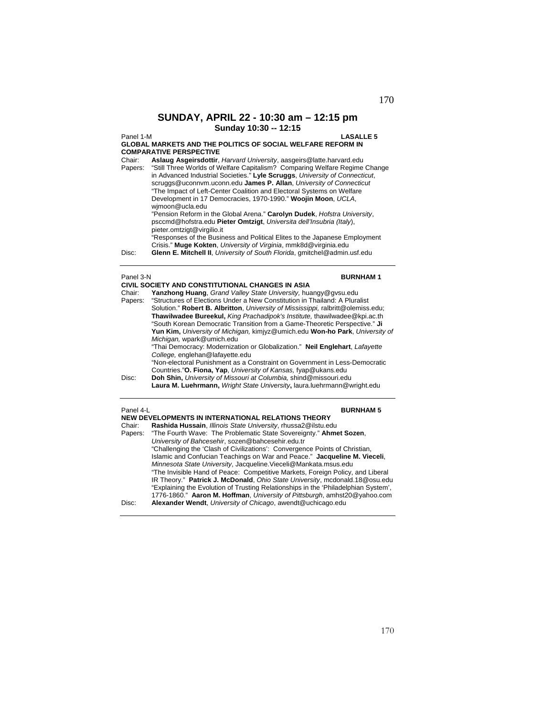## **SUNDAY, APRIL 22 - 10:30 am – 12:15 pm Sunday 10:30 -- 12:15**

### Panel 1-M **LASALLE 5**

**GLOBAL MARKETS AND THE POLITICS OF SOCIAL WELFARE REFORM IN COMPARATIVE PERSPECTIVE** 

Chair: **Aslaug Asgeirsdottir**, *Harvard University*, aasgeirs@latte.harvard.edu

Papers: "Still Three Worlds of Welfare Capitalism? Comparing Welfare Regime Change in Advanced Industrial Societies." **Lyle Scruggs**, *University of Connecticut*, scruggs@uconnvm.uconn.edu **James P. Allan**, *University of Connecticut*  "The Impact of Left-Center Coalition and Electoral Systems on Welfare Development in 17 Democracies, 1970-1990." **Woojin Moon**, *UCLA*, wjmoon@ucla.edu "Pension Reform in the Global Arena." **Carolyn Dudek**, *Hofstra University*,

psccmd@hofstra.edu **Pieter Omtzigt**, *Universita dell'Insubria (Italy*), pieter.omtzigt@virgilio.it

"Responses of the Business and Political Elites to the Japanese Employment Crisis." **Muge Kokten**, *University of Virginia*, mmk8d@virginia.edu Disc: **Glenn E. Mitchell II**, *University of South Florida*, gmitchel@admin.usf.edu

### Panel 3-N **BURNHAM 1**

### Panel 4-L **BURNHAM 5**

|         | NEW DEVELOPMENTS IN INTERNATIONAL RELATIONS THEORY                                 |  |
|---------|------------------------------------------------------------------------------------|--|
| Chair:  | Rashida Hussain, Illinois State University, rhussa2@ilstu.edu                      |  |
| Papers: | "The Fourth Wave: The Problematic State Sovereignty." Ahmet Sozen,                 |  |
|         | University of Bahcesehir, sozen@bahcesehir.edu.tr                                  |  |
|         | "Challenging the 'Clash of Civilizations': Convergence Points of Christian,        |  |
|         | Islamic and Confucian Teachings on War and Peace." Jacqueline M. Vieceli,          |  |
|         | Minnesota State University, Jacqueline. Vieceli@Mankata.msus.edu                   |  |
|         | "The Invisible Hand of Peace: Competitive Markets, Foreign Policy, and Liberal     |  |
|         | IR Theory." Patrick J. McDonald, Ohio State University, mcdonald.18@osu.edu        |  |
|         | "Explaining the Evolution of Trusting Relationships in the 'Philadelphian System', |  |
|         | 1776-1860." Aaron M. Hoffman, University of Pittsburgh, amhst20@yahoo.com          |  |
| Disc:   | Alexander Wendt, University of Chicago, awendt@uchicago.edu                        |  |
|         |                                                                                    |  |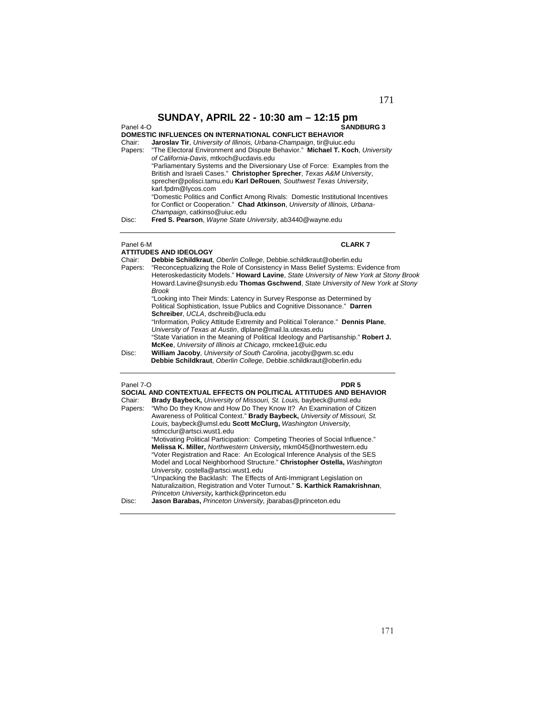### Panel 4-O **SANDBURG 3**

### **DOMESTIC INFLUENCES ON INTERNATIONAL CONFLICT BEHAVIOR**

| Chair:  | <b>Jaroslav Tir.</b> University of Illinois, Urbana-Champaign, tir@uiuc.edu     |
|---------|---------------------------------------------------------------------------------|
| Papers: | "The Electoral Environment and Dispute Behavior." Michael T. Koch, University   |
|         | of California-Davis, mtkoch@ucdavis.edu                                         |
|         | "Parliamentary Systems and the Diversionary Use of Force: Examples from the     |
|         | British and Israeli Cases." Christopher Sprecher, Texas A&M University,         |
|         | sprecher@polisci.tamu.edu Karl DeRouen, Southwest Texas University,             |
|         | karl.fpdm@lycos.com                                                             |
|         | "Domestic Politics and Conflict Among Rivals: Domestic Institutional Incentives |
|         | for Conflict or Cooperation." Chad Atkinson, University of Illinois, Urbana-    |
|         | Champaign, catkinso@uiuc.edu                                                    |
| Disc:   | Fred S. Pearson, Wayne State University, ab3440@wayne.edu                       |
|         |                                                                                 |

### Panel 6-M **CLARK 7**

|         | <b>ATTITUDES AND IDEOLOGY</b>                                                          |
|---------|----------------------------------------------------------------------------------------|
| Chair:  | Debbie Schildkraut, Oberlin College, Debbie.schildkraut@oberlin.edu                    |
| Papers: | "Reconceptualizing the Role of Consistency in Mass Belief Systems: Evidence from       |
|         | Heteroskedasticity Models." Howard Lavine, State University of New York at Stony Brook |
|         | Howard.Lavine@sunysb.edu Thomas Gschwend, State University of New York at Stony        |
|         | <b>Brook</b>                                                                           |
|         | "Looking into Their Minds: Latency in Survey Response as Determined by                 |
|         | Political Sophistication, Issue Publics and Cognitive Dissonance." Darren              |
|         | Schreiber. UCLA. dschreib@ucla.edu                                                     |
|         | "Information, Policy Attitude Extremity and Political Tolerance." Dennis Plane,        |
|         | University of Texas at Austin, dlplane@mail.la.utexas.edu                              |
|         | "State Variation in the Meaning of Political Ideology and Partisanship." Robert J.     |
|         | McKee, University of Illinois at Chicago, rmckee1@uic.edu                              |
| Disc:   | William Jacoby, University of South Carolina, jacoby@gwm.sc.edu                        |
|         | Debbie Schildkraut, Oberlin College, Debbie.schildkraut@oberlin.edu                    |
|         |                                                                                        |
|         |                                                                                        |

### Panel 7-O **PDR 5**

| Chair:<br>Papers: | SOCIAL AND CONTEXTUAL EFFECTS ON POLITICAL ATTITUDES AND BEHAVIOR<br><b>Brady Baybeck, University of Missouri, St. Louis, baybeck@umsl.edu</b><br>"Who Do they Know and How Do They Know It? An Examination of Citizen<br>Awareness of Political Context." Brady Baybeck, University of Missouri, St.<br>Louis, baybeck@umsl.edu Scott McClurg, Washington University,<br>sdmcclur@artsci.wust1.edu |
|-------------------|-----------------------------------------------------------------------------------------------------------------------------------------------------------------------------------------------------------------------------------------------------------------------------------------------------------------------------------------------------------------------------------------------------|
|                   | "Motivating Political Participation: Competing Theories of Social Influence."<br>Melissa K. Miller, Northwestern University, mkm045@northwestern.edu<br>"Voter Registration and Race: An Ecological Inference Analysis of the SES<br>Model and Local Neighborhood Structure." Christopher Ostella, Washington<br>University, costella@artsci.wust1.edu                                              |
| Disc:             | "Unpacking the Backlash: The Effects of Anti-Immigrant Legislation on<br>Naturalizaition, Registration and Voter Turnout." S. Karthick Ramakrishnan,<br>Princeton University, karthick@princeton.edu<br>Jason Barabas, Princeton University, ibarabas@princeton.edu                                                                                                                                 |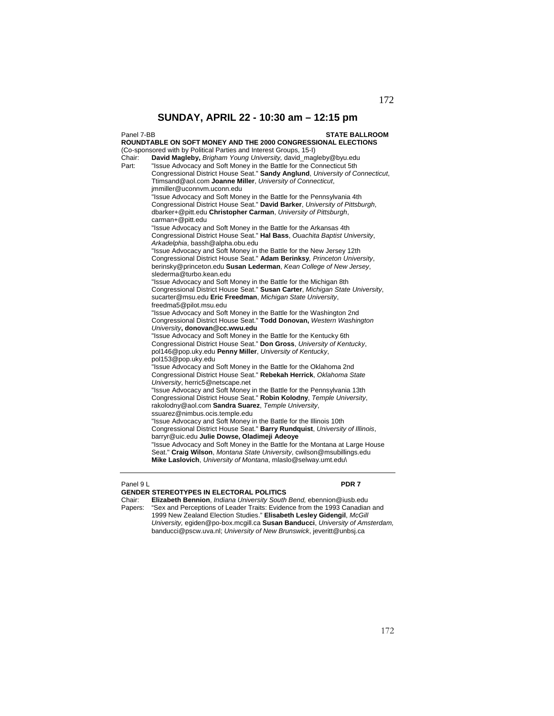Panel 7-BB **STATE BALLROOM ROUNDTABLE ON SOFT MONEY AND THE 2000 CONGRESSIONAL ELECTIONS**  (Co-sponsored with by Political Parties and Interest Groups, 15-I)<br>Chair: **David Magleby** *Brigham Young University david mag* Chair: **David Magleby,** *Brigham Young University,* david\_magleby@byu.edu "Issue Advocacy and Soft Money in the Battle for the Connecticut 5th Congressional District House Seat." **Sandy Anglund**, *University of Connecticut*, Ttimsand@aol.com **Joanne Miller**, *University of Connecticut*, jmmiller@uconnvm.uconn.edu "Issue Advocacy and Soft Money in the Battle for the Pennsylvania 4th Congressional District House Seat." **David Barker**, *University of Pittsburgh*, dbarker+@pitt.edu **Christopher Carman**, *University of Pittsburgh*, carman+@pitt.edu "Issue Advocacy and Soft Money in the Battle for the Arkansas 4th Congressional District House Seat." **Hal Bass**, *Ouachita Baptist University*, *Arkadelphia*, bassh@alpha.obu.edu "Issue Advocacy and Soft Money in the Battle for the New Jersey 12th Congressional District House Seat." **Adam Berinksy***, Princeton University*, berinsky@princeton.edu **Susan Lederman**, *Kean College of New Jersey*, slederma@turbo.kean.edu "Issue Advocacy and Soft Money in the Battle for the Michigan 8th Congressional District House Seat." **Susan Carter**, *Michigan State University*, sucarter@msu.edu **Eric Freedman**, *Michigan State University*, freedma5@pilot.msu.edu "Issue Advocacy and Soft Money in the Battle for the Washington 2nd Congressional District House Seat." **Todd Donovan,** *Western Washington University***, donovan@cc.wwu.edu**  "Issue Advocacy and Soft Money in the Battle for the Kentucky 6th Congressional District House Seat." **Don Gross**, *University of Kentucky*, pol146@pop.uky.edu **Penny Miller**, *University of Kentucky*, pol153@pop.uky.edu "Issue Advocacy and Soft Money in the Battle for the Oklahoma 2nd Congressional District House Seat." **Rebekah Herrick**, *Oklahoma State University*, herric5@netscape.net "Issue Advocacy and Soft Money in the Battle for the Pennsylvania 13th Congressional District House Seat." **Robin Kolodny**, *Temple University*, rakolodny@aol.com **Sandra Suarez**, *Temple University*, ssuarez@nimbus.ocis.temple.edu "Issue Advocacy and Soft Money in the Battle for the Illinois 10th Congressional District House Seat." **Barry Rundquist**, *University of Illinois*, barryr@uic.edu **Julie Dowse, Oladimeji Adeoye** "Issue Advocacy and Soft Money in the Battle for the Montana at Large House Seat." **Craig Wilson**, *Montana State University*, cwilson@msubillings.edu **Mike Laslovich**, *University of Montana*, mlaslo@selway.umt.edu\

### Panel 9 L **PDR 7**

**GENDER STEREOTYPES IN ELECTORAL POLITICS**  Chair: **Elizabeth Bennion**, *Indiana University South Bend,* ebennion@iusb.edu Papers: "Sex and Perceptions of Leader Traits: Evidence from the 1993 Canadian and 1999 New Zealand Election Studies." **Elisabeth Lesley Gidengil**, *McGill University,* egiden@po-box.mcgill.ca **Susan Banducci**, *University of Amsterdam,* banducci@pscw.uva.nl; *University of New Brunswick*, jeveritt@unbsj.ca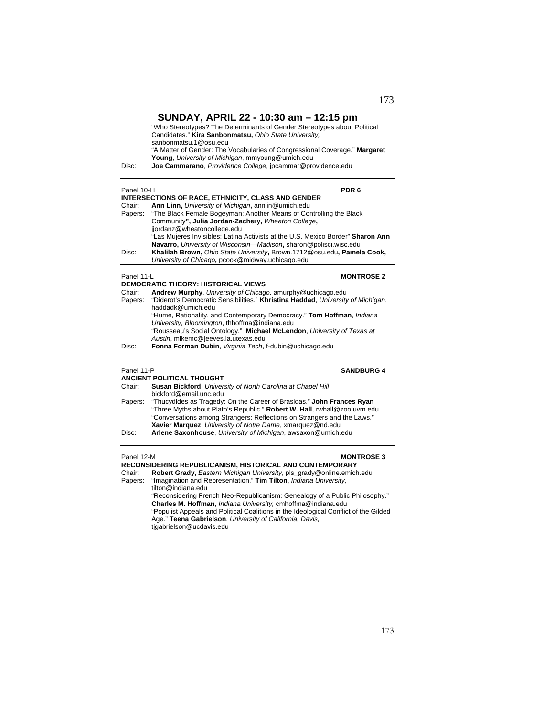| Disc:             | $50$ NDA I, APRIL ZZ - 10:30 am – 12:15 pm<br>"Who Stereotypes? The Determinants of Gender Stereotypes about Political<br>Candidates." Kira Sanbonmatsu, Ohio State University,<br>sanbonmatsu.1@osu.edu<br>"A Matter of Gender: The Vocabularies of Congressional Coverage." Margaret<br>Young, University of Michigan, mmyoung@umich.edu<br>Joe Cammarano, Providence College, jpcammar@providence.edu |
|-------------------|----------------------------------------------------------------------------------------------------------------------------------------------------------------------------------------------------------------------------------------------------------------------------------------------------------------------------------------------------------------------------------------------------------|
| Panel 10-H        | PDR <sub>6</sub>                                                                                                                                                                                                                                                                                                                                                                                         |
|                   | <b>INTERSECTIONS OF RACE, ETHNICITY, CLASS AND GENDER</b>                                                                                                                                                                                                                                                                                                                                                |
| Chair:<br>Papers: | Ann Linn, University of Michigan, annlin@umich.edu<br>"The Black Female Bogeyman: Another Means of Controlling the Black<br>Community", Julia Jordan-Zachery, Wheaton College,<br>jjordanz@wheatoncollege.edu                                                                                                                                                                                            |
| Disc:             | "Las Mujeres Invisibles: Latina Activists at the U.S. Mexico Border" Sharon Ann<br>Navarro, University of Wisconsin-Madison, sharon@polisci.wisc.edu<br>Khalilah Brown, Ohio State University, Brown.1712@osu.edu, Pamela Cook,<br>University of Chicago, pcook@midway.uchicago.edu                                                                                                                      |
| Panel 11-L        | <b>MONTROSE 2</b>                                                                                                                                                                                                                                                                                                                                                                                        |
| Chair:<br>Papers: | <b>DEMOCRATIC THEORY: HISTORICAL VIEWS</b><br>Andrew Murphy, University of Chicago, amurphy@uchicago.edu<br>"Diderot's Democratic Sensibilities." Khristina Haddad, University of Michigan,<br>haddadk@umich.edu                                                                                                                                                                                         |
|                   | "Hume, Rationality, and Contemporary Democracy." Tom Hoffman, Indiana<br>University, Bloomington, thhoffma@indiana.edu<br>"Rousseau's Social Ontology." Michael McLendon, University of Texas at                                                                                                                                                                                                         |
| Disc:             | Austin, mikemc@jeeves.la.utexas.edu<br>Fonna Forman Dubin, Virginia Tech, f-dubin@uchicago.edu                                                                                                                                                                                                                                                                                                           |
| Panel 11-P        | <b>SANDBURG 4</b>                                                                                                                                                                                                                                                                                                                                                                                        |
| Chair:            | <b>ANCIENT POLITICAL THOUGHT</b><br>Susan Bickford, University of North Carolina at Chapel Hill,<br>bickford@email.unc.edu                                                                                                                                                                                                                                                                               |
| Papers:           | "Thucydides as Tragedy: On the Career of Brasidas." John Frances Ryan<br>"Three Myths about Plato's Republic." Robert W. Hall, rwhall@zoo.uvm.edu<br>"Conversations among Strangers: Reflections on Strangers and the Laws."<br>Xavier Marquez, University of Notre Dame, xmarquez@nd.edu                                                                                                                |
| Disc:             | Arlene Saxonhouse, University of Michigan, awsaxon@umich.edu                                                                                                                                                                                                                                                                                                                                             |
| Panel 12-M        | <b>MONTROSE 3</b>                                                                                                                                                                                                                                                                                                                                                                                        |
|                   | RECONSIDERING REPUBLICANISM, HISTORICAL AND CONTEMPORARY                                                                                                                                                                                                                                                                                                                                                 |
| Chair:<br>Papers: | Robert Grady, Eastern Michigan University, pls_grady@online.emich.edu<br>"Imagination and Representation." Tim Tilton, Indiana University,<br>tilton@indiana.edu                                                                                                                                                                                                                                         |
|                   | "Reconsidering French Neo-Republicanism: Genealogy of a Public Philosophy."                                                                                                                                                                                                                                                                                                                              |

"Reconsidering French Neo-Republicanism: Genealogy of a Public Philosophy." **Charles M. Hoffman**, *Indiana University,* cmhoffma@indiana.edu "Populist Appeals and Political Coalitions in the Ideological Conflict of the Gilded Age." **Teena Gabrielson**, *University of California, Davis,* tjgabrielson@ucdavis.edu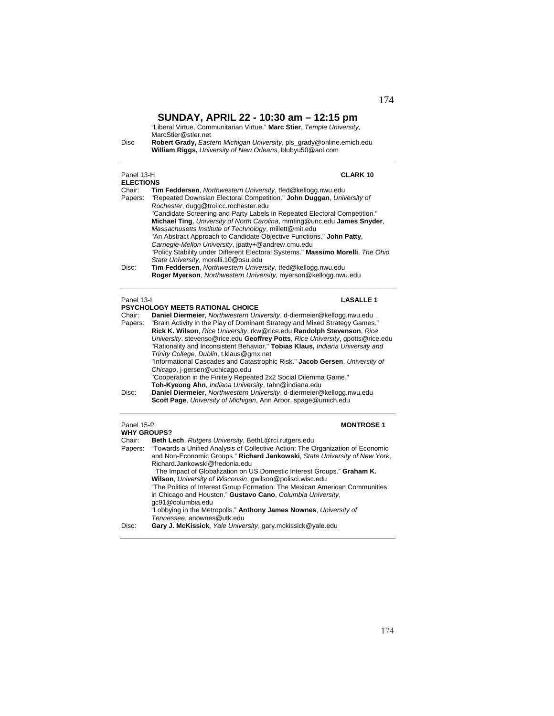"Liberal Virtue, Communitarian Virtue." **Marc Stier**, *Temple University,*  MarcStier@stier.net

Disc **Robert Grady,** *Eastern Michigan University*, pls\_grady@online.emich.edu **William Riggs,** *University of New Orleans*, blubyu50@aol.com

| Panel 13-H       | <b>CLARK 10</b>                                                                 |
|------------------|---------------------------------------------------------------------------------|
| <b>ELECTIONS</b> |                                                                                 |
| Chair:           | Tim Feddersen, Northwestern University, tfed@kellogg.nwu.edu                    |
| Papers:          | "Repeated Downsian Electoral Competition." John Duggan, University of           |
|                  | Rochester, dugg@troi.cc.rochester.edu                                           |
|                  | "Candidate Screening and Party Labels in Repeated Electoral Competition."       |
|                  | Michael Ting, University of North Carolina, mmting@unc.edu James Snyder,        |
|                  | Massachusetts Institute of Technology, millett@mit.edu                          |
|                  | "An Abstract Approach to Candidate Objective Functions." John Patty,            |
|                  | Carnegie-Mellon University, jpatty+@andrew.cmu.edu                              |
|                  | "Policy Stability under Different Electoral Systems." Massimo Morelli, The Ohio |
|                  | State University, morelli.10@osu.edu                                            |
| Disc:            | Tim Feddersen, Northwestern University, tfed@kellogg.nwu.edu                    |
|                  | Roger Myerson, Northwestern University, myerson@kellogg.nwu.edu                 |
|                  |                                                                                 |

## Panel 13-I **LASALLE 1**

|         | <b>PSYCHOLOGY MEETS RATIONAL CHOICE</b>                                                                                                                         |
|---------|-----------------------------------------------------------------------------------------------------------------------------------------------------------------|
| Chair:  | Daniel Diermeier, Northwestern University, d-diermeier@kellogg.nwu.edu                                                                                          |
| Papers: | "Brain Activity in the Play of Dominant Strategy and Mixed Strategy Games."                                                                                     |
|         | Rick K. Wilson, Rice University, rkw@rice.edu Randolph Stevenson, Rice                                                                                          |
|         | University, stevenso@rice.edu Geoffrey Potts, Rice University, gpotts@rice.edu<br>"Rationality and Inconsistent Behavior." Tobias Klaus, Indiana University and |
|         | Trinity College, Dublin, t.klaus@gmx.net                                                                                                                        |
|         | "Informational Cascades and Catastrophic Risk." Jacob Gersen, University of                                                                                     |
|         | Chicago, j-gersen@uchicago.edu                                                                                                                                  |
|         | "Cooperation in the Finitely Repeated 2x2 Social Dilemma Game."                                                                                                 |
|         | Toh-Kyeong Ahn, Indiana University, tahn@indiana.edu                                                                                                            |
| Disc:   | Daniel Diermeier, Northwestern University, d-diermeier@kellogg.nwu.edu<br>Scott Page, University of Michigan, Ann Arbor, spage@umich.edu                        |
|         |                                                                                                                                                                 |

### Panel 15-P **MONTROSE 1**

| <b>WHY GROUPS?</b> |                                                                                                                                                                                                |
|--------------------|------------------------------------------------------------------------------------------------------------------------------------------------------------------------------------------------|
| Chair:             | Beth Lech, Rutgers University, BethL@rci.rutgers.edu                                                                                                                                           |
| Papers:            | "Towards a Unified Analysis of Collective Action: The Organization of Economic<br>and Non-Economic Groups." Richard Jankowski, State University of New York,<br>Richard.Jankowski@fredonia.edu |
|                    | "The Impact of Globalization on US Domestic Interest Groups." Graham K.<br>Wilson, University of Wisconsin, gwilson@polisci.wisc.edu                                                           |
|                    | "The Politics of Interest Group Formation: The Mexican American Communities<br>in Chicago and Houston." Gustavo Cano, Columbia University,<br>gc91@columbia.edu                                |
|                    | "Lobbying in the Metropolis." Anthony James Nownes, University of<br>Tennessee, anownes@utk.edu                                                                                                |
| Disc:              | Gary J. McKissick, Yale University, gary mckissick@yale.edu                                                                                                                                    |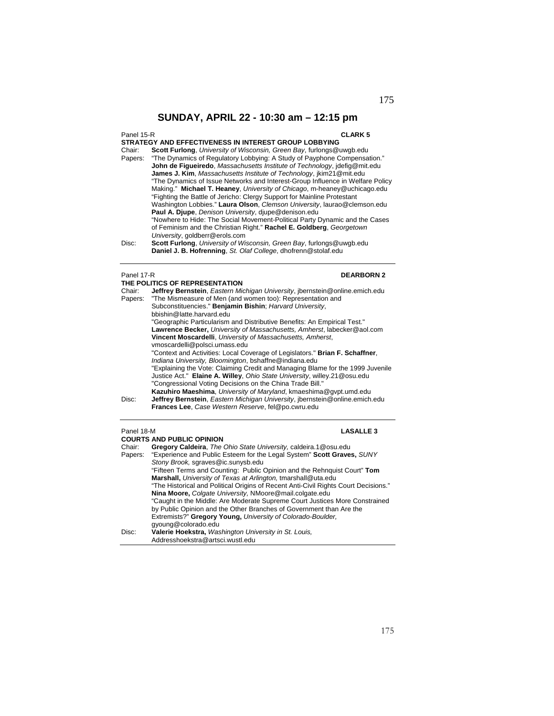### Panel 15-R **CLARK 5**

- **STRATEGY AND EFFECTIVENESS IN INTEREST GROUP LOBBYING**  Chair: **Scott Furlong**, *University of Wisconsin, Green Bay*, furlongs@uwgb.edu "The Dynamics of Regulatory Lobbying: A Study of Payphone Compensation." **John de Figueiredo**, *Massachusetts Institute of Technology*, jdefig@mit.edu **James J. Kim**, *Massachusetts Institute of Technology*, jkim21@mit.edu "The Dynamics of Issue Networks and Interest-Group Influence in Welfare Policy Making." **Michael T. Heaney**, *University of Chicago*, m-heaney@uchicago.edu "Fighting the Battle of Jericho: Clergy Support for Mainline Protestant Washington Lobbies." **Laura Olson**, *Clemson University*, laurao@clemson.edu **Paul A. Djupe**, *Denison University*, djupe@denison.edu "Nowhere to Hide: The Social Movement-Political Party Dynamic and the Cases of Feminism and the Christian Right." **Rachel E. Goldberg**, *Georgetown University*, goldberr@erols.com
- Disc: **Scott Furlong**, *University of Wisconsin, Green Bay*, furlongs@uwgb.edu **Daniel J. B. Hofrenning**, *St. Olaf College*, dhofrenn@stolaf.edu

### Panel 17-R **DEARBORN 2**

|         | THE POLITICS OF REPRESENTATION                                                 |  |  |
|---------|--------------------------------------------------------------------------------|--|--|
| Chair:  | Jeffrey Bernstein, Eastern Michigan University, jbernstein@online.emich.edu    |  |  |
| Papers: | "The Mismeasure of Men (and women too): Representation and                     |  |  |
|         | Subconstituencies." Benjamin Bishin; Harvard University,                       |  |  |
|         | bbishin@latte.harvard.edu                                                      |  |  |
|         | "Geographic Particularism and Distributive Benefits: An Empirical Test."       |  |  |
|         | Lawrence Becker, University of Massachusetts, Amherst, labecker@aol.com        |  |  |
|         | Vincent Moscardelli, University of Massachusetts, Amherst,                     |  |  |
|         | vmoscardelli@polsci.umass.edu                                                  |  |  |
|         | "Context and Activities: Local Coverage of Legislators." Brian F. Schaffner,   |  |  |
|         | Indiana University, Bloomington, bshaffne@indiana.edu                          |  |  |
|         | "Explaining the Vote: Claiming Credit and Managing Blame for the 1999 Juvenile |  |  |
|         | Justice Act." Elaine A. Willey, Ohio State University, willey.21@osu.edu       |  |  |
|         | "Congressional Voting Decisions on the China Trade Bill."                      |  |  |
|         | Kazuhiro Maeshima, University of Maryland, kmaeshima@qvpt.umd.edu              |  |  |
| Disc:   | Jeffrey Bernstein, Eastern Michigan University, ibernstein@online.emich.edu    |  |  |
|         | Frances Lee, Case Western Reserve, fel@po.cwru.edu                             |  |  |
|         |                                                                                |  |  |
|         |                                                                                |  |  |

| Panel 18-M | <b>LASALLE 3</b>                                                                    |
|------------|-------------------------------------------------------------------------------------|
|            | <b>COURTS AND PUBLIC OPINION</b>                                                    |
| Chair:     | Gregory Caldeira, The Ohio State University, caldeira.1@osu.edu                     |
| Papers:    | "Experience and Public Esteem for the Legal System" Scott Graves, SUNY              |
|            | Stony Brook, sgraves@ic.sunysb.edu                                                  |
|            | "Fifteen Terms and Counting: Public Opinion and the Rehnquist Court" Tom            |
|            | Marshall, University of Texas at Arlington, tmarshall@uta.edu                       |
|            | "The Historical and Political Origins of Recent Anti-Civil Rights Court Decisions." |
|            | Nina Moore, Colgate University, NMoore@mail.colgate.edu                             |
|            | "Caught in the Middle: Are Moderate Supreme Court Justices More Constrained         |
|            | by Public Opinion and the Other Branches of Government than Are the                 |
|            | Extremists?" Gregory Young, University of Colorado-Boulder.                         |
|            | gyoung@colorado.edu                                                                 |
| Disc:      | Valerie Hoekstra, Washington University in St. Louis,                               |
|            | Addresshoekstra@artsci.wustl.edu                                                    |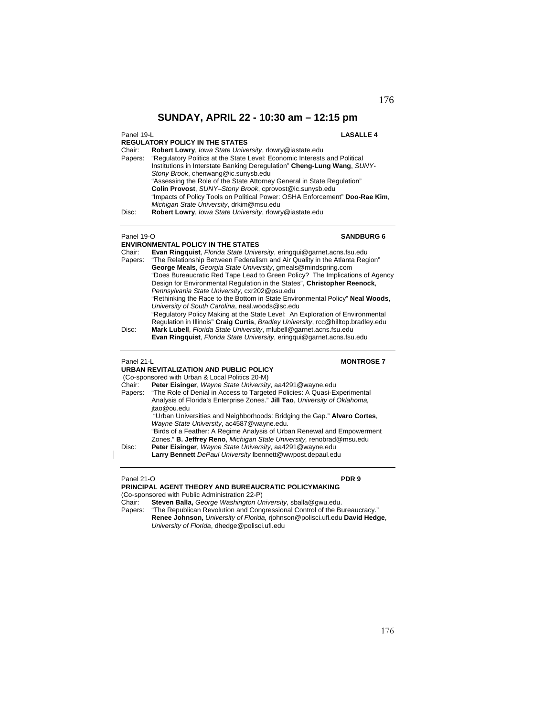### Panel 19-L **LASALLE 4**

176

**REGULATORY POLICY IN THE STATES** Chair: **Robert Lowry**, *Iowa State University*, rlowry@iastate.edu Papers: "Regulatory Politics at the State Level: Economic Interests and Political Institutions in Interstate Banking Deregulation" **Cheng-Lung Wang**, *SUNY-Stony Brook*, chenwang@ic.sunysb.edu "Assessing the Role of the State Attorney General in State Regulation" **Colin Provost**, *SUNY–Stony Brook*, cprovost@ic.sunysb.edu "Impacts of Policy Tools on Political Power: OSHA Enforcement" **Doo-Rae Kim**, *Michigan State University*, drkim@msu.edu

Disc: **Robert Lowry**, *Iowa State University*, rlowry@iastate.edu

### Panel 19-O **SANDBURG 6**

**ENVIRONMENTAL POLICY IN THE STATES**  Chair: **Evan Ringquist**, *Florida State University*, eringqui@garnet.acns.fsu.edu Papers: "The Relationship Between Federalism and Air Quality in the Atlanta Region" **George Meals**, *Georgia State University*, gmeals@mindspring.com "Does Bureaucratic Red Tape Lead to Green Policy? The Implications of Agency Design for Environmental Regulation in the States", **Christopher Reenock**, *Pennsylvania State University*, cxr202@psu.edu "Rethinking the Race to the Bottom in State Environmental Policy" **Neal Woods**, *University of South Carolina*, neal.woods@sc.edu "Regulatory Policy Making at the State Level: An Exploration of Environmental Regulation in Illinois" **Craig Curtis**, *Bradley University*, rcc@hilltop.bradley.edu Disc: **Mark Lubell**, *Florida State University*, mlubell@garnet.acns.fsu.edu

### Panel 21-L **MONTROSE 7**

**URBAN REVITALIZATION AND PUBLIC POLICY**  (Co-sponsored with Urban & Local Politics 20-M) Chair: **Peter Eisinger**, *Wayne State University*, aa4291@wayne.edu Papers: "The Role of Denial in Access to Targeted Policies: A Quasi-Experimental Analysis of Florida's Enterprise Zones." **Jill Tao**, *University of Oklahoma,*  jtao@ou.edu "Urban Universities and Neighborhoods: Bridging the Gap." **Alvaro Cortes**, *Wayne State University*, ac4587@wayne.edu. "Birds of a Feather: A Regime Analysis of Urban Renewal and Empowerment Zones." **B. Jeffrey Reno**, *Michigan State University,* renobrad@msu.edu Disc: **Peter Eisinger**, *Wayne State University*, aa4291@wayne.edu

## **Larry Bennett** *DePaul University* lbennett@wwpost.depaul.edu

### Panel 21-O **PDR 9**

**PRINCIPAL AGENT THEORY AND BUREAUCRATIC POLICYMAKING**  (Co-sponsored with Public Administration 22-P)

Chair: **Steven Balla,** *George Washington University*, sballa@gwu.edu.

Papers: "The Republican Revolution and Congressional Control of the Bureaucracy." **Renee Johnson,** *University of Florida,* rjohnson@polisci.ufl.edu **David Hedge**, *University of Florida*, dhedge@polisci.ufl.edu

**Evan Ringquist**, *Florida State University*, eringqui@garnet.acns.fsu.edu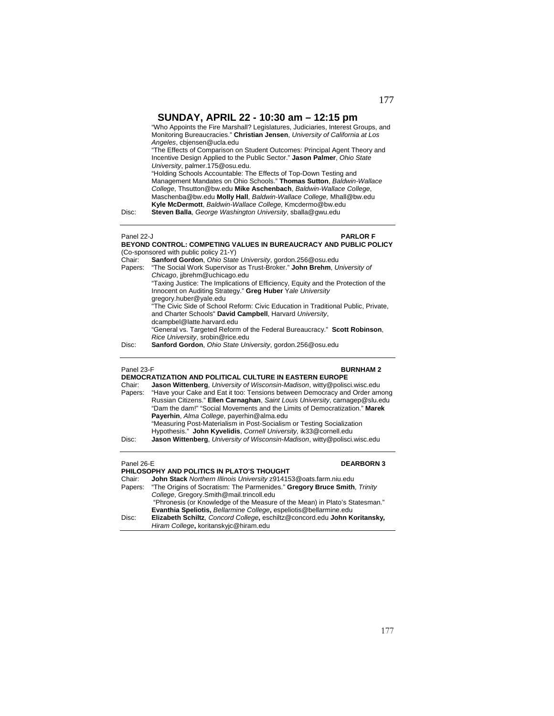"Who Appoints the Fire Marshall? Legislatures, Judiciaries, Interest Groups, and Monitoring Bureaucracies." **Christian Jensen**, *University of California at Los Angeles*, cbjensen@ucla.edu

"The Effects of Comparison on Student Outcomes: Principal Agent Theory and Incentive Design Applied to the Public Sector." **Jason Palmer**, *Ohio State University*, palmer.175@osu.edu.

"Holding Schools Accountable: The Effects of Top-Down Testing and Management Mandates on Ohio Schools." **Thomas Sutton**, *Baldwin-Wallace College*, Thsutton@bw.edu **Mike Aschenbach**, *Baldwin-Wallace College*, Maschenba@bw.edu **Molly Hall**, *Baldwin-Wallace College,* Mhall@bw.edu **Kyle McDermott**, *Baldwin-Wallace College,* Kmcdermo@bw.edu

Disc: **Steven Balla**, *George Washington University*, sballa@gwu.edu

### Panel 22-J **PARLOR F BEYOND CONTROL: COMPETING VALUES IN BUREAUCRACY AND PUBLIC POLICY**  (Co-sponsored with public policy 21-Y)

| Chair:  | Sanford Gordon, Ohio State University, gordon.256@osu.edu                         |
|---------|-----------------------------------------------------------------------------------|
| Papers: | "The Social Work Supervisor as Trust-Broker." John Brehm, University of           |
|         | Chicago, jibrehm@uchicago.edu                                                     |
|         | "Taxing Justice: The Implications of Efficiency, Equity and the Protection of the |
|         | Innocent on Auditing Strategy." Greg Huber Yale University                        |
|         | gregory.huber@yale.edu                                                            |
|         | "The Civic Side of School Reform: Civic Education in Traditional Public, Private, |
|         | and Charter Schools" David Campbell, Harvard University,                          |
|         | dcampbel@latte.harvard.edu                                                        |
|         | "General vs. Targeted Reform of the Federal Bureaucracy." Scott Robinson,         |
|         | Rice University, srobin@rice.edu                                                  |
| Disc:   | Sanford Gordon, Ohio State University, gordon.256@osu.edu                         |
|         |                                                                                   |

### Panel 23-F **BURNHAM 2**

| DEMOCRATIZATION AND POLITICAL CULTURE IN EASTERN EUROPE |                                                                                    |  |
|---------------------------------------------------------|------------------------------------------------------------------------------------|--|
| Chair:                                                  | Jason Wittenberg, University of Wisconsin-Madison, witty@polisci.wisc.edu          |  |
|                                                         | Papers: "Have your Cake and Eat it too: Tensions between Democracy and Order among |  |
|                                                         | Russian Citizens." Ellen Carnaghan, Saint Louis University, carnagep@slu.edu       |  |
|                                                         | "Dam the dam!" "Social Movements and the Limits of Democratization." Marek         |  |
|                                                         | Payerhin, Alma College, payerhin@alma.edu                                          |  |
|                                                         | "Measuring Post-Materialism in Post-Socialism or Testing Socialization             |  |
|                                                         | Hypothesis." John Kyvelidis, Cornell University, ik33@cornell.edu                  |  |
| Disc:                                                   | Jason Wittenberg, University of Wisconsin-Madison, witty@polisci.wisc.edu          |  |
|                                                         |                                                                                    |  |

### Panel 26-E **DEARBORN 3**

**PHILOSOPHY AND POLITICS IN PLATO'S THOUGHT**  Chair: **John Stack** *Northern Illinois University* z914153@oats.farm.niu.edu

| UI I all . | <b>JUIL JIACK</b> / WILLIELL IBILIUS ULIVEISILY 25141JJ@UALS.IAIIII.IIIU.EUU |
|------------|------------------------------------------------------------------------------|
| Papers:    | "The Origins of Socratism: The Parmenides." Gregory Bruce Smith, Trinity     |
|            | College, Gregory.Smith@mail.trincoll.edu                                     |
|            | "Phronesis (or Knowledge of the Measure of the Mean) in Plato's Statesman."  |
|            | Evanthia Speliotis, Bellarmine College, espeliotis@bellarmine.edu            |
| Disc:      | Elizabeth Schiltz, Concord College, eschiltz@concord.edu John Koritansky,    |

*Hiram College***,** koritanskyjc@hiram.edu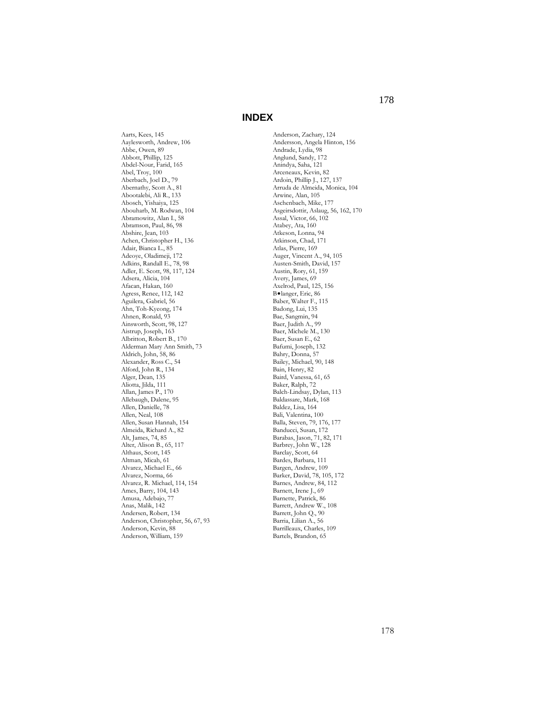Aarts, Kees, 145 Aaylesworth, Andrew, 106 Abbe, Owen, 89 Abbott, Phillip, 125 Abdel-Nour, Farid, 165 Abel, Troy, 100 Aberbach, Joel D., 79 Abernathy, Scott A., 81 Abootalebi, Ali R., 133 Abosch, Yishaiya, 125 Abouharb, M. Rodwan, 104 Abramowitz, Alan I., 58 Abramson, Paul, 86, 98 Abshire, Jean, 103 Achen, Christopher H., 136 Adair, Bianca L., 85 Adeoye, Oladimeji, 172 Adkins, Randall E., 78, 98 Adler, E. Scott, 98, 117, 124 Adsera, Alicia, 104 Afacan, Hakan, 160 Agress, Renee, 112, 142 Aguilera, Gabriel, 56 Ahn, Toh-Kyeong, 174 Ahnen, Ronald, 93 Ainsworth, Scott, 98, 127 Aistrup, Joseph, 163 Albritton, Robert B., 170 Alderman Mary Ann Smith, 73 Aldrich, John, 58, 86 Alexander, Ross C., 54 Alford, John R., 134 Alger, Dean, 135 Aliotta, Jilda, 111 Allan, James P., 170 Allebaugh, Dalene, 95 Allen, Danielle, 78 Allen, Neal, 108 Allen, Susan Hannah, 154 Almeida, Richard A., 82 Alt, James, 74, 85 Alter, Alison B., 65, 117 Althaus, Scott, 145 Altman, Micah, 61 Alvarez, Michael E., 66 Alvarez, Norma, 66 Alvarez, R. Michael, 114, 154 Ames, Barry, 104, 143 Amusa, Adebajo, 77 Anas, Malik, 142 Andersen, Robert, 134 Anderson, Christopher, 56, 67, 93 Anderson, Kevin, 88 Anderson, William, 159

Anderson, Zachary, 124 Andersson, Angela Hinton, 156 Andrade, Lydia, 98 Anglund, Sandy, 172 Anindya, Saha, 121 Arceneaux, Kevin, 82 Ardoin, Phillip J., 127, 137 Arruda de Almeida, Monica, 104 Arwine, Alan, 105 Aschenbach, Mike, 177 Asgeirsdottir, Aslaug, 56, 162, 170 Assal, Victor, 66, 102 Atabey, Ata, 160 Atkeson, Lonna, 94 Atkinson, Chad, 171 Atlas, Pierre, 169 Auger, Vincent A., 94, 105 Austen-Smith, David, 157 Austin, Rory, 61, 159 Avery, James, 69 Axelrod, Paul, 125, 156 B•langer, Eric, 86 Baber, Walter F., 115 Badong, Lui, 135 Bae, Sangmin, 94 Baer, Judith A., 99 Baer, Michele M., 130 Baer, Susan E., 62 Bafumi, Joseph, 132 Bahry, Donna, 57 Bailey, Michael, 90, 148 Bain, Henry, 82 Baird, Vanessa, 61, 65 Baker, Ralph, 72 Balch-Lindsay, Dylan, 113 Baldassare, Mark, 168 Baldez, Lisa, 164 Bali, Valentina, 100 Balla, Steven, 79, 176, 177 Banducci, Susan, 172 Barabas, Jason, 71, 82, 171 Barbrey, John W., 128 Barclay, Scott, 64 Bardes, Barbara, 111 Bargen, Andrew, 109 Barker, David, 78, 105, 172 Barnes, Andrew, 84, 112 Barnett, Irene J., 69 Barnette, Patrick, 86 Barrett, Andrew W., 108 Barrett, John Q., 90 Barria, Lilian A., 56 Barrilleaux, Charles, 109 Bartels, Brandon, 65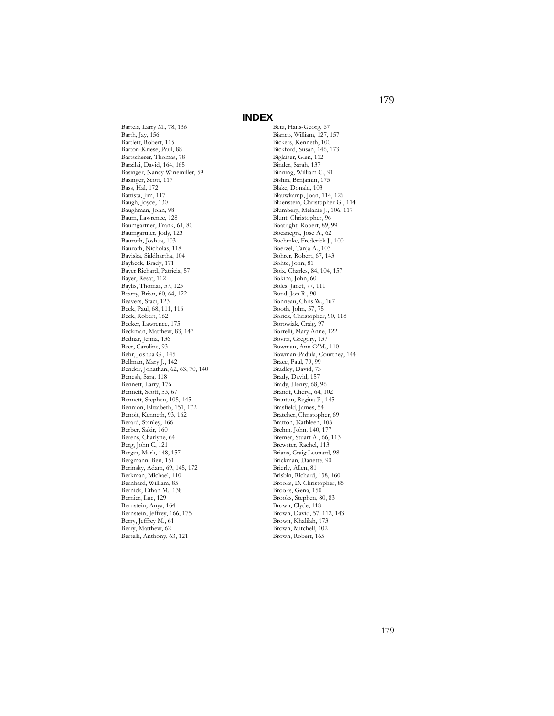Bartels, Larry M., 78, 136 Barth, Jay, 156 Bartlett, Robert, 115 Barton-Kriese, Paul, 88 Bartscherer, Thomas, 78 Barzilai, David, 164, 165 Basinger, Nancy Winemiller, 59 Basinger, Scott, 117 Bass, Hal, 172 Battista, Jim, 117 Baugh, Joyce, 130 Baughman, John, 98 Baum, Lawrence, 128 Baumgartner, Frank, 61, 80 Baumgartner, Jody, 123 Bauroth, Joshua, 103 Bauroth, Nicholas, 118 Baviska, Siddhartha, 104 Baybeck, Brady, 171 Bayer Richard, Patricia, 57 Bayer, Resat, 112 Baylis, Thomas, 57, 123 Bearry, Brian, 60, 64, 122 Beavers, Staci, 123 Beck, Paul, 68, 111, 116 Beck, Robert, 162 Becker, Lawrence, 175 Beckman, Matthew, 83, 147 Bednar, Jenna, 136 Beer, Caroline, 93 Behr, Joshua G., 145 Bellman, Mary J., 142 Bendor, Jonathan, 62, 63, 70, 140 Benesh, Sara, 118 Bennett, Larry, 176 Bennett, Scott, 53, 67 Bennett, Stephen, 105, 145 Bennion, Elizabeth, 151, 172 Benoit, Kenneth, 93, 162 Berard, Stanley, 166 Berber, Sakir, 160 Berens, Charlyne, 64 Berg, John C, 121 Berger, Mark, 148, 157 Bergmann, Ben, 151 Berinsky, Adam, 69, 145, 172 Berkman, Michael, 110 Bernhard, William, 85 Bernick, Ethan M., 138 Bernier, Luc, 129 Bernstein, Anya, 164 Bernstein, Jeffrey, 166, 175 Berry, Jeffrey M., 61 Berry, Matthew, 62 Bertelli, Anthony, 63, 121

Betz, Hans-Georg, 67 Bianco, William, 127, 157 Bickers, Kenneth, 100 Bickford, Susan, 146, 173 Biglaiser, Glen, 112 Binder, Sarah, 137 Binning, William C., 91 Bishin, Benjamin, 175 Blake, Donald, 103 Blauwkamp, Joan, 114, 126 Bluenstein, Christopher G., 114 Blumberg, Melanie J., 106, 117 Blunt, Christopher, 96 Boatright, Robert, 89, 99 Bocanegra, Jose A., 62 Boehmke, Frederick J., 100 Boerzel, Tanja A., 103 Bohrer, Robert, 67, 143 Bohte, John, 81 Boix, Charles, 84, 104, 157 Bokina, John, 60 Boles, Janet, 77, 111 Bond, Jon R., 90 Bonneau, Chris W., 167 Booth, John, 57, 75 Borick, Christopher, 90, 118 Borowiak, Craig, 97 Borrelli, Mary Anne, 122 Bovitz, Gregory, 137 Bowman, Ann O'M., 110 Bowman-Padula, Courtney, 144 Brace, Paul, 79, 99 Bradley, David, 73 Brady, David, 157 Brady, Henry, 68, 96 Brandt, Cheryl, 64, 102 Branton, Regina P., 145 Brasfield, James, 54 Bratcher, Christopher, 69 Bratton, Kathleen, 108 Brehm, John, 140, 177 Bremer, Stuart A., 66, 113 Brewster, Rachel, 113 Brians, Craig Leonard, 98 Brickman, Danette, 90 Brierly, Allen, 81 Brisbin, Richard, 138, 160 Brooks, D. Christopher, 85 Brooks, Gena, 150 Brooks, Stephen, 80, 83 Brown, Clyde, 118 Brown, David, 57, 112, 143 Brown, Khalilah, 173 Brown, Mitchell, 102 Brown, Robert, 165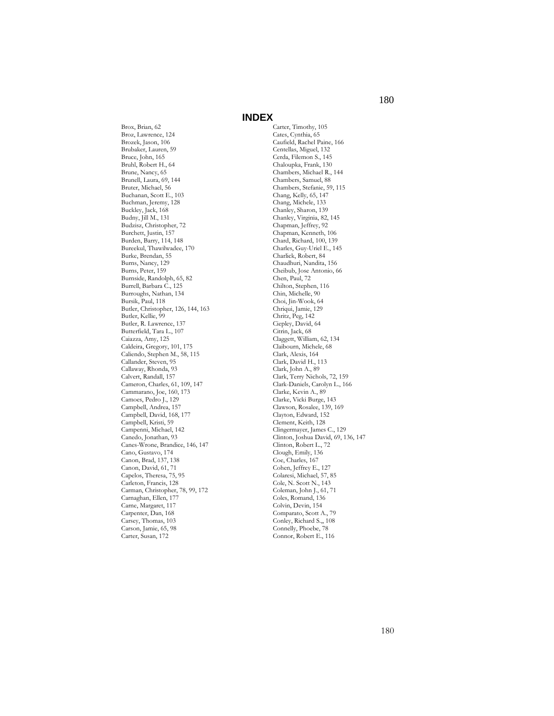Brox, Brian, 62 Broz, Lawrence, 124 Brozek, Jason, 106 Brubaker, Lauren, 59 Bruce, John, 165 Bruhl, Robert H., 64 Brune, Nancy, 65 Brunell, Laura, 69, 144 Bruter, Michael, 56 Buchanan, Scott E., 103 Buchman, Jeremy, 128 Buckley, Jack, 168 Budny, Jill M., 131 Budzisz, Christopher, 72 Burchett, Justin, 157 Burden, Barry, 114, 148 Bureekul, Thawilwadee, 170 Burke, Brendan, 55 Burns, Nancy, 129 Burns, Peter, 159 Burnside, Randolph, 65, 82 Burrell, Barbara C., 125 Burroughs, Nathan, 134 Bursik, Paul, 118 Butler, Christopher, 126, 144, 163 Butler, Kellie, 99 Butler, R. Lawrence, 137 Butterfield, Tara L., 107 Caiazza, Amy, 125 Caldeira, Gregory, 101, 175 Caliendo, Stephen M., 58, 115 Callander, Steven, 95 Callaway, Rhonda, 93 Calvert, Randall, 157 Cameron, Charles, 61, 109, 147 Cammarano, Joe, 160, 173 Camoes, Pedro J., 129 Campbell, Andrea, 157 Campbell, David, 168, 177 Campbell, Kristi, 59 Campenni, Michael, 142 Canedo, Jonathan, 93 Canes-Wrone, Brandice, 146, 147 Cano, Gustavo, 174 Canon, Brad, 137, 138 Canon, David, 61, 71 Capelos, Theresa, 75, 95 Carleton, Francis, 128 Carman, Christopher, 78, 99, 172 Carnaghan, Ellen, 177 Carne, Margaret, 117 Carpenter, Dan, 168 Carsey, Thomas, 103 Carson, Jamie, 65, 98 Carter, Susan, 172

Carter, Timothy, 105 Cates, Cynthia, 65 Caufield, Rachel Paine, 166 Centellas, Miguel, 132 Cerda, Filemon S., 145 Chaloupka, Frank, 130 Chambers, Michael R., 144 Chambers, Samuel, 88 Chambers, Stefanie, 59, 115 Chang, Kelly, 65, 147 Chang, Michele, 133 Chanley, Sharon, 139 Chanley, Virginia, 82, 145 Chapman, Jeffrey, 92 Chapman, Kenneth, 106 Chard, Richard, 100, 139 Charles, Guy-Uriel E., 145 Charlick, Robert, 84 Chaudhuri, Nandita, 156 Cheibub, Jose Antonio, 66 Chen, Paul, 72 Chilton, Stephen, 116 Chin, Michelle, 90 Choi, Jin-Wook, 64 Chriqui, Jamie, 129 Chritz, Peg, 142 Ciepley, David, 64 Citrin, Jack, 68 Claggett, William, 62, 134 Claibourn, Michele, 68 Clark, Alexis, 164 Clark, David H., 113 Clark, John A., 89 Clark, Terry Nichols, 72, 159 Clark-Daniels, Carolyn L., 166 Clarke, Kevin A., 89 Clarke, Vicki Burge, 143 Clawson, Rosalee, 139, 169 Clayton, Edward, 152 Clement, Keith, 128 Clingermayer, James C., 129 Clinton, Joshua David, 69, 136, 147 Clinton, Robert L., 72 Clough, Emily, 136 Coe, Charles, 167 Cohen, Jeffrey E., 127 Colaresi, Michael, 57, 85 Cole, N. Scott N., 143 Coleman, John J., 61, 71 Coles, Romand, 136 Colvin, Devin, 154 Comparato, Scott A., 79 Conley, Richard S.,, 108 Connelly, Phoebe, 78 Connor, Robert E., 116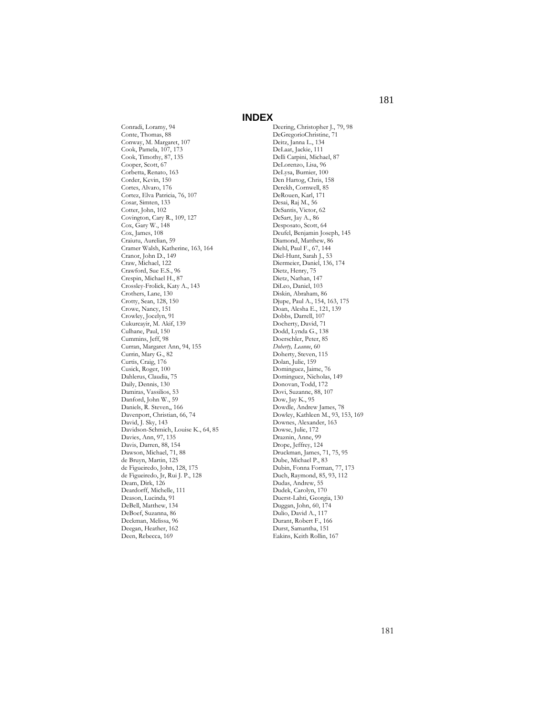Conradi, Loramy, 94 Conte, Thomas, 88 Conway, M. Margaret, 107 Cook, Pamela, 107, 173 Cook, Timothy, 87, 135 Cooper, Scott, 67 Corbetta, Renato, 163 Corder, Kevin, 150 Cortes, Alvaro, 176 Cortez, Elva Patricia, 76, 107 Cosar, Simten, 133 Cotter, John, 102 Covington, Cary R., 109, 127 Cox, Gary W., 148 Cox, James, 108 Craiutu, Aurelian, 59 Cramer Walsh, Katherine, 163, 164 Cranor, John D., 149 Craw, Michael, 122 Crawford, Sue E.S., 96 Crespin, Michael H., 87 Crossley-Frolick, Katy A., 143 Crothers, Lane, 130 Crotty, Sean, 128, 150 Crowe, Nancy, 151 Crowley, Jocelyn, 91 Cukurcayir, M. Akif, 139 Culhane, Paul, 150 Cummins, Jeff, 98 Curran, Margaret Ann, 94, 155 Currin, Mary G., 82 Curtis, Craig, 176 Cusick, Roger, 100 Dahlerus, Claudia, 75 Daily, Dennis, 130 Damiras, Vassilios, 53 Danford, John W., 59 Daniels, R. Steven,, 166 Davenport, Christian, 66, 74 David, J. Sky, 143 Davidson-Schmich, Louise K., 64, 85 Davies, Ann, 97, 135 Davis, Darren, 88, 154 Dawson, Michael, 71, 88 de Bruyn, Martin, 125 de Figueiredo, John, 128, 175 de Figueiredo, Jr, Rui J. P., 128 Deam, Dirk, 126 Deardorff, Michelle, 111 Deason, Lucinda, 91 DeBell, Matthew, 134 DeBoef, Suzanna, 86 Deckman, Melissa, 96 Deegan, Heather, 162 Deen, Rebecca, 169

Deering, Christopher J., 79, 98 DeGregorioChristine, 71 Deitz, Janna L., 134 DeLaat, Jackie, 111 Delli Carpini, Michael, 87 DeLorenzo, Lisa, 96 DeLysa, Burnier, 100 Den Hartog, Chris, 158 Derekh, Cornwell, 85 DeRouen, Karl, 171 Desai, Raj M., 56 DeSantis, Victor, 62 DeSart, Jay A., 86 Desposato, Scott, 64 Deufel, Benjamin Joseph, 145 Diamond, Matthew, 86 Diehl, Paul F., 67, 144 Diel-Hunt, Sarah J., 53 Diermeier, Daniel, 136, 174 Dietz, Henry, 75 Dietz, Nathan, 147 DiLeo, Daniel, 103 Diskin, Abraham, 86 Djupe, Paul A., 154, 163, 175 Doan, Alesha E., 121, 139 Dobbs, Darrell, 107 Docherty, David, 71 Dodd, Lynda G., 138 Doerschler, Peter, 85 *Doherty, Leanne*, 60 Doherty, Steven, 115 Dolan, Julie, 159 Dominguez, Jaime, 76 Dominguez, Nicholas, 149 Donovan, Todd, 172 Dovi, Suzanne, 88, 107 Dow, Jay K., 95 Dowdle, Andrew James, 78 Dowley, Kathleen M., 93, 153, 169 Downes, Alexander, 163 Dowse, Julie, 172 Draznin, Anne, 99 Drope, Jeffrey, 124 Druckman, James, 71, 75, 95 Dube, Michael P., 83 Dubin, Fonna Forman, 77, 173 Duch, Raymond, 85, 93, 112 Dudas, Andrew, 55 Dudek, Carolyn, 170 Duerst-Lahti, Georgia, 130 Duggan, John, 60, 174 Dulio, David A., 117 Durant, Robert F., 166 Durst, Samantha, 151 Eakins, Keith Rollin, 167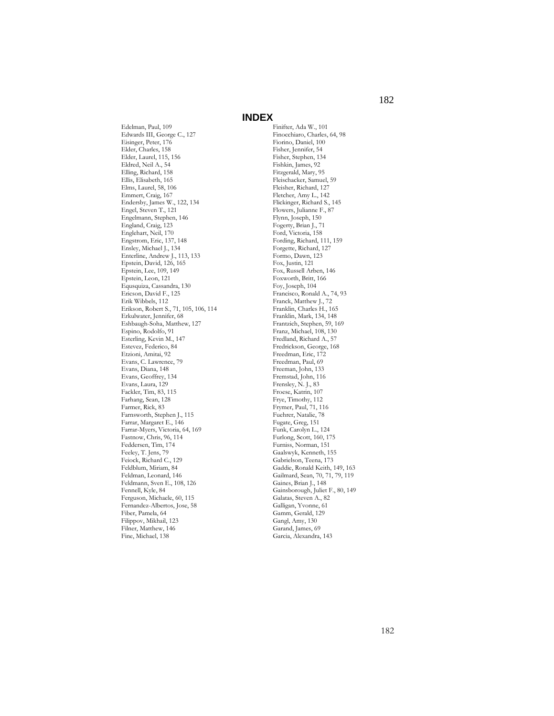Edelman, Paul, 109 Edwards III, George C., 127 Eisinger, Peter, 176 Elder, Charles, 158 Elder, Laurel, 115, 156 Eldred, Neil A., 54 Elling, Richard, 158 Ellis, Elisabeth, 165 Elms, Laurel, 58, 106 Emmert, Craig, 167 Endersby, James W., 122, 134 Engel, Steven T., 121 Engelmann, Stephen, 146 England, Craig, 123 Englehart, Neil, 170 Engstrom, Eric, 137, 148 Ensley, Michael J., 134 Enterline, Andrew J., 113, 133 Epstein, David, 126, 165 Epstein, Lee, 109, 149 Epstein, Leon, 121 Equsquiza, Cassandra, 130 Ericson, David F., 125 Erik Wibbels, 112 Erikson, Robert S., 71, 105, 106, 114 Erkulwater, Jennifer, 68 Eshbaugh-Soha, Matthew, 127 Espino, Rodolfo, 91 Esterling, Kevin M., 147 Estevez, Federico, 84 Etzioni, Amitai, 92 Evans, C. Lawrence, 79 Evans, Diana, 148 Evans, Geoffrey, 134 Evans, Laura, 129 Fackler, Tim, 83, 115 Farhang, Sean, 128 Farmer, Rick, 83 Farnsworth, Stephen J., 115 Farrar, Margaret E., 146 Farrar-Myers, Victoria, 64, 169 Fastnow, Chris, 96, 114 Feddersen, Tim, 174 Feeley, T. Jens, 79 Feiock, Richard C., 129 Feldblum, Miriam, 84 Feldman, Leonard, 146 Feldmann, Sven E., 108, 126 Fennell, Kyle, 84 Ferguson, Michaele, 60, 115 Fernandez-Albertos, Jose, 58 Fiber, Pamela, 64 Filippov, Mikhail, 123 Filner, Matthew, 146 Fine, Michael, 138

Finifter, Ada W., 101 Finocchiaro, Charles, 64, 98 Fiorino, Daniel, 100 Fisher, Jennifer, 54 Fisher, Stephen, 134 Fishkin, James, 92 Fitzgerald, Mary, 95 Fleischacker, Samuel, 59 Fleisher, Richard, 127 Fletcher, Amy L., 142 Flickinger, Richard S., 145 Flowers, Julianne F., 87 Flynn, Joseph, 150 Fogerty, Brian J., 71 Ford, Victoria, 158 Fording, Richard, 111, 159 Forgette, Richard, 127 Formo, Dawn, 123 Fox, Justin, 121 Fox, Russell Arben, 146 Foxworth, Britt, 166 Foy, Joseph, 104 Francisco, Ronald A., 74, 93 Franck, Matthew J., 72 Franklin, Charles H., 165 Franklin, Mark, 134, 148 Frantzich, Stephen, 59, 169 Franz, Michael, 108, 130 Fredland, Richard A., 57 Fredrickson, George, 168 Freedman, Eric, 172 Freedman, Paul, 69 Freeman, John, 133 Fremstad, John, 116 Frensley, N. J., 83 Froese, Katrin, 107 Frye, Timothy, 112 Frymer, Paul, 71, 116 Fuehrer, Natalie, 78 Fugate, Greg, 151 Funk, Carolyn L., 124 Furlong, Scott, 160, 175 Furniss, Norman, 151 Gaalswyk, Kenneth, 155 Gabrielson, Teena, 173 Gaddie, Ronald Keith, 149, 163 Gailmard, Sean, 70, 71, 79, 119 Gaines, Brian J., 148 Gainsborough, Juliet F., 80, 149 Galatas, Steven A., 82 Galligan, Yvonne, 61 Gamm, Gerald, 129 Gangl, Amy, 130 Garand, James, 69 Garcia, Alexandra, 143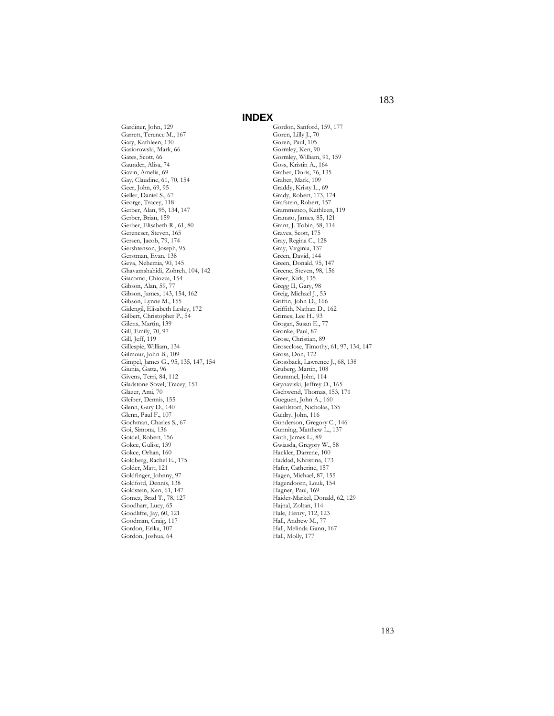Gardiner, John, 129 Garrett, Terence M., 167 Gary, Kathleen, 130 Gasiorowski, Mark, 66 Gates, Scott, 66 Gaunder, Alisa, 74 Gavin, Amelia, 69 Gay, Claudine, 61, 70, 154 Geer, John, 69, 95 Geller, Daniel S., 67 George, Tracey, 118 Gerber, Alan, 95, 134, 147 Gerber, Brian, 159 Gerber, Elisabeth R., 61, 80 Gerencser, Steven, 165 Gersen, Jacob, 79, 174 Gershtenson, Joseph, 95 Gerstman, Evan, 138 Geva, Nehemia, 90, 145 Ghavamshahidi, Zohreh, 104, 142 Giacomo, Chiozza, 154 Gibson, Alan, 59, 77 Gibson, James, 143, 154, 162 Gibson, Lynne M., 155 Gidengil, Elisabeth Lesley, 172 Gilbert, Christopher P., 54 Gilens, Martin, 139 Gill, Emily, 70, 97 Gill, Jeff, 119 Gillespie, William, 134 Gilmour, John B., 109 Gimpel, James G., 95, 135, 147, 154 Giunia, Gatta, 96 Givens, Terri, 84, 112 Gladstone-Sovel, Tracey, 151 Glazer, Ami, 70 Gleiber, Dennis, 155 Glenn, Gary D., 140 Glenn, Paul F., 107 Gochman, Charles S., 67 Goi, Simona, 136 Goidel, Robert, 156 Gokce, Gulise, 139 Gokce, Orhan, 160 Goldberg, Rachel E., 175 Golder, Matt, 121 Goldfinger, Johnny, 97 Goldford, Dennis, 138 Goldstein, Ken, 61, 147 Gomez, Brad T., 78, 127 Goodhart, Lucy, 65 Goodliffe, Jay, 60, 121 Goodman, Craig, 117 Gordon, Erika, 107 Gordon, Joshua, 64

Gordon, Sanford, 159, 177 Goren, Lilly J., 70 Goren, Paul, 105 Gormley, Ken, 90 Gormley, William, 91, 159 Goss, Kristin A., 164 Graber, Doris, 76, 135 Graber, Mark, 109 Graddy, Kristy L., 69 Grady, Robert, 173, 174 Grafstein, Robert, 157 Grammatico, Kathleen, 119 Granato, James, 85, 121 Grant, J. Tobin, 58, 114 Graves, Scott, 175 Gray, Regina C., 128 Gray, Virginia, 137 Green, David, 144 Green, Donald, 95, 147 Greene, Steven, 98, 156 Greer, Kirk, 135 Gregg II, Gary, 98 Greig, Michael J., 53 Griffin, John D., 166 Griffith, Nathan D., 162 Grimes, Lee H., 93 Grogan, Susan E., 77 Gronke, Paul, 87 Grose, Christian, 89 Groseclose, Timothy, 61, 97, 134, 147 Gross, Don, 172 Grossback, Lawrence J., 68, 138 Gruberg, Martin, 108 Grummel, John, 114 Grynaviski, Jeffrey D., 165 Gschwend, Thomas, 153, 171 Gueguen, John A., 160 Guehlstorf, Nicholas, 135 Guidry, John, 116 Gunderson, Gregory C., 146 Gunning, Matthew L., 137 Guth, James L., 89 Gwiasda, Gregory W., 58 Hackler, Darrene, 100 Haddad, Khristina, 173 Hafer, Catherine, 157 Hagen, Michael, 87, 155 Hagendoorn, Louk, 154 Hagner, Paul, 169 Haider-Markel, Donald, 62, 129 Hajnal, Zoltan, 114 Hale, Henry, 112, 123 Hall, Andrew M., 77 Hall, Melinda Gann, 167 Hall, Molly, 177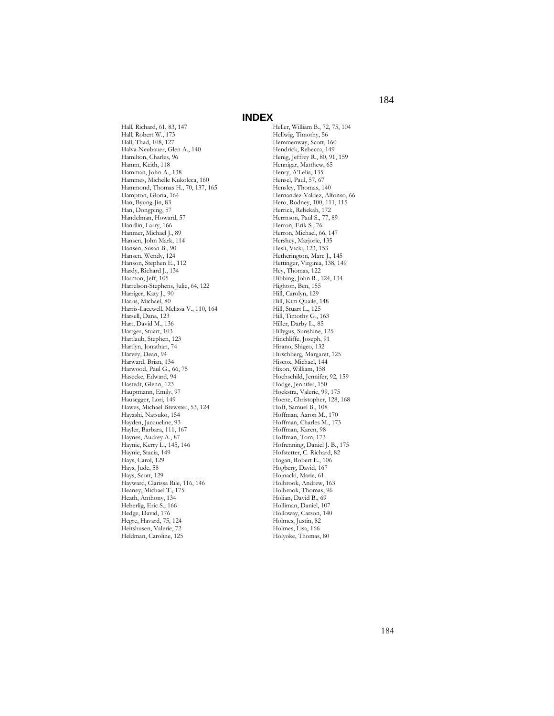Hall, Richard, 61, 83, 147 Hall, Robert W., 173 Hall, Thad, 108, 127 Halva-Neubauer, Glen A., 140 Hamilton, Charles, 96 Hamm, Keith, 118 Hamman, John A., 138 Hammes, Michelle Kukoleca, 160 Hammond, Thomas H., 70, 137, 165 Hampton, Gloria, 164 Han, Byung-Jin, 83 Han, Dongping, 57 Handelman, Howard, 57 Handlin, Larry, 166 Hanmer, Michael J., 89 Hansen, John Mark, 114 Hansen, Susan B., 90 Hansen, Wendy, 124 Hanson, Stephen E., 112 Hardy, Richard J., 134 Harmon, Jeff, 105 Harrelson-Stephens, Julie, 64, 122 Harriger, Katy J., 90 Harris, Michael, 80 Harris-Lacewell, Melissa V., 110, 164 Harsell, Dana, 123 Hart, David M., 136 Hartger, Stuart, 103 Hartlaub, Stephen, 123 Hartlyn, Jonathan, 74 Harvey, Dean, 94 Harward, Brian, 134 Harwood, Paul G., 66, 75 Hasecke, Edward, 94 Hastedt, Glenn, 123 Hauptmann, Emily, 97 Hausegger, Lori, 149 Hawes, Michael Brewster, 53, 124 Hayashi, Natsuko, 154 Hayden, Jacqueline, 93 Hayler, Barbara, 111, 167 Haynes, Audrey A., 87 Haynie, Kerry L., 145, 146 Haynie, Stacia, 149 Hays, Carol, 129 Hays, Jude, 58 Hays, Scott, 129 Hayward, Clarissa Rile, 116, 146 Heaney, Michael T., 175 Heath, Anthony, 134 Heberlig, Eric S., 166 Hedge, David, 176 Hegre, Havard, 75, 124 Heitshusen, Valerie, 72 Heldman, Caroline, 125

Heller, William B., 72, 75, 104 Hellwig, Timothy, 56 Hemmenway, Scott, 160 Hendrick, Rebecca, 149 Henig, Jeffrey R., 80, 91, 159 Hennigar, Matthew, 65 Henry, A'Lelia, 135 Hensel, Paul, 57, 67 Hensley, Thomas, 140 Hernandez-Valdez, Alfonso, 66 Hero, Rodney, 100, 111, 115 Herrick, Rebekah, 172 Herrnson, Paul S., 77, 89 Herron, Erik S., 76 Herron, Michael, 66, 147 Hershey, Marjorie, 135 Hesli, Vicki, 123, 153 Hetherington, Marc J., 145 Hettinger, Virginia, 138, 149 Hey, Thomas, 122 Hibbing, John R., 124, 134 Highton, Ben, 155 Hill, Carolyn, 129 Hill, Kim Quaile, 148 Hill, Stuart L., 125 Hill, Timothy G., 163 Hiller, Darby L., 85 Hillygus, Sunshine, 125 Hinchliffe, Joseph, 91 Hirano, Shigeo, 132 Hirschberg, Margaret, 125 Hiscox, Michael, 144 Hixon, William, 158 Hochschild, Jennifer, 92, 159 Hodge, Jennifer, 150 Hoekstra, Valerie, 99, 175 Hoene, Christopher, 128, 168 Hoff, Samuel B., 108 Hoffman, Aaron M., 170 Hoffman, Charles M., 173 Hoffman, Karen, 98 Hoffman, Tom, 173 Hofrenning, Daniel J. B., 175 Hofstetter, C. Richard, 82 Hogan, Robert E., 106 Hogberg, David, 167 Hojnacki, Marie, 61 Holbrook, Andrew, 163 Holbrook, Thomas, 96 Holian, David B., 69 Holliman, Daniel, 107 Holloway, Carson, 140 Holmes, Justin, 82 Holmes, Lisa, 166 Holyoke, Thomas, 80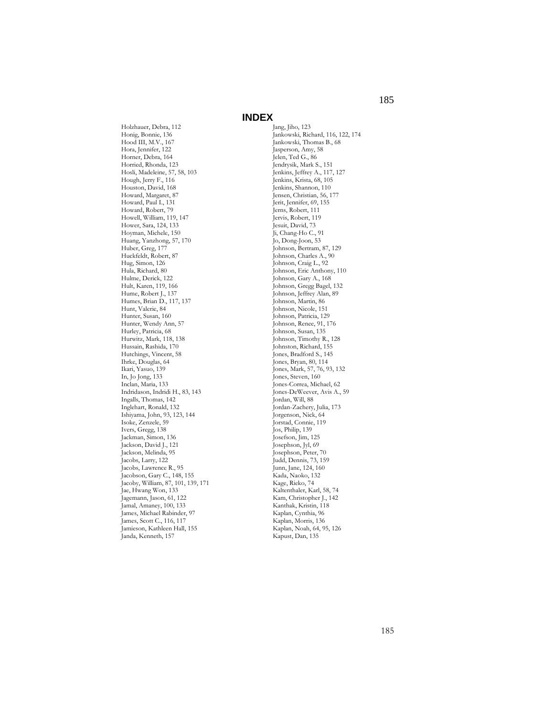Holzhauer, Debra, 112 Honig, Bonnie, 136 Hood III, M.V., 167 Hora, Jennifer, 122 Horner, Debra, 164 Horried, Rhonda, 123 Hosli, Madeleine, 57, 58, 103 Hough, Jerry F., 116 Houston, David, 168 Howard, Margaret, 87 Howard, Paul I., 131 Howard, Robert, 79 Howell, William, 119, 147 Hower, Sara, 124, 133 Hoyman, Michele, 150 Huang, Yanzhong, 57, 170 Huber, Greg, 177 Huckfeldt, Robert, 87 Hug, Simon, 126 Hula, Richard, 80 Hulme, Derick, 122 Hult, Karen, 119, 166 Hume, Robert J., 137 Humes, Brian D., 117, 137 Hunt, Valerie, 84 Hunter, Susan, 160 Hunter, Wendy Ann, 57 Hurley, Patricia, 68 Hurwitz, Mark, 118, 138 Hussain, Rashida, 170 Hutchings, Vincent, 58 Ihrke, Douglas, 64 Ikari, Yasuo, 139 In, Jo Jong, 133 Inclan, Maria, 133 Indridason, Indridi H., 83, 143 Ingalls, Thomas, 142 Inglehart, Ronald, 132 Ishiyama, John, 93, 123, 144 Isoke, Zenzele, 59 Ivers, Gregg, 138 Jackman, Simon, 136 Jackson, David J., 121 Jackson, Melinda, 95 Jacobs, Larry, 122 Jacobs, Lawrence R., 95 Jacobson, Gary C., 148, 155 Jacoby, William, 87, 101, 139, 171 Jae, Hwang Won, 133 Jagemann, Jason, 61, 122 Jamal, Amaney, 100, 133 James, Michael Rabinder, 97 James, Scott C., 116, 117 Jamieson, Kathleen Hall, 155 Janda, Kenneth, 157

Jang, Jiho, 123 Jankowski, Richard, 116, 122, 174 Jankowski, Thomas B., 68 Jasperson, Amy, 58 Jelen, Ted G., 86 Jendrysik, Mark S., 151 Jenkins, Jeffrey A., 117, 127 Jenkins, Krista, 68, 105 Jenkins, Shannon, 110 Jensen, Christian, 56, 177 Jerit, Jennifer, 69, 155 Jerns, Robert, 111 Jervis, Robert, 119 Jesuit, David, 73 Ji, Chang-Ho C., 91 Jo, Dong-Joon, 53 Johnson, Bertram, 87, 129 Johnson, Charles A., 90 Johnson, Craig L., 92 Johnson, Eric Anthony, 110 Johnson, Gary A., 168 Johnson, Gregg Bagel, 132 Johnson, Jeffrey Alan, 89 Johnson, Martin, 86 Johnson, Nicole, 151 Johnson, Patricia, 129 Johnson, Renee, 91, 176 Johnson, Susan, 135 Johnson, Timothy R., 128 Johnston, Richard, 155 Jones, Bradford S., 145 Jones, Bryan, 80, 114 Jones, Mark, 57, 76, 93, 132 Jones, Steven, 160 Jones-Correa, Michael, 62 Jones-DeWeever, Avis A., 59 Jordan, Will, 88 Jordan-Zachery, Julia, 173 Jorgenson, Nick, 64 Jorstad, Connie, 119 Jos, Philip, 139 Josefson, Jim, 125 Josephson, Jyl, 69 Josephson, Peter, 70 Judd, Dennis, 73, 159 Junn, Jane, 124, 160 Kada, Naoko, 132 Kage, Rieko, 74 Kaltenthaler, Karl, 58, 74 Kam, Christopher J., 142 Kanthak, Kristin, 118 Kaplan, Cynthia, 96 Kaplan, Morris, 136 Kaplan, Noah, 64, 95, 126 Kapust, Dan, 135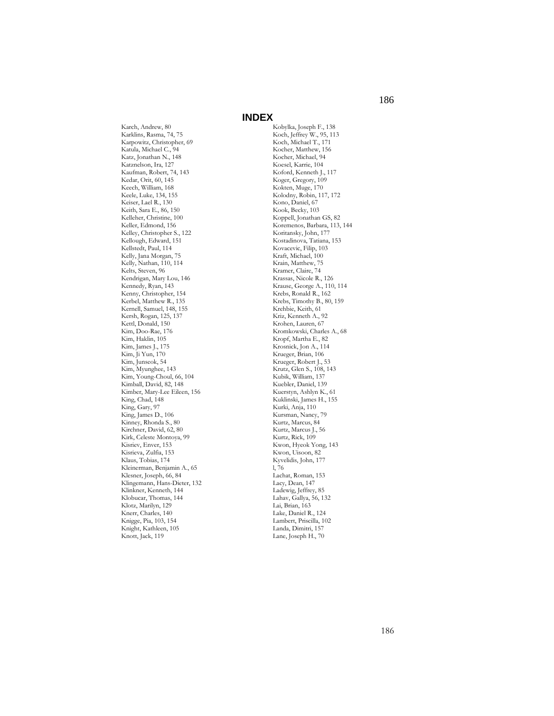Karch, Andrew, 80 Karklins, Rasma, 74, 75 Karpowitz, Christopher, 69 Katula, Michael C., 94 Katz, Jonathan N., 148 Katznelson, Ira, 127 Kaufman, Robert, 74, 143 Kedar, Orit, 60, 145 Keech, William, 168 Keele, Luke, 134, 155 Keiser, Lael R., 130 Keith, Sara E., 86, 150 Kelleher, Christine, 100 Keller, Edmond, 156 Kelley, Christopher S., 122 Kellough, Edward, 151 Kellstedt, Paul, 114 Kelly, Jana Morgan, 75 Kelly, Nathan, 110, 114 Kelts, Steven, 96 Kendrigan, Mary Lou, 146 Kennedy, Ryan, 143 Kenny, Christopher, 154 Kerbel, Matthew R., 135 Kernell, Samuel, 148, 155 Kersh, Rogan, 125, 137 Kettl, Donald, 150 Kim, Doo-Rae, 176 Kim, Haklin, 105 Kim, James J., 175 Kim, Ji Yun, 170 Kim, Junseok, 54 Kim, Myunghee, 143 Kim, Young-Choul, 66, 104 Kimball, David, 82, 148 Kimber, Mary-Lee Eileen, 156 King, Chad, 148 King, Gary, 97 King, James D., 106 Kinney, Rhonda S., 80 Kirchner, David, 62, 80 Kirk, Celeste Montoya, 99 Kisriev, Enver, 153 Kisrieva, Zulfia, 153 Klaus, Tobias, 174 Kleinerman, Benjamin A., 65 Klesner, Joseph, 66, 84 Klingemann, Hans-Dieter, 132 Klinkner, Kenneth, 144 Klobucar, Thomas, 144 Klotz, Marilyn, 129 Knerr, Charles, 140 Knigge, Pia, 103, 154 Knight, Kathleen, 105 Knott, Jack, 119

Kobylka, Joseph F., 138 Koch, Jeffrey W., 95, 113 Koch, Michael T., 171 Kocher, Matthew, 156 Kocher, Michael, 94 Koesel, Karrie, 104 Koford, Kenneth J., 117 Koger, Gregory, 109 Kokten, Muge, 170 Kolodny, Robin, 117, 172 Kono, Daniel, 67 Kook, Becky, 103 Koppell, Jonathan GS, 82 Koremenos, Barbara, 113, 144 Koritansky, John, 177 Kostadinova, Tatiana, 153 Kovacevic, Filip, 103 Kraft, Michael, 100 Krain, Matthew, 75 Kramer, Claire, 74 Krassas, Nicole R., 126 Krause, George A., 110, 114 Krebs, Ronald R., 162 Krebs, Timothy B., 80, 159 Krehbie, Keith, 61 Kriz, Kenneth A., 92 Krohen, Lauren, 67 Kromkowski, Charles A., 68 Kropf, Martha E., 82 Krosnick, Jon A., 114 Krueger, Brian, 106 Krueger, Robert J., 53 Krutz, Glen S., 108, 143 Kubik, William, 137 Kuebler, Daniel, 139 Kuerstyn, Ashlyn K., 61 Kuklinski, James H., 155 Kurki, Anja, 110 Kursman, Nancy, 79 Kurtz, Marcus, 84 Kurtz, Marcus J., 56 Kurtz, Rick, 109 Kwon, Hyeok Yong, 143 Kwon, Uisoon, 82 Kyvelidis, John, 177 l, 76 Lachat, Roman, 153 Lacy, Dean, 147 Ladewig, Jeffrey, 85 Lahav, Gallya, 56, 132 Lai, Brian, 163 Lake, Daniel R., 124 Lambert, Priscilla, 102 Landa, Dimitri, 157 Lane, Joseph H., 70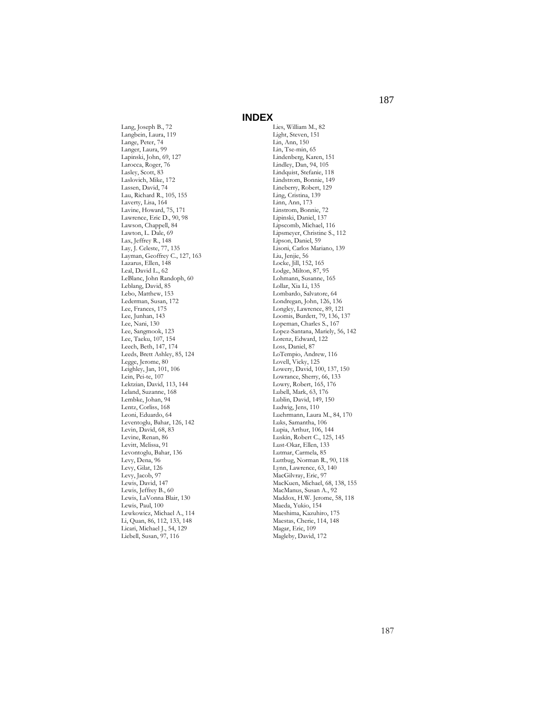Lang, Joseph B., 72 Langbein, Laura, 119 Lange, Peter, 74 Langer, Laura, 99 Lapinski, John, 69, 127 Larocca, Roger, 76 Lasley, Scott, 83 Laslovich, Mike, 172 Lassen, David, 74 Lau, Richard R., 105, 155 Laverty, Lisa, 164 Lavine, Howard, 75, 171 Lawrence, Eric D., 90, 98 Lawson, Chappell, 84 Lawton, L. Dale, 69 Lax, Jeffrey R., 148 Lay, J. Celeste, 77, 135 Layman, Geoffrey C., 127, 163 Lazarus, Ellen, 148 Leal, David L., 62 LeBlanc, John Randoph, 60 Leblang, David, 85 Lebo, Matthew, 153 Lederman, Susan, 172 Lee, Frances, 175 Lee, Junhan, 143 Lee, Nani, 130 Lee, Sangmook, 123 Lee, Taeku, 107, 154 Leech, Beth, 147, 174 Leeds, Brett Ashley, 85, 124 Legge, Jerome, 80 Leighley, Jan, 101, 106 Lein, Pei-te, 107 Lektzian, David, 113, 144 Leland, Suzanne, 168 Lembke, Johan, 94 Lentz, Corliss, 168 Leoni, Eduardo, 64 Leventoglu, Bahar, 126, 142 Levin, David, 68, 83 Levine, Renan, 86 Levitt, Melissa, 91 Levontoglu, Bahar, 136 Levy, Dena, 96 Levy, Gilat, 126 Levy, Jacob, 97 Lewis, David, 147 Lewis, Jeffrey B., 60 Lewis, LaVonna Blair, 130 Lewis, Paul, 100 Lewkowicz, Michael A., 114 Li, Quan, 86, 112, 133, 148 Licari, Michael J., 54, 129 Liebell, Susan, 97, 116

Lies, William M., 82 Light, Steven, 151 Lin, Ann, 150 Lin, Tse-min, 65 Lindenberg, Karen, 151 Lindley, Dan, 94, 105 Lindquist, Stefanie, 118 Lindstrom, Bonnie, 149 Lineberry, Robert, 129 Ling, Cristina, 139 Linn, Ann, 173 Linstrom, Bonnie, 72 Lipinski, Daniel, 137 Lipscomb, Michael, 116 Lipsmeyer, Christine S., 112 Lipson, Daniel, 59 Lisoni, Carlos Mariano, 139 Liu, Jenjie, 56 Locke, Jill, 152, 165 Lodge, Milton, 87, 95 Lohmann, Susanne, 165 Lollar, Xia Li, 135 Lombardo, Salvatore, 64 Londregan, John, 126, 136 Longley, Lawrence, 89, 121 Loomis, Burdett, 79, 136, 137 Lopeman, Charles S., 167 Lopez-Santana, Mariely, 56, 142 Lorenz, Edward, 122 Loss, Daniel, 87 LoTempio, Andrew, 116 Lovell, Vicky, 125 Lowery, David, 100, 137, 150 Lowrance, Sherry, 66, 133 Lowry, Robert, 165, 176 Lubell, Mark, 63, 176 Lublin, David, 149, 150 Ludwig, Jens, 110 Luehrmann, Laura M., 84, 170 Luks, Samantha, 106 Lupia, Arthur, 106, 144 Luskin, Robert C., 125, 145 Lust-Okar, Ellen, 133 Lutmar, Carmela, 85 Luttbug, Norman R., 90, 118 Lynn, Lawrence, 63, 140 MacGilvray, Eric, 97 MacKuen, Michael, 68, 138, 155 MacManus, Susan A., 92 Maddox, H.W. Jerome, 58, 118 Maeda, Yukio, 154 Maeshima, Kazuhiro, 175 Maestas, Cherie, 114, 148 Magar, Eric, 109 Magleby, David, 172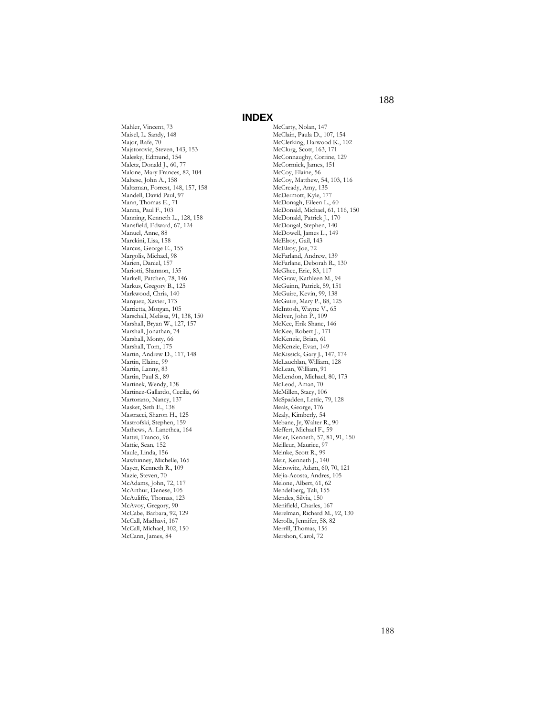Maisel, L. Sandy, 148 Majstorovic, Steven, 143, 153 Malesky, Edmund, 154 Maletz, Donald J., 60, 77 Malone, Mary Frances, 82, 104 Maltese, John A., 158 Maltzman, Forrest, 148, 157, 158 Mandell, David Paul, 97 Mann, Thomas E., 71 Manna, Paul F., 103 Manning, Kenneth L., 128, 158 Mansfield, Edward, 67, 124 Marckini, Lisa, 158 Marcus, George E., 155 Margolis, Michael, 98 Marien, Daniel, 157 Mariotti, Shannon, 135 Markell, Patchen, 78, 146 Markus, Gregory B., 125 Markwood, Chris, 140 Marquez, Xavier, 173

Mahler, Vincent, 73

Major, Rafe, 70

Manuel, Anne, 88

Marrietta, Morgan, 105 Marschall, Melissa, 91, 138, 150 Marshall, Bryan W., 127, 157 Marshall, Jonathan, 74 Marshall, Monty, 66 Marshall, Tom, 175 Martin, Andrew D., 117, 148 Martin, Elaine, 99 Martin, Lanny, 83 Martin, Paul S., 89 Martinek, Wendy, 138 Martinez-Gallardo, Cecilia, 66 Martorano, Nancy, 137 Masket, Seth E., 138 Mastracci, Sharon H., 125 Mastrofski, Stephen, 159 Mathews, A. Lanethea, 164 Mattei, Franco, 96 Mattie, Sean, 152 Maule, Linda, 156 Mawhinney, Michelle, 165 Mayer, Kenneth R., 109 Mazie, Steven, 70 McAdams, John, 72, 117 McArthur, Denese, 105 McAuliffe, Thomas, 123 McAvoy, Gregory, 90 McCabe, Barbara, 92, 129 McCall, Madhavi, 167 McCall, Michael, 102, 150 McCann, James, 84

# **INDEX**

McCarty, Nolan, 147 McClain, Paula D., 107, 154 McClerking, Harwood K., 102 McClurg, Scott, 163, 171 McConnaughy, Corrine, 129 McCormick, James, 151 McCoy, Elaine, 56 McCoy, Matthew, 54, 103, 116 McCready, Amy, 135 McDermott, Kyle, 177 McDonagh, Eileen L., 60 McDonald, Michael, 61, 116, 150 McDonald, Patrick J., 170 McDougal, Stephen, 140 McDowell, James L., 149 McElroy, Gail, 143 McElroy, Joe, 72 McFarland, Andrew, 139 McFarlane, Deborah R., 130 McGhee, Eric, 83, 117 McGraw, Kathleen M., 94 McGuinn, Patrick, 59, 151 McGuire, Kevin, 99, 138 McGuire, Mary P., 88, 125 McIntosh, Wayne V., 65 McIver, John P., 109 McKee, Erik Shane, 146 McKee, Robert J., 171 McKenzie, Brian, 61 McKenzie, Evan, 149 McKissick, Gary J., 147, 174 McLauchlan, William, 128 McLean, William, 91 McLendon, Michael, 80, 173 McLeod, Aman, 70 McMillen, Stacy, 106 McSpadden, Lettie, 79, 128 Meals, George, 176 Mealy, Kimberly, 54 Mebane, Jr, Walter R., 90 Meffert, Michael F., 59 Meier, Kenneth, 57, 81, 91, 150 Meilleur, Maurice, 97 Meinke, Scott R., 99 Meir, Kenneth J., 140 Meirowitz, Adam, 60, 70, 121 Mejia-Acosta, Andres, 105 Melone, Albert, 61, 62 Mendelberg, Tali, 155 Mendes, Silvia, 150 Menifield, Charles, 167 Merelman, Richard M., 92, 130 Merolla, Jennifer, 58, 82 Merrill, Thomas, 156 Mershon, Carol, 72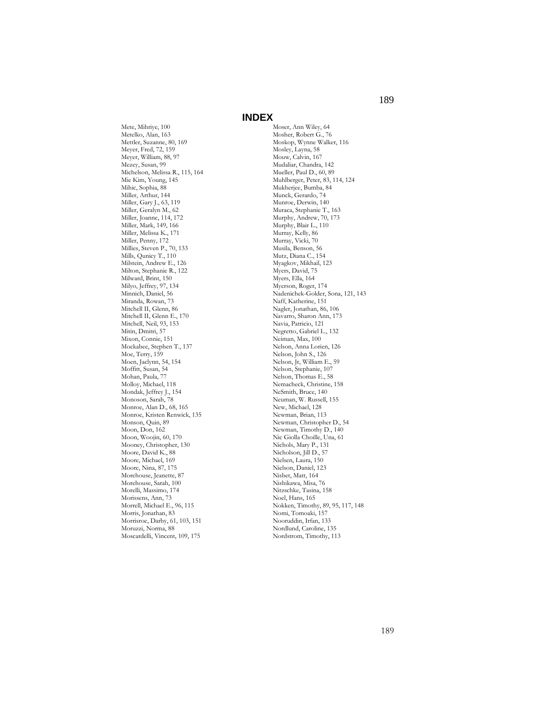Mete, Mihriye, 100 Metelko, Alan, 163 Mettler, Suzanne, 80, 169 Meyer, Fred, 72, 159 Meyer, William, 88, 97 Mezey, Susan, 99 Michelson, Melissa R., 115, 164 Mie Kim, Young, 145 Mihic, Sophia, 88 Miller, Arthur, 144 Miller, Gary J., 63, 119 Miller, Geralyn M., 62 Miller, Joanne, 114, 172 Miller, Mark, 149, 166 Miller, Melissa K., 171 Miller, Penny, 172 Millies, Steven P., 70, 133 Mills, Qunicy T., 110 Milstein, Andrew E., 126 Milton, Stephanie R., 122 Milward, Brint, 150 Milyo, Jeffrey, 97, 134 Minnich, Daniel, 56 Miranda, Rowan, 73 Mitchell II, Glenn, 86 Mitchell II, Glenn E., 170 Mitchell, Neil, 93, 153 Mitin, Dmitri, 57 Mixon, Connie, 151 Mockabee, Stephen T., 137 Moe, Terry, 159 Moen, Jaclynn, 54, 154 Moffitt, Susan, 54 Mohan, Paula, 77 Molloy, Michael, 118 Mondak, Jeffrey J., 154 Monoson, Sarah, 78 Monroe, Alan D., 68, 165 Monroe, Kristen Renwick, 135 Monson, Quin, 89 Moon, Don, 162 Moon, Woojin, 60, 170 Mooney, Christopher, 130 Moore, David K., 88 Moore, Michael, 169 Moore, Nina, 87, 175 Morehouse, Jeanette, 87 Morehouse, Sarah, 100 Morelli, Massimo, 174 Morissens, Ann, 73 Morrell, Michael E., 96, 115 Morris, Jonathan, 83 Morrisroe, Darby, 61, 103, 151 Moruzzi, Norma, 88 Moscardelli, Vincent, 109, 175

Moser, Ann Wiley, 64 Mosher, Robert G., 76 Moskop, Wynne Walker, 116 Mosley, Layna, 58 Mouw, Calvin, 167 Mudaliar, Chandra, 142 Mueller, Paul D., 60, 89 Muhlberger, Peter, 83, 114, 124 Mukherjee, Bumba, 84 Munck, Gerardo, 74 Munroe, Derwin, 140 Muraca, Stephanie T., 163 Murphy, Andrew, 70, 173 Murphy, Blair L., 110 Murray, Kelly, 86 Murray, Vicki, 70 Musila, Benson, 56 Mutz, Diana C., 154 Myagkov, Mikhail, 123 Myers, David, 75 Myers, Ella, 164 Myerson, Roger, 174 Nadenichek-Golder, Sona, 121, 143 Naff, Katherine, 151 Nagler, Jonathan, 86, 106 Navarro, Sharon Ann, 173 Navia, Patricio, 121 Negretto, Gabriel L., 132 Neiman, Max, 100 Nelson, Anna Lorien, 126 Nelson, John S., 126 Nelson, Jr, William E., 59 Nelson, Stephanie, 107 Nelson, Thomas E., 58 Nemacheck, Christine, 158 NeSmith, Bruce, 140 Neuman, W. Russell, 155 New, Michael, 128 Newman, Brian, 113 Newman, Christopher D., 54 Newman, Timothy D., 140 Nic Giolla Choille, Una, 61 Nichols, Mary P., 131 Nicholson, Jill D., 57 Nielsen, Laura, 150 Nielson, Daniel, 123 Nisbet, Matt, 164 Nishikawa, Misa, 76 Nitzschke, Tasina, 158 Noel, Hans, 165 Nokken, Timothy, 89, 95, 117, 148 Nomi, Tomoaki, 157 Nooruddin, Irfan, 133 Nordlund, Caroline, 135 Nordstrom, Timothy, 113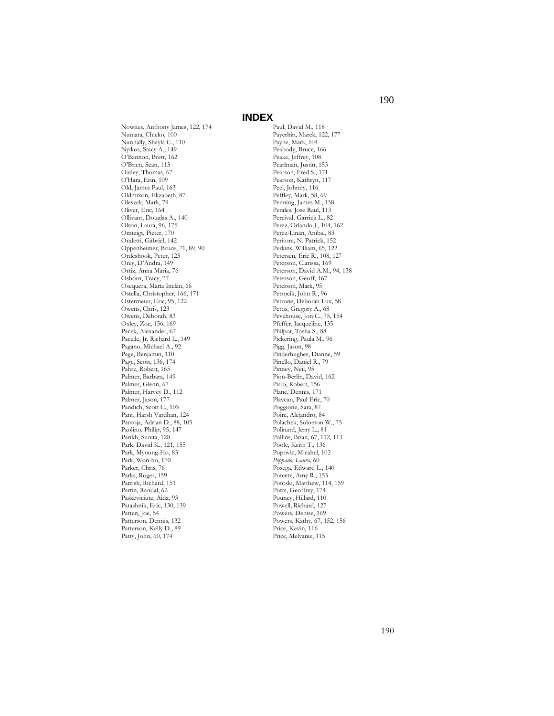Nownes, Anthony James, 122, 174 Numata, Chieko, 100 Nunnally, Shayla C., 110 Nyikos, Stacy A., 149 O'Bannon, Brett, 162 O'Brien, Sean, 113 Oatley, Thomas, 67 O'Hara, Erin, 109 Old, James Paul, 163 Oldmixon, Elizabeth, 87 Oleszek, Mark, 79 Oliver, Eric, 164 Ollivant, Douglas A., 140 Olson, Laura, 96, 175 Omtzigt, Pieter, 170 Ondetti, Gabriel, 142 Oppenheimer, Bruce, 71, 89, 90 Ordeshook, Peter, 123 Orey, D'Andra, 149 Ortiz, Anna Maria, 76 Osborn, Tracy, 77 Osequera, María Inclán, 66 Ostella, Christopher, 166, 171 Ostermeier, Eric, 95, 122 Owens, Chris, 123 Owens, Deborah, 83 Oxley, Zoe, 156, 169 Pacek, Alexander, 67 Pacelle, Jr, Richard L., 149 Pagano, Michael A., 92 Page, Benjamin, 110 Page, Scott, 136, 174 Pahre, Robert, 165 Palmer, Barbara, 149 Palmer, Glenn, 67 Palmer, Harvey D., 112 Palmer, Jason, 177 Pandich, Scott C., 103 Pant, Harsh Vardhan, 124 Pantoja, Adrian D., 88, 105 Paolino, Philip, 95, 147 Parikh, Sunita, 128 Park, David K., 121, 155 Park, Myoung-Ho, 83 Park, Won-ho, 170 Parker, Chris, 76 Parks, Roger, 159 Parrish, Richard, 151 Partin, Randal, 62 Paskeviciute, Aida, 93 Patashnik, Eric, 130, 139 Patten, Joe, 54 Patterson, Dennis, 132 Patterson, Kelly D., 89 Patty, John, 60, 174

Paul, David M., 118 Payerhin, Marek, 122, 177 Payne, Mark, 104 Peabody, Bruce, 166 Peake, Jeffrey, 108 Pearlman, Justin, 153 Pearson, Fred S., 171 Pearson, Kathryn, 117 Peel, Johnny, 116 Peffley, Mark, 58, 69 Penning, James M., 158 Perales, Jose Raul, 113 Percival, Garrick L., 82 Perez, Orlando J., 104, 162 Perez-Linan, Anibal, 83 Peritore, N. Patrick, 152 Perkins, William, 65, 122 Petersen, Eric R., 108, 127 Peterson, Clarissa, 169 Peterson, David A.M., 94, 138 Peterson, Geoff, 167 Peterson, Mark, 95 Petrocik, John R., 96 Petrone, Deborah Lux, 58 Pettis, Gregory A., 68 Pevehouse, Jon C., 75, 154 Pfeffer, Jacqueline, 135 Philpot, Tasha S., 88 Pickering, Paula M., 96 Pigg, Jason, 98 Pinderhughes, Dianne, 59 Pinello, Daniel R., 79 Pinney, Neil, 95 Pion-Berlin, David, 162 Pirro, Robert, 156 Plane, Dennis, 171 Plavcan, Paul Eric, 70 Poggione, Sara, 87 Poire, Alejandro, 84 Polachek, Solomon W., 75 Polinard, Jerry L., 81 Pollins, Brian, 67, 112, 113 Poole, Keith T., 136 Popovic, Micahel, 102 *Poppano, Laura*, 60 Posega, Edward L., 140 Poteete, Amy R., 153 Potoski, Matthew, 114, 159 Potts, Geoffrey, 174 Pouncy, Hillard, 110 Powell, Richard, 127 Powers, Denise, 169 Powers, Kathy, 67, 152, 156 Price, Kevin, 116 Price, Melyanie, 115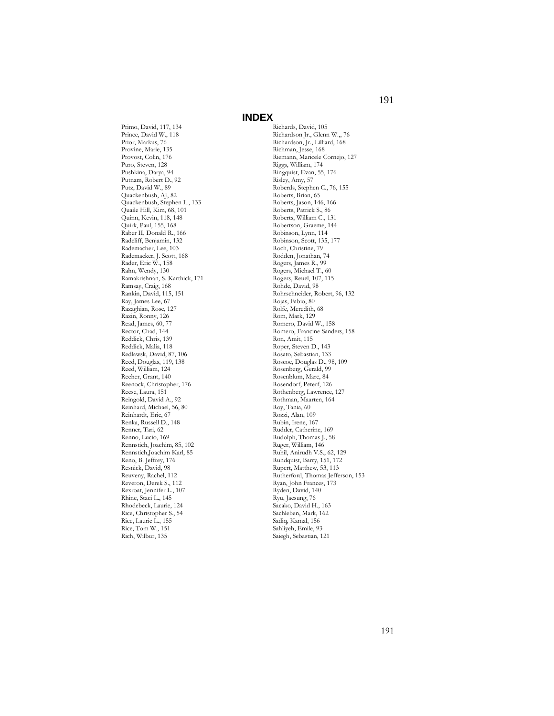Primo, David, 117, 134 Prince, David W., 118 Prior, Markus, 76 Provine, Marie, 135 Provost, Colin, 176 Puro, Steven, 128 Pushkina, Darya, 94 Putnam, Robert D., 92 Putz, David W., 89 Quackenbush, AJ, 82 Quackenbush, Stephen L., 133 Quaile Hill, Kim, 68, 101 Quinn, Kevin, 118, 148 Quirk, Paul, 155, 168 Raber II, Donald R., 166 Radcliff, Benjamin, 132 Rademacher, Lee, 103 Rademacker, J. Scott, 168 Rader, Eric W., 158 Rahn, Wendy, 130 Ramakrishnan, S. Karthick, 171 Ramsay, Craig, 168 Rankin, David, 115, 151 Ray, James Lee, 67 Razaghian, Rose, 127 Razin, Ronny, 126 Read, James, 60, 77 Rector, Chad, 144 Reddick, Chris, 139 Reddick, Malia, 118 Redlawsk, David, 87, 106 Reed, Douglas, 119, 138 Reed, William, 124 Reeher, Grant, 140 Reenock, Christopher, 176 Reese, Laura, 151 Reingold, David A., 92 Reinhard, Michael, 56, 80 Reinhardt, Eric, 67 Renka, Russell D., 148 Renner, Tari, 62 Renno, Lucio, 169 Rennstich, Joachim, 85, 102 Rennstich,Joachim Karl, 85 Reno, B. Jeffrey, 176 Resnick, David, 98 Reuveny, Rachel, 112 Reveron, Derek S., 112 Rexroat, Jennifer L., 107 Rhine, Staci L., 145 Rhodebeck, Laurie, 124 Rice, Christopher S., 54 Rice, Laurie L., 155 Rice, Tom W., 151 Rich, Wilbur, 135

Richards, David, 105 Richardson Jr., Glenn W.,, 76 Richardson, Jr., Lilliard, 168 Richman, Jesse, 168 Riemann, Maricele Cornejo, 127 Riggs, William, 174 Ringquist, Evan, 55, 176 Risley, Amy, 57 Roberds, Stephen C., 76, 155 Roberts, Brian, 65 Roberts, Jason, 146, 166 Roberts, Patrick S., 86 Roberts, William C., 131 Robertson, Graeme, 144 Robinson, Lynn, 114 Robinson, Scott, 135, 177 Roch, Christine, 79 Rodden, Jonathan, 74 Rogers, James R., 99 Rogers, Michael T., 60 Rogers, Reuel, 107, 115 Rohde, David, 98 Rohrschneider, Robert, 96, 132 Rojas, Fabio, 80 Rolfe, Meredith, 68 Rom, Mark, 129 Romero, David W., 158 Romero, Francine Sanders, 158 Ron, Amit, 115 Roper, Steven D., 143 Rosato, Sebastian, 133 Roscoe, Douglas D., 98, 109 Rosenberg, Gerald, 99 Rosenblum, Marc, 84 Rosendorf, Peterf, 126 Rothenberg, Lawrence, 127 Rothman, Maarten, 164 Roy, Tania, 60 Rozzi, Alan, 109 Rubin, Irene, 167 Rudder, Catherine, 169 Rudolph, Thomas J., 58 Ruger, William, 146 Ruhil, Anirudh V.S., 62, 129 Rundquist, Barry, 151, 172 Rupert, Matthew, 53, 113 Rutherford, Thomas Jefferson, 153 Ryan, John Frances, 173 Ryden, David, 140 Ryu, Jaesung, 76 Sacako, David H., 163 Sachleben, Mark, 162 Sadiq, Kamal, 156 Sahliyeh, Emile, 93 Saiegh, Sebastian, 121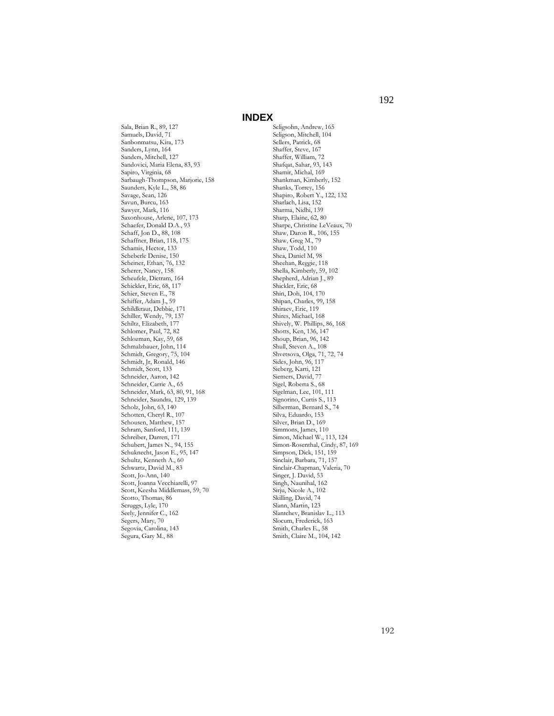Sala, Brian R., 89, 127 Samuels, David, 71 Sanbonmatsu, Kira, 173 Sanders, Lynn, 164 Sanders, Mitchell, 127 Sandovici, Maria Elena, 83, 93 Sapiro, Virginia, 68 Sarbaugh-Thompson, Marjorie, 158 Saunders, Kyle L., 58, 86 Savage, Sean, 126 Savun, Burcu, 163 Sawyer, Mark, 116 Saxonhouse, Arlene, 107, 173 Schaefer, Donald D.A., 93 Schaff, Jon D., 88, 108 Schaffner, Brian, 118, 175 Schamis, Hector, 133 Scheberle Denise, 150 Scheiner, Ethan, 76, 132 Scherer, Nancy, 158 Scheufele, Dietram, 164 Schickler, Eric, 68, 117 Schier, Steven E., 78 Schiffer, Adam J., 59 Schildkraut, Debbie, 171 Schiller, Wendy, 79, 137 Schiltz, Elizabeth, 177 Schlomer, Paul, 72, 82 Schlozman, Kay, 59, 68 Schmalzbauer, John, 114 Schmidt, Gregory, 75, 104 Schmidt, Jr, Ronald, 146 Schmidt, Scott, 133 Schneider, Aaron, 142 Schneider, Carrie A., 65 Schneider, Mark, 63, 80, 91, 168 Schneider, Saundra, 129, 139 Scholz, John, 63, 140 Schotten, Cheryl R., 107 Schousen, Matthew, 157 Schram, Sanford, 111, 139 Schreiber, Darren, 171 Schubert, James N., 94, 155 Schuknecht, Jason E., 95, 147 Schultz, Kenneth A., 60 Schwartz, David M., 83 Scott, Jo-Ann, 140 Scott, Joanna Vecchiarelli, 97 Scott, Keesha Middlemass, 59, 70 Scotto, Thomas, 86 Scruggs, Lyle, 170 Seely, Jennifer C., 162 Segers, Mary, 70 Segovia, Carolina, 143 Segura, Gary M., 88

Seligsohn, Andrew, 165 Seligson, Mitchell, 104 Sellers, Patrick, 68 Shaffer, Steve, 167 Shaffer, William, 72 Shafqat, Sahar, 93, 143 Shamir, Michal, 169 Shankman, Kimberly, 152 Shanks, Torrey, 156 Shapiro, Robert Y., 122, 132 Sharlach, Lisa, 152 Sharma, Nidhi, 139 Sharp, Elaine, 62, 80 Sharpe, Christine LeVeaux, 70 Shaw, Daron R., 106, 155 Shaw, Greg M., 79 Shaw, Todd, 110 Shea, Daniel M, 98 Sheehan, Reggie, 118 Shella, Kimberly, 59, 102 Shepherd, Adrian J., 89 Shickler, Eric, 68 Shin, Doh, 104, 170 Shipan, Charles, 99, 158 Shiraev, Eric, 119 Shires, Michael, 168 Shively, W. Phillips, 86, 168 Shotts, Ken, 136, 147 Shoup, Brian, 96, 142 Shull, Steven A., 108 Shvetsova, Olga, 71, 72, 74 Sides, John, 96, 117 Sieberg, Karti, 121 Siemers, David, 77 Sigel, Roberta S., 68 Sigelman, Lee, 101, 111 Signorino, Curtis S., 113 Silberman, Bernard S., 74 Silva, Eduardo, 153 Silver, Brian D., 169 Simmons, James, 110 Simon, Michael W., 113, 124 Simon-Rosenthal, Cindy, 87, 169 Simpson, Dick, 151, 159 Sinclair, Barbara, 71, 157 Sinclair-Chapman, Valeria, 70 Singer, J. David, 53 Singh, Naunihal, 162 Sirju, Nicole A., 102 Skilling, David, 74 Slann, Martin, 123 Slantchev, Branislav L., 113 Slocum, Frederick, 163 Smith, Charles E., 58 Smith, Claire M., 104, 142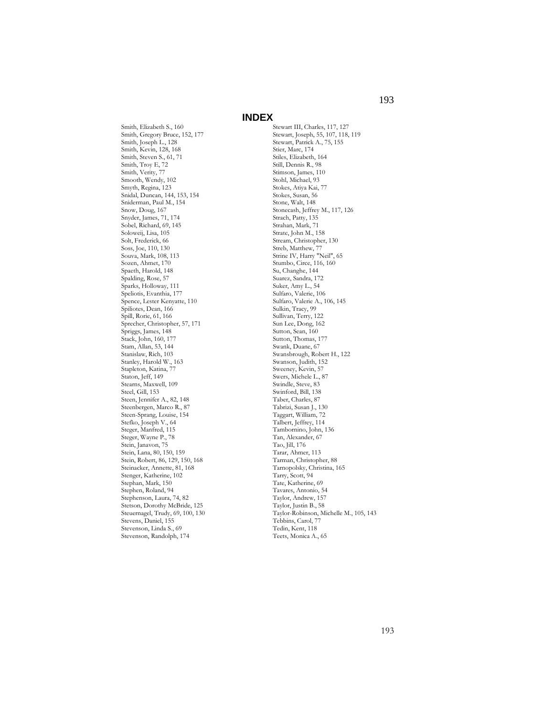Smith, Elizabeth S., 160 Smith, Gregory Bruce, 152, 177 Smith, Joseph L., 128 Smith, Kevin, 128, 168 Smith, Steven S., 61, 71 Smith, Troy E, 72 Smith, Verity, 77 Smooth, Wendy, 102 Smyth, Regina, 123 Snidal, Duncan, 144, 153, 154 Sniderman, Paul M., 154 Snow, Doug, 167 Snyder, James, 71, 174 Sobel, Richard, 69, 145 Soloweij, Lisa, 105 Solt, Frederick, 66 Soss, Joe, 110, 130 Souva, Mark, 108, 113 Sozen, Ahmet, 170 Spaeth, Harold, 148 Spalding, Rose, 57 Sparks, Holloway, 111 Speliotis, Evanthia, 177 Spence, Lester Kenyatte, 110 Spiliotes, Dean, 166 Spill, Rorie, 61, 166 Sprecher, Christopher, 57, 171 Spriggs, James, 148 Stack, John, 160, 177 Stam, Allan, 53, 144 Stanislaw, Rich, 103 Stanley, Harold W., 163 Stapleton, Katina, 77 Staton, Jeff, 149 Stearns, Maxwell, 109 Steel, Gill, 153 Steen, Jennifer A., 82, 148 Steenbergen, Marco R., 87 Steen-Sprang, Louise, 154 Stefko, Joseph V., 64 Steger, Manfred, 115 Steger, Wayne P., 78 Stein, Janavon, 75 Stein, Lana, 80, 150, 159 Stein, Robert, 86, 129, 150, 168 Steinacker, Annette, 81, 168 Stenger, Katherine, 102 Stephan, Mark, 150 Stephen, Roland, 94 Stephenson, Laura, 74, 82 Stetson, Dorothy McBride, 125 Steuernagel, Trudy, 69, 100, 130 Stevens, Daniel, 155 Stevenson, Linda S., 69 Stevenson, Randolph, 174

Stewart III, Charles, 117, 127 Stewart, Joseph, 55, 107, 118, 119 Stewart, Patrick A., 75, 155 Stier, Marc, 174 Stiles, Elizabeth, 164 Still, Dennis R., 98 Stimson, James, 110 Stohl, Michael, 93 Stokes, Atiya Kai, 77 Stokes, Susan, 56 Stone, Walt, 148 Stonecash, Jeffrey M., 117, 126 Strach, Patty, 135 Strahan, Mark, 71 Strate, John M., 158 Stream, Christopher, 130 Streb, Matthew, 77 Strine IV, Harry "Neil", 65 Stumbo, Circe, 116, 160 Su, Changhe, 144 Suarez, Sandra, 172 Suker, Amy L., 54 Sulfaro, Valerie, 106 Sulfaro, Valerie A., 106, 145 Sulkin, Tracy, 99 Sullivan, Terry, 122 Sun Lee, Dong, 162 Sutton, Sean, 160 Sutton, Thomas, 177 Swank, Duane, 67 Swansbrough, Robert H., 122 Swanson, Judith, 152 Sweeney, Kevin, 57 Swers, Michele L., 87 Swindle, Steve, 83 Swinford, Bill, 138 Taber, Charles, 87 Tabrizi, Susan J., 130 Taggart, William, 72 Talbert, Jeffrey, 114 Tambornino, John, 136 Tan, Alexander, 67 Tao, Jill, 176 Tarar, Ahmer, 113 Tarman, Christopher, 88 Tarnopolsky, Christina, 165 Tarry, Scott, 94 Tate, Katherine, 69 Tavares, Antonio, 54 Taylor, Andrew, 157 Taylor, Justin B., 58 Taylor-Robinson, Michelle M., 105, 143 Tebbins, Carol, 77 Tedin, Kent, 118 Teets, Monica A., 65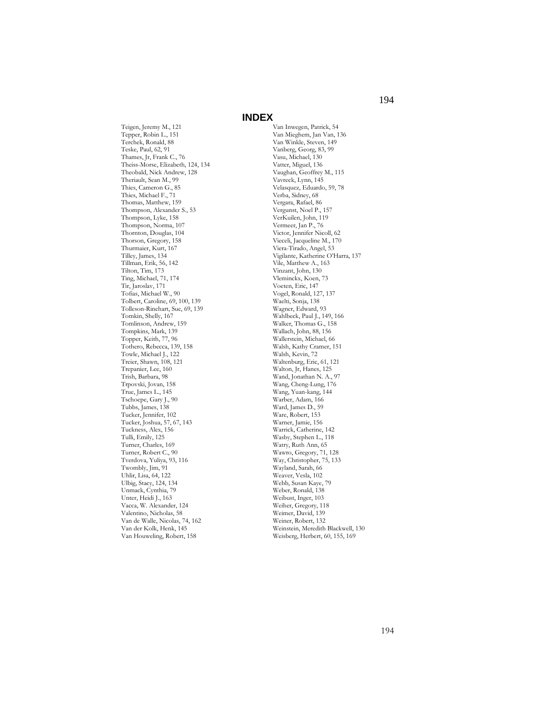Teigen, Jeremy M., 121 Tepper, Robin L., 151 Terchek, Ronald, 88 Teske, Paul, 62, 91 Thames, Jr, Frank C., 76 Theiss-Morse, Elizabeth, 124, 134 Theobald, Nick Andrew, 128 Theriault, Sean M., 99 Thies, Cameron G., 85 Thies, Michael F., 71 Thomas, Matthew, 159 Thompson, Alexander S., 53 Thompson, Lyke, 158 Thompson, Norma, 107 Thornton, Douglas, 104 Thorson, Gregory, 158 Thurmaier, Kurt, 167 Tilley, James, 134 Tillman, Erik, 56, 142 Tilton, Tim, 173 Ting, Michael, 71, 174 Tir, Jaroslav, 171 Tofias, Michael W., 90 Tolbert, Caroline, 69, 100, 139 Tolleson-Rinehart, Sue, 69, 139 Tomkin, Shelly, 167 Tomlinson, Andrew, 159 Tompkins, Mark, 139 Topper, Keith, 77, 96 Tothero, Rebecca, 139, 158 Towle, Michael J., 122 Treier, Shawn, 108, 121 Trepanier, Lee, 160 Trish, Barbara, 98 Trpovski, Jovan, 158 True, James L., 145 Tschoepe, Gary J., 90 Tubbs, James, 138 Tucker, Jennifer, 102 Tucker, Joshua, 57, 67, 143 Tuckness, Alex, 156 Tulli, Emily, 125 Turner, Charles, 169 Turner, Robert C., 90 Tverdova, Yuliya, 93, 116 Twombly, Jim, 91 Uhlir, Lisa, 64, 122 Ulbig, Stacy, 124, 134 Unmack, Cynthia, 79 Unter, Heidi J., 163 Vacca, W. Alexander, 124 Valentino, Nicholas, 58 Van de Walle, Nicolas, 74, 162 Van der Kolk, Henk, 145 Van Houweling, Robert, 158

Van Inwegen, Patrick, 54 Van Mieghem, Jan Van, 136 Van Winkle, Steven, 149 Vanberg, Georg, 83, 99 Vasu, Michael, 130 Vatter, Miguel, 136 Vaughan, Geoffrey M., 115 Vavreck, Lynn, 145 Velasquez, Eduardo, 59, 78 Verba, Sidney, 68 Vergara, Rafael, 86 Vergunst, Noel P., 157 VerKuilen, John, 119 Vermeer, Jan P., 76 Victor, Jennifer Nicoll, 62 Vieceli, Jacqueline M., 170 Viera-Tirado, Angel, 53 Vigilante, Katherine O'Harra, 137 Vile, Matthew A., 163 Vinzant, John, 130 Vleminckx, Koen, 73 Voeten, Eric, 147 Vogel, Ronald, 127, 137 Waelti, Sonja, 138 Wagner, Edward, 93 Wahlbeck, Paul J., 149, 166 Walker, Thomas G., 158 Wallach, John, 88, 156 Wallerstein, Michael, 66 Walsh, Kathy Cramer, 151 Walsh, Kevin, 72 Waltenburg, Eric, 61, 121 Walton, Jr, Hanes, 125 Wand, Jonathan N. A., 97 Wang, Cheng-Lung, 176 Wang, Yuan-kang, 144 Warber, Adam, 166 Ward, James D., 59 Ware, Robert, 153 Warner, Jamie, 156 Warrick, Catherine, 142 Wasby, Stephen L., 118 Watry, Ruth Ann, 65 Wawro, Gregory, 71, 128 Way, Christopher, 75, 133 Wayland, Sarah, 66 Weaver, Vesla, 102 Webb, Susan Kaye, 79 Weber, Ronald, 138 Weibust, Inger, 103 Weiher, Gregory, 118 Weimer, David, 139 Weiner, Robert, 132 Weinstein, Meredith Blackwell, 130 Weisberg, Herbert, 60, 155, 169